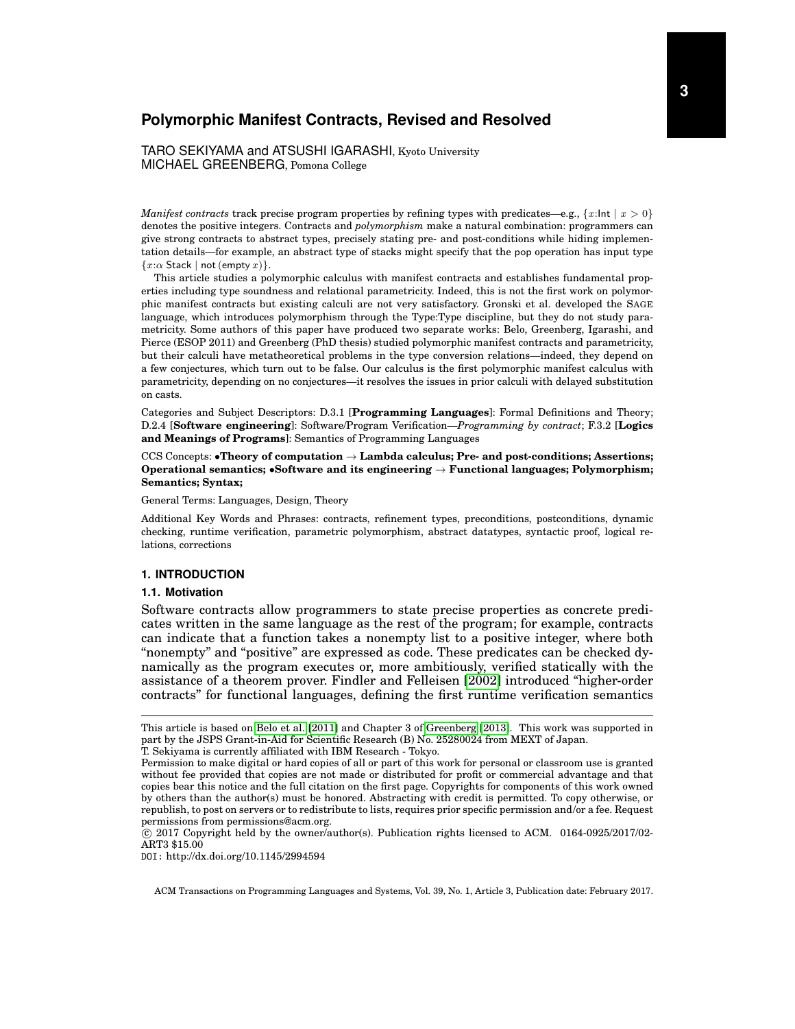# **Polymorphic Manifest Contracts, Revised and Resolved**

TARO SEKIYAMA and ATSUSHI IGARASHI, Kyoto University MICHAEL GREENBERG, Pomona College

*Manifest contracts* track precise program properties by refining types with predicates—e.g.,  $\{x:\mathsf{Int} \mid x > 0\}$ denotes the positive integers. Contracts and *polymorphism* make a natural combination: programmers can give strong contracts to abstract types, precisely stating pre- and post-conditions while hiding implementation details—for example, an abstract type of stacks might specify that the pop operation has input type  ${x:\alpha \text{ Stack} \mid \text{not (empty } x)}$ .

This article studies a polymorphic calculus with manifest contracts and establishes fundamental properties including type soundness and relational parametricity. Indeed, this is not the first work on polymorphic manifest contracts but existing calculi are not very satisfactory. Gronski et al. developed the SAGE language, which introduces polymorphism through the Type:Type discipline, but they do not study parametricity. Some authors of this paper have produced two separate works: Belo, Greenberg, Igarashi, and Pierce (ESOP 2011) and Greenberg (PhD thesis) studied polymorphic manifest contracts and parametricity, but their calculi have metatheoretical problems in the type conversion relations—indeed, they depend on a few conjectures, which turn out to be false. Our calculus is the first polymorphic manifest calculus with parametricity, depending on no conjectures—it resolves the issues in prior calculi with delayed substitution on casts.

Categories and Subject Descriptors: D.3.1 [**Programming Languages**]: Formal Definitions and Theory; D.2.4 [**Software engineering**]: Software/Program Verification—*Programming by contract*; F.3.2 [**Logics and Meanings of Programs**]: Semantics of Programming Languages

CCS Concepts: •**Theory of computation** → **Lambda calculus; Pre- and post-conditions; Assertions; Operational semantics;** •**Software and its engineering** → **Functional languages; Polymorphism; Semantics; Syntax;**

General Terms: Languages, Design, Theory

Additional Key Words and Phrases: contracts, refinement types, preconditions, postconditions, dynamic checking, runtime verification, parametric polymorphism, abstract datatypes, syntactic proof, logical relations, corrections

## <span id="page-0-0"></span>**1. INTRODUCTION**

#### **1.1. Motivation**

Software contracts allow programmers to state precise properties as concrete predicates written in the same language as the rest of the program; for example, contracts can indicate that a function takes a nonempty list to a positive integer, where both "nonempty" and "positive" are expressed as code. These predicates can be checked dynamically as the program executes or, more ambitiously, verified statically with the assistance of a theorem prover. Findler and Felleisen [\[2002\]](#page-34-0) introduced "higher-order contracts" for functional languages, defining the first runtime verification semantics

This article is based on [Belo et al.](#page-33-0) [\[2011\]](#page-33-0) and Chapter 3 of [Greenberg](#page-34-1) [\[2013\]](#page-34-1). This work was supported in part by the JSPS Grant-in-Aid for Scientific Research (B) No. 25280024 from MEXT of Japan. T. Sekiyama is currently affiliated with IBM Research - Tokyo.

Permission to make digital or hard copies of all or part of this work for personal or classroom use is granted without fee provided that copies are not made or distributed for profit or commercial advantage and that copies bear this notice and the full citation on the first page. Copyrights for components of this work owned by others than the author(s) must be honored. Abstracting with credit is permitted. To copy otherwise, or

republish, to post on servers or to redistribute to lists, requires prior specific permission and/or a fee. Request permissions from permissions@acm.org.  $\overline{c}$  2017 Copyright held by the owner/author(s). Publication rights licensed to ACM. 0164-0925/2017/02-

ART3 \$15.00

DOI: http://dx.doi.org/10.1145/2994594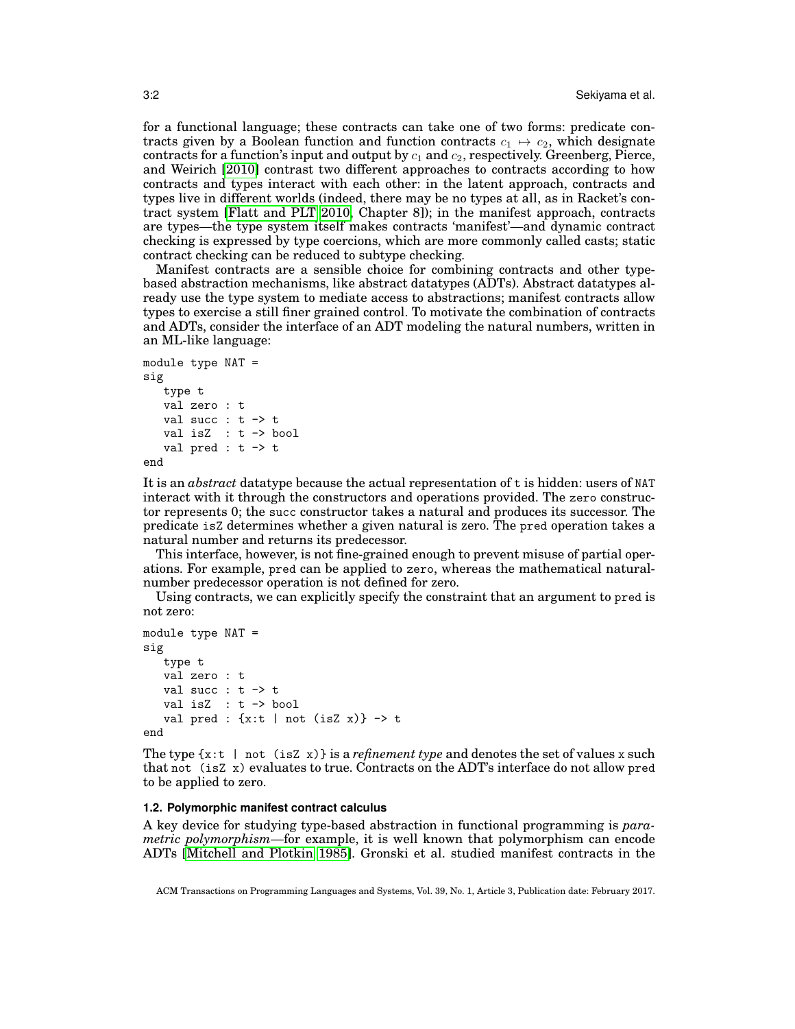for a functional language; these contracts can take one of two forms: predicate contracts given by a Boolean function and function contracts  $c_1 \mapsto c_2$ , which designate contracts for a function's input and output by  $c_1$  and  $c_2$ , respectively. Greenberg, Pierce, and Weirich [\[2010\]](#page-34-2) contrast two different approaches to contracts according to how contracts and types interact with each other: in the latent approach, contracts and types live in different worlds (indeed, there may be no types at all, as in Racket's contract system [\[Flatt and PLT 2010,](#page-34-3) Chapter 8]); in the manifest approach, contracts are types—the type system itself makes contracts 'manifest'—and dynamic contract checking is expressed by type coercions, which are more commonly called casts; static contract checking can be reduced to subtype checking.

Manifest contracts are a sensible choice for combining contracts and other typebased abstraction mechanisms, like abstract datatypes (ADTs). Abstract datatypes already use the type system to mediate access to abstractions; manifest contracts allow types to exercise a still finer grained control. To motivate the combination of contracts and ADTs, consider the interface of an ADT modeling the natural numbers, written in an ML-like language:

```
module type NAT =
sig
   type t
   val zero : t
   val succ : t \rightarrow tval isZ : t -> bool
   val pred : t \rightarrow t
```
end

It is an *abstract* datatype because the actual representation of t is hidden: users of NAT interact with it through the constructors and operations provided. The zero constructor represents 0; the succ constructor takes a natural and produces its successor. The predicate isZ determines whether a given natural is zero. The pred operation takes a natural number and returns its predecessor.

This interface, however, is not fine-grained enough to prevent misuse of partial operations. For example, pred can be applied to zero, whereas the mathematical naturalnumber predecessor operation is not defined for zero.

Using contracts, we can explicitly specify the constraint that an argument to pred is not zero:

```
module type NAT =
sig
   type t
   val zero : t
   val succ : t \rightarrow tval isZ : t -> bool
   val pred : \{x:t | not (isZ x)\} \rightarrow tend
```
The type  $\{x: t \mid not (isZ x)\}$  is a *refinement type* and denotes the set of values x such that not (isZ x) evaluates to true. Contracts on the ADT's interface do not allow pred to be applied to zero.

## **1.2. Polymorphic manifest contract calculus**

A key device for studying type-based abstraction in functional programming is *parametric polymorphism*—for example, it is well known that polymorphism can encode ADTs [\[Mitchell and Plotkin 1985\]](#page-35-0). Gronski et al. studied manifest contracts in the

ACM Transactions on Programming Languages and Systems, Vol. 39, No. 1, Article 3, Publication date: February 2017.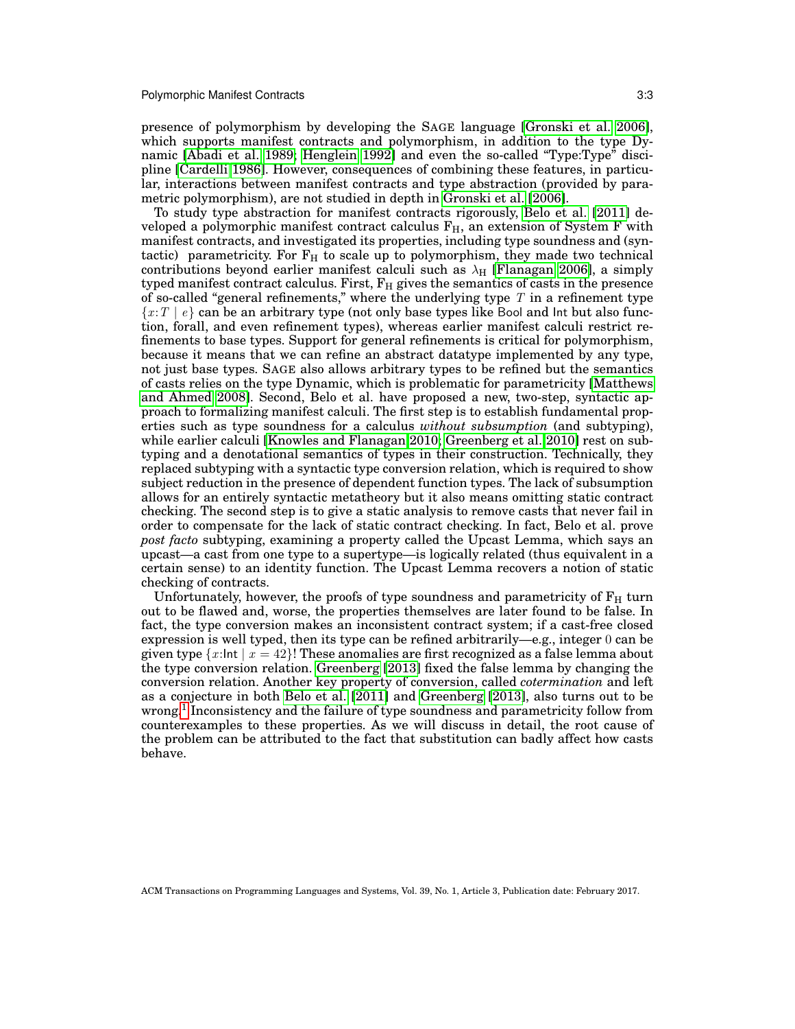presence of polymorphism by developing the SAGE language [\[Gronski et al. 2006\]](#page-34-4), which supports manifest contracts and polymorphism, in addition to the type Dynamic [\[Abadi et al. 1989;](#page-33-1) [Henglein 1992\]](#page-34-5) and even the so-called "Type:Type" discipline [\[Cardelli 1986\]](#page-33-2). However, consequences of combining these features, in particular, interactions between manifest contracts and type abstraction (provided by parametric polymorphism), are not studied in depth in [Gronski et al.](#page-34-4) [\[2006\]](#page-34-4).

To study type abstraction for manifest contracts rigorously, [Belo et al.](#page-33-0) [\[2011\]](#page-33-0) developed a polymorphic manifest contract calculus  $F_H$ , an extension of System F with manifest contracts, and investigated its properties, including type soundness and (syntactic) parametricity. For  $F_H$  to scale up to polymorphism, they made two technical contributions beyond earlier manifest calculi such as  $\lambda_H$  [\[Flanagan 2006\]](#page-34-6), a simply typed manifest contract calculus. First,  $F_H$  gives the semantics of casts in the presence of so-called "general refinements," where the underlying type  $T$  in a refinement type  ${x : T | e}$  can be an arbitrary type (not only base types like Bool and Int but also function, forall, and even refinement types), whereas earlier manifest calculi restrict refinements to base types. Support for general refinements is critical for polymorphism, because it means that we can refine an abstract datatype implemented by any type, not just base types. SAGE also allows arbitrary types to be refined but the semantics of casts relies on the type Dynamic, which is problematic for parametricity [\[Matthews](#page-35-1) [and Ahmed 2008\]](#page-35-1). Second, Belo et al. have proposed a new, two-step, syntactic approach to formalizing manifest calculi. The first step is to establish fundamental properties such as type soundness for a calculus *without subsumption* (and subtyping), while earlier calculi [\[Knowles and Flanagan 2010;](#page-34-7) [Greenberg et al. 2010\]](#page-34-2) rest on subtyping and a denotational semantics of types in their construction. Technically, they replaced subtyping with a syntactic type conversion relation, which is required to show subject reduction in the presence of dependent function types. The lack of subsumption allows for an entirely syntactic metatheory but it also means omitting static contract checking. The second step is to give a static analysis to remove casts that never fail in order to compensate for the lack of static contract checking. In fact, Belo et al. prove *post facto* subtyping, examining a property called the Upcast Lemma, which says an upcast—a cast from one type to a supertype—is logically related (thus equivalent in a certain sense) to an identity function. The Upcast Lemma recovers a notion of static checking of contracts.

Unfortunately, however, the proofs of type soundness and parametricity of  $F_H$  turn out to be flawed and, worse, the properties themselves are later found to be false. In fact, the type conversion makes an inconsistent contract system; if a cast-free closed expression is well typed, then its type can be refined arbitrarily—e.g., integer 0 can be given type  $\{x:\mathsf{Int} \mid x=42\}$ ! These anomalies are first recognized as a false lemma about the type conversion relation. [Greenberg](#page-34-1) [\[2013\]](#page-34-1) fixed the false lemma by changing the conversion relation. Another key property of conversion, called *cotermination* and left as a conjecture in both [Belo et al.](#page-33-0) [\[2011\]](#page-33-0) and [Greenberg](#page-34-1) [\[2013\]](#page-34-1), also turns out to be wrong.<sup>[1](#page-3-0)</sup> Inconsistency and the failure of type soundness and parametricity follow from counterexamples to these properties. As we will discuss in detail, the root cause of the problem can be attributed to the fact that substitution can badly affect how casts behave.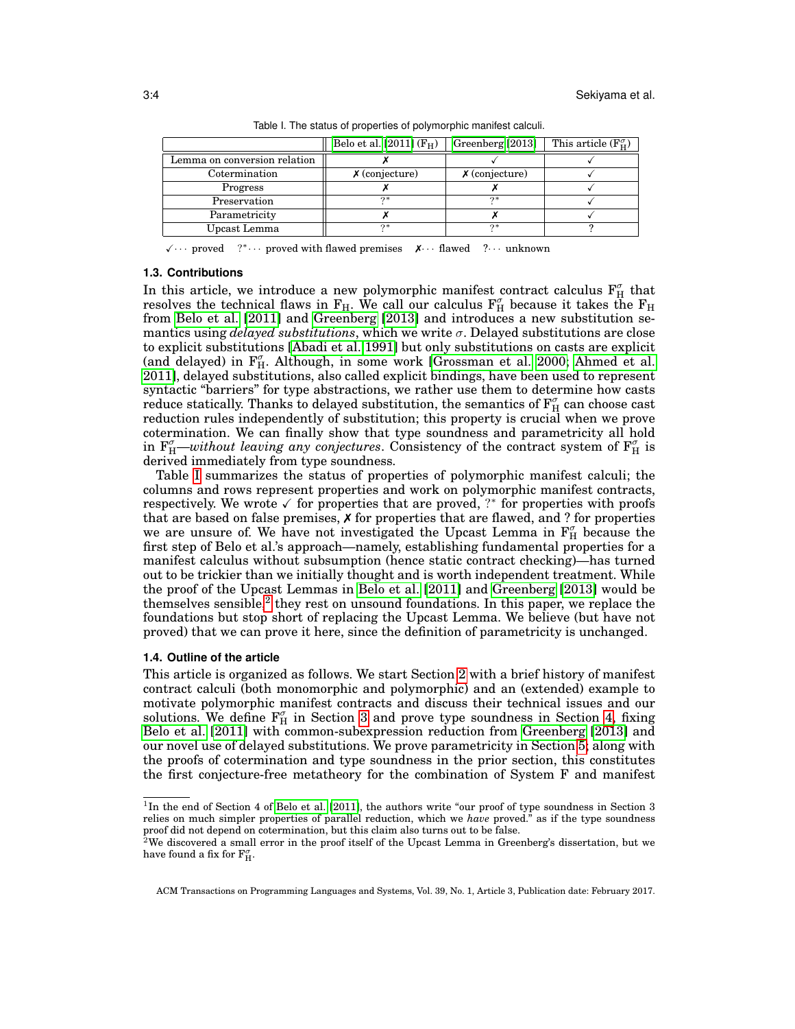|                              | Belo et al. [2011] $(F_H)$ | Greenberg [2013]    | This article $(F_{H}^{\sigma})$ |
|------------------------------|----------------------------|---------------------|---------------------------------|
| Lemma on conversion relation |                            |                     |                                 |
| Cotermination                | $\chi$ (conjecture)        | $\chi$ (conjecture) |                                 |
| Progress                     |                            |                     |                                 |
| Preservation                 | ウ*                         | つ*                  |                                 |
| Parametricity                |                            |                     |                                 |
| Upcast Lemma                 | $2*$                       | ウ*                  |                                 |
|                              |                            |                     |                                 |

<span id="page-3-1"></span>Table I. The status of properties of polymorphic manifest calculi.

 $\sqrt{ } \cdots$  proved <sup>∗</sup>· · · proved with flawed premises ✗· · · flawed ?· · · unknown

#### **1.3. Contributions**

In this article, we introduce a new polymorphic manifest contract calculus  $\mathrm{F}_{\mathrm{H}}^{\sigma}$  that resolves the technical flaws in  $F_H$ . We call our calculus  $F_H^{\sigma}$  because it takes the  $F_H$ from [Belo et al.](#page-33-0) [\[2011\]](#page-33-0) and [Greenberg](#page-34-1) [\[2013\]](#page-34-1) and introduces a new substitution semantics using *delayed substitutions*, which we write σ. Delayed substitutions are close to explicit substitutions [\[Abadi et al. 1991\]](#page-33-3) but only substitutions on casts are explicit (and delayed) in  $F_{H}^{\sigma}$ . Although, in some work [\[Grossman et al. 2000;](#page-34-8) [Ahmed et al.](#page-33-4) [2011\]](#page-33-4), delayed substitutions, also called explicit bindings, have been used to represent syntactic "barriers" for type abstractions, we rather use them to determine how casts reduce statically. Thanks to delayed substitution, the semantics of  $\mathrm{F}_{\mathrm{H}}^{\sigma}$  can choose cast reduction rules independently of substitution; this property is crucial when we prove cotermination. We can finally show that type soundness and parametricity all hold in  $F_H^{\sigma}$ —*without leaving any conjectures*. Consistency of the contract system of  $F_H^{\sigma}$  is derived immediately from type soundness.

Table [I](#page-3-1) summarizes the status of properties of polymorphic manifest calculi; the columns and rows represent properties and work on polymorphic manifest contracts, respectively. We wrote  $\checkmark$  for properties that are proved, ?\* for properties with proofs that are based on false premises,  $X$  for properties that are flawed, and ? for properties we are unsure of. We have not investigated the Upcast Lemma in  $F_H^{\sigma}$  because the first step of Belo et al.'s approach—namely, establishing fundamental properties for a manifest calculus without subsumption (hence static contract checking)—has turned out to be trickier than we initially thought and is worth independent treatment. While the proof of the Upcast Lemmas in [Belo et al.](#page-33-0) [\[2011\]](#page-33-0) and [Greenberg](#page-34-1) [\[2013\]](#page-34-1) would be themselves sensible,<sup>[2](#page-3-2)</sup> they rest on unsound foundations. In this paper, we replace the foundations but stop short of replacing the Upcast Lemma. We believe (but have not proved) that we can prove it here, since the definition of parametricity is unchanged.

#### **1.4. Outline of the article**

This article is organized as follows. We start Section [2](#page-4-0) with a brief history of manifest contract calculi (both monomorphic and polymorphic) and an (extended) example to motivate polymorphic manifest contracts and discuss their technical issues and our solutions. We define  $F_H^{\sigma}$  in Section [3](#page-11-0) and prove type soundness in Section [4,](#page-20-0) fixing [Belo et al.](#page-33-0) [\[2011\]](#page-33-0) with common-subexpression reduction from [Greenberg](#page-34-1) [\[2013\]](#page-34-1) and our novel use of delayed substitutions. We prove parametricity in Section [5;](#page-22-0) along with the proofs of cotermination and type soundness in the prior section, this constitutes the first conjecture-free metatheory for the combination of System F and manifest

<span id="page-3-0"></span><sup>&</sup>lt;sup>1</sup>In the end of Section 4 of [Belo et al.](#page-33-0) [\[2011\]](#page-33-0), the authors write "our proof of type soundness in Section 3 relies on much simpler properties of parallel reduction, which we *have* proved." as if the type soundness proof did not depend on cotermination, but this claim also turns out to be false.

<span id="page-3-2"></span> $^{2}$ We discovered a small error in the proof itself of the Upcast Lemma in Greenberg's dissertation, but we have found a fix for  $\mathbf{F}^{\sigma}_{\mathbf{H}}$ .

ACM Transactions on Programming Languages and Systems, Vol. 39, No. 1, Article 3, Publication date: February 2017.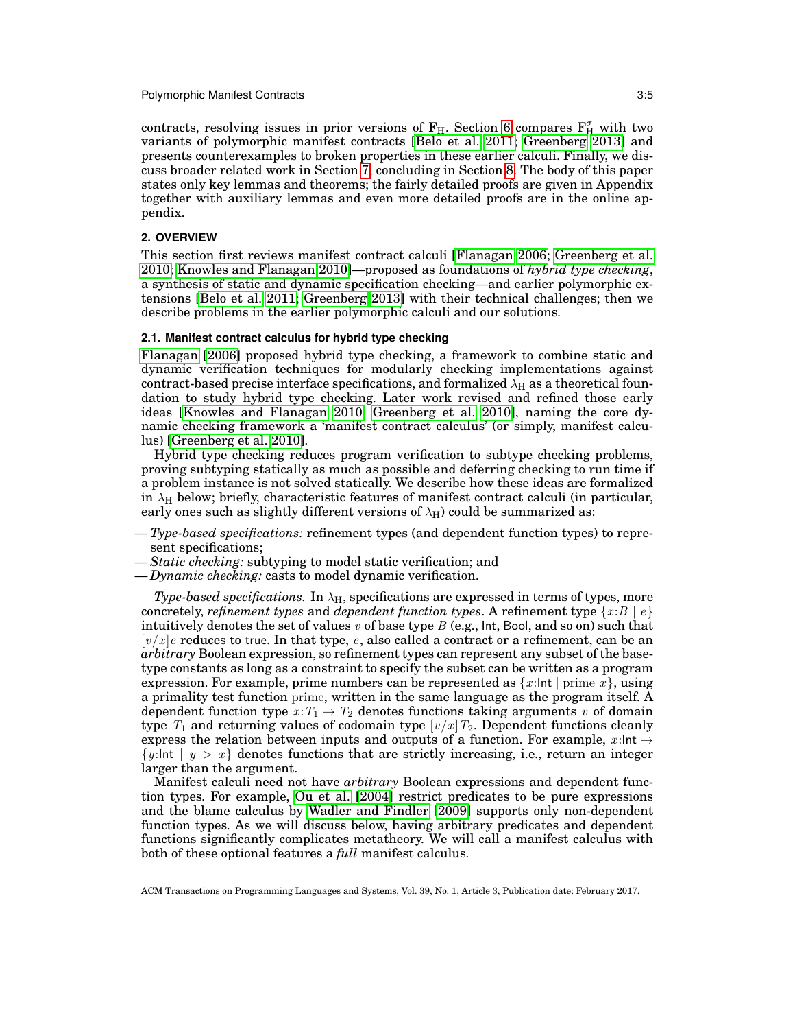contracts, resolving issues in prior versions of  $F_H$ . Section [6](#page-26-0) compares  $F_H^{\sigma}$  with two variants of polymorphic manifest contracts [\[Belo et al. 2011;](#page-33-0) [Greenberg 2013\]](#page-34-1) and presents counterexamples to broken properties in these earlier calculi. Finally, we discuss broader related work in Section [7,](#page-29-0) concluding in Section [8.](#page-32-0) The body of this paper states only key lemmas and theorems; the fairly detailed proofs are given in Appendix together with auxiliary lemmas and even more detailed proofs are in the online appendix.

## <span id="page-4-0"></span>**2. OVERVIEW**

This section first reviews manifest contract calculi [\[Flanagan 2006;](#page-34-6) [Greenberg et al.](#page-34-2) [2010;](#page-34-2) [Knowles and Flanagan 2010\]](#page-34-7)—proposed as foundations of *hybrid type checking*, a synthesis of static and dynamic specification checking—and earlier polymorphic extensions [\[Belo et al. 2011;](#page-33-0) [Greenberg 2013\]](#page-34-1) with their technical challenges; then we describe problems in the earlier polymorphic calculi and our solutions.

#### **2.1. Manifest contract calculus for hybrid type checking**

[Flanagan](#page-34-6) [\[2006\]](#page-34-6) proposed hybrid type checking, a framework to combine static and dynamic verification techniques for modularly checking implementations against contract-based precise interface specifications, and formalized  $\lambda_H$  as a theoretical foundation to study hybrid type checking. Later work revised and refined those early ideas [\[Knowles and Flanagan 2010;](#page-34-7) [Greenberg et al. 2010\]](#page-34-2), naming the core dynamic checking framework a 'manifest contract calculus' (or simply, manifest calculus) [\[Greenberg et al. 2010\]](#page-34-2).

Hybrid type checking reduces program verification to subtype checking problems, proving subtyping statically as much as possible and deferring checking to run time if a problem instance is not solved statically. We describe how these ideas are formalized in  $\lambda_H$  below; briefly, characteristic features of manifest contract calculi (in particular, early ones such as slightly different versions of  $\lambda_H$ ) could be summarized as:

- *Type-based specifications:* refinement types (and dependent function types) to represent specifications;
- *Static checking:* subtyping to model static verification; and
- *Dynamic checking:* casts to model dynamic verification.

*Type-based specifications.* In  $\lambda_H$ , specifications are expressed in terms of types, more concretely, *refinement types* and *dependent function types*. A refinement type  ${x : B | e}$ intuitively denotes the set of values  $v$  of base type  $B$  (e.g., lnt, Bool, and so on) such that  $[v/x]$ e reduces to true. In that type, e, also called a contract or a refinement, can be an *arbitrary* Boolean expression, so refinement types can represent any subset of the basetype constants as long as a constraint to specify the subset can be written as a program expression. For example, prime numbers can be represented as  $\{x:\mathsf{Int} \mid \text{prime } x\}$ , using a primality test function prime, written in the same language as the program itself. A dependent function type  $x: T_1 \to T_2$  denotes functions taking arguments v of domain type  $T_1$  and returning values of codomain type  $[v/x]T_2$ . Dependent functions cleanly express the relation between inputs and outputs of a function. For example,  $x$ : Int  $\rightarrow$  $\{y:\mathsf{Int} \mid y > x\}$  denotes functions that are strictly increasing, i.e., return an integer larger than the argument.

Manifest calculi need not have *arbitrary* Boolean expressions and dependent function types. For example, [Ou et al.](#page-35-2) [\[2004\]](#page-35-2) restrict predicates to be pure expressions and the blame calculus by [Wadler and Findler](#page-35-3) [\[2009\]](#page-35-3) supports only non-dependent function types. As we will discuss below, having arbitrary predicates and dependent functions significantly complicates metatheory. We will call a manifest calculus with both of these optional features a *full* manifest calculus.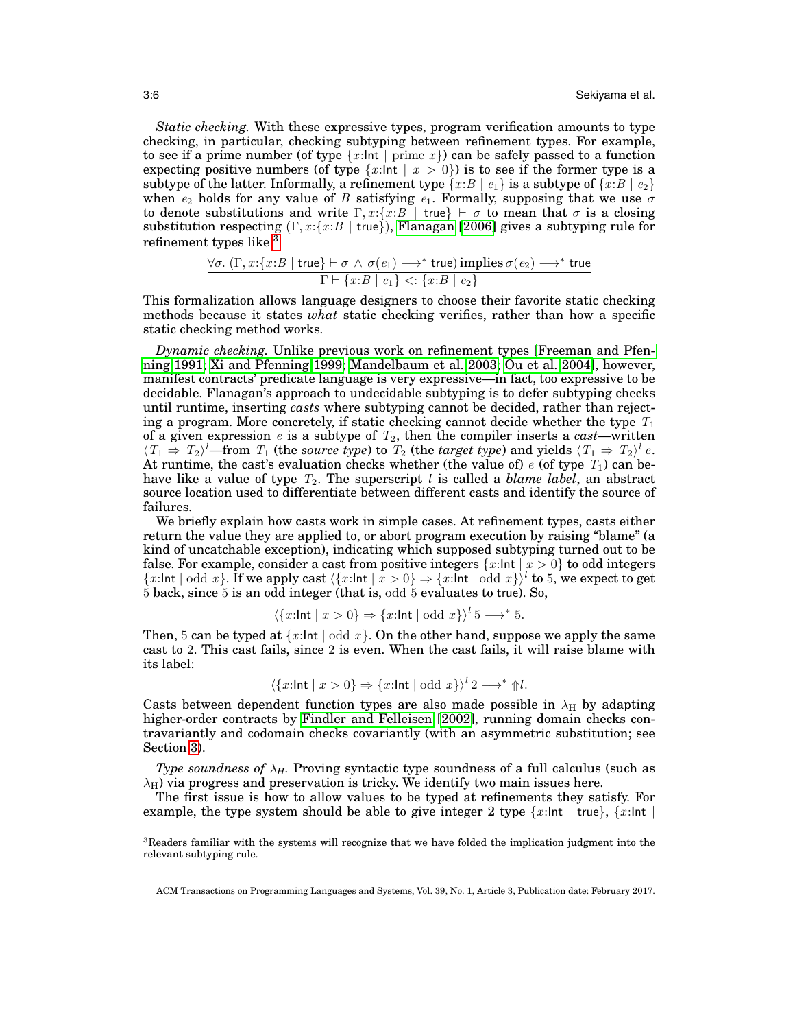*Static checking.* With these expressive types, program verification amounts to type checking, in particular, checking subtyping between refinement types. For example, to see if a prime number (of type  $\{x:\mathsf{Int}\mid \text{prime } x\}$ ) can be safely passed to a function expecting positive numbers (of type  $\{x:\mathsf{Int} \mid x > 0\}$ ) is to see if the former type is a subtype of the latter. Informally, a refinement type  $\{x:B \mid e_1\}$  is a subtype of  $\{x:B \mid e_2\}$ when  $e_2$  holds for any value of B satisfying  $e_1$ . Formally, supposing that we use  $\sigma$ to denote substitutions and write  $\Gamma, x: \{x : B | \text{true}\} \vdash \sigma$  to mean that  $\sigma$  is a closing substitution respecting  $(\Gamma, x : \{x : B \mid \text{true}\})$ , [Flanagan](#page-34-6) [\[2006\]](#page-34-6) gives a subtyping rule for refinement types like:[3](#page-5-0)

$$
\frac{\forall \sigma. (\Gamma, x : \{x : B \mid \mathsf{true}\} \vdash \sigma \ \land \ \sigma(e_1) \longrightarrow^* \mathsf{true}) \mathsf{implies} \ \sigma(e_2) \longrightarrow^* \mathsf{true}}{\Gamma \vdash \{x : B \mid e_1\} \mathrel{<:} \{x : B \mid e_2\}}
$$

This formalization allows language designers to choose their favorite static checking methods because it states *what* static checking verifies, rather than how a specific static checking method works.

*Dynamic checking.* Unlike previous work on refinement types [\[Freeman and Pfen](#page-34-9)[ning 1991;](#page-34-9) [Xi and Pfenning 1999;](#page-36-0) [Mandelbaum et al. 2003;](#page-34-10) [Ou et al. 2004\]](#page-35-2), however, manifest contracts' predicate language is very expressive—in fact, too expressive to be decidable. Flanagan's approach to undecidable subtyping is to defer subtyping checks until runtime, inserting *casts* where subtyping cannot be decided, rather than rejecting a program. More concretely, if static checking cannot decide whether the type  $T_1$ of a given expression  $e$  is a subtype of  $T_2$ , then the compiler inserts a *cast*—written  $\langle T_1 \Rightarrow T_2 \rangle^l$ —from  $T_1$  (the *source type*) to  $T_2$  (the *target type*) and yields  $\langle T_1 \Rightarrow T_2 \rangle^l e$ . At runtime, the cast's evaluation checks whether (the value of) e (of type  $T_1$ ) can behave like a value of type  $T_2$ . The superscript l is called a *blame label*, an abstract source location used to differentiate between different casts and identify the source of failures.

We briefly explain how casts work in simple cases. At refinement types, casts either return the value they are applied to, or abort program execution by raising "blame" (a kind of uncatchable exception), indicating which supposed subtyping turned out to be false. For example, consider a cast from positive integers  $\{x:\mathsf{Int} \mid x > 0\}$  to odd integers  ${x:\mathsf{Int} \mid \text{odd } x}$ . If we apply cast  $\langle {x:\mathsf{Int} \mid x > 0} \rangle \Rightarrow {x:\mathsf{Int} \mid \text{odd } x}$ <sup>l</sup> to 5, we expect to get 5 back, since 5 is an odd integer (that is, odd 5 evaluates to true). So,

$$
\langle \{x:\text{Int} \mid x>0\} \Rightarrow \{x:\text{Int} \mid \text{odd } x\} \rangle^l \cup \{5 \longrightarrow^* 5.
$$

Then, 5 can be typed at  $\{x:\mathsf{Int} \mid \mathsf{odd}\ x\}$ . On the other hand, suppose we apply the same cast to 2. This cast fails, since 2 is even. When the cast fails, it will raise blame with its label:

$$
\langle \{x:\mathsf{Int} \mid x>0\} \Rightarrow \{x:\mathsf{Int} \mid \mathsf{odd} \ x\} \rangle^l \, 2 \longrightarrow^* \Uparrow l.
$$

Casts between dependent function types are also made possible in  $\lambda_H$  by adapting higher-order contracts by [Findler and Felleisen](#page-34-0) [\[2002\]](#page-34-0), running domain checks contravariantly and codomain checks covariantly (with an asymmetric substitution; see Section [3\)](#page-11-0).

*Type soundness of*  $\lambda_H$ . Proving syntactic type soundness of a full calculus (such as  $\lambda_H$ ) via progress and preservation is tricky. We identify two main issues here.

The first issue is how to allow values to be typed at refinements they satisfy. For example, the type system should be able to give integer 2 type  $\{x:\mathsf{Int} \mid \mathsf{true}\}\$ ,  $\{x:\mathsf{Int} \mid \mathsf{true}\}$ 

<span id="page-5-0"></span><sup>3</sup>Readers familiar with the systems will recognize that we have folded the implication judgment into the relevant subtyping rule.

ACM Transactions on Programming Languages and Systems, Vol. 39, No. 1, Article 3, Publication date: February 2017.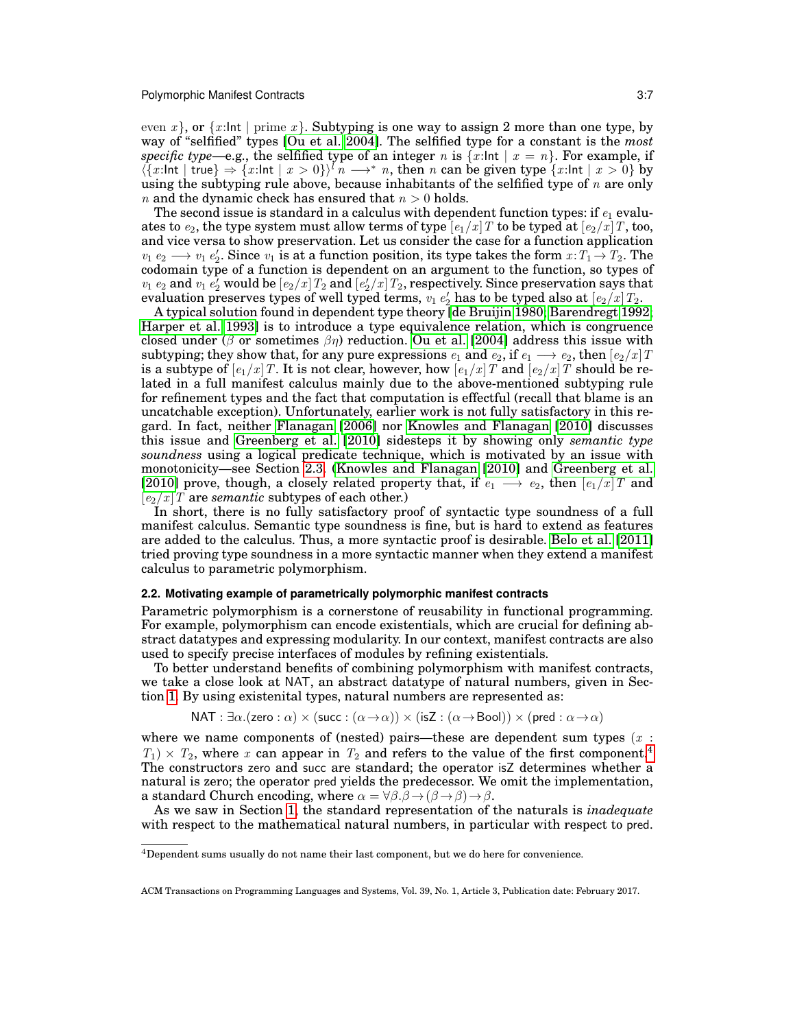even x, or  $\{x:\mathsf{Int} \mid \mathsf{prime}\}$ . Subtyping is one way to assign 2 more than one type, by way of "selfified" types [\[Ou et al. 2004\]](#page-35-2). The selfified type for a constant is the *most specific type*—e.g., the selfified type of an integer n is  $\{x:\mathsf{Int} \mid x = n\}$ . For example, if  $\langle \{x : \text{Int} \mid \text{true} \} \Rightarrow \{x : \text{Int} \mid x > 0\} \rangle^{\{n} \longrightarrow^{*} n$ , then n can be given type  $\{x : \text{Int} \mid x > 0\}$  by using the subtyping rule above, because inhabitants of the selfified type of  $n$  are only *n* and the dynamic check has ensured that  $n > 0$  holds.

The second issue is standard in a calculus with dependent function types: if  $e_1$  evaluates to  $e_2$ , the type system must allow terms of type  $[e_1/x]T$  to be typed at  $[e_2/x]T$ , too, and vice versa to show preservation. Let us consider the case for a function application  $v_1 e_2 \longrightarrow v_1 e_2'$ . Since  $v_1$  is at a function position, its type takes the form  $x: T_1 \to T_2$ . The codomain type of a function is dependent on an argument to the function, so types of  $v_1$   $e_2$  and  $v_1$   $e'_2$  would be  $[e_2/x]$   $T_2$  and  $[e'_2/x]$   $T_2$ , respectively. Since preservation says that evaluation preserves types of well typed terms,  $v_1$   $e'_2$  has to be typed also at  $\left[ e_2 / x \right] T_2.$ 

A typical solution found in dependent type theory [\[de Bruijin 1980;](#page-33-5) [Barendregt 1992;](#page-33-6) [Harper et al. 1993\]](#page-34-11) is to introduce a type equivalence relation, which is congruence closed under (β or sometimes  $\beta\eta$ ) reduction. [Ou et al.](#page-35-2) [\[2004\]](#page-35-2) address this issue with subtyping; they show that, for any pure expressions  $e_1$  and  $e_2$ , if  $e_1\longrightarrow e_2,$  then  $[e_2/x]$   $T$ is a subtype of  $[e_{1}/x]$   $T.$  It is not clear, however, how  $[e_{1}/x]$   $T$  and  $[e_{2}/x]$   $T$  should be related in a full manifest calculus mainly due to the above-mentioned subtyping rule for refinement types and the fact that computation is effectful (recall that blame is an uncatchable exception). Unfortunately, earlier work is not fully satisfactory in this regard. In fact, neither [Flanagan](#page-34-6) [\[2006\]](#page-34-6) nor [Knowles and Flanagan](#page-34-7) [\[2010\]](#page-34-7) discusses this issue and [Greenberg et al.](#page-34-2) [\[2010\]](#page-34-2) sidesteps it by showing only *semantic type soundness* using a logical predicate technique, which is motivated by an issue with monotonicity—see Section [2.3.](#page-8-0) [\(Knowles and Flanagan](#page-34-7) [\[2010\]](#page-34-7) and [Greenberg et al.](#page-34-2) [\[2010\]](#page-34-2) prove, though, a closely related property that, if  $e_1 \longrightarrow e_2$ , then  $[e_1/x]$  and  $[e_2/x]$  *T* are *semantic* subtypes of each other.)

In short, there is no fully satisfactory proof of syntactic type soundness of a full manifest calculus. Semantic type soundness is fine, but is hard to extend as features are added to the calculus. Thus, a more syntactic proof is desirable. [Belo et al.](#page-33-0) [\[2011\]](#page-33-0) tried proving type soundness in a more syntactic manner when they extend a manifest calculus to parametric polymorphism.

#### **2.2. Motivating example of parametrically polymorphic manifest contracts**

Parametric polymorphism is a cornerstone of reusability in functional programming. For example, polymorphism can encode existentials, which are crucial for defining abstract datatypes and expressing modularity. In our context, manifest contracts are also used to specify precise interfaces of modules by refining existentials.

To better understand benefits of combining polymorphism with manifest contracts, we take a close look at NAT, an abstract datatype of natural numbers, given in Section [1.](#page-0-0) By using existenital types, natural numbers are represented as:

$$
\mathsf{NAT} : \exists \alpha. (\mathsf{zero} : \alpha) \times (\mathsf{succ} : (\alpha \to \alpha)) \times (\mathsf{isZ} : (\alpha \to \mathsf{Bool})) \times (\mathsf{pred} : \alpha \to \alpha)
$$

where we name components of (nested) pairs—these are dependent sum types  $(x :$  $T_1 \times T_2$ , where x can appear in  $T_2$  and refers to the value of the first component.<sup>[4](#page-6-0)</sup> The constructors zero and succ are standard; the operator isZ determines whether a natural is zero; the operator pred yields the predecessor. We omit the implementation, a standard Church encoding, where  $\alpha = \forall \beta \beta \rightarrow (\beta \rightarrow \beta) \rightarrow \beta$ .

As we saw in Section [1,](#page-0-0) the standard representation of the naturals is *inadequate* with respect to the mathematical natural numbers, in particular with respect to pred.

<span id="page-6-0"></span><sup>&</sup>lt;sup>4</sup>Dependent sums usually do not name their last component, but we do here for convenience.

ACM Transactions on Programming Languages and Systems, Vol. 39, No. 1, Article 3, Publication date: February 2017.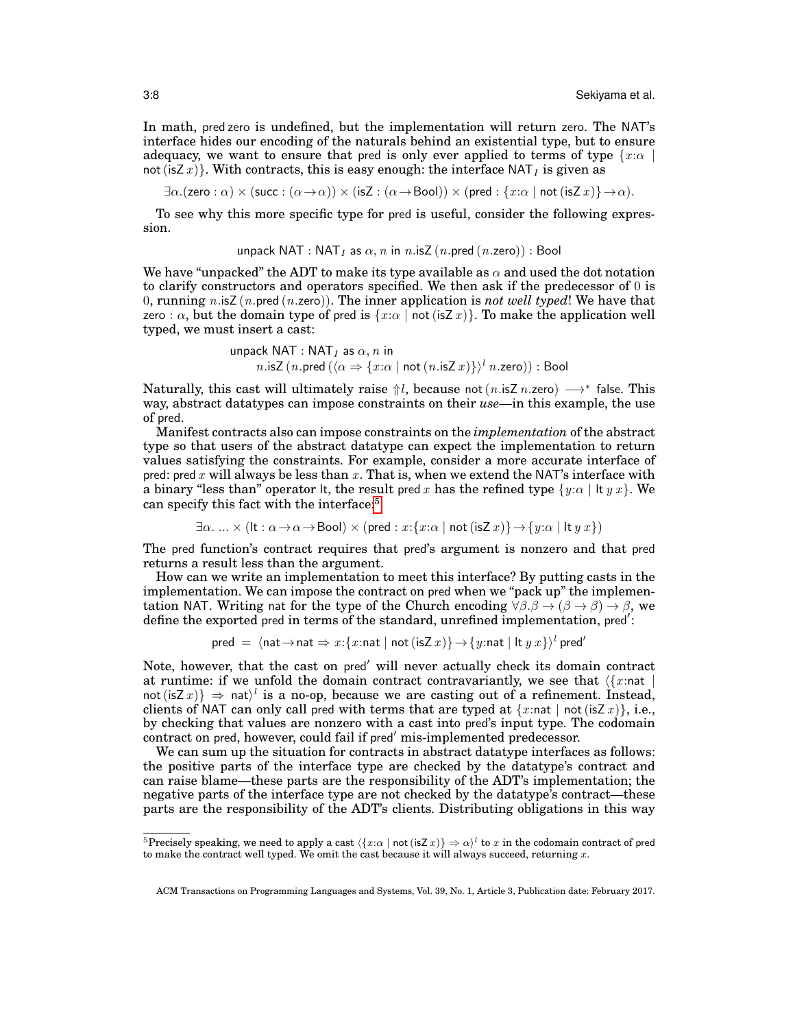In math, pred zero is undefined, but the implementation will return zero. The NAT's interface hides our encoding of the naturals behind an existential type, but to ensure adequacy, we want to ensure that pred is only ever applied to terms of type  $\{x:\alpha \mid$ not (isZ x)}. With contracts, this is easy enough: the interface  $NAT<sub>I</sub>$  is given as

 $\exists \alpha.(\textsf{zero} : \alpha) \times (\textsf{succ} : (\alpha \to \alpha)) \times (\textsf{isZ} : (\alpha \to \textsf{Bool})) \times (\textsf{pred} : \{x : \alpha \mid \textsf{not}(\textsf{isZ} x)\} \to \alpha).$ 

To see why this more specific type for pred is useful, consider the following expression.

unpack NAT : NAT<sub>I</sub> as  $\alpha$ , n in n.isZ (n.pred (n.zero)) : Bool

We have "unpacked" the ADT to make its type available as  $\alpha$  and used the dot notation to clarify constructors and operators specified. We then ask if the predecessor of  $0$  is 0, running  $n.isZ$  ( $n.pred$  ( $n.zero$ )). The inner application is *not well typed*! We have that zero :  $\alpha$ , but the domain type of pred is  $\{x:\alpha \mid \text{not}(\text{isZ } x)\}\$ . To make the application well typed, we must insert a cast:

$$
unpack NAT : NATI as α, n in
$$
  

$$
n.isZ (n.pred (⟨α ⇒ {x : α | not (n.isZ x)⟩}^l n.zero)) : Bool
$$

Naturally, this cast will ultimately raise  $\Uparrow l$ , because not  $(n$  isZ  $n$  zero)  $\longrightarrow^*$  false. This way, abstract datatypes can impose constraints on their *use*—in this example, the use of pred.

Manifest contracts also can impose constraints on the *implementation* of the abstract type so that users of the abstract datatype can expect the implementation to return values satisfying the constraints. For example, consider a more accurate interface of pred: pred x will always be less than  $x$ . That is, when we extend the NAT's interface with a binary "less than" operator lt, the result pred x has the refined type  $\{y:\alpha \mid \text{It } y\ge x\}$ . We can specify this fact with the interface:<sup>[5](#page-7-0)</sup>

 $\exists \alpha. \ldots \times (\exists \alpha \to \alpha \to \text{Bool}) \times (\text{pred} : x : \{x : \alpha \mid \text{not} (\exists z \ x) \} \to \{y : \alpha \mid \exists \ x \ y \ x \})$ 

The pred function's contract requires that pred's argument is nonzero and that pred returns a result less than the argument.

How can we write an implementation to meet this interface? By putting casts in the implementation. We can impose the contract on pred when we "pack up" the implementation NAT. Writing nat for the type of the Church encoding  $\forall \beta \beta \rightarrow (\beta \rightarrow \beta) \rightarrow \beta$ , we define the exported pred in terms of the standard, unrefined implementation, pred':

$$
\mathsf{pred} \ = \ \langle \mathsf{nat} \rightarrow \mathsf{nat} \Rightarrow x : \{x : \mathsf{nat} \mid \mathsf{not} \ (\mathsf{isZ} \ x) \} \rightarrow \{y : \mathsf{nat} \mid \mathsf{lt} \ y \ x \} \rangle^l \ \mathsf{pred}'
$$

Note, however, that the cast on pred' will never actually check its domain contract at runtime: if we unfold the domain contract contravariantly, we see that  $\langle \{x : n \in \mathbb{R} \mid n \in \mathbb{Z} \mid n \in \mathbb{Z} \mid n \in \mathbb{Z} \mid n \in \mathbb{Z} \rangle$ not (isZ x)}  $\Rightarrow$  nat)<sup>*l*</sup> is a no-op, because we are casting out of a refinement. Instead, clients of NAT can only call pred with terms that are typed at  $\{x:\text{nat} \mid \text{not}(\text{isZ } x)\}\$ , i.e., by checking that values are nonzero with a cast into pred's input type. The codomain contract on pred, however, could fail if pred' mis-implemented predecessor.

We can sum up the situation for contracts in abstract datatype interfaces as follows: the positive parts of the interface type are checked by the datatype's contract and can raise blame—these parts are the responsibility of the ADT's implementation; the negative parts of the interface type are not checked by the datatype's contract—these parts are the responsibility of the ADT's clients. Distributing obligations in this way

<span id="page-7-0"></span><sup>&</sup>lt;sup>5</sup>Precisely speaking, we need to apply a cast  $\langle \{x:\alpha \mid \text{not}(\text{isZ } x)\}\Rightarrow \alpha \rangle^l$  to x in the codomain contract of pred to make the contract well typed. We omit the cast because it will always succeed, returning  $x$ .

ACM Transactions on Programming Languages and Systems, Vol. 39, No. 1, Article 3, Publication date: February 2017.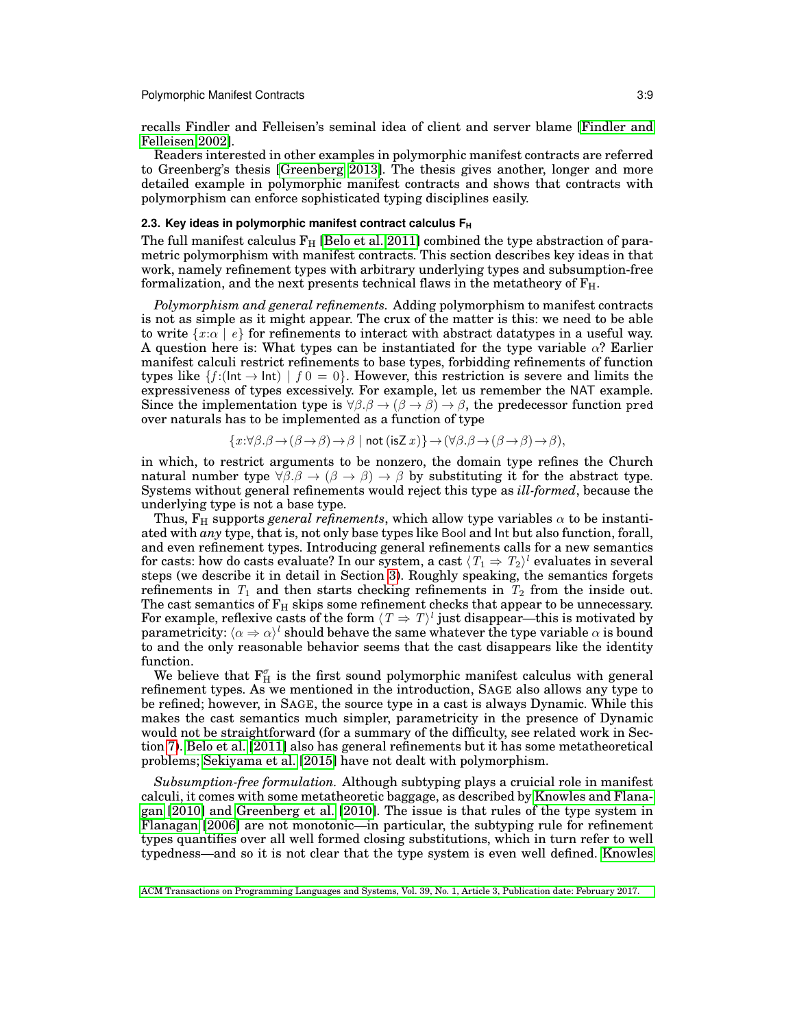recalls Findler and Felleisen's seminal idea of client and server blame [\[Findler and](#page-34-0) [Felleisen 2002\]](#page-34-0).

Readers interested in other examples in polymorphic manifest contracts are referred to Greenberg's thesis [\[Greenberg 2013\]](#page-34-1). The thesis gives another, longer and more detailed example in polymorphic manifest contracts and shows that contracts with polymorphism can enforce sophisticated typing disciplines easily.

### <span id="page-8-0"></span>**2.3. Key ideas in polymorphic manifest contract calculus F<sup>H</sup>**

The full manifest calculus  $F_H$  [\[Belo et al. 2011\]](#page-33-0) combined the type abstraction of parametric polymorphism with manifest contracts. This section describes key ideas in that work, namely refinement types with arbitrary underlying types and subsumption-free formalization, and the next presents technical flaws in the metatheory of  $F_H$ .

*Polymorphism and general refinements.* Adding polymorphism to manifest contracts is not as simple as it might appear. The crux of the matter is this: we need to be able to write  $\{x:\alpha \mid e\}$  for refinements to interact with abstract datatypes in a useful way. A question here is: What types can be instantiated for the type variable  $\alpha$ ? Earlier manifest calculi restrict refinements to base types, forbidding refinements of function types like  $\{f : (\mathsf{Int} \to \mathsf{Int}) \mid f\,0 = 0\}$ . However, this restriction is severe and limits the expressiveness of types excessively. For example, let us remember the NAT example. Since the implementation type is  $\forall \beta \beta \rightarrow (\beta \rightarrow \beta) \rightarrow \beta$ , the predecessor function pred over naturals has to be implemented as a function of type

$$
\{x:\forall \beta.\beta\to(\beta\to\beta)\to\beta\mid \text{not }( \text{isZ } x)\}\to(\forall \beta.\beta\to(\beta\to\beta)\to\beta),
$$

in which, to restrict arguments to be nonzero, the domain type refines the Church natural number type  $\forall \beta$ ,  $\beta \rightarrow (\beta \rightarrow \beta)$   $\rightarrow \beta$  by substituting it for the abstract type. Systems without general refinements would reject this type as *ill-formed*, because the underlying type is not a base type.

Thus,  $F_H$  supports *general refinements*, which allow type variables  $\alpha$  to be instantiated with *any* type, that is, not only base types like Bool and Int but also function, forall, and even refinement types. Introducing general refinements calls for a new semantics for casts: how do casts evaluate? In our system, a cast  $\langle T_1 \Rightarrow T_2 \rangle^l$  evaluates in several steps (we describe it in detail in Section [3\)](#page-11-0). Roughly speaking, the semantics forgets refinements in  $T_1$  and then starts checking refinements in  $T_2$  from the inside out. The cast semantics of  $F_H$  skips some refinement checks that appear to be unnecessary. For example, reflexive casts of the form  $\langle T\Rightarrow T\rangle^l$  just disappear—this is motivated by parametricity:  $\langle \alpha \Rightarrow \alpha \rangle^l$  should behave the same whatever the type variable  $\alpha$  is bound to and the only reasonable behavior seems that the cast disappears like the identity function.

We believe that  $\mathbf{F}_{\mathrm{H}}^{\sigma}$  is the first sound polymorphic manifest calculus with general refinement types. As we mentioned in the introduction, SAGE also allows any type to be refined; however, in SAGE, the source type in a cast is always Dynamic. While this makes the cast semantics much simpler, parametricity in the presence of Dynamic would not be straightforward (for a summary of the difficulty, see related work in Section [7\)](#page-29-0). [Belo et al.](#page-33-0) [\[2011\]](#page-33-0) also has general refinements but it has some metatheoretical problems; [Sekiyama et al.](#page-35-4) [\[2015\]](#page-35-4) have not dealt with polymorphism.

*Subsumption-free formulation.* Although subtyping plays a cruicial role in manifest calculi, it comes with some metatheoretic baggage, as described by [Knowles and Flana](#page-34-7)[gan](#page-34-7) [\[2010\]](#page-34-7) and [Greenberg et al.](#page-34-2) [\[2010\]](#page-34-2). The issue is that rules of the type system in [Flanagan](#page-34-6) [\[2006\]](#page-34-6) are not monotonic—in particular, the subtyping rule for refinement types quantifies over all well formed closing substitutions, which in turn refer to well typedness—and so it is not clear that the type system is even well defined. [Knowles](#page-34-7)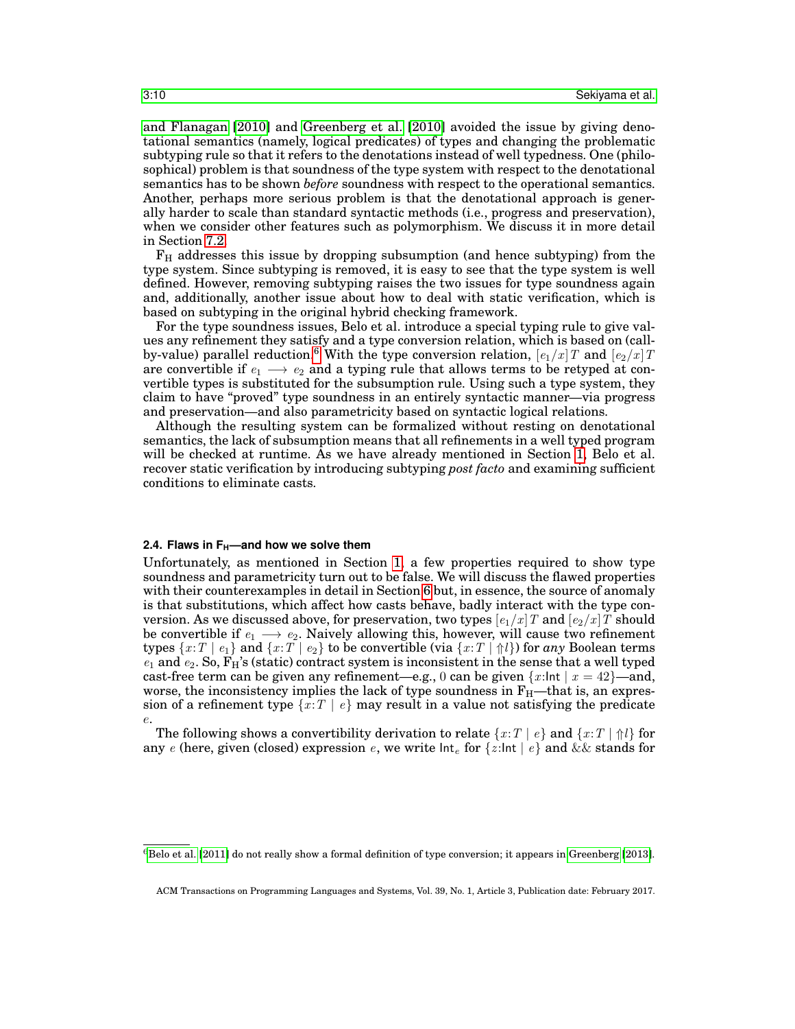[and Flanagan](#page-34-7) [\[2010\]](#page-34-7) and [Greenberg et al.](#page-34-2) [\[2010\]](#page-34-2) avoided the issue by giving denotational semantics (namely, logical predicates) of types and changing the problematic subtyping rule so that it refers to the denotations instead of well typedness. One (philosophical) problem is that soundness of the type system with respect to the denotational semantics has to be shown *before* soundness with respect to the operational semantics. Another, perhaps more serious problem is that the denotational approach is generally harder to scale than standard syntactic methods (i.e., progress and preservation), when we consider other features such as polymorphism. We discuss it in more detail in Section [7.2.](#page-30-0)

 $F_H$  addresses this issue by dropping subsumption (and hence subtyping) from the type system. Since subtyping is removed, it is easy to see that the type system is well defined. However, removing subtyping raises the two issues for type soundness again and, additionally, another issue about how to deal with static verification, which is based on subtyping in the original hybrid checking framework.

For the type soundness issues, Belo et al. introduce a special typing rule to give values any refinement they satisfy and a type conversion relation, which is based on (call-by-value) parallel reduction.<sup>[6](#page-9-0)</sup> With the type conversion relation,  $[e_1/x]T$  and  $[e_2/x]T$ are convertible if  $e_1 \rightarrow e_2$  and a typing rule that allows terms to be retyped at convertible types is substituted for the subsumption rule. Using such a type system, they claim to have "proved" type soundness in an entirely syntactic manner—via progress and preservation—and also parametricity based on syntactic logical relations.

Although the resulting system can be formalized without resting on denotational semantics, the lack of subsumption means that all refinements in a well typed program will be checked at runtime. As we have already mentioned in Section [1,](#page-0-0) Belo et al. recover static verification by introducing subtyping *post facto* and examining sufficient conditions to eliminate casts.

#### <span id="page-9-1"></span>**2.4. Flaws in FH—and how we solve them**

Unfortunately, as mentioned in Section [1,](#page-0-0) a few properties required to show type soundness and parametricity turn out to be false. We will discuss the flawed properties with their counterexamples in detail in Section [6](#page-26-0) but, in essence, the source of anomaly is that substitutions, which affect how casts behave, badly interact with the type conversion. As we discussed above, for preservation, two types  $[e_1/x]$  and  $[e_2/x]$  should be convertible if  $e_1 \longrightarrow e_2$ . Naively allowing this, however, will cause two refinement types  $\{x:T \mid e_1\}$  and  $\{x:T \mid e_2\}$  to be convertible (via  $\{x:T \mid \Uparrow l\}$ ) for any Boolean terms  $e_1$  and  $e_2$ . So,  $F_H$ 's (static) contract system is inconsistent in the sense that a well typed cast-free term can be given any refinement—e.g., 0 can be given  $\{x:\text{Int} \mid x = 42\}$ —and, worse, the inconsistency implies the lack of type soundness in  $F_H$ —that is, an expression of a refinement type  $\{x : T \mid e\}$  may result in a value not satisfying the predicate e.

The following shows a convertibility derivation to relate  ${x : T | e}$  and  ${x : T | \hat{\uparrow}l}$  for any e (here, given (closed) expression e, we write  $\ln t_e$  for  $\{z:\ln t \mid e\}$  and  $\&\&$  stands for

<span id="page-9-0"></span> $6B$ elo et al. [\[2011\]](#page-33-0) do not really show a formal definition of type conversion; it appears in [Greenberg](#page-34-1) [\[2013\]](#page-34-1).

ACM Transactions on Programming Languages and Systems, Vol. 39, No. 1, Article 3, Publication date: February 2017.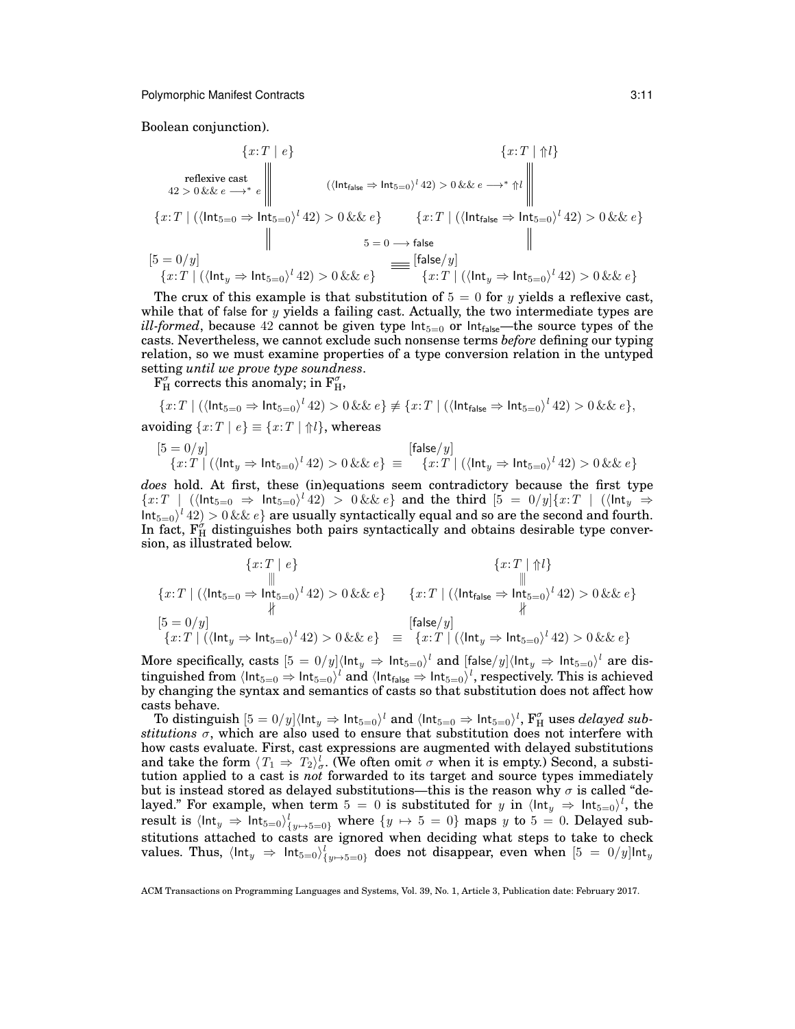Boolean conjunction).

$$
\{x:T \mid e\}
$$
\nreflexive cast  
\n
$$
42 > 0 && e \longrightarrow^* e
$$
\n
$$
\left\| \begin{array}{ccc} \langle \text{Int}_{\text{false}} \Rightarrow \text{Int}_{5=0} \rangle^l 42) > 0 && e \leftrightarrow^* \Uparrow l \end{array} \right\|
$$
\n
$$
\{x:T \mid (\langle \text{Int}_{5=0} \Rightarrow \text{Int}_{5=0} \rangle^l 42) > 0 && e \} \qquad \{x:T \mid (\langle \text{Int}_{\text{false}} \Rightarrow \text{Int}_{5=0} \rangle^l 42) > 0 && e \}
$$
\n
$$
\left\| \begin{array}{c} 5 = 0/y \\ \langle x:T \rangle \left( \langle \text{Int}_{y} \Rightarrow \text{Int}_{5=0} \rangle^l 42 \rangle > 0 && e \end{array} \right) \right\|
$$
\n
$$
= \{x:T \mid (\langle \text{Int}_{y} \Rightarrow \text{Int}_{5=0} \rangle^l 42) > 0 && e \}
$$
\n
$$
= \{x:T \mid (\langle \text{Int}_{y} \Rightarrow \text{Int}_{5=0} \rangle^l 42) > 0 && e \}
$$

The crux of this example is that substitution of  $5 = 0$  for y yields a reflexive cast, while that of false for  $y$  yields a failing cast. Actually, the two intermediate types are *ill-formed*, because 42 cannot be given type  $Int_{5=0}$  or  $Int_{false}$ —the source types of the casts. Nevertheless, we cannot exclude such nonsense terms *before* defining our typing relation, so we must examine properties of a type conversion relation in the untyped setting *until we prove type soundness*.

 $\mathbf{F}_{\mathrm{H}}^{\sigma}$  corrects this anomaly; in  $\mathbf{F}_{\mathrm{H}}^{\sigma}$ ,

$$
\{x:T \mid (\langle \mathsf{Int}_{5=0} \Rightarrow \mathsf{Int}_{5=0} \rangle^l 42) > 0 \&\&e\} \neq \{x:T \mid (\langle \mathsf{Int}_{\mathsf{false}} \Rightarrow \mathsf{Int}_{5=0} \rangle^l 42) > 0 \&\&e\},\
$$
avoiding 
$$
\{x:T \mid e\} \equiv \{x:T \mid \Uparrow l\},\
$$
whereas

$$
[5 = 0/y]
$$
  

$$
\{x:T \mid (\langle \mathsf{Int}_y \Rightarrow \mathsf{Int}_{5=0} \rangle^l 42) > 0 \&\&e\} \equiv \{x:T \mid (\langle \mathsf{Int}_y \Rightarrow \mathsf{Int}_{5=0} \rangle^l 42) > 0 \&\&e\}
$$

*does* hold. At first, these (in)equations seem contradictory because the first type  ${x:T}$  | ( $\langle \text{Int}_{5=0} \Rightarrow \text{Int}_{5=0}$ )<sup>l</sup> 42) > 0 && e} and the third  $[5 = 0/y]{x:T}$  | ( $\langle \text{Int}_y \Rightarrow$  $\text{Int}_{5=0}$ <sup>l</sup>  $42) > 0$  &&  $e$ } are usually syntactically equal and so are the second and fourth. In fact,  $F_H^{\sigma}$  distinguishes both pairs syntactically and obtains desirable type conversion, as illustrated below.

$$
\{x:T \mid e\}
$$
  
\n
$$
\{x:T \mid (\langle \text{Int}_{5=0} \Rightarrow \text{Int}_{5=0} \rangle^{l} 42) > 0 \&\& e\}
$$
  
\n
$$
\{x:T \mid (\langle \text{Int}_{5=0} \Rightarrow \text{Int}_{5=0} \rangle^{l} 42) > 0 \&\& e\}
$$
  
\n
$$
\{x:T \mid (\langle \text{Int}_{\text{false}} \Rightarrow \text{Int}_{5=0} \rangle^{l} 42) > 0 \&\& e\}
$$
  
\n
$$
\{x:T \mid (\langle \text{Int}_{y} \Rightarrow \text{Int}_{5=0} \rangle^{l} 42) > 0 \&\& e\}
$$
  
\n
$$
= \{x:T \mid (\langle \text{Int}_{y} \Rightarrow \text{Int}_{5=0} \rangle^{l} 42) > 0 \&\& e\}
$$

More specifically, casts  $[5=0/y] \langle$ Int $_{y} \Rightarrow$  Int $_{5=0}\rangle^{l}$  and  $[{\sf false}/y] \langle$ Int $_{y} \Rightarrow$  Int $_{5=0}\rangle^{l}$  are distinguished from  $\langle$ Int $_{5=0}\Rightarrow$  Int $_{5=0}\rangle^l$  and  $\langle$ Int $_{\text{false}}\Rightarrow$  Int $_{5=0}\rangle^l$ , respectively. This is achieved by changing the syntax and semantics of casts so that substitution does not affect how casts behave.

To distinguish  $[5=0/y]$ (lnt $_y \Rightarrow$  lnt $_{5=0}$ )<sup>l</sup> and (lnt $_{5=0} \Rightarrow$  lnt $_{5=0}$ )<sup>l</sup>,  $\mathbf{F}^{\sigma}_{\text{H}}$  uses *delayed substitutions*  $\sigma$ , which are also used to ensure that substitution does not interfere with how casts evaluate. First, cast expressions are augmented with delayed substitutions and take the form  $\langle T_1 \Rightarrow T_2 \rangle_{\sigma}^l$ . (We often omit  $\sigma$  when it is empty.) Second, a substitution applied to a cast is *not* forwarded to its target and source types immediately but is instead stored as delayed substitutions—this is the reason why  $\sigma$  is called "delayed." For example, when term  $5 = 0$  is substituted for y in  $\langle \text{Int}_y \rangle \Rightarrow \text{Int}_{5=0} \rangle^l$ , the result is  $\langle$ Int $_y \Rightarrow$ Int $_{5=0}$ ) $\langle$ <sub>y $\mapsto$ 5=0}</sub> where  $\{y \mapsto 5 = 0\}$  maps  $y$  to  $5 = 0$ . Delayed substitutions attached to casts are ignored when deciding what steps to take to check values. Thus,  $\langle$ Int $_{y}\Rightarrow$  Int $_{5=0}\rangle_{\{y\mapsto 5=0\}}^{l}$  does not disappear, even when  $[5\ =\ 0/y]$ Int $_{y}$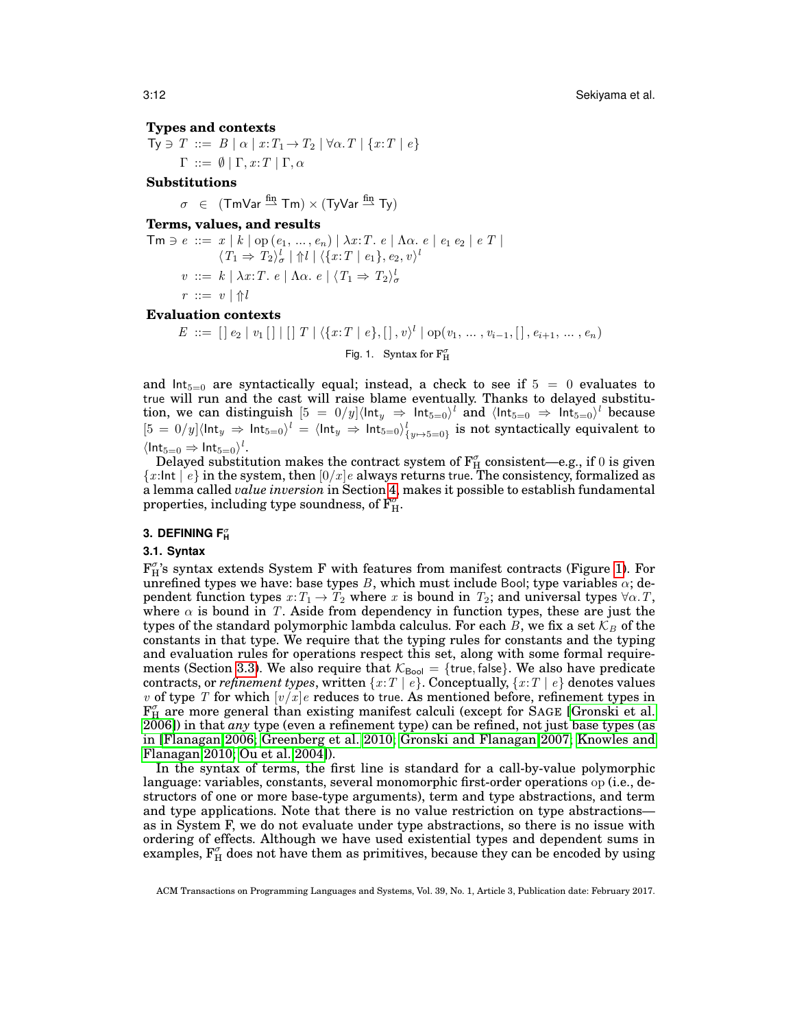## **Types and contexts**

 $Ty \ni T ::= B \mid \alpha \mid x : T_1 \rightarrow T_2 \mid \forall \alpha \cdot T \mid \{x : T \mid e\}$  $\Gamma \ ::= \emptyset | \Gamma, x : T | \Gamma, \alpha$ 

# **Substitutions**

 $\sigma \in (\text{ImVar} \stackrel{\text{fin}}{\rightarrow} \text{Im}) \times (\text{TvVar} \stackrel{\text{fin}}{\rightarrow} \text{Tv})$ 

# **Terms, values, and results**

 $\mathsf{Tm} \ni e \ ::= x \ | \ k \ | \ \mathrm{op} \left( e_1, \, ... \, , e_n \right) \ | \ \lambda x{:}T. \ e \ | \ \Lambda \alpha. \ e \ | \ e_1 \ e_2 \ | \ e \ T \ |$  $\langle T_1 \Rightarrow T_2 \rangle_{\sigma}^l \mid \Uparrow l \mid \langle \{x: T \mid e_1\}, e_2, v \rangle^l$  $v ::= k \mid \lambda x : T \cdot e \mid \Lambda \alpha \cdot e \mid \langle T_1 \Rightarrow T_2 \rangle_{\sigma}^l$  $r ::= v | \Uparrow l$ 

#### **Evaluation contexts**

<span id="page-11-1"></span> $E \ ::= \ [] \ e_2 \ | \ v_1 \ [] \ || \ ] \ T \ | \ \langle \{x : T \ | \ e \}, [] \ , \ v \rangle^l \ | \ \text{op}(v_1, \ ... \ , v_{i-1}, [] \ , e_{i+1}, \ ... \ , e_n)$ Fig. 1. Syntax for  $\mathrm{F}^\sigma_\mathrm{H}$ 

and  $Int_{5=0}$  are syntactically equal; instead, a check to see if  $5 = 0$  evaluates to true will run and the cast will raise blame eventually. Thanks to delayed substitution, we can distinguish  $[5 = 0/y] \langle \text{Int}_y \Rightarrow \text{Int}_{5=0} \rangle^l$  and  $\langle \text{Int}_{5=0} \Rightarrow \text{Int}_{5=0} \rangle^l$  because  $[5 = 0/y] \langle \textsf{Int}_y \Rightarrow \textsf{Int}_{5=0} \rangle^l = \langle \textsf{Int}_y \Rightarrow \textsf{Int}_{5=0} \rangle^l_{\{y \mapsto 5=0\}}$  is not syntactically equivalent to  $\langle \mathsf{Int}_{5=0} \Rightarrow \mathsf{Int}_{5=0} \rangle^l$ .

Delayed substitution makes the contract system of  $\mathrm{F}^\sigma_\mathrm{H}$  consistent—e.g., if  $0$  is given  ${x:}$ Int  $\mid e$  in the system, then  $[0/x]e$  always returns true. The consistency, formalized as a lemma called *value inversion* in Section [4,](#page-20-0) makes it possible to establish fundamental properties, including type soundness, of  $\mathrm{F}^{\sigma'}_{\mathrm{H}}.$ 

# <span id="page-11-0"></span>**3. DEFINING F**<sub>H</sub>

### **3.1. Syntax**

 $F_{H}^{\sigma}$ 's syntax extends System F with features from manifest contracts (Figure [1\)](#page-11-1). For unrefined types we have: base types B, which must include Bool; type variables  $\alpha$ ; dependent function types  $x: T_1 \to T_2$  where x is bound in  $T_2$ ; and universal types  $\forall \alpha$ . T, where  $\alpha$  is bound in T. Aside from dependency in function types, these are just the types of the standard polymorphic lambda calculus. For each  $B$ , we fix a set  $\mathcal{K}_B$  of the constants in that type. We require that the typing rules for constants and the typing and evaluation rules for operations respect this set, along with some formal require-ments (Section [3.3\)](#page-17-0). We also require that  $K_{\text{Bool}} = \{ \text{true}, \text{false} \}$ . We also have predicate contracts, or *refinement types*, written  $\{x : T \mid e\}$ . Conceptually,  $\{x : T \mid e\}$  denotes values v of type T for which  $[v/x]e$  reduces to true. As mentioned before, refinement types in  $F_{H}^{\sigma}$  are more general than existing manifest calculi (except for SAGE [\[Gronski et al.](#page-34-4) [2006\]](#page-34-4)) in that *any* type (even a refinement type) can be refined, not just base types (as in [\[Flanagan 2006;](#page-34-6) [Greenberg et al. 2010;](#page-34-2) [Gronski and Flanagan 2007;](#page-34-12) [Knowles and](#page-34-7) [Flanagan 2010;](#page-34-7) [Ou et al. 2004\]](#page-35-2)).

In the syntax of terms, the first line is standard for a call-by-value polymorphic language: variables, constants, several monomorphic first-order operations op (i.e., destructors of one or more base-type arguments), term and type abstractions, and term and type applications. Note that there is no value restriction on type abstractions as in System F, we do not evaluate under type abstractions, so there is no issue with ordering of effects. Although we have used existential types and dependent sums in examples,  $F_{H}^{\sigma}$  does not have them as primitives, because they can be encoded by using

ACM Transactions on Programming Languages and Systems, Vol. 39, No. 1, Article 3, Publication date: February 2017.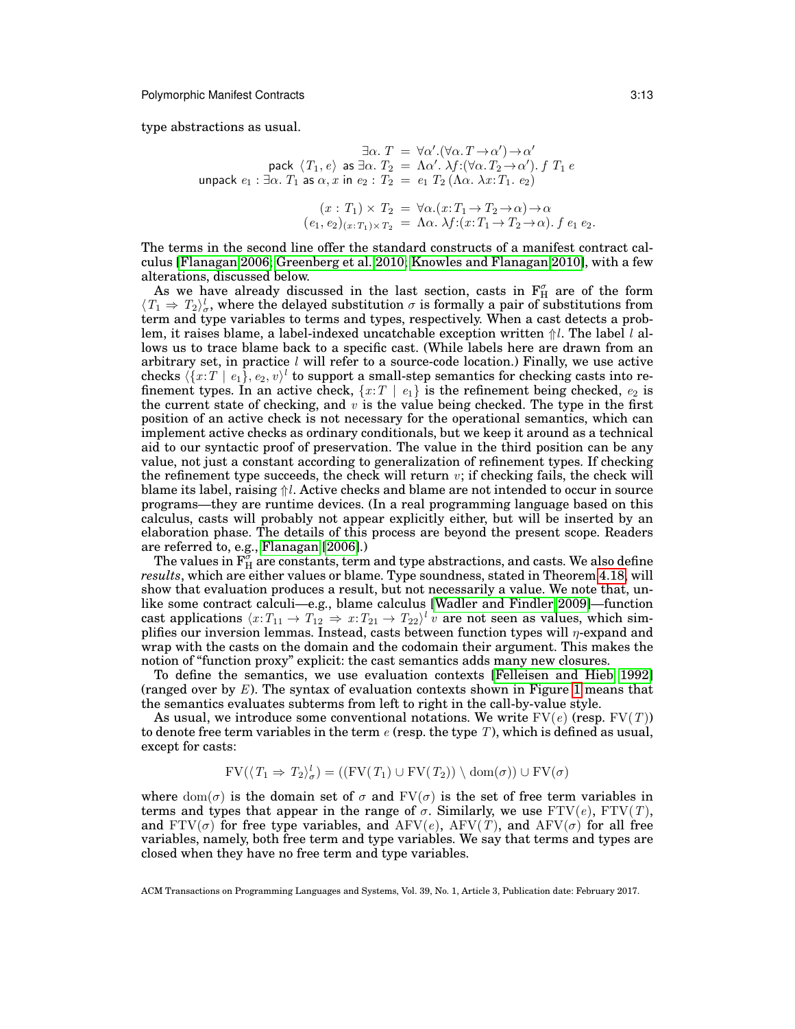type abstractions as usual.

$$
\exists \alpha. T = \forall \alpha'. (\forall \alpha. T \rightarrow \alpha') \rightarrow \alpha'
$$
  
pack  $\langle T_1, e \rangle$  as  $\exists \alpha. T_2 = \Lambda \alpha'. \lambda f: (\forall \alpha. T_2 \rightarrow \alpha'). f T_1 e$   
unpack  $e_1 : \exists \alpha. T_1$  as  $\alpha, x$  in  $e_2 : T_2 = e_1 T_2 (\Lambda \alpha. \lambda x: T_1. e_2)$ 

$$
(x: T_1) \times T_2 = \forall \alpha. (x: T_1 \to T_2 \to \alpha) \to \alpha
$$
  

$$
(e_1, e_2)_{(x: T_1) \times T_2} = \Lambda \alpha. \lambda f: (x: T_1 \to T_2 \to \alpha). f e_1 e_2.
$$

The terms in the second line offer the standard constructs of a manifest contract calculus [\[Flanagan 2006;](#page-34-6) [Greenberg et al. 2010;](#page-34-2) [Knowles and Flanagan 2010\]](#page-34-7), with a few alterations, discussed below.

As we have already discussed in the last section, casts in  $F_H^{\sigma}$  are of the form  $\langle T_1 \Rightarrow T_2 \rangle_{\sigma}^l$ , where the delayed substitution  $\sigma$  is formally a pair of substitutions from term and type variables to terms and types, respectively. When a cast detects a problem, it raises blame, a label-indexed uncatchable exception written  $\hat{\parallel}l$ . The label l allows us to trace blame back to a specific cast. (While labels here are drawn from an arbitrary set, in practice  $l$  will refer to a source-code location.) Finally, we use active checks  $\langle \{x : T \mid e_1\}, e_2, v \rangle^l$  to support a small-step semantics for checking casts into refinement types. In an active check,  $\{x:T \mid e_1\}$  is the refinement being checked,  $e_2$  is the current state of checking, and  $v$  is the value being checked. The type in the first position of an active check is not necessary for the operational semantics, which can implement active checks as ordinary conditionals, but we keep it around as a technical aid to our syntactic proof of preservation. The value in the third position can be any value, not just a constant according to generalization of refinement types. If checking the refinement type succeeds, the check will return  $v$ ; if checking fails, the check will blame its label, raising  $\hat{v}$ l. Active checks and blame are not intended to occur in source programs—they are runtime devices. (In a real programming language based on this calculus, casts will probably not appear explicitly either, but will be inserted by an elaboration phase. The details of this process are beyond the present scope. Readers are referred to, e.g., [Flanagan](#page-34-6) [\[2006\]](#page-34-6).)

The values in  $\overline{F_H^{\sigma}}$  are constants, term and type abstractions, and casts. We also define *results*, which are either values or blame. Type soundness, stated in Theorem [4.18,](#page-22-1) will show that evaluation produces a result, but not necessarily a value. We note that, unlike some contract calculi—e.g., blame calculus [\[Wadler and Findler 2009\]](#page-35-3)—function cast applications  $\langle x : T_{11} \to T_{12} \Rightarrow x : T_{21} \to T_{22} \rangle^l v$  are not seen as values, which simplifies our inversion lemmas. Instead, casts between function types will  $\eta$ -expand and wrap with the casts on the domain and the codomain their argument. This makes the notion of "function proxy" explicit: the cast semantics adds many new closures.

To define the semantics, we use evaluation contexts [\[Felleisen and Hieb 1992\]](#page-34-13) (ranged over by  $E$ ). The syntax of evaluation contexts shown in Figure [1](#page-11-1) means that the semantics evaluates subterms from left to right in the call-by-value style.

As usual, we introduce some conventional notations. We write  $FV(e)$  (resp.  $FV(T)$ ) to denote free term variables in the term  $e$  (resp. the type  $T$ ), which is defined as usual, except for casts:

$$
FV(\langle T_1 \Rightarrow T_2 \rangle_{\sigma}^l) = ((FV(T_1) \cup FV(T_2)) \setminus \text{dom}(\sigma)) \cup FV(\sigma)
$$

where  $dom(\sigma)$  is the domain set of  $\sigma$  and  $FV(\sigma)$  is the set of free term variables in terms and types that appear in the range of  $\sigma$ . Similarly, we use  $FTV(e)$ ,  $FTV(T)$ , and  $FTV(\sigma)$  for free type variables, and  $AFV(e)$ ,  $AFV(T)$ , and  $AFV(\sigma)$  for all free variables, namely, both free term and type variables. We say that terms and types are closed when they have no free term and type variables.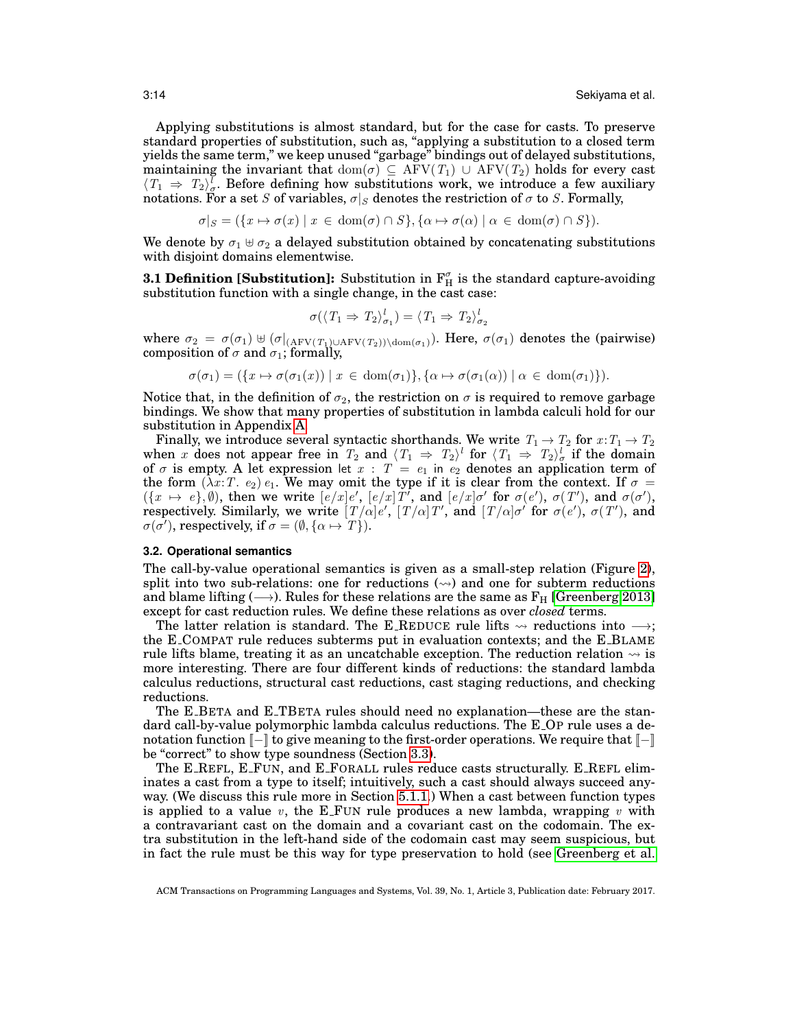Applying substitutions is almost standard, but for the case for casts. To preserve standard properties of substitution, such as, "applying a substitution to a closed term yields the same term," we keep unused "garbage" bindings out of delayed substitutions, maintaining the invariant that  $\text{dom}(\sigma) \subseteq \text{AFV}(T_1) \,\cup \,\text{AFV}(T_2)$  holds for every cast  $\langle T_1 \Rightarrow T_2 \rangle^l_{\sigma}$ . Before defining how substitutions work, we introduce a few auxiliary notations. For a set S of variables,  $\sigma|_S$  denotes the restriction of  $\sigma$  to S. Formally,

$$
\sigma|_S = (\{x \mapsto \sigma(x) \mid x \in \text{dom}(\sigma) \cap S\}, \{\alpha \mapsto \sigma(\alpha) \mid \alpha \in \text{dom}(\sigma) \cap S\}).
$$

We denote by  $\sigma_1 \oplus \sigma_2$  a delayed substitution obtained by concatenating substitutions with disjoint domains elementwise.

**3.1 Definition [Substitution]:** Substitution in  $\mathbf{F}_{\text{H}}^{\sigma}$  is the standard capture-avoiding substitution function with a single change, in the cast case:

<span id="page-13-0"></span>
$$
\sigma(\langle T_1 \Rightarrow T_2 \rangle_{\sigma_1}^l) = \langle T_1 \Rightarrow T_2 \rangle_{\sigma_2}^l
$$

where  $\sigma_2 = \sigma(\sigma_1) \uplus (\sigma|_{(AFV(T_1) \cup AFV(T_2)) \setminus \text{dom}(\sigma_1)})$ . Here,  $\sigma(\sigma_1)$  denotes the (pairwise) composition of  $\sigma$  and  $\sigma_1$ ; formally,

$$
\sigma(\sigma_1) = (\{x \mapsto \sigma(\sigma_1(x)) \mid x \in \text{dom}(\sigma_1)\}, \{\alpha \mapsto \sigma(\sigma_1(\alpha)) \mid \alpha \in \text{dom}(\sigma_1)\}).
$$

Notice that, in the definition of  $\sigma_2$ , the restriction on  $\sigma$  is required to remove garbage bindings. We show that many properties of substitution in lambda calculi hold for our substitution in Appendix [A.](#page-36-1)

Finally, we introduce several syntactic shorthands. We write  $T_1 \rightarrow T_2$  for  $x: T_1 \rightarrow T_2$ when x does not appear free in  $T_2$  and  $\langle T_1 \Rightarrow T_2 \rangle^l$  for  $\langle T_1 \Rightarrow T_2 \rangle^l_{\sigma}$  if the domain of  $\sigma$  is empty. A let expression let  $x : T = e_1$  in  $e_2$  denotes an application term of the form  $(\lambda x: T. e_2) e_1$ . We may omit the type if it is clear from the context. If  $\sigma =$  $({x \mapsto e}, \emptyset)$ , then we write  $[e/x]e'$ ,  $[e/x]T'$ , and  $[e/x]\sigma'$  for  $\sigma(e')$ ,  $\sigma(T')$ , and  $\sigma(\sigma')$ , respectively. Similarly, we write  $[T/\alpha]e'$ ,  $[T/\alpha]T'$ , and  $[T/\alpha]\sigma'$  for  $\sigma(e')$ ,  $\sigma(T')$ , and  $\sigma(\bar{\sigma'})$ , respectively, if  $\sigma = (\emptyset, {\alpha \mapsto T})$ .

#### **3.2. Operational semantics**

The call-by-value operational semantics is given as a small-step relation (Figure [2\)](#page-14-0), split into two sub-relations: one for reductions  $(\sim)$  and one for subterm reductions and blame lifting ( $\rightarrow$ ). Rules for these relations are the same as  $F_H$  [\[Greenberg 2013\]](#page-34-1) except for cast reduction rules. We define these relations as over *closed* terms.

The latter relation is standard. The E\_REDUCE rule lifts  $\sim$  reductions into  $\rightarrow$ ; the E COMPAT rule reduces subterms put in evaluation contexts; and the E BLAME rule lifts blame, treating it as an uncatchable exception. The reduction relation  $\sim$  is more interesting. There are four different kinds of reductions: the standard lambda calculus reductions, structural cast reductions, cast staging reductions, and checking reductions.

The E BETA and E TBETA rules should need no explanation—these are the standard call-by-value polymorphic lambda calculus reductions. The E OP rule uses a denotation function  $\llbracket - \rrbracket$  to give meaning to the first-order operations. We require that  $\llbracket - \rrbracket$ be "correct" to show type soundness (Section [3.3\)](#page-17-0).

The E REFL, E FUN, and E FORALL rules reduce casts structurally. E REFL eliminates a cast from a type to itself; intuitively, such a cast should always succeed anyway. (We discuss this rule more in Section [5.1.1.](#page-24-0)) When a cast between function types is applied to a value  $v$ , the E\_FUN rule produces a new lambda, wrapping  $v$  with a contravariant cast on the domain and a covariant cast on the codomain. The extra substitution in the left-hand side of the codomain cast may seem suspicious, but in fact the rule must be this way for type preservation to hold (see [Greenberg et al.](#page-34-2)

ACM Transactions on Programming Languages and Systems, Vol. 39, No. 1, Article 3, Publication date: February 2017.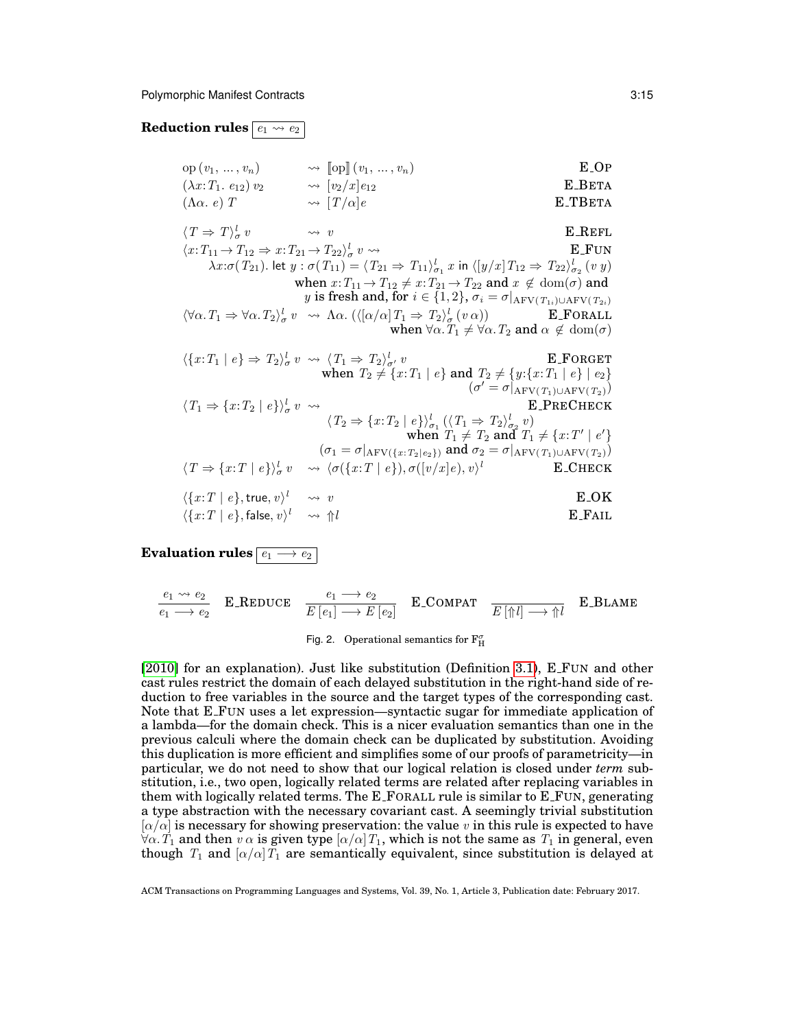# **Reduction rules**  $\boxed{e_1 \leadsto e_2}$

| $op(v_1, , v_n)$               | $\rightsquigarrow$ [op] $(v_1, , v_n)$ | E OP    |
|--------------------------------|----------------------------------------|---------|
| $(\lambda x: T_1. e_{12}) v_2$ | $\rightsquigarrow$ $[v_2/x]e_{12}$     | E_BETA  |
| $(\Lambda \alpha. e) T$        | $\rightsquigarrow$ $[T/\alpha]e$       | E TBETA |

 $\langle T \Rightarrow T \rangle^l_\sigma$  $\leadsto$  v E\_REFL  $\langle x: T_{11} \to T_{12} \Rightarrow x: T_{21} \to T_{22} \rangle^l_{\sigma}$ **E\_FUN**  $\lambda x:\sigma(T_{21})$ . let  $y:\sigma(T_{11})=\langle T_{21} \Rightarrow T_{11}\rangle^l_{\sigma_1}x$  in  $\langle [y/x]T_{12} \Rightarrow T_{22}\rangle^l_{\sigma_2} (v y)$  $\sigma_1$   $\omega$  iii  $\left(\frac{y}{u}\right)$   $\frac{1}{2}$   $\frac{1}{2}$   $\rightarrow$   $\frac{1}{22}$   $\sigma_2$ when  $x: T_{11} \rightarrow T_{12} \neq x: T_{21} \rightarrow T_{22}$  and  $x \notin \text{dom}(\sigma)$  and y is fresh and, for  $i \in \{1, 2\}$ ,  $\sigma_i = \sigma|_{\text{AFV}(T_{1i}) \cup \text{AFV}(T_{2i})}$  $\langle \forall \alpha \cdot T_1 \Rightarrow \forall \alpha \cdot T_2 \rangle_{\sigma}^l v \rightsquigarrow \Lambda \alpha. \left( \langle [\alpha/\alpha] T_1 \Rightarrow T_2 \rangle_{\sigma}^l (v \alpha) \right)$  **E**\_FORALL when  $\forall \alpha$ .  $T_1 \neq \forall \alpha$ .  $T_2$  and  $\alpha \notin \text{dom}(\sigma)$  $\langle \{x: T_1 | e \} \Rightarrow T_2 \rangle_{\sigma}^l v \rightsquigarrow \langle T_1 \Rightarrow T_2 \rangle_{\sigma'}^l v$  E\_FORGET when  $T_2 \neq \{x : T_1 \mid e\}$  and  $T_2 \neq \{y : \{x : T_1 \mid e\} \mid e_2\}$  $(\sigma' = \sigma|_{\rm AFV(T_1) \cup AFV(T_2)})$  $\langle T_1 \Rightarrow \{x: T_2 \mid e\} \rangle^l_\sigma v \rightsquigarrow$  E\_PRECHECK

$$
\langle T_2 \Rightarrow \{x: T_2 \mid e\} \rangle_{\sigma_1}^l (\langle T_1 \Rightarrow T_2 \rangle_{\sigma_2}^l v)
$$
\nwhen  $T_1 \neq T_2$  and  $T_1 \neq \{x: T' \mid e'\}$   
\n
$$
(\sigma_1 = \sigma |_{\text{AFV}(\{x: T_2 \mid e_2\})} \text{ and } \sigma_2 = \sigma |_{\text{AFV}(T_1) \cup \text{AFV}(T_2)} )
$$
\n
$$
\langle T \Rightarrow \{x: T \mid e\} \rangle_{\sigma}^l v \quad \leadsto \langle \sigma(\{x: T \mid e\}), \sigma([v/x]e), v \rangle^l \quad \text{E.CHECK}
$$
\n
$$
\langle \{x: T \mid e\}, \text{true}, v \rangle^l \quad \leadsto v \quad \text{E.OK}
$$

$$
\langle \{x:T \mid e\}, \text{false}, v \rangle^l \longrightarrow \Uparrow l \qquad \qquad \text{E-FAIL}
$$

**Evaluation rules**  $\boxed{e_1 \rightarrow e_2}$ 

$$
\frac{e_1 \rightsquigarrow e_2}{e_1 \longrightarrow e_2} \quad \text{E\_REDUCE} \quad \frac{e_1 \longrightarrow e_2}{E[e_1] \longrightarrow E[e_2]} \quad \text{E\_COMPATH} \quad \frac{E[\uparrow \uparrow \uparrow] \longrightarrow \uparrow \uparrow \downarrow}{E[\uparrow \uparrow \uparrow] \longrightarrow \uparrow \uparrow \downarrow} \quad \text{E\_BLAME}
$$

# <span id="page-14-0"></span>Fig. 2. Operational semantics for  $\mathbf{F}_{\mathrm{H}}^{\sigma}$

[\[2010\]](#page-34-2) for an explanation). Just like substitution (Definition [3.1\)](#page-13-0), E FUN and other cast rules restrict the domain of each delayed substitution in the right-hand side of reduction to free variables in the source and the target types of the corresponding cast. Note that E FUN uses a let expression—syntactic sugar for immediate application of a lambda—for the domain check. This is a nicer evaluation semantics than one in the previous calculi where the domain check can be duplicated by substitution. Avoiding this duplication is more efficient and simplifies some of our proofs of parametricity—in particular, we do not need to show that our logical relation is closed under *term* substitution, i.e., two open, logically related terms are related after replacing variables in them with logically related terms. The E FORALL rule is similar to E FUN, generating a type abstraction with the necessary covariant cast. A seemingly trivial substitution  $[\alpha/\alpha]$  is necessary for showing preservation: the value v in this rule is expected to have  $\forall \alpha$ .  $T_1$  and then  $v \alpha$  is given type  $\alpha/\alpha$   $T_1$ , which is not the same as  $T_1$  in general, even though  $T_1$  and  $\alpha/\alpha$   $T_1$  are semantically equivalent, since substitution is delayed at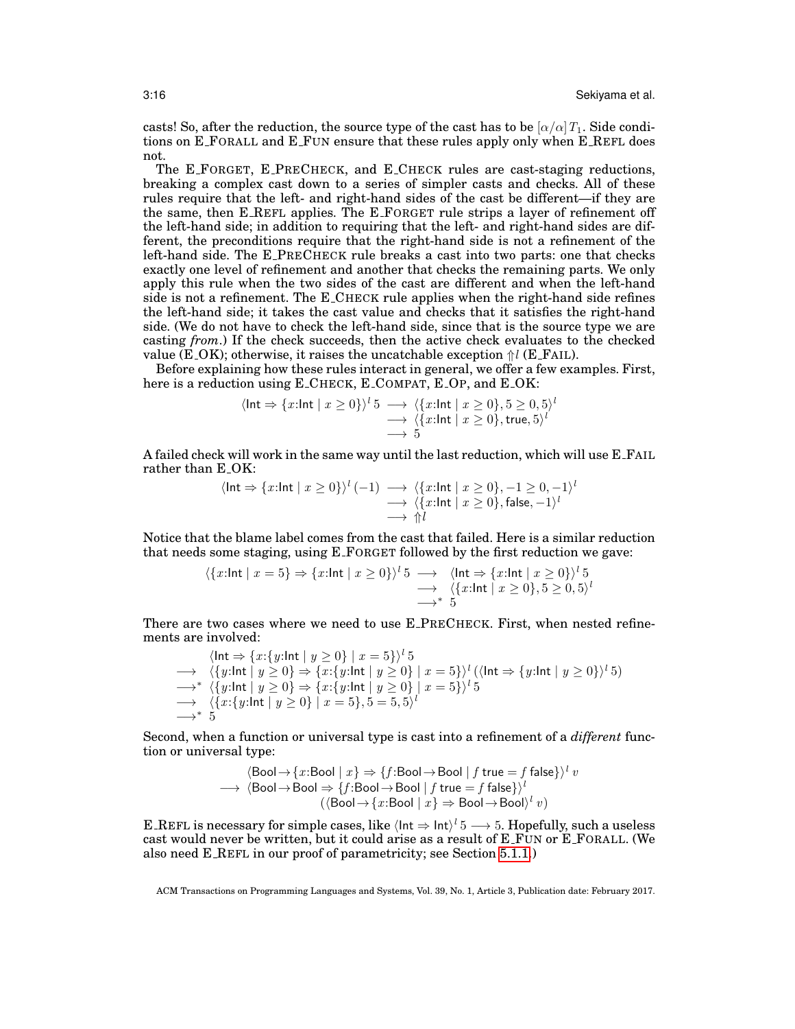casts! So, after the reduction, the source type of the cast has to be  $\left[\alpha/\alpha\right]T_1$ . Side conditions on E FORALL and E FUN ensure that these rules apply only when E REFL does not.

The E FORGET, E PRECHECK, and E CHECK rules are cast-staging reductions, breaking a complex cast down to a series of simpler casts and checks. All of these rules require that the left- and right-hand sides of the cast be different—if they are the same, then E REFL applies. The E FORGET rule strips a layer of refinement off the left-hand side; in addition to requiring that the left- and right-hand sides are different, the preconditions require that the right-hand side is not a refinement of the left-hand side. The E PRECHECK rule breaks a cast into two parts: one that checks exactly one level of refinement and another that checks the remaining parts. We only apply this rule when the two sides of the cast are different and when the left-hand side is not a refinement. The E CHECK rule applies when the right-hand side refines the left-hand side; it takes the cast value and checks that it satisfies the right-hand side. (We do not have to check the left-hand side, since that is the source type we are casting *from*.) If the check succeeds, then the active check evaluates to the checked value (E\_OK); otherwise, it raises the uncatchable exception  $\frac{1}{1}$  (E\_FAIL).

Before explaining how these rules interact in general, we offer a few examples. First, here is a reduction using E\_CHECK, E\_COMPAT, E\_OP, and E\_OK:

$$
\langle \ln t \Rightarrow \{x:\ln t \mid x \ge 0\} \rangle^{l} 5 \longrightarrow \langle \{x:\ln t \mid x \ge 0\}, 5 \ge 0, 5 \rangle^{l} \longrightarrow \langle \{x:\ln t \mid x \ge 0\}, \text{true}, 5 \rangle^{l} \longrightarrow 5
$$

A failed check will work in the same way until the last reduction, which will use E FAIL rather than E<sub>-OK</sub>:

$$
\langle \text{Int} \Rightarrow \{x:\text{Int} \mid x \ge 0\} \rangle^l (-1) \longrightarrow \langle \{x:\text{Int} \mid x \ge 0\}, -1 \ge 0, -1 \rangle^l
$$
  
 
$$
\longrightarrow \langle \{x:\text{Int} \mid x \ge 0\}, \text{false}, -1 \rangle^l
$$
  
 
$$
\longrightarrow \Uparrow l
$$

Notice that the blame label comes from the cast that failed. Here is a similar reduction that needs some staging, using E FORGET followed by the first reduction we gave:

$$
\langle \{x:\text{Int} \mid x=5\} \Rightarrow \{x:\text{Int} \mid x\geq 0\} \rangle^l 5 \longrightarrow \langle \text{Int} \Rightarrow \{x:\text{Int} \mid x\geq 0\} \rangle^l 5
$$
  

$$
\longrightarrow \langle \{x:\text{Int} \mid x\geq 0\}, 5\geq 0, 5 \rangle^l
$$
  

$$
\longrightarrow^* 5
$$

There are two cases where we need to use E PRECHECK. First, when nested refinements are involved:

$$
\langle \mathsf{Int} \Rightarrow \{x:\{y:\mathsf{Int} \mid y \ge 0\} \mid x = 5\} \rangle^l 5
$$
\n
$$
\rightarrow \langle \{y:\mathsf{Int} \mid y \ge 0\} \Rightarrow \{x:\{y:\mathsf{Int} \mid y \ge 0\} \mid x = 5\} \rangle^l (\langle \mathsf{Int} \Rightarrow \{y:\mathsf{Int} \mid y \ge 0\} \rangle^l 5)
$$
\n
$$
\rightarrow^* \langle \{y:\mathsf{Int} \mid y \ge 0\} \Rightarrow \{x:\{y:\mathsf{Int} \mid y \ge 0\} \mid x = 5\} \rangle^l 5
$$
\n
$$
\rightarrow \langle \{x:\{y:\mathsf{Int} \mid y \ge 0\} \mid x = 5\}, 5 = 5, 5 \rangle^l
$$
\n
$$
\rightarrow^* 5
$$

Second, when a function or universal type is cast into a refinement of a *different* function or universal type:

$$
\langle \text{Bool} \rightarrow \{x: \text{Bool} \mid x\} \Rightarrow \{f: \text{Bool} \rightarrow \text{Bool} \mid f \text{ true} = f \text{ false}\} \rangle^l v
$$
\n
$$
\longrightarrow \langle \text{Bool} \rightarrow \text{Bool} \Rightarrow \{f: \text{Bool} \rightarrow \text{Bool} \mid f \text{ true} = f \text{ false}\} \rangle^l
$$
\n
$$
(\langle \text{Bool} \rightarrow \{x: \text{Bool} \mid x\} \Rightarrow \text{Bool} \rightarrow \text{Bool} \rangle^l v)
$$

E\_REFL is necessary for simple cases, like  $\langle$  Int  $\Rightarrow$  Int)<sup>*l*</sup> 5  $\longrightarrow$  5. Hopefully, such a useless cast would never be written, but it could arise as a result of E FUN or E FORALL. (We also need E REFL in our proof of parametricity; see Section [5.1.1.](#page-24-0))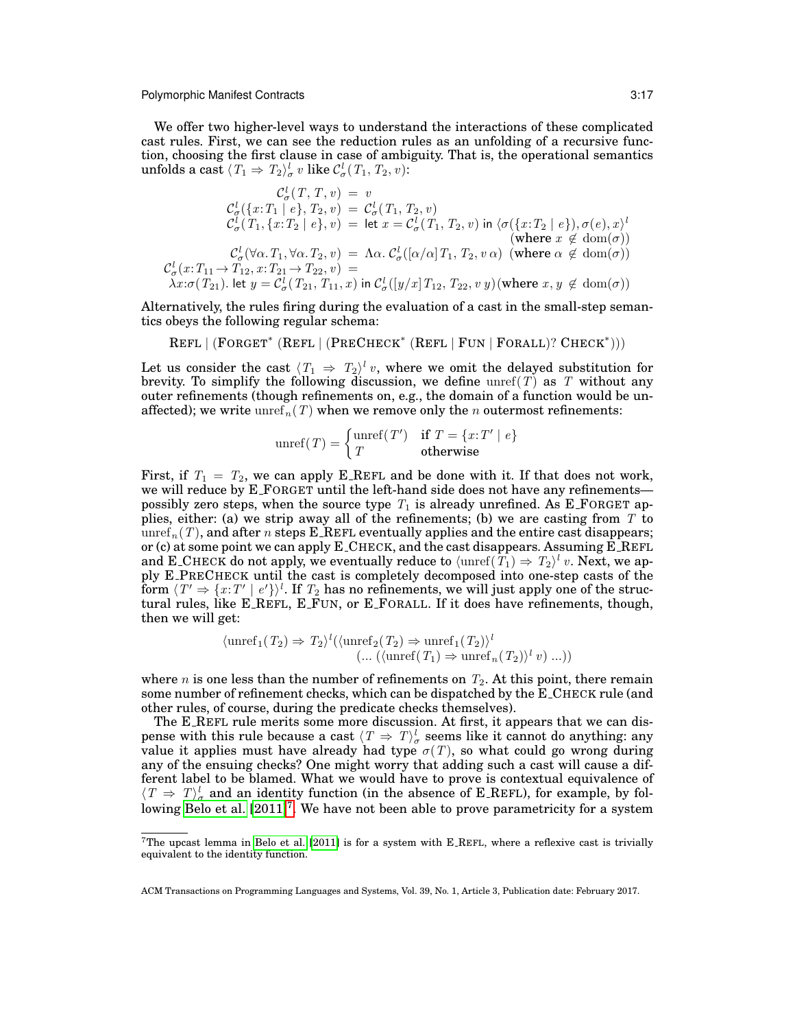We offer two higher-level ways to understand the interactions of these complicated cast rules. First, we can see the reduction rules as an unfolding of a recursive function, choosing the first clause in case of ambiguity. That is, the operational semantics unfolds a cast  $\langle T_1 \Rightarrow T_2 \rangle^l_\sigma \ v \text{ like } {\mathcal C}^l_\sigma(\,T_1,\,T_2,\,v)$ :

$$
\mathcal{C}_{\sigma}^{l}(T, T, v) = v
$$
\n
$$
\mathcal{C}_{\sigma}^{l}(\{x: T_{1} \mid e\}, T_{2}, v) = \mathcal{C}_{\sigma}^{l}(T_{1}, T_{2}, v)
$$
\n
$$
\mathcal{C}_{\sigma}^{l}(T_{1}, \{x: T_{2} \mid e\}, v) = \text{let } x = \mathcal{C}_{\sigma}^{l}(T_{1}, T_{2}, v) \text{ in } \langle \sigma(\{x: T_{2} \mid e\}), \sigma(e), x \rangle^{l}
$$
\n(where  $x \notin \text{dom}(\sigma)$ )\n
$$
\mathcal{C}_{\sigma}^{l}(\forall \alpha \cdot T_{1}, \forall \alpha \cdot T_{2}, v) = \Lambda \alpha \cdot \mathcal{C}_{\sigma}^{l}([\alpha/\alpha] T_{1}, T_{2}, v \alpha) \text{ (where } \alpha \notin \text{dom}(\sigma))
$$
\n
$$
\mathcal{C}_{\sigma}^{l}(x: T_{11} \rightarrow T_{12}, x: T_{21} \rightarrow T_{22}, v) = \lambda x: \sigma(T_{21}). \text{ let } y = \mathcal{C}_{\sigma}^{l}(T_{21}, T_{11}, x) \text{ in } \mathcal{C}_{\sigma}^{l}([y/x] T_{12}, T_{22}, v y) \text{ (where } x, y \notin \text{dom}(\sigma))
$$

Alternatively, the rules firing during the evaluation of a cast in the small-step semantics obeys the following regular schema:

REFL | (FORGET<sup>\*</sup> (REFL | (PRECHECK<sup>\*</sup> (REFL | FUN | FORALL)? CHECK<sup>\*</sup>)))

Let us consider the cast  $\langle T_1 \Rightarrow T_2 \rangle^l v$ , where we omit the delayed substitution for brevity. To simplify the following discussion, we define  $\text{unref}(T)$  as T without any outer refinements (though refinements on, e.g., the domain of a function would be unaffected); we write  $unref_n(T)$  when we remove only the *n* outermost refinements:

$$
unref(T) = \begin{cases} unref(T') & \text{if } T = \{x:T' \mid e\} \\ T & \text{otherwise} \end{cases}
$$

First, if  $T_1 = T_2$ , we can apply E\_REFL and be done with it. If that does not work, we will reduce by E\_FORGET until the left-hand side does not have any refinements possibly zero steps, when the source type  $T_1$  is already unrefined. As E\_FORGET applies, either: (a) we strip away all of the refinements; (b) we are casting from  $T$  to unref<sub>n</sub> $(T)$ , and after n steps E\_REFL eventually applies and the entire cast disappears; or (c) at some point we can apply E CHECK, and the cast disappears. Assuming E REFL and E\_CHECK do not apply, we eventually reduce to  $\langle \mathrm{unref}(T_1) \Rightarrow T_2 \rangle^l$   $v.$  Next, we apply E PRECHECK until the cast is completely decomposed into one-step casts of the form  $\langle T'\Rightarrow \{x\cdotp T'\mid e'\}\rangle^l.$  If  $T_2$  has no refinements, we will just apply one of the structural rules, like E REFL, E FUN, or E FORALL. If it does have refinements, though, then we will get:

$$
\langle \operatorname{unref}_1(T_2) \Rightarrow T_2 \rangle^l(\langle \operatorname{unref}_2(T_2) \Rightarrow \operatorname{unref}_1(T_2) \rangle^l \newline (\dots (\langle \operatorname{unref}(T_1) \Rightarrow \operatorname{unref}_n(T_2) \rangle^l v) \dots))
$$

where  $n$  is one less than the number of refinements on  $T_2$ . At this point, there remain some number of refinement checks, which can be dispatched by the E\_CHECK rule (and other rules, of course, during the predicate checks themselves).

The E REFL rule merits some more discussion. At first, it appears that we can dispense with this rule because a cast  $\langle T \Rightarrow T \rangle^l_\sigma$  seems like it cannot do anything: any value it applies must have already had type  $\sigma(T)$ , so what could go wrong during any of the ensuing checks? One might worry that adding such a cast will cause a different label to be blamed. What we would have to prove is contextual equivalence of  $\langle T \Rightarrow T \rangle_{\sigma}^{l}$  and an identity function (in the absence of E\_REFL), for example, by fol-lowing [Belo et al.](#page-33-0)  $[2011]^7$  $[2011]^7$  $[2011]^7$ . We have not been able to prove parametricity for a system

<span id="page-16-0"></span> $7$ The upcast lemma in [Belo et al.](#page-33-0) [\[2011\]](#page-33-0) is for a system with E\_REFL, where a reflexive cast is trivially equivalent to the identity function.

ACM Transactions on Programming Languages and Systems, Vol. 39, No. 1, Article 3, Publication date: February 2017.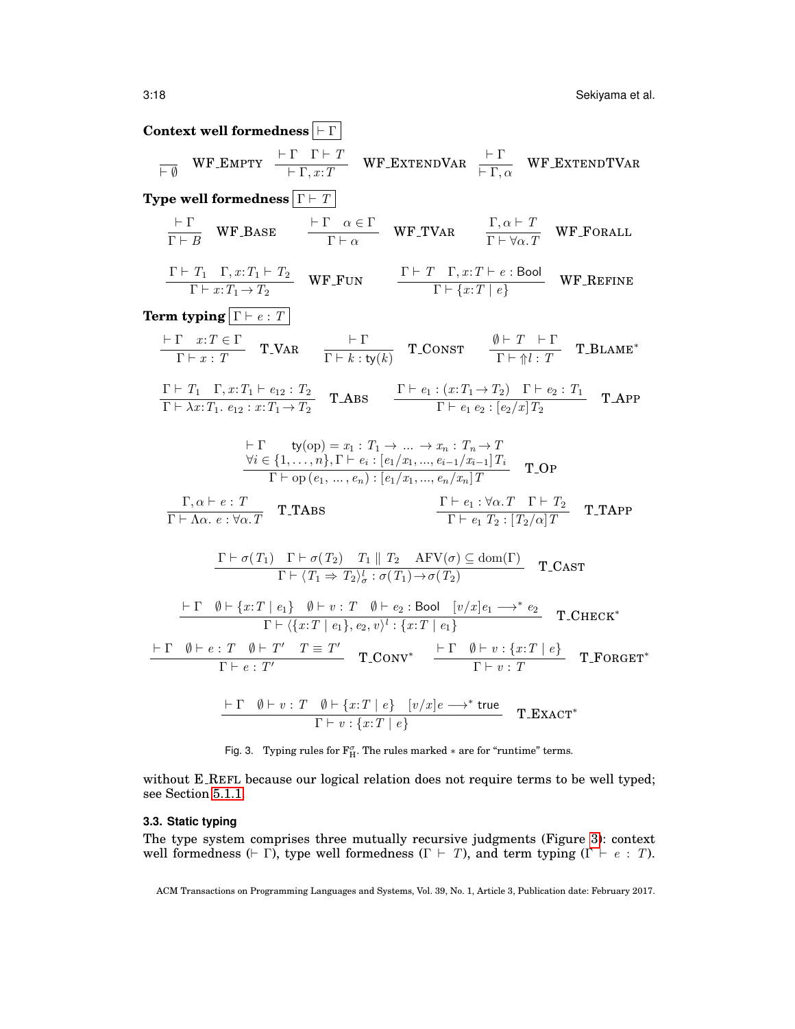**Context well formedness**  $\boxed{+ \Gamma}$  $\frac{\vdash \Gamma \quad \Gamma \vdash T}{\vdash \Gamma,\, x \colon T}$  $\frac{\Gamma \quad \Gamma \vdash T}{\vdash \Gamma , x{:}T} \quad \text{WF\_EXTENDVAR} \quad \frac{\vdash \Gamma}{\vdash \Gamma , \text{num} \cdot T}$  $\frac{1}{\vdash \Gamma, \alpha}$  WF\_EXTENDTVAR **Type well formedness**  $\Gamma \vdash T$  $\vdash \Gamma$  $\frac{\vdash \Gamma}{\Gamma \vdash B}$  WF\_BASE  $\frac{\vdash \Gamma \quad \alpha \in \Gamma}{\Gamma \vdash \alpha}$  $\frac{\alpha \in \Gamma}{\Gamma \vdash \alpha}$  WF\_TVAR  $\frac{\Gamma, \alpha \vdash T}{\Gamma \vdash \forall \alpha. T}$  $\frac{1}{\Gamma \vdash \forall \alpha \ldotp T}$  WF\_FORALL  $\Gamma \vdash T_1 \quad \Gamma, x : T_1 \vdash T_2$  $T_1 \quad \Gamma, x: T_1 \vdash T_2$ <br>  $\Gamma \vdash x: T_1 \to T_2$  WF\_FUN  $\Gamma \vdash \{x: T \mid e\}$  $\frac{\Gamma \vdash \{x : T \mid e\}}{\Gamma \vdash \{x : T \mid e\}}$  WF\_REFINE **Term typing**  $\boxed{\Gamma \vdash e : T}$  $\vdash \Gamma \quad x : T \in \Gamma$  $\frac{\Gamma x : T \in \Gamma}{\Gamma \vdash x : T}$  T\_VAR  $\frac{\vdash \Gamma}{\Gamma \vdash k : t}$  $\frac{\dagger \Gamma}{\Gamma \vdash k : \mathsf{ty}(k)}$  T\_CONST  $\frac{\emptyset \vdash T \quad \vdash \Gamma}{\Gamma \vdash \Uparrow l : T}$  $\frac{T}{\Gamma \vdash \Uparrow l : T}$  T\_BLAME\*  $\Gamma \vdash T_1 \quad \Gamma, x : T_1 \vdash e_{12} : T_2$  $\frac{\Gamma \vdash T_1 \quad \Gamma, x: T_1 \vdash e_{12} : T_2}{\Gamma \vdash \lambda x: T_1 \cdot e_{12} : x: T_1 \to T_2}$  T.ABS  $\frac{\Gamma \vdash e_1 : (x: T_1 \to T_2) \quad \Gamma \vdash e_2 : T_1}{\Gamma \vdash e_1 \cdot e_2 : [e_2/x] T_2}$  $\frac{\Gamma \vdash e_1 \cdot e_2 : [e_2/x] T_2}{\Gamma \vdash e_1 \cdot e_2 : [e_2/x] T_2}$  T.APP  $\vdash \Gamma$  ty(op) =  $x_1 : T_1 \to ... \to x_n : T_n \to T$  $\forall i \in \{1, \ldots, n\}, \Gamma \vdash e_i : [e_1/x_1, \ldots, e_{i-1}/x_{i-1}]T_i$  $\frac{\Gamma(\cdot, \dots, n); \Gamma(\cdot, \nu_i, \nu_i, \dots, \nu_{i-1}, \nu_{i-1}, \nu_i, \dots, \nu_{i-1}}{\Gamma \vdash \text{op}(e_1, \dots, e_n) : [e_1/x_1, \dots, e_n/x_n]T}$  T\_OP  $\Gamma, \alpha \vdash e : T$  $\frac{1}{\Gamma \vdash \Lambda \alpha. e : \forall \alpha. T}$  T\_TABS  $\Gamma \vdash e_1 : \forall \alpha \ldotp T \quad \Gamma \vdash T_2$  $\frac{\Gamma \vdash e_1 \cdots \Gamma \vdash \Gamma_2}{\Gamma \vdash e_1 \ T_2 : [T_2/\alpha] \ T}$  T\_TAPP  $\Gamma \vdash \sigma(T_1) \quad \Gamma \vdash \sigma(T_2) \quad T_1 \parallel T_2 \quad \text{AFV}(\sigma) \subseteq \text{dom}(\Gamma)$  $\frac{\Gamma \vdash (\sqrt{12})^{\ell-1} \parallel \sqrt{2}}{\Gamma \vdash (\sqrt{T_1} \Rightarrow T_2)^t \cdot \sigma(T_1) \rightarrow \sigma(T_2)}$  T\_CAST  $\vdash \Gamma \quad \emptyset \vdash \{x : T \mid e_1\} \quad \emptyset \vdash v : T \quad \emptyset \vdash e_2 : \mathsf{Bool} \quad [v/x] e_1 \longrightarrow^* e_2$  $\frac{e_1 f^{\nu_1} \nu_1 \nu_2 \cdot 1 \nu_1 \nu_2 \cdot 1}{\Gamma \vdash \langle \{x: T \mid e_1\}, e_2, v \rangle^l : \{x: T \mid e_1\}}$  T\_CHECK\*  $\vdash \Gamma \quad \emptyset \vdash e : T \quad \emptyset \vdash T' \quad T \equiv T'$  $\begin{array}{cc} \Gamma: T \quad \emptyset \vdash T' \quad T \equiv T' \ \Gamma \vdash e: T' \end{array} \quad \begin{array}{cc} \text{T\_CONV*} & \begin{array}{c} \vdash \Gamma \quad \emptyset \vdash v: \{x: T \mid e\} \ \Gamma \vdash v: T \end{array} \end{array}$  $\frac{\Gamma \vdash v : \Gamma \vdash v : T}{\Gamma \vdash v : T}$  T\_FORGET\*  $\vdash \Gamma \quad \emptyset \vdash v : T \quad \emptyset \vdash \{x : T \mid e\} \quad [v/x]e \longrightarrow^* \mathsf{true}$  $\frac{v + \chi x \cdot I + \epsilon_f - (v/x)\epsilon \longrightarrow \text{true}}{\Gamma \vdash v : \{x : T \mid e\}}$  T\_EXACT\*

<span id="page-17-1"></span>Fig. 3. Typing rules for  $F_{H}^{\sigma}$ . The rules marked  $*$  are for "runtime" terms.

without E REFL because our logical relation does not require terms to be well typed; see Section [5.1.1.](#page-24-0)

## <span id="page-17-0"></span>**3.3. Static typing**

The type system comprises three mutually recursive judgments (Figure [3\)](#page-17-1): context well formedness ( $\vdash \Gamma$ ), type well formedness (Γ  $\vdash T$ ), and term typing (Γ  $\vdash e : T$ ).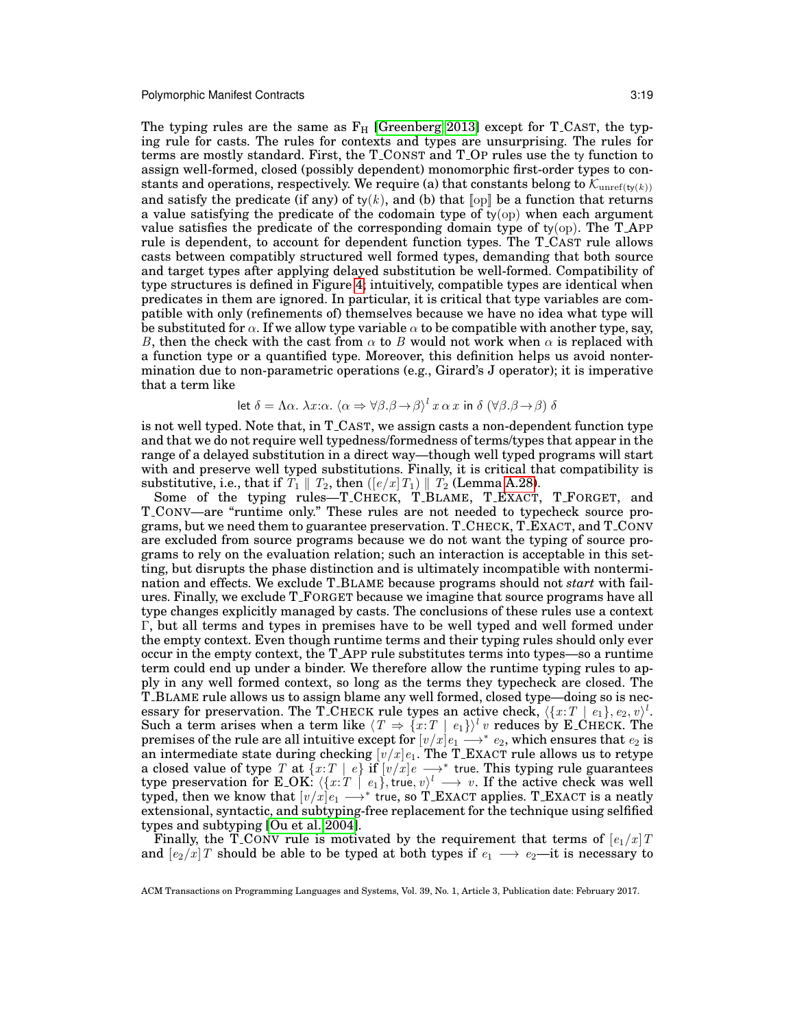The typing rules are the same as  $F_H$  [\[Greenberg 2013\]](#page-34-1) except for T<sub>-CAST</sub>, the typing rule for casts. The rules for contexts and types are unsurprising. The rules for terms are mostly standard. First, the T CONST and T OP rules use the ty function to assign well-formed, closed (possibly dependent) monomorphic first-order types to constants and operations, respectively. We require (a) that constants belong to  $\mathcal{K}_{\text{unref}(t_{\mathbf{y}}(k))}$ and satisfy the predicate (if any) of  $ty(k)$ , and (b) that  $[op]$  be a function that returns a value satisfying the predicate of the codomain type of  $t_y$ (op) when each argument value satisfies the predicate of the corresponding domain type of ty(op). The T APP rule is dependent, to account for dependent function types. The T CAST rule allows casts between compatibly structured well formed types, demanding that both source and target types after applying delayed substitution be well-formed. Compatibility of type structures is defined in Figure [4;](#page-19-0) intuitively, compatible types are identical when predicates in them are ignored. In particular, it is critical that type variables are compatible with only (refinements of) themselves because we have no idea what type will be substituted for  $\alpha$ . If we allow type variable  $\alpha$  to be compatible with another type, say, B, then the check with the cast from  $\alpha$  to B would not work when  $\alpha$  is replaced with a function type or a quantified type. Moreover, this definition helps us avoid nontermination due to non-parametric operations (e.g., Girard's J operator); it is imperative that a term like

let 
$$
\delta = \Lambda \alpha
$$
.  $\lambda x$ : $\alpha$ .  $\langle \alpha \Rightarrow \forall \beta . \beta \rightarrow \beta \rangle^l x \alpha x$  in  $\delta (\forall \beta . \beta \rightarrow \beta)$   $\delta$ 

is not well typed. Note that, in T CAST, we assign casts a non-dependent function type and that we do not require well typedness/formedness of terms/types that appear in the range of a delayed substitution in a direct way—though well typed programs will start with and preserve well typed substitutions. Finally, it is critical that compatibility is substitutive, i.e., that if  $T_1 \parallel T_2$ , then  $([e/x]T_1) \parallel T_2$  (Lemma [A.28\)](#page-44-0).

Some of the typing rules—T\_CHECK, T\_BLAME, T\_EXACT, T\_FORGET, and T CONV—are "runtime only." These rules are not needed to typecheck source programs, but we need them to guarantee preservation. T CHECK, T EXACT, and T CONV are excluded from source programs because we do not want the typing of source programs to rely on the evaluation relation; such an interaction is acceptable in this setting, but disrupts the phase distinction and is ultimately incompatible with nontermination and effects. We exclude T BLAME because programs should not *start* with failures. Finally, we exclude T FORGET because we imagine that source programs have all type changes explicitly managed by casts. The conclusions of these rules use a context Γ, but all terms and types in premises have to be well typed and well formed under the empty context. Even though runtime terms and their typing rules should only ever occur in the empty context, the T APP rule substitutes terms into types—so a runtime term could end up under a binder. We therefore allow the runtime typing rules to apply in any well formed context, so long as the terms they typecheck are closed. The T BLAME rule allows us to assign blame any well formed, closed type—doing so is necessary for preservation. The T<sub>-CHECK</sub> rule types an active check,  $\langle \{x : T \mid e_1\}, e_2, v \rangle^l$ . Such a term arises when a term like  $\langle T \Rightarrow \{x : T \mid e_1\} \rangle^l v$  reduces by E\_CHECK. The premises of the rule are all intuitive except for  $[v/x]e_1 \stackrel{\sim}{\longrightarrow}^* e_2,$  which ensures that  $e_2$  is an intermediate state during checking  $[v/x]e_1.$  The T\_EXACT rule allows us to retype a closed value of type T at  $\{x:T \mid e\}$  if  $[v/x]e \longrightarrow^*$  true. This typing rule guarantees type preservation for E\_OK:  $\langle \{x:T \mid e_1\}, \text{true}, v \rangle^l \longrightarrow v$ . If the active check was well typed, then we know that  $[v/x]e_1 \longrightarrow^*$  true, so T\_EXACT applies. T\_EXACT is a neatly extensional, syntactic, and subtyping-free replacement for the technique using selfified types and subtyping [\[Ou et al. 2004\]](#page-35-2).

Finally, the T\_CONV rule is motivated by the requirement that terms of  $[e_1/x]$  T and  $[e_2/x]$  should be able to be typed at both types if  $e_1 \longrightarrow e_2$ —it is necessary to

ACM Transactions on Programming Languages and Systems, Vol. 39, No. 1, Article 3, Publication date: February 2017.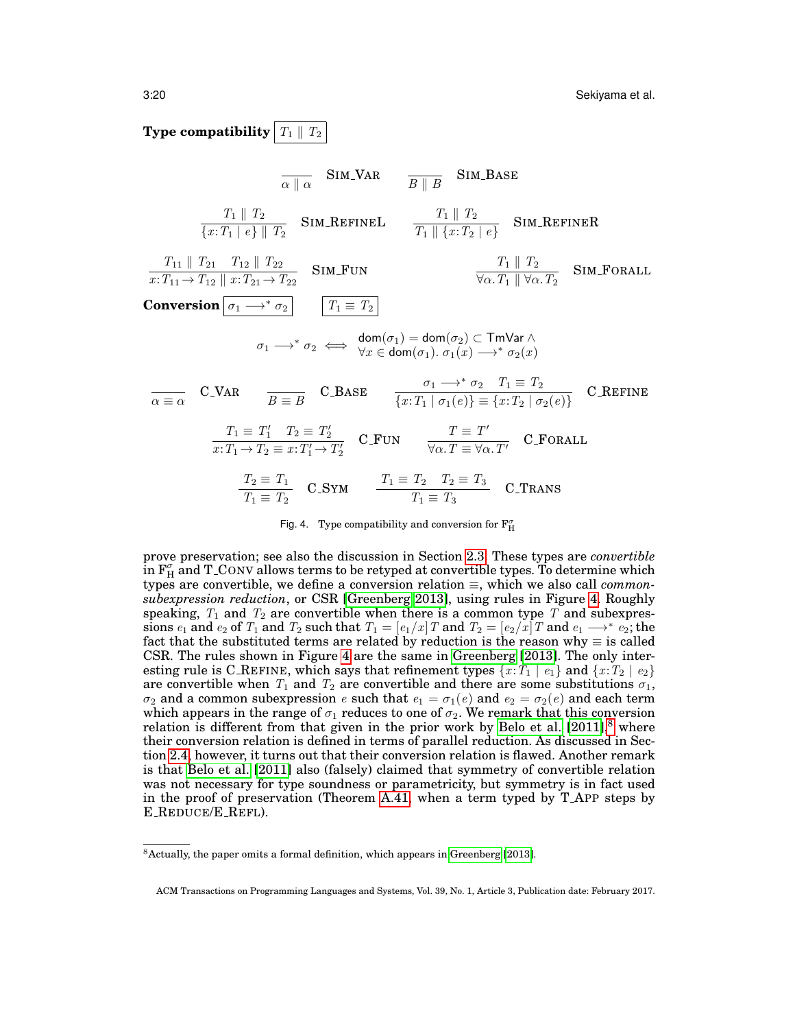# **Type compatibility**  $T_1 \parallel T_2$

$$
\frac{1}{\alpha \parallel \alpha} \quad \text{SIM-VAR} \quad \frac{T_1 \parallel T_2}{B \parallel B} \quad \text{SIM-BASE}
$$
\n
$$
\frac{T_1 \parallel T_2}{\{x: T_1 \mid e\} \parallel T_2} \quad \text{Sim\_REFINEL} \quad \frac{T_1 \parallel T_2}{T_1 \parallel \{x: T_2 \mid e\}} \quad \text{SIM\_REFINER}
$$
\n
$$
\frac{T_{11} \parallel T_{21} \quad T_{12} \parallel T_{22}}{x: T_{11} \rightarrow T_{12} \parallel x: T_{21} \rightarrow T_{22}} \quad \text{SIM-FUN} \quad \frac{T_1 \parallel T_2}{\forall \alpha \cdot T_1 \parallel \forall \alpha \cdot T_2} \quad \text{SIM-FORALL}
$$
\n
$$
\text{Conversion} \quad \boxed{\sigma_1 \rightarrow^* \sigma_2} \quad \boxed{T_1 \equiv T_2}
$$
\n
$$
\sigma_1 \rightarrow^* \sigma_2 \iff \frac{\text{dom}(\sigma_1) = \text{dom}(\sigma_2) \subset \text{TwVar } \wedge}{\forall x \in \text{dom}(\sigma_1) \cdot \sigma_1(x) \rightarrow^* \sigma_2(x)}
$$
\n
$$
\frac{T_1 \equiv T_2}{\alpha \equiv \alpha} \quad \text{C\_VAR} \quad \frac{T_2 \equiv T_2}{B \equiv B} \quad \text{C\_Base} \quad \frac{\sigma_1 \rightarrow^* \sigma_2 \quad T_1 \equiv T_2}{\{x: T_1 \mid \sigma_1(e)\} \equiv \{x: T_2 \mid \sigma_2(e)\}} \quad \text{C.REFINE}
$$
\n
$$
\frac{T_1 \equiv T_1' \quad T_2 \equiv T_2'}{x: T_1 \rightarrow T_2 \equiv x: T_1' \rightarrow T_2'} \quad \text{C\_FUN} \quad \frac{T \equiv T'}{\forall \alpha \cdot T \equiv \forall \alpha \cdot T'} \quad \text{C\_FORALL}
$$
\n
$$
\frac{T_2 \equiv T_1}{T_1 \equiv T_2} \quad \text{C\_SYM} \quad \frac{T_1 \equiv T_2 \quad T_2 \equiv T_3}{T_1 \equiv T_3} \quad \text{C\_TransS}
$$

<span id="page-19-0"></span>Fig. 4. Type compatibility and conversion for  $F_H^{\sigma}$ 

prove preservation; see also the discussion in Section [2.3.](#page-8-0) These types are *convertible* in  $\mathrm{F}^\sigma_\mathrm{H}$  and T\_CONV allows terms to be retyped at convertible types. To determine which types are convertible, we define a conversion relation ≡, which we also call *commonsubexpression reduction*, or CSR [\[Greenberg 2013\]](#page-34-1), using rules in Figure [4.](#page-19-0) Roughly speaking,  $T_1$  and  $T_2$  are convertible when there is a common type T and subexpressions  $e_1$  and  $e_2$  of  $T_1$  and  $T_2$  such that  $T_1 = [e_1/x]T$  and  $T_2 = [e_2/x]T$  and  $e_1 \longrightarrow^* e_2$ ; the fact that the substituted terms are related by reduction is the reason why  $\equiv$  is called CSR. The rules shown in Figure [4](#page-19-0) are the same in [Greenberg](#page-34-1) [\[2013\]](#page-34-1). The only interesting rule is C\_REFINE, which says that refinement types  $\{x : T_1 \mid e_1\}$  and  $\{x : T_2 \mid e_2\}$ are convertible when  $T_1$  and  $T_2$  are convertible and there are some substitutions  $\sigma_1$ ,  $\sigma_2$  and a common subexpression e such that  $e_1 = \sigma_1(e)$  and  $e_2 = \sigma_2(e)$  and each term which appears in the range of  $\sigma_1$  reduces to one of  $\sigma_2$ . We remark that this conversion relation is different from that given in the prior work by [Belo et al.](#page-33-0)  $[2011]$ <sup>[8](#page-19-1)</sup> where their conversion relation is defined in terms of parallel reduction. As discussed in Section [2.4,](#page-9-1) however, it turns out that their conversion relation is flawed. Another remark is that [Belo et al.](#page-33-0) [\[2011\]](#page-33-0) also (falsely) claimed that symmetry of convertible relation was not necessary for type soundness or parametricity, but symmetry is in fact used in the proof of preservation (Theorem [A.41,](#page-48-0) when a term typed by T APP steps by E REDUCE/E REFL).

<span id="page-19-1"></span><sup>8</sup>Actually, the paper omits a formal definition, which appears in [Greenberg](#page-34-1) [\[2013\]](#page-34-1).

ACM Transactions on Programming Languages and Systems, Vol. 39, No. 1, Article 3, Publication date: February 2017.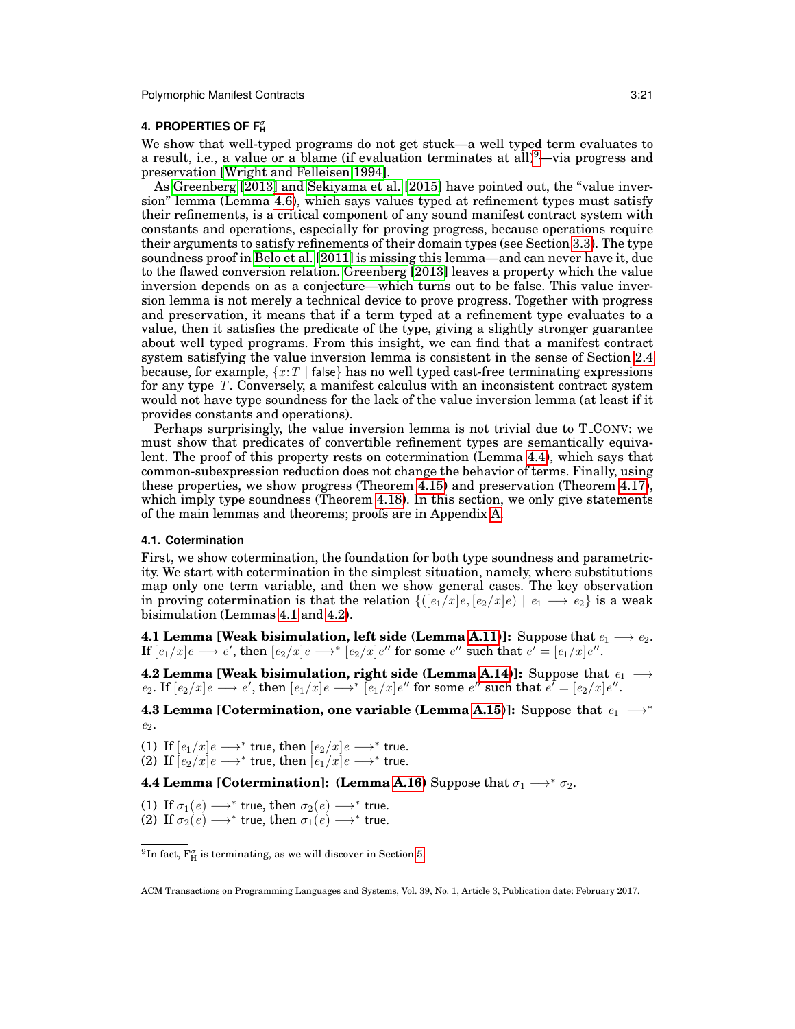# <span id="page-20-0"></span>**4. PROPERTIES OF F<sub>H</sub>**

We show that well-typed programs do not get stuck—a well typed term evaluates to a result, i.e., a value or a blame (if evaluation terminates at  $\text{all}$ )<sup>[9](#page-20-1)</sup>—via progress and preservation [\[Wright and Felleisen 1994\]](#page-36-2).

As [Greenberg](#page-34-1) [\[2013\]](#page-34-1) and [Sekiyama et al.](#page-35-4) [\[2015\]](#page-35-4) have pointed out, the "value inversion" lemma (Lemma [4.6\)](#page-21-0), which says values typed at refinement types must satisfy their refinements, is a critical component of any sound manifest contract system with constants and operations, especially for proving progress, because operations require their arguments to satisfy refinements of their domain types (see Section [3.3\)](#page-17-0). The type soundness proof in [Belo et al.](#page-33-0) [\[2011\]](#page-33-0) is missing this lemma—and can never have it, due to the flawed conversion relation. [Greenberg](#page-34-1) [\[2013\]](#page-34-1) leaves a property which the value inversion depends on as a conjecture—which turns out to be false. This value inversion lemma is not merely a technical device to prove progress. Together with progress and preservation, it means that if a term typed at a refinement type evaluates to a value, then it satisfies the predicate of the type, giving a slightly stronger guarantee about well typed programs. From this insight, we can find that a manifest contract system satisfying the value inversion lemma is consistent in the sense of Section [2.4](#page-9-1) because, for example,  $\{x : T | \text{false}\}$  has no well typed cast-free terminating expressions for any type T. Conversely, a manifest calculus with an inconsistent contract system would not have type soundness for the lack of the value inversion lemma (at least if it provides constants and operations).

Perhaps surprisingly, the value inversion lemma is not trivial due to T CONV: we must show that predicates of convertible refinement types are semantically equivalent. The proof of this property rests on cotermination (Lemma [4.4\)](#page-20-2), which says that common-subexpression reduction does not change the behavior of terms. Finally, using these properties, we show progress (Theorem [4.15\)](#page-22-2) and preservation (Theorem [4.17\)](#page-22-3), which imply type soundness (Theorem [4.18\)](#page-22-1). In this section, we only give statements of the main lemmas and theorems; proofs are in Appendix [A.](#page-36-1)

#### **4.1. Cotermination**

First, we show cotermination, the foundation for both type soundness and parametricity. We start with cotermination in the simplest situation, namely, where substitutions map only one term variable, and then we show general cases. The key observation in proving cotermination is that the relation  $\{([e_1/x]e, [e_2/x]e) | e_1 \longrightarrow e_2\}$  is a weak bisimulation (Lemmas [4.1](#page-20-3) and [4.2\)](#page-20-4).

<span id="page-20-3"></span>**4.1 Lemma [Weak bisimulation, left side (Lemma [A.11\)](#page-40-0)]:** Suppose that  $e_1 \longrightarrow e_2$ .  $\text{If } [e_1/x]e \longrightarrow e', \text{ then } [e_2/x]e \longrightarrow^{*} [e_2/x]e'' \text{ for some } e'' \text{ such that } e^{\bar{\imath}} = [e_1/x]e''.$ 

<span id="page-20-4"></span>**4.2 Lemma [Weak bisimulation, right side (Lemma [A.14\)](#page-41-0)]:** Suppose that  $e_1$  →  $e_2$ . If  $[e_2/x]e \longrightarrow e'$ , then  $[e_1/x]e \longrightarrow^*$   $[e_1/x]e''$  for some  $e''$  such that  $e' = [e_2/x]e''$ .

<span id="page-20-5"></span>**4.3 Lemma [Cotermination, one variable (Lemma [A.15\)](#page-41-1)]:** Suppose that  $e_1$  →<sup>\*</sup>  $e_2$ .

(1) If  $[e_1/x]e \longrightarrow^*$  true, then  $[e_2/x]e \longrightarrow^*$  true. (2) If  $[e_2/x]e \longrightarrow^*$  true, then  $[e_1/x]e \longrightarrow^*$  true.

<span id="page-20-2"></span>**4.4 Lemma [Cotermination]: (Lemma [A.16\)](#page-42-0)** Suppose that  $\sigma_1 \longrightarrow^* \sigma_2$ .

(1) If  $\sigma_1(e) \longrightarrow^*$  true, then  $\sigma_2(e) \longrightarrow^*$  true. (2) If  $\sigma_2(e) \longrightarrow^*$  true, then  $\sigma_1(e) \longrightarrow^*$  true.

<span id="page-20-1"></span> $^{9}{\rm In}$  fact,  $\rm F_H^{\sigma}$  is terminating, as we will discover in Section [5.](#page-22-0)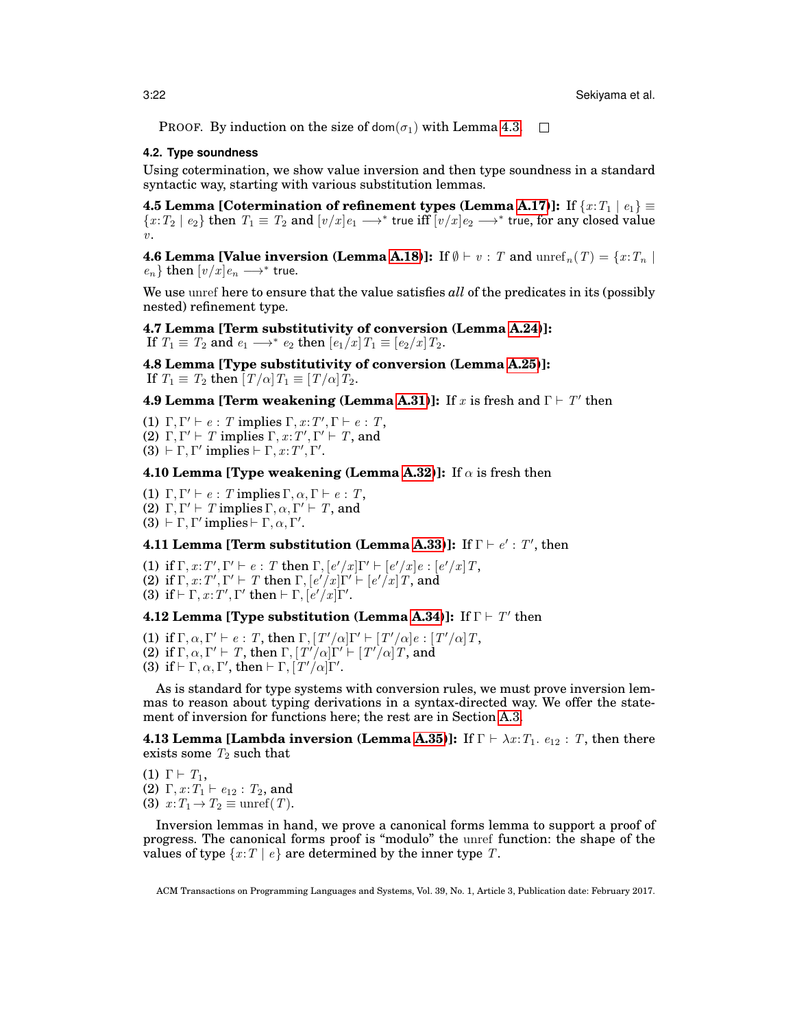**PROOF.** By induction on the size of dom( $\sigma_1$ ) with Lemma [4.3.](#page-20-5)  $\Box$ 

### **4.2. Type soundness**

Using cotermination, we show value inversion and then type soundness in a standard syntactic way, starting with various substitution lemmas.

<span id="page-21-2"></span>**4.5 Lemma [Cotermination of refinement types (Lemma [A.17\)](#page-42-1)]:** If  $\{x: T_1 \mid e_1\} \equiv$  $\{x:T_2\mid e_2\}$  then  $\,T_1\equiv\,T_2$  and  $[v/x]e_1\longrightarrow^*$  true iff  $\overline{[v/x]}e_2\longrightarrow^*$  true, for any closed value  $v<sub>l</sub>$ 

<span id="page-21-0"></span>**4.6 Lemma [Value inversion (Lemma [A.18\)](#page-42-2)]:** If  $\emptyset \vdash v : T$  and  $\mathrm{unref}_n(T) = \{x : T_n \mid$  $e_n$ } then  $[v/x]e_n \longrightarrow^*$  true.

We use unref here to ensure that the value satisfies *all* of the predicates in its (possibly nested) refinement type.

<span id="page-21-1"></span>**4.7 Lemma [Term substitutivity of conversion (Lemma [A.24\)](#page-43-0)]:** If  $T_1 \equiv T_2$  and  $e_1 \longrightarrow^* e_2$  then  $\left[e_1/x\right]T_1 \equiv \left[e_2/x\right]T_2$ .

<span id="page-21-3"></span>**4.8 Lemma [Type substitutivity of conversion (Lemma [A.25\)](#page-43-1)]:** If  $T_1 \equiv T_2$  then  $[T/\alpha]T_1 \equiv [T/\alpha]T_2$ .

# <span id="page-21-4"></span>**4.9 Lemma [Term weakening (Lemma [A.31\)](#page-44-1)]:** If x is fresh and  $\Gamma \vdash T'$  then

(1)  $\Gamma, \Gamma' \vdash e : T$  implies  $\Gamma, x : T', \Gamma \vdash e : T$ , (2)  $\Gamma, \Gamma' \vdash T$  implies  $\Gamma, x : T', \Gamma' \vdash T$ , and (3)  $\vdash \Gamma, \Gamma'$  implies  $\vdash \Gamma, x : T', \Gamma'.$ 

<span id="page-21-5"></span>**4.10 Lemma [Type weakening (Lemma [A.32\)](#page-44-2)]:** If  $\alpha$  is fresh then

(1)  $\Gamma, \Gamma' \vdash e : T$  implies  $\Gamma, \alpha, \Gamma \vdash e : T$ ,

(2)  $\Gamma, \Gamma' \vdash T$  implies  $\Gamma, \alpha, \Gamma' \vdash T$ , and

(3)  $\vdash \Gamma, \Gamma'$  implies  $\vdash \Gamma, \alpha, \Gamma'$ .

<span id="page-21-6"></span>**4.11 Lemma [Term substitution (Lemma [A.33\)](#page-44-3)]:** If  $\Gamma \vdash e' : T'$ , then

(1) if  $\Gamma, x : T', \Gamma' \vdash e : T$  then  $\Gamma, [e'/x] \Gamma' \vdash [e'/x] e : [e'/x] T$ , (2) if  $\Gamma, x: T', \Gamma' \vdash T$  then  $\Gamma, [e'/x] \Gamma' \vdash [e'/x] T$ , and (3) if  $\vdash \Gamma, x : T', \Gamma'$  then  $\vdash \Gamma, [\frac{e'}{x}] \Gamma'.$ 

# <span id="page-21-7"></span>**4.12 Lemma [Type substitution (Lemma [A.34\)](#page-45-0)]:** If  $\Gamma \vdash T'$  then

(1) if  $\Gamma, \alpha, \Gamma' \vdash e : T$ , then  $\Gamma, [T'/\alpha]\Gamma' \vdash [T'/\alpha]e : [T'/\alpha]T$ , (2) if  $\Gamma, \alpha, \Gamma' \vdash T$ , then  $\Gamma, [T'/\alpha] \Gamma' \vdash [T'/\alpha] T$ , and (3) if  $\vdash \Gamma, \alpha, \Gamma'$ , then  $\vdash \Gamma, [\overline{T'}/\alpha]\Gamma'$ .

As is standard for type systems with conversion rules, we must prove inversion lemmas to reason about typing derivations in a syntax-directed way. We offer the statement of inversion for functions here; the rest are in Section [A.3.](#page-42-3)

<span id="page-21-8"></span>**4.13 Lemma [Lambda inversion (Lemma [A.35\)](#page-45-1)]:** If  $\Gamma \vdash \lambda x$ :  $T_1$ .  $e_{12}$ : T, then there exists some  $T_2$  such that

(1)  $\Gamma \vdash T_1$ ,

(2)  $\Gamma, x : T_1 \vdash e_{12} : T_2$ , and (3)  $x: T_1 \to T_2 \equiv$  unref(T).

Inversion lemmas in hand, we prove a canonical forms lemma to support a proof of progress. The canonical forms proof is "modulo" the unref function: the shape of the values of type  $\{x: T \mid e\}$  are determined by the inner type T.

<span id="page-21-9"></span>ACM Transactions on Programming Languages and Systems, Vol. 39, No. 1, Article 3, Publication date: February 2017.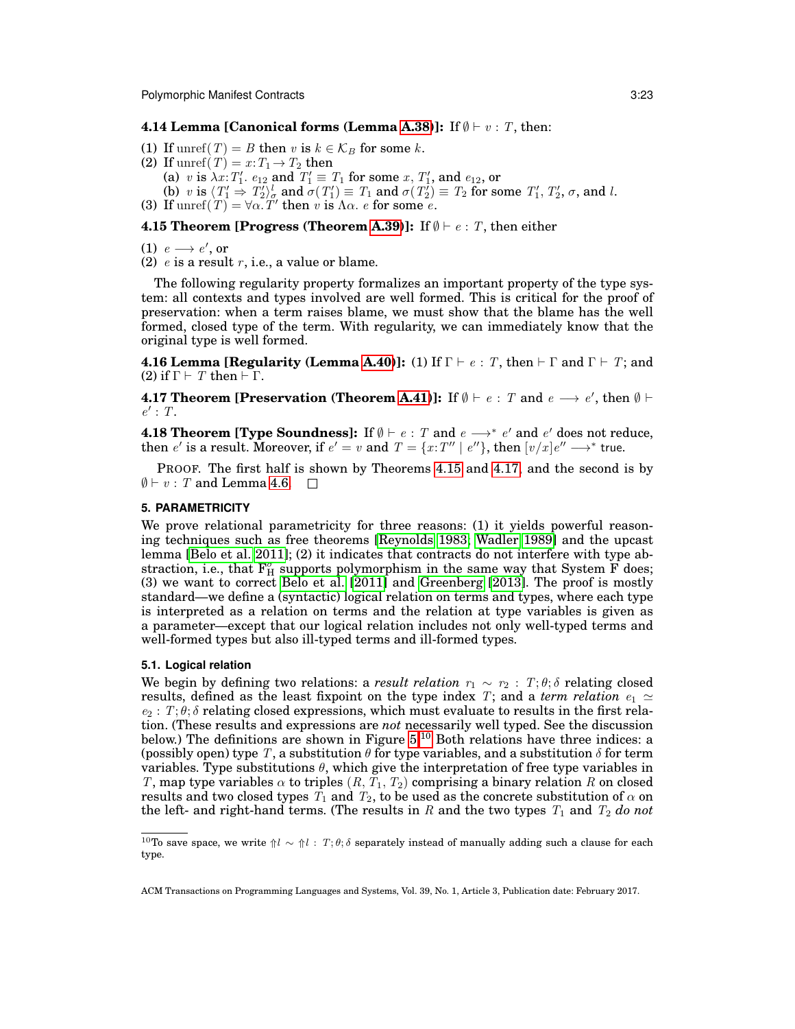## **4.14 Lemma [Canonical forms (Lemma [A.38\)](#page-45-2)]:** If  $\emptyset \vdash v : T$ , then:

- (1) If unref(T) = B then v is  $k \in \mathcal{K}_B$  for some k.
- (2) If unref $(T) = x : T_1 \rightarrow T_2$  then
	- (a) v is  $\lambda x$ :  $T_1'$ ,  $e_{12}$  and  $T_1' \equiv T_1$  for some  $x$ ,  $T_1'$ , and  $e_{12}$ , or
- (b) v is  $\langle T_1' \Rightarrow T_2' \rangle_{\sigma}^l$  and  $\sigma(T_1') \equiv T_1$  and  $\sigma(T_2') \equiv T_2$  for some  $T_1', T_2', \sigma$ , and l.
- (3) If  $\text{unref}(T) = \forall \alpha \cdot T'$  then v is  $\Lambda \alpha$ . e for some e.

#### <span id="page-22-2"></span>**4.15 Theorem [Progress (Theorem [A.39\)](#page-46-0)]:** If  $\emptyset \vdash e : T$ , then either

(1)  $e \rightarrow e'$ , or

(2)  $e$  is a result  $r$ , i.e., a value or blame.

The following regularity property formalizes an important property of the type system: all contexts and types involved are well formed. This is critical for the proof of preservation: when a term raises blame, we must show that the blame has the well formed, closed type of the term. With regularity, we can immediately know that the original type is well formed.

<span id="page-22-5"></span>**4.16 Lemma [Regularity (Lemma [A.40\)](#page-48-1)]:** (1) If  $\Gamma \vdash e : T$ , then  $\vdash \Gamma$  and  $\Gamma \vdash T$ ; and (2) if  $\Gamma \vdash T$  then  $\vdash \Gamma$ .

<span id="page-22-3"></span>**4.17 Theorem [Preservation (Theorem [A.41\)](#page-48-0)]:** If  $\emptyset \vdash e : T$  and  $e \longrightarrow e'$ , then  $\emptyset \vdash$  $e': T.$ 

<span id="page-22-1"></span>**4.18 Theorem [Type Soundness]:** If  $\emptyset \vdash e : T$  and  $e \longrightarrow^* e'$  and  $e'$  does not reduce, then  $e'$  is a result. Moreover, if  $e' = v$  and  $T = \{x:T'' \mid e''\}$ , then  $[v/x]e'' \longrightarrow^*$  true.

PROOF. The first half is shown by Theorems [4.15](#page-22-2) and [4.17,](#page-22-3) and the second is by  $\emptyset \vdash v : T$  and Lemma [4.6.](#page-21-0)  $\Box$ 

#### <span id="page-22-0"></span>**5. PARAMETRICITY**

We prove relational parametricity for three reasons: (1) it yields powerful reasoning techniques such as free theorems [\[Reynolds 1983;](#page-35-5) [Wadler 1989\]](#page-35-6) and the upcast lemma [\[Belo et al. 2011\]](#page-33-0); (2) it indicates that contracts do not interfere with type abstraction, i.e., that  $F_{H}^{\sigma}$  supports polymorphism in the same way that System  $\overline{F}$  does; (3) we want to correct [Belo et al.](#page-33-0)  $[2011]$  and [Greenberg](#page-34-1)  $[2013]$ . The proof is mostly standard—we define a (syntactic) logical relation on terms and types, where each type is interpreted as a relation on terms and the relation at type variables is given as a parameter—except that our logical relation includes not only well-typed terms and well-formed types but also ill-typed terms and ill-formed types.

### **5.1. Logical relation**

We begin by defining two relations: a *result relation*  $r_1 \sim r_2 : T; \theta; \delta$  relating closed results, defined as the least fixpoint on the type index T; and a *term relation*  $e_1 \simeq$  $e_2$ :  $T; \theta; \delta$  relating closed expressions, which must evaluate to results in the first relation. (These results and expressions are *not* necessarily well typed. See the discussion below.) The definitions are shown in Figure [5.](#page-23-0)<sup>[10](#page-22-4)</sup> Both relations have three indices: a (possibly open) type T, a substitution  $\theta$  for type variables, and a substitution  $\delta$  for term variables. Type substitutions  $\theta$ , which give the interpretation of free type variables in T, map type variables  $\alpha$  to triples  $(R, T_1, T_2)$  comprising a binary relation R on closed results and two closed types  $T_1$  and  $T_2$ , to be used as the concrete substitution of  $\alpha$  on the left- and right-hand terms. (The results in  $R$  and the two types  $T_1$  and  $T_2$  *do not* 

<span id="page-22-4"></span><sup>&</sup>lt;sup>10</sup>To save space, we write  $\uparrow l \sim \uparrow l : T; \theta; \delta$  separately instead of manually adding such a clause for each type.

ACM Transactions on Programming Languages and Systems, Vol. 39, No. 1, Article 3, Publication date: February 2017.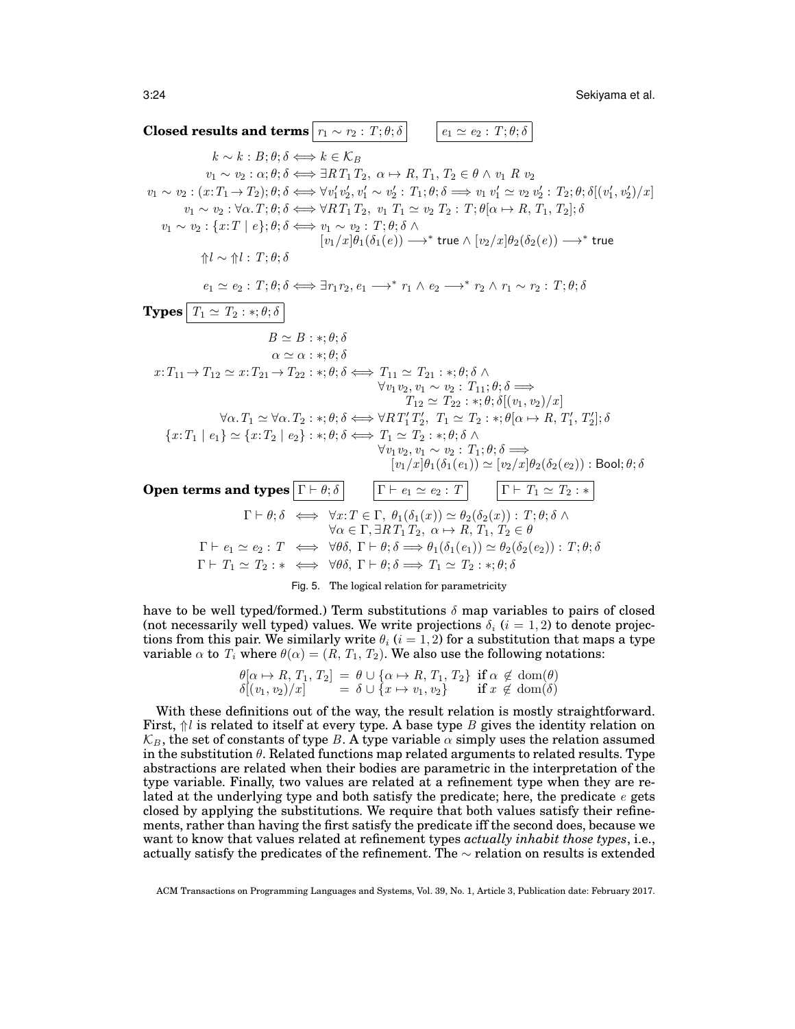3:24 Sekiyama et al.

**Closed results and terms**  $r_1 \sim r_2 : T; \theta; \delta$   $e_1 \simeq e_2 : T; \theta; \delta$  $k \sim k : B; \theta; \delta \Longleftrightarrow k \in \mathcal{K}_B$  $v_1 \sim v_2 : \alpha; \theta; \delta \Longleftrightarrow \exists RT_1T_2, \alpha \mapsto R, T_1, T_2 \in \theta \wedge v_1 R v_2$  $v_1 \sim v_2 : (x: T_1 \to T_2); \theta; \delta \Longleftrightarrow \forall v_1' v_2', v_1' \sim v_2' : T_1; \theta; \delta \Longrightarrow v_1 v_1' \simeq v_2 v_2' : T_2; \theta; \delta[(v_1', v_2')/x]$  $v_1 \sim v_2 : \forall \alpha, T; \theta; \delta \Longleftrightarrow \forall RT_1 T_2, v_1 T_1 \simeq v_2 T_2 : T; \theta[\alpha \mapsto R, T_1, T_2]; \delta$  $v_1 \sim v_2 : \{x : T \mid e\}; \theta; \delta \Longleftrightarrow v_1 \sim v_2 : T; \theta; \delta \land \phi$  $[v_1/x]\theta_1(\delta_1(e)) \longrightarrow^*$  true  $\wedge \, [v_2/x]\theta_2(\delta_2(e)) \longrightarrow^*$  true ⇑l ∼ ⇑l : T; θ; δ  $e_1 \simeq e_2 : T; \theta; \delta \Longleftrightarrow \exists r_1 r_2, e_1 \longrightarrow^* r_1 \wedge e_2 \longrightarrow^* r_2 \wedge r_1 \sim r_2 : T; \theta; \delta$ **Types**  $T_1 \simeq T_2 : *; \theta; \delta$  $B \simeq B : *, \theta; \delta$  $\alpha \simeq \alpha : *, \theta; \delta$  $x: T_{11} \rightarrow T_{12} \simeq x: T_{21} \rightarrow T_{22} : *, \theta; \delta \Longleftrightarrow T_{11} \simeq T_{21} : *, \theta; \delta \wedge \phi$  $\forall v_1v_2, v_1 \sim v_2 : T_{11}; \theta; \delta \Longrightarrow$  $T_{12} \simeq T_{22} : *, \theta; \delta[(v_1, v_2)/x]$  $\forall \alpha \ldotp T_1 \simeq \forall \alpha \ldotp T_2 : *; \theta; \delta \Longleftrightarrow \forall R \, T_1' \, T_2', \ T_1 \simeq T_2 : *; \theta[\alpha \mapsto R, T_1', T_2']; \delta$ 2,  $1 \leq 1 \leq \ldots$ ,  $\sigma[\alpha \mapsto n, 1], 1 \geq$  ${x:T_1 \mid e_1} \simeq {x:T_2 \mid e_2} : *, \theta; \delta \Longleftrightarrow T_1 \simeq T_2 : *, \theta; \delta \wedge$  $\forall v_1v_2, v_1 \sim v_2 : T_1; \theta; \delta \Longrightarrow$  $[v_{1}/x]\theta_{1}(\delta_{1}(e_{1}))\simeq[v_{2}/x]\theta_{2}(\delta_{2}(e_{2}))$  : Bool;  $\theta;\delta$ **Open terms and types**  $\boxed{\Gamma \vdash \theta; \delta}$   $\boxed{\Gamma \vdash e_1 \simeq e_2 : T}$   $\boxed{\Gamma \vdash T_1 \simeq T_2 : *}$  $\Gamma \vdash \theta; \delta \iff \forall x : T \in \Gamma, \ \theta_1(\delta_1(x)) \simeq \theta_2(\delta_2(x)) : T; \theta; \delta \wedge \Gamma$  $\forall \alpha \in \Gamma, \exists R T_1 T_2, \ \alpha \mapsto R, T_1, T_2 \in \theta$  $\Gamma \vdash e_1 \simeq e_2 : T \iff \forall \theta \delta, \Gamma \vdash \theta; \delta \Longrightarrow \theta_1(\delta_1(e_1)) \simeq \theta_2(\delta_2(e_2)) : T; \theta; \delta$  $\Gamma \vdash T_1 \simeq T_2 : * \iff \forall \theta \delta, \ \Gamma \vdash \theta; \delta \Longrightarrow T_1 \simeq T_2 : *; \theta; \delta$ 

<span id="page-23-0"></span>Fig. 5. The logical relation for parametricity

have to be well typed/formed.) Term substitutions  $\delta$  map variables to pairs of closed (not necessarily well typed) values. We write projections  $\delta_i$  (i = 1, 2) to denote projections from this pair. We similarly write  $\theta_i$  ( $i = 1, 2$ ) for a substitution that maps a type variable  $\alpha$  to  $T_i$  where  $\theta(\alpha) = (R, T_1, T_2)$ . We also use the following notations:

$$
\begin{array}{l}\n\theta[\alpha \mapsto R, T_1, T_2] = \theta \cup \{\alpha \mapsto R, T_1, T_2\} \text{ if } \alpha \notin \text{dom}(\theta) \\
\delta[(v_1, v_2)/x] = \delta \cup \{x \mapsto v_1, v_2\} \text{ if } x \notin \text{dom}(\delta)\n\end{array}
$$

With these definitions out of the way, the result relation is mostly straightforward. First,  $\hat{p}$ l is related to itself at every type. A base type B gives the identity relation on  $\mathcal{K}_B$ , the set of constants of type B. A type variable  $\alpha$  simply uses the relation assumed in the substitution  $\theta$ . Related functions map related arguments to related results. Type abstractions are related when their bodies are parametric in the interpretation of the type variable. Finally, two values are related at a refinement type when they are related at the underlying type and both satisfy the predicate; here, the predicate  $e$  gets closed by applying the substitutions. We require that both values satisfy their refinements, rather than having the first satisfy the predicate iff the second does, because we want to know that values related at refinement types *actually inhabit those types*, i.e., actually satisfy the predicates of the refinement. The  $\sim$  relation on results is extended

ACM Transactions on Programming Languages and Systems, Vol. 39, No. 1, Article 3, Publication date: February 2017.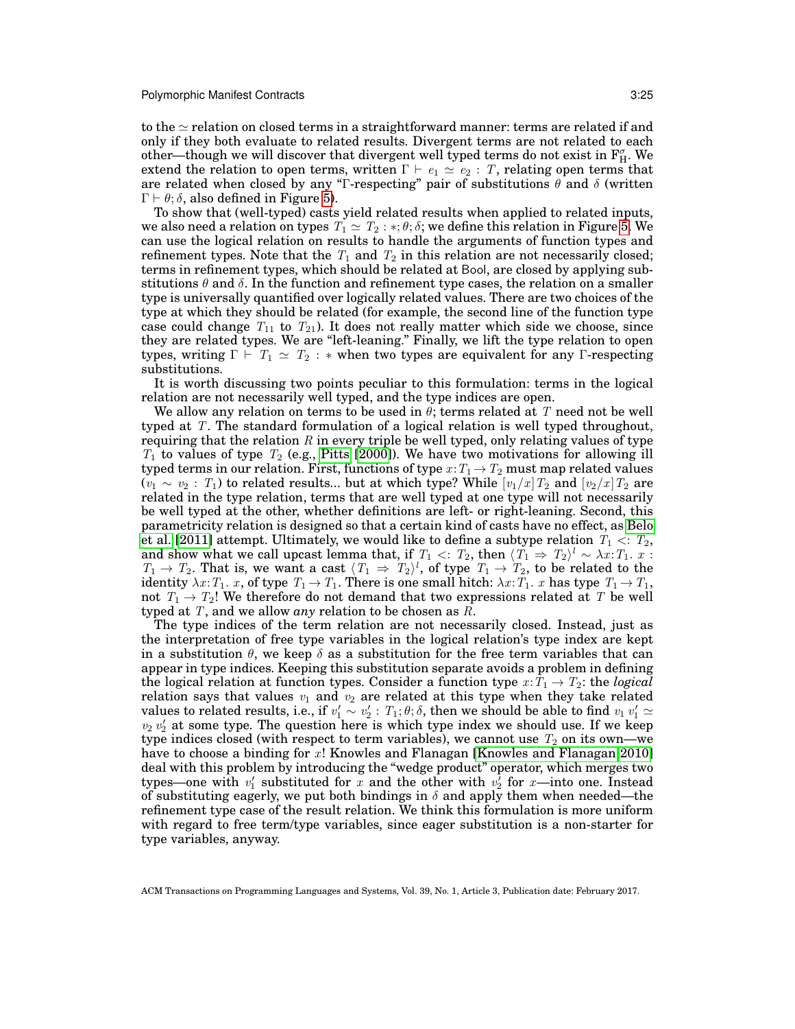to the  $\simeq$  relation on closed terms in a straightforward manner: terms are related if and only if they both evaluate to related results. Divergent terms are not related to each other—though we will discover that divergent well typed terms do not exist in  $\mathrm{F}_{\mathrm{H}}^{\sigma}$ . We extend the relation to open terms, written  $\Gamma \vdash e_1 \simeq e_2 : T$ , relating open terms that are related when closed by any "Γ-respecting" pair of substitutions  $\theta$  and  $\delta$  (written  $\Gamma \vdash \theta$ ; δ, also defined in Figure [5\)](#page-23-0).

To show that (well-typed) casts yield related results when applied to related inputs, we also need a relation on types  $T_1 \simeq T_2 : *, \theta; \delta$ ; we define this relation in Figure [5.](#page-23-0) We can use the logical relation on results to handle the arguments of function types and refinement types. Note that the  $T_1$  and  $T_2$  in this relation are not necessarily closed; terms in refinement types, which should be related at Bool, are closed by applying substitutions  $\theta$  and  $\delta$ . In the function and refinement type cases, the relation on a smaller type is universally quantified over logically related values. There are two choices of the type at which they should be related (for example, the second line of the function type case could change  $T_{11}$  to  $T_{21}$ ). It does not really matter which side we choose, since they are related types. We are "left-leaning." Finally, we lift the type relation to open types, writing  $\Gamma \vdash T_1 \simeq T_2 : *$  when two types are equivalent for any  $\Gamma$ -respecting substitutions.

It is worth discussing two points peculiar to this formulation: terms in the logical relation are not necessarily well typed, and the type indices are open.

We allow any relation on terms to be used in  $\theta$ ; terms related at T need not be well typed at T. The standard formulation of a logical relation is well typed throughout, requiring that the relation  $R$  in every triple be well typed, only relating values of type  $T_1$  to values of type  $T_2$  (e.g., [Pitts](#page-35-7) [\[2000\]](#page-35-7)). We have two motivations for allowing ill typed terms in our relation. First, functions of type  $x: T_1 \to T_2$  must map related values  $(v_1 \sim v_2 : T_1)$  to related results... but at which type? While  $[v_1/x]T_2$  and  $[v_2/x]T_2$  are related in the type relation, terms that are well typed at one type will not necessarily be well typed at the other, whether definitions are left- or right-leaning. Second, this parametricity relation is designed so that a certain kind of casts have no effect, as [Belo](#page-33-0) [et al.](#page-33-0) [\[2011\]](#page-33-0) attempt. Ultimately, we would like to define a subtype relation  $T_1 < r_2$ , and show what we call upcast lemma that, if  $T_1<: T_2,$  then  $\langle T_1\Rightarrow T_2\rangle^l\sim \lambda x{:}T_1.$   $x:$  $T_1 \rightarrow T_2$ . That is, we want a cast  $\langle T_1 \Rightarrow T_2 \rangle^l$ , of type  $T_1 \rightarrow T_2$ , to be related to the identity  $\lambda x$ :  $T_1$ .  $x$ , of type  $T_1 \rightarrow T_1$ . There is one small hitch:  $\lambda x$ :  $T_1$ .  $x$  has type  $T_1 \rightarrow T_1$ , not  $T_1 \rightarrow T_2!$ ! We therefore do not demand that two expressions related at T be well typed at T, and we allow *any* relation to be chosen as R.

The type indices of the term relation are not necessarily closed. Instead, just as the interpretation of free type variables in the logical relation's type index are kept in a substitution  $\theta$ , we keep  $\delta$  as a substitution for the free term variables that can appear in type indices. Keeping this substitution separate avoids a problem in defining the logical relation at function types. Consider a function type  $x: T_1 \to T_2$ : the *logical* relation says that values  $v_1$  and  $v_2$  are related at this type when they take related values to related results, i.e., if  $v'_1 \sim v'_2$ :  $T_1$ ;  $\theta$ ;  $\delta$ , then we should be able to find  $v_1$   $v'_1 \simeq v_2$   $v'_2$  at some type. The question here is which type index we should use. If we keep type indices closed (with respect to term variables), we cannot use  $T_2$  on its own—we have to choose a binding for x! Knowles and Flanagan [\[Knowles and Flanagan 2010\]](#page-34-7) deal with this problem by introducing the "wedge product" operator, which merges two types—one with  $v'_1$  substituted for x and the other with  $v'_2$  for x—into one. Instead of substituting eagerly, we put both bindings in  $\delta$  and apply them when needed—the refinement type case of the result relation. We think this formulation is more uniform with regard to free term/type variables, since eager substitution is a non-starter for type variables, anyway.

<span id="page-24-0"></span>ACM Transactions on Programming Languages and Systems, Vol. 39, No. 1, Article 3, Publication date: February 2017.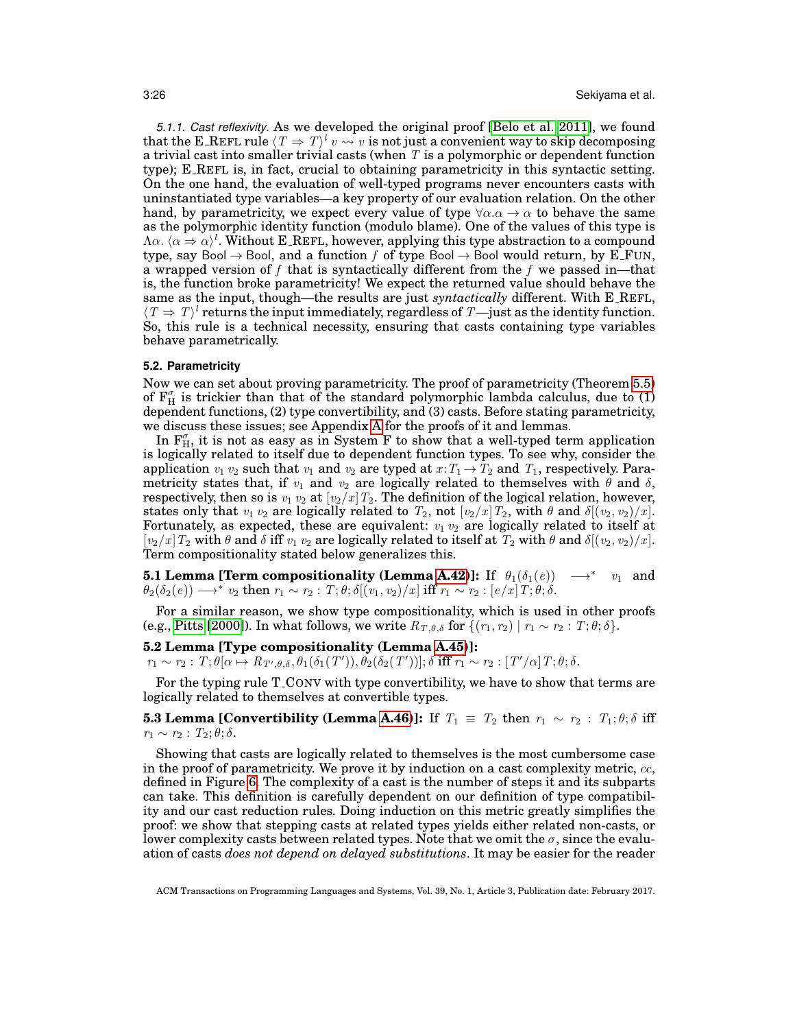*5.1.1. Cast reflexivity.* As we developed the original proof [\[Belo et al. 2011\]](#page-33-0), we found that the E\_REFL rule  $\langle T \Rightarrow T \rangle^l v \rightsquigarrow v$  is not just a convenient way to skip decomposing a trivial cast into smaller trivial casts (when  $T$  is a polymorphic or dependent function type); E REFL is, in fact, crucial to obtaining parametricity in this syntactic setting. On the one hand, the evaluation of well-typed programs never encounters casts with uninstantiated type variables—a key property of our evaluation relation. On the other hand, by parametricity, we expect every value of type  $\forall \alpha \cdot \alpha \rightarrow \alpha$  to behave the same as the polymorphic identity function (modulo blame). One of the values of this type is  $\Lambda \alpha$ .  $\langle \alpha \Rightarrow \alpha \rangle^l$ . Without E\_REFL, however, applying this type abstraction to a compound type, say Bool  $\rightarrow$  Bool, and a function f of type Bool  $\rightarrow$  Bool would return, by E\_FUN, a wrapped version of f that is syntactically different from the f we passed in—that is, the function broke parametricity! We expect the returned value should behave the same as the input, though—the results are just *syntactically* different. With E REFL,  $\langle T \Rightarrow T \rangle^l$  returns the input immediately, regardless of T—just as the identity function. So, this rule is a technical necessity, ensuring that casts containing type variables behave parametrically.

#### <span id="page-25-0"></span>**5.2. Parametricity**

Now we can set about proving parametricity. The proof of parametricity (Theorem [5.5\)](#page-26-1) of  $F_H^{\sigma}$  is trickier than that of the standard polymorphic lambda calculus, due to (1) dependent functions, (2) type convertibility, and (3) casts. Before stating parametricity, we discuss these issues; see Appendix [A](#page-36-1) for the proofs of it and lemmas.

In  $F_{H}^{\sigma}$ , it is not as easy as in System F to show that a well-typed term application is logically related to itself due to dependent function types. To see why, consider the application  $v_1$   $v_2$  such that  $v_1$  and  $v_2$  are typed at  $x: T_1 \to T_2$  and  $T_1$ , respectively. Parametricity states that, if  $v_1$  and  $v_2$  are logically related to themselves with  $\theta$  and  $\delta$ , respectively, then so is  $v_1$   $v_2$  at  $[v_2/x]T_2$ . The definition of the logical relation, however, states only that  $v_1 v_2$  are logically related to  $T_2$ , not  $[v_2/x]T_2$ , with  $\theta$  and  $\delta[(v_2, v_2)/x]$ . Fortunately, as expected, these are equivalent:  $v_1 v_2$  are logically related to itself at  $[v_2/x]T_2$  with  $\theta$  and  $\delta$  iff  $v_1 v_2$  are logically related to itself at  $T_2$  with  $\theta$  and  $\delta[(v_2, v_2)/x]$ . Term compositionality stated below generalizes this.

<span id="page-25-1"></span>**5.1 Lemma [Term compositionality (Lemma [A.42\)](#page-53-0)]:** If  $\theta_1(\delta_1(e)) \rightarrow^* v_1$  and  $\theta_2(\delta_2(e)) \longrightarrow^* v_2 \text{ then } r_1 \sim r_2 : T; \theta; \delta[(v_1,v_2)/x] \text{ iff } r_1 \sim r_2 : [e/x] \, T; \theta; \delta.$ 

For a similar reason, we show type compositionality, which is used in other proofs (e.g., [Pitts](#page-35-7) [\[2000\]](#page-35-7)). In what follows, we write  $R_{T,\theta,\delta}$  for  $\{(r_1, r_2) | r_1 \sim r_2 : T; \theta; \delta\}.$ 

## <span id="page-25-2"></span>**5.2 Lemma [Type compositionality (Lemma [A.45\)](#page-53-1)]:**

 $r_1 \sim r_2 : \, T; \theta[\alpha \mapsto R_{\,T',\theta,\delta},\theta_1(\delta_1(T')), \theta_2(\delta_2(T'))]; \delta \text{ iff } r_1 \sim r_2 : [ \, T'/\alpha ] \, T; \theta; \delta.$ 

<span id="page-25-3"></span>For the typing rule T CONV with type convertibility, we have to show that terms are logically related to themselves at convertible types.

**5.3 Lemma [Convertibility (Lemma [A.46\)](#page-54-0)]:** If  $T_1 \equiv T_2$  then  $r_1 \sim r_2$ :  $T_1$ ;  $\theta$ ;  $\delta$  iff  $r_1 \sim r_2$ :  $T_2$ ;  $\theta$ ;  $\delta$ .

Showing that casts are logically related to themselves is the most cumbersome case in the proof of parametricity. We prove it by induction on a cast complexity metric,  $cc$ , defined in Figure [6.](#page-26-2) The complexity of a cast is the number of steps it and its subparts can take. This definition is carefully dependent on our definition of type compatibility and our cast reduction rules. Doing induction on this metric greatly simplifies the proof: we show that stepping casts at related types yields either related non-casts, or lower complexity casts between related types. Note that we omit the  $\sigma$ , since the evaluation of casts *does not depend on delayed substitutions*. It may be easier for the reader

ACM Transactions on Programming Languages and Systems, Vol. 39, No. 1, Article 3, Publication date: February 2017.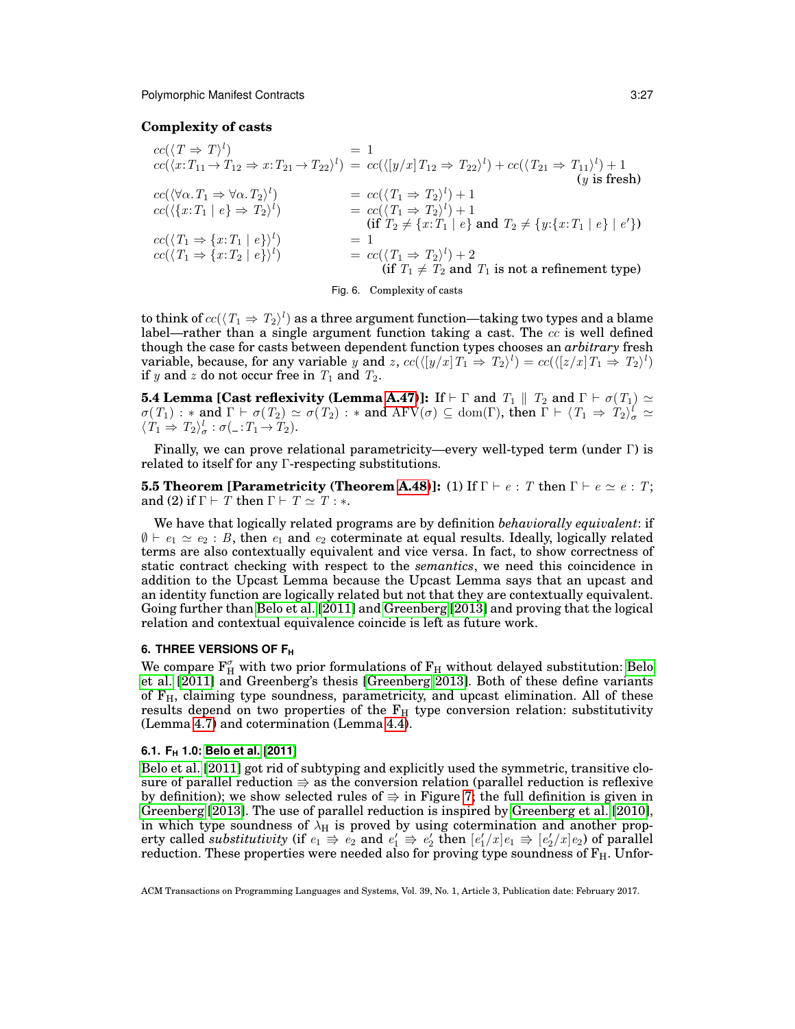# **Complexity of casts**

$$
cc(\langle T \Rightarrow T \rangle^{l}) = 1
$$
  
\n
$$
cc(\langle x: T_{11} \rightarrow T_{12} \Rightarrow x: T_{21} \rightarrow T_{22} \rangle^{l}) = cc(\langle [y/x] T_{12} \Rightarrow T_{22} \rangle^{l}) + cc(\langle T_{21} \Rightarrow T_{11} \rangle^{l}) + 1
$$
  
\n
$$
cc(\langle \forall \alpha. T_{1} \Rightarrow \forall \alpha. T_{2} \rangle^{l}) = cc(\langle T_{1} \Rightarrow T_{2} \rangle^{l}) + 1
$$
  
\n
$$
cc(\langle \{x: T_{1} \mid e\} \Rightarrow T_{2} \rangle^{l}) = cc(\langle T_{1} \Rightarrow T_{2} \rangle^{l}) + 1
$$
  
\n
$$
cc(\langle T_{1} \Rightarrow \{x: T_{1} \mid e\} \rangle^{l}) = 1
$$
  
\n
$$
cc(\langle T_{1} \Rightarrow \{x: T_{2} \mid e\} \rangle^{l}) = 1
$$
  
\n
$$
cc(\langle T_{1} \Rightarrow \{x: T_{2} \mid e\} \rangle^{l}) = cc(\langle T_{1} \Rightarrow T_{2} \rangle^{l}) + 2
$$
  
\n
$$
(if T_{1} \neq T_{2} and T_{1} is not a refinement type)
$$

<span id="page-26-2"></span><span id="page-26-1"></span>Fig. 6. Complexity of casts

to think of  $cc(\langle T_1 \Rightarrow T_2 \rangle^l)$  as a three argument function—taking two types and a blame label—rather than a single argument function taking a cast. The  $cc$  is well defined though the case for casts between dependent function types chooses an *arbitrary* fresh variable, because, for any variable y and z,  $cc(\langle [y/x]T_1 \Rightarrow T_2 \rangle^l) = cc(\langle [z/x]T_1 \Rightarrow T_2 \rangle^l)$ if y and z do not occur free in  $T_1$  and  $T_2$ .

<span id="page-26-4"></span>**5.4 Lemma [Cast reflexivity (Lemma [A.47\)](#page-55-0)]:** If  $\vdash \Gamma$  and  $T_1 \parallel T_2$  and  $\Gamma \vdash \sigma(T_1) \simeq$  $\sigma(T_1) : *$  and  $\Gamma \vdash \sigma(T_2) \simeq \sigma(T_2) : *$  and  $\mathrm{AFV}(\sigma) \subseteq \mathrm{dom}(\Gamma)$ , then  $\Gamma \vdash \langle T_1 \Rightarrow T_2 \rangle_{\sigma}^l \simeq$  $\langle T_1 \Rightarrow T_2 \rangle_{\sigma}^l : \sigma( \_ : T_1 \rightarrow T_2).$ 

Finally, we can prove relational parametricity—every well-typed term (under Γ) is related to itself for any Γ-respecting substitutions.

**5.5 Theorem [Parametricity (Theorem [A.48\)](#page-55-1)]: (1) If**  $\Gamma \vdash e : T$  **then**  $\Gamma \vdash e \simeq e : T$ **;** and (2) if  $\Gamma \vdash T$  then  $\Gamma \vdash T \simeq T : *$ .

We have that logically related programs are by definition *behaviorally equivalent*: if  $\emptyset \vdash e_1 \simeq e_2 : B$ , then  $e_1$  and  $e_2$  coterminate at equal results. Ideally, logically related terms are also contextually equivalent and vice versa. In fact, to show correctness of static contract checking with respect to the *semantics*, we need this coincidence in addition to the Upcast Lemma because the Upcast Lemma says that an upcast and an identity function are logically related but not that they are contextually equivalent. Going further than [Belo et al.](#page-33-0) [\[2011\]](#page-33-0) and [Greenberg](#page-34-1) [\[2013\]](#page-34-1) and proving that the logical relation and contextual equivalence coincide is left as future work.

### <span id="page-26-0"></span>**6. THREE VERSIONS OF F<sup>H</sup>**

We compare  $\mathbf{F}_{\mathrm{H}}^{\sigma}$  with two prior formulations of  $\mathbf{F}_{\mathrm{H}}$  without delayed substitution: [Belo](#page-33-0) [et al.](#page-33-0) [\[2011\]](#page-33-0) and Greenberg's thesis [\[Greenberg 2013\]](#page-34-1). Both of these define variants of  $F_H$ , claiming type soundness, parametricity, and upcast elimination. All of these results depend on two properties of the  $F_H$  type conversion relation: substitutivity (Lemma [4.7\)](#page-21-1) and cotermination (Lemma [4.4\)](#page-20-2).

## <span id="page-26-3"></span>**6.1. F<sup>H</sup> 1.0: [Belo et al.](#page-33-0) [\[2011\]](#page-33-0)**

[Belo et al.](#page-33-0) [\[2011\]](#page-33-0) got rid of subtyping and explicitly used the symmetric, transitive closure of parallel reduction  $\Rightarrow$  as the conversion relation (parallel reduction is reflexive by definition); we show selected rules of  $\Rightarrow$  in Figure [7;](#page-27-0) the full definition is given in [Greenberg](#page-34-1) [\[2013\]](#page-34-1). The use of parallel reduction is inspired by [Greenberg et al.](#page-34-2) [\[2010\]](#page-34-2), in which type soundness of  $\lambda_H$  is proved by using cotermination and another property called *substitutivity* (if  $e_1 \Rightarrow e_2$  and  $e'_1 \Rightarrow e'_2$  then  $[e'_1/x]e_1 \Rightarrow [e'_2/x]e_2$ ) of parallel reduction. These properties were needed also for proving type soundness of  $F_H$ . Unfor-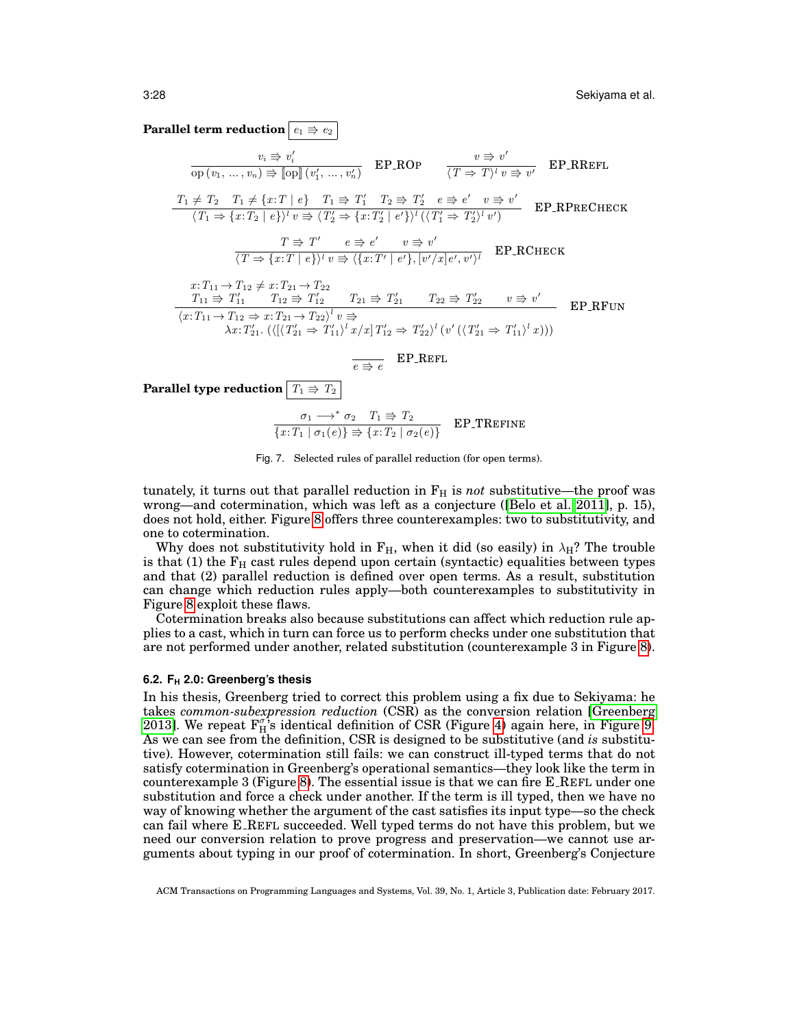**Parallel term reduction**  $e_1 \Rightarrow e_2$ 

$$
v_i \Rightarrow v_i'
$$
  
\n
$$
\overline{op(v_1, ..., v_n)} \Rightarrow \overline{[op]}(v_1', ..., v_n')
$$
  
\n
$$
\overline{EPROP}
$$
  
\n
$$
\overline{p} \Rightarrow v'
$$
  
\n
$$
\overline{p} \Rightarrow v'
$$
  
\n
$$
\overline{p} \Rightarrow v'
$$
  
\n
$$
\overline{p} \Rightarrow v'
$$
  
\n
$$
\overline{p} \Rightarrow \overline{p} \Rightarrow \overline{p} \Rightarrow \overline{p} \Rightarrow v'
$$
  
\n
$$
\overline{p} \Rightarrow \overline{p} \Rightarrow \overline{p} \Rightarrow \overline{p} \Rightarrow \overline{p} \Rightarrow \overline{p} \Rightarrow \overline{p} \Rightarrow \overline{p} \Rightarrow \overline{p} \Rightarrow \overline{p} \Rightarrow \overline{p} \Rightarrow \overline{p} \Rightarrow \overline{p} \Rightarrow \overline{p} \Rightarrow \overline{p} \Rightarrow \overline{p} \Rightarrow \overline{p} \Rightarrow \overline{p} \Rightarrow \overline{p} \Rightarrow \overline{p} \Rightarrow \overline{p} \Rightarrow \overline{p} \Rightarrow \overline{p} \Rightarrow \overline{p} \Rightarrow \overline{p} \Rightarrow \overline{p} \Rightarrow \overline{p} \Rightarrow \overline{p} \Rightarrow \overline{p} \Rightarrow \overline{p} \Rightarrow \overline{p} \Rightarrow \overline{p} \Rightarrow \overline{p} \Rightarrow \overline{p} \Rightarrow \overline{p} \Rightarrow \overline{p} \Rightarrow \overline{p} \Rightarrow \overline{p} \Rightarrow \overline{p} \Rightarrow \overline{p} \Rightarrow \overline{p} \Rightarrow \overline{p} \Rightarrow \overline{p} \Rightarrow \overline{p} \Rightarrow \overline{p} \Rightarrow \overline{p} \Rightarrow \overline{p} \Rightarrow \overline{p} \Rightarrow \overline{p} \Rightarrow \overline{p} \Rightarrow \overline{p} \Rightarrow \overline{p} \Rightarrow \overline{p} \Rightarrow \overline{p} \Rightarrow \overline{p} \Rightarrow \overline{p} \Rightarrow \overline{p} \Rightarrow \overline{p} \Rightarrow \overline{p} \Rightarrow \overline{p} \Rightarrow \overline{p} \Rightarrow \overline{p} \Rightarrow \overline{p} \Rightarrow \overline{p} \Rightarrow \overline{p} \Rightarrow \overline{p} \Rightarrow \overline{p} \Rightarrow \overline{p} \Rightarrow \overline{p} \Rightarrow \overline{p} \
$$

**Parallel type reduction**  $T_1 \Rightarrow T_2$ 

<span id="page-27-0"></span>
$$
\frac{\sigma_1 \longrightarrow^* \sigma_2 \quad T_1 \Rrightarrow T_2}{\{x: T_1 \mid \sigma_1(e)\} \Rrightarrow \{x: T_2 \mid \sigma_2(e)\}}
$$
 EP-TREFINE



tunately, it turns out that parallel reduction in  $F_H$  is *not* substitutive—the proof was wrong—and cotermination, which was left as a conjecture ([\[Belo et al. 2011\]](#page-33-0), p. 15), does not hold, either. Figure [8](#page-28-0) offers three counterexamples: two to substitutivity, and one to cotermination.

Why does not substitutivity hold in  $F_H$ , when it did (so easily) in  $\lambda_H$ ? The trouble is that (1) the  $F_H$  cast rules depend upon certain (syntactic) equalities between types and that (2) parallel reduction is defined over open terms. As a result, substitution can change which reduction rules apply—both counterexamples to substitutivity in Figure [8](#page-28-0) exploit these flaws.

Cotermination breaks also because substitutions can affect which reduction rule applies to a cast, which in turn can force us to perform checks under one substitution that are not performed under another, related substitution (counterexample 3 in Figure [8\)](#page-28-0).

### **6.2. F<sup>H</sup> 2.0: Greenberg's thesis**

In his thesis, Greenberg tried to correct this problem using a fix due to Sekiyama: he takes *common-subexpression reduction* (CSR) as the conversion relation [\[Greenberg](#page-34-1) [2013\]](#page-34-1). We repeat  $F_{H}^{\sigma}$ s identical definition of CSR (Figure [4\)](#page-19-0) again here, in Figure [9.](#page-28-1) As we can see from the definition, CSR is designed to be substitutive (and *is* substitutive). However, cotermination still fails: we can construct ill-typed terms that do not satisfy cotermination in Greenberg's operational semantics—they look like the term in counterexample 3 (Figure [8\)](#page-28-0). The essential issue is that we can fire E REFL under one substitution and force a check under another. If the term is ill typed, then we have no way of knowing whether the argument of the cast satisfies its input type—so the check can fail where E REFL succeeded. Well typed terms do not have this problem, but we need our conversion relation to prove progress and preservation—we cannot use arguments about typing in our proof of cotermination. In short, Greenberg's Conjecture

ACM Transactions on Programming Languages and Systems, Vol. 39, No. 1, Article 3, Publication date: February 2017.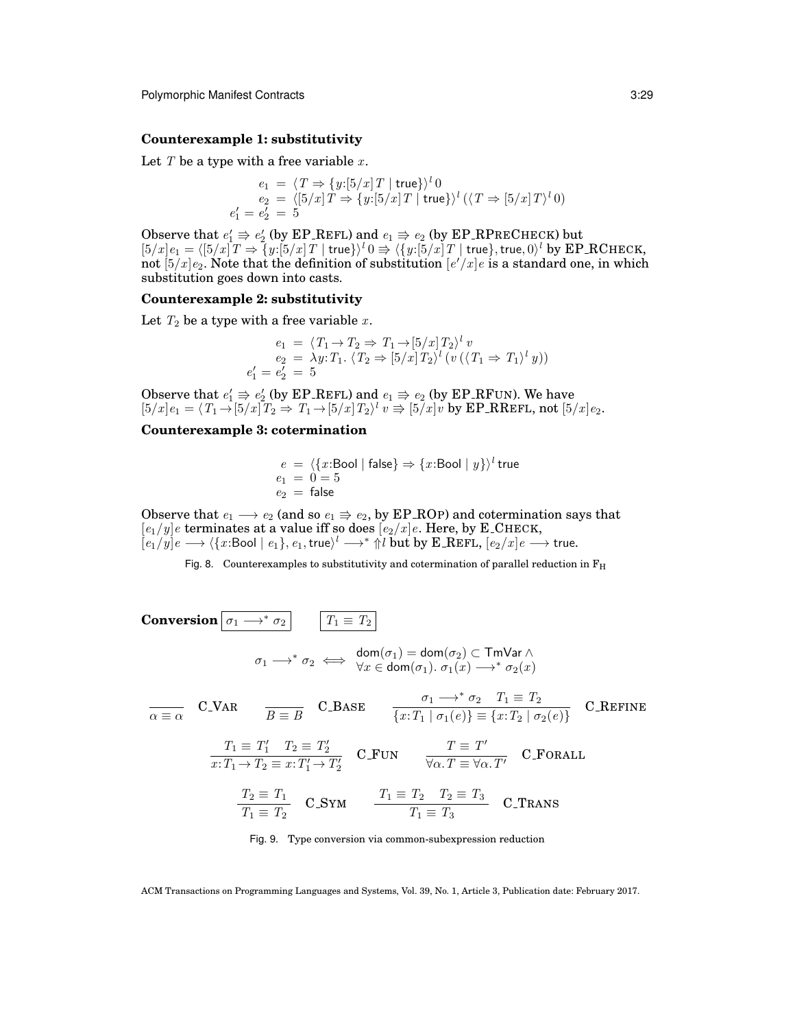#### **Counterexample 1: substitutivity**

Let  $T$  be a type with a free variable  $x$ .

$$
e_1 = \langle T \Rightarrow \{y:[5/x]T \mid \text{true}\}\rangle^l 0
$$
  
\n
$$
e_2 = \langle [5/x]T \Rightarrow \{y:[5/x]T \mid \text{true}\}\rangle^l (\langle T \Rightarrow [5/x]T \rangle^l 0)
$$
  
\n
$$
e'_1 = e'_2 = 5
$$

Observe that  $e'_1 \Rightarrow e'_2$  (by EP REFL) and  $e_1 \Rightarrow e_2$  (by EP RPRECHECK) but  $[5/x]e_1=\langle [5/x]T\Rightarrow \overline{\{y:[5/x] \: T \mid \mathsf{true}\}}\rangle^l \: 0 \Rightarrow \langle \{y{:}[\overline{5}/x] \: T \mid \mathsf{true}\},\mathsf{true}, 0\rangle^l \ \mathsf{by} \ \mathbf{EP\_RCHECK},$ not  $[5/x]$   $e_2$ . Note that the definition of substitution  $[e'/x]e$  is a standard one, in which substitution goes down into casts.

## **Counterexample 2: substitutivity**

Let  $T_2$  be a type with a free variable x.

$$
e_1 = \langle T_1 \rightarrow T_2 \Rightarrow T_1 \rightarrow [5/x] T_2 \rangle^l v
$$
  
\n
$$
e_2 = \lambda y : T_1. \langle T_2 \Rightarrow [5/x] T_2 \rangle^l (v (\langle T_1 \Rightarrow T_1 \rangle^l y))
$$
  
\n
$$
e'_1 = e'_2 = 5
$$

Observe that  $e'_1 \Rightarrow e'_2$  (by EP\_REFL) and  $e_1 \Rightarrow e_2$  (by EP\_RFUN). We have  $[5/x]e_1 = \langle T_1 \rightarrow [5/x]T_2 \Rightarrow T_1 \rightarrow [5/x]T_2 \rangle^l v \Rightarrow [5/x]v$  by EP\_RREFL, not  $[5/x]e_2$ .

# **Counterexample 3: cotermination**

$$
\begin{array}{l} e\ =\ \langle \{x\text{:Bool}\mid \mathsf{false}\}\Rightarrow \{x\text{:Bool}\mid y\}\rangle^l \ \mathsf{true} \\ e_1\ =\ 0=5 \\ e_2\ =\ \mathsf{false} \end{array}
$$

Observe that  $e_1 \longrightarrow e_2$  (and so  $e_1 \rightrightarrows e_2$ , by EP\_ROP) and cotermination says that  $[e_1/y]$ e terminates at a value iff so does  $[e_2/x]$ e. Here, by E\_CHECK,  $[e_1/y] e \longrightarrow \langle \{x{:} \textsf{Bool} \mid e_1\}, e_1, \textsf{true} \rangle^l \longrightarrow^* \Uparrow l \textsf{ but } \textsf{by E\_REF}_\flat, [e_2/x] e \longrightarrow \textsf{true}.$ 

<span id="page-28-0"></span>Fig. 8. Counterexamples to substitutivity and cotermination of parallel reduction in  $F_H$ 

**Conversion**  $\boxed{\sigma_1 \longrightarrow^* \sigma_2}$   $\boxed{T_1 \equiv T_2}$  $\sigma_1 \longrightarrow^* \sigma_2 \iff \begin{array}{c} \mathsf{dom}(\sigma_1) = \mathsf{dom}(\sigma_2) \subset \mathsf{TmVar} \land \\ \forall x \in \mathsf{dom}(\sigma_1) \quad \sigma_1(x) \longrightarrow^* \sigma_2(x) \end{array}$  $\forall x \in \textsf{dom}(\sigma_1) \ldotp \sigma_1(x) \longrightarrow^* \sigma_2(x)$  $\overline{\alpha \equiv \alpha}$  C\_VAR  $\overline{B \equiv B}$  C\_BASE  $\overline{\{x:T_1 \mid \sigma_1(e)\} \equiv \{x:T_2 \mid \sigma_2\}}$  $\overline{\{x: T_1 \mid \sigma_1(e)\}\equiv \{x: T_2 \mid \sigma_2(e)\}}$  C\_REFINE  $T_1 \equiv T_1'$   $T_2 \equiv T_2'$  $x: T_1 \to T_2 \equiv x: T_1' \to T_2'$  $C_FUN$   $T \equiv T'$  $\frac{1}{\forall \alpha \cdot T} = \forall \alpha \cdot T'$  C\_FORALL  $T_2 \equiv T_1$  $T_2 \equiv T_1$ <br>  $T_1 \equiv T_2$  C\_SYM  $T_1 \equiv T_2$   $T_2 \equiv T_3$ <br>  $T_1 \equiv T_3$  $T_1 \equiv T_3$  C\_TRANS

<span id="page-28-1"></span>Fig. 9. Type conversion via common-subexpression reduction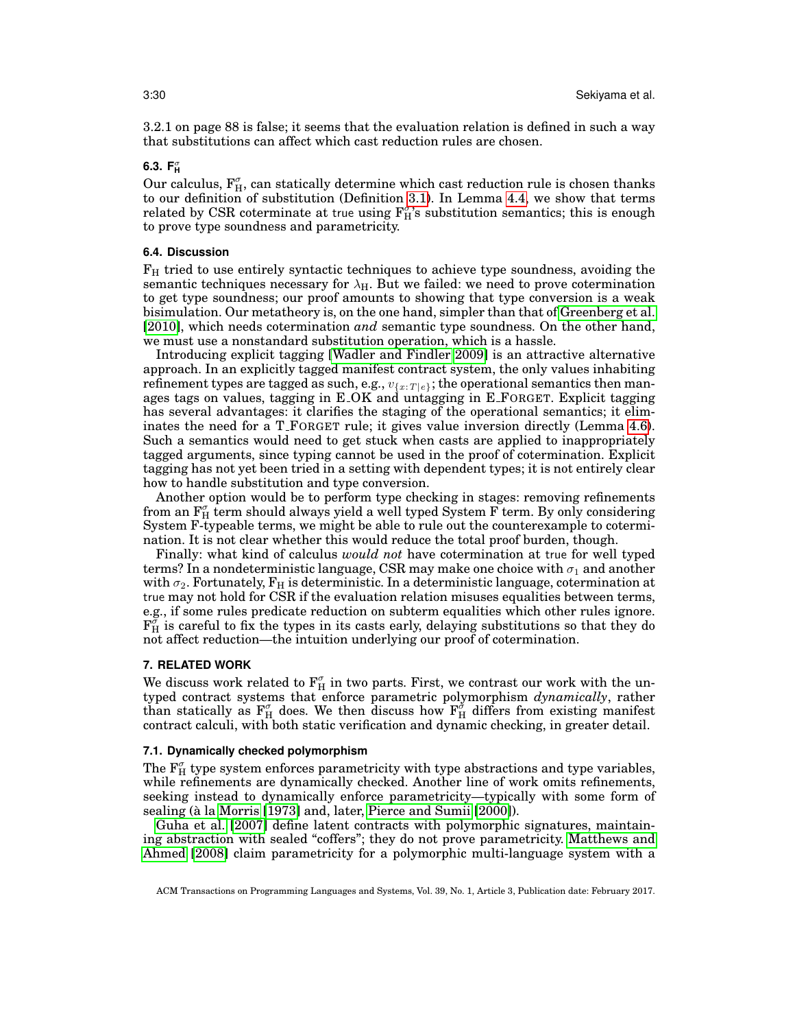3.2.1 on page 88 is false; it seems that the evaluation relation is defined in such a way that substitutions can affect which cast reduction rules are chosen.

# **6.3. F**<sup>σ</sup> **H**

Our calculus,  $F_{H}^{\sigma}$ , can statically determine which cast reduction rule is chosen thanks to our definition of substitution (Definition [3.1\)](#page-13-0). In Lemma [4.4,](#page-20-2) we show that terms related by CSR coterminate at true using  $F^{\sigma}_H$ 's substitution semantics; this is enough to prove type soundness and parametricity.

#### **6.4. Discussion**

 $F_H$  tried to use entirely syntactic techniques to achieve type soundness, avoiding the semantic techniques necessary for  $\lambda_H$ . But we failed: we need to prove cotermination to get type soundness; our proof amounts to showing that type conversion is a weak bisimulation. Our metatheory is, on the one hand, simpler than that of [Greenberg et al.](#page-34-2) [\[2010\]](#page-34-2), which needs cotermination *and* semantic type soundness. On the other hand, we must use a nonstandard substitution operation, which is a hassle.

Introducing explicit tagging [\[Wadler and Findler 2009\]](#page-35-3) is an attractive alternative approach. In an explicitly tagged manifest contract system, the only values inhabiting refinement types are tagged as such, e.g.,  $v_{\{x:T|e\}}$ ; the operational semantics then manages tags on values, tagging in E OK and untagging in E FORGET. Explicit tagging has several advantages: it clarifies the staging of the operational semantics; it eliminates the need for a T FORGET rule; it gives value inversion directly (Lemma [4.6\)](#page-21-0). Such a semantics would need to get stuck when casts are applied to inappropriately tagged arguments, since typing cannot be used in the proof of cotermination. Explicit tagging has not yet been tried in a setting with dependent types; it is not entirely clear how to handle substitution and type conversion.

Another option would be to perform type checking in stages: removing refinements from an  $F_{H}^{\sigma}$  term should always yield a well typed System F term. By only considering System F-typeable terms, we might be able to rule out the counterexample to cotermination. It is not clear whether this would reduce the total proof burden, though.

Finally: what kind of calculus *would not* have cotermination at true for well typed terms? In a nondeterministic language, CSR may make one choice with  $\sigma_1$  and another with  $\sigma_2$ . Fortunately,  $F_H$  is deterministic. In a deterministic language, cotermination at true may not hold for CSR if the evaluation relation misuses equalities between terms, e.g., if some rules predicate reduction on subterm equalities which other rules ignore.  $F_H^{\sigma}$  is careful to fix the types in its casts early, delaying substitutions so that they do not affect reduction—the intuition underlying our proof of cotermination.

#### <span id="page-29-0"></span>**7. RELATED WORK**

We discuss work related to  $\mathbf{F}_{\textrm{H}}^{\sigma}$  in two parts. First, we contrast our work with the untyped contract systems that enforce parametric polymorphism *dynamically*, rather than statically as  $F_{H}^{\sigma}$  does. We then discuss how  $F_{H}^{\sigma}$  differs from existing manifest contract calculi, with both static verification and dynamic checking, in greater detail.

#### **7.1. Dynamically checked polymorphism**

The  $\mathrm{F}^\sigma_\mathrm{H}$  type system enforces parametricity with type abstractions and type variables, while refinements are dynamically checked. Another line of work omits refinements, seeking instead to dynamically enforce parametricity—typically with some form of sealing (à la [Morris](#page-35-8) [\[1973\]](#page-35-8) and, later, [Pierce and Sumii](#page-35-9) [\[2000\]](#page-35-9)).

[Guha et al.](#page-34-14) [\[2007\]](#page-34-14) define latent contracts with polymorphic signatures, maintaining abstraction with sealed "coffers"; they do not prove parametricity. [Matthews and](#page-35-1) [Ahmed](#page-35-1) [\[2008\]](#page-35-1) claim parametricity for a polymorphic multi-language system with a

ACM Transactions on Programming Languages and Systems, Vol. 39, No. 1, Article 3, Publication date: February 2017.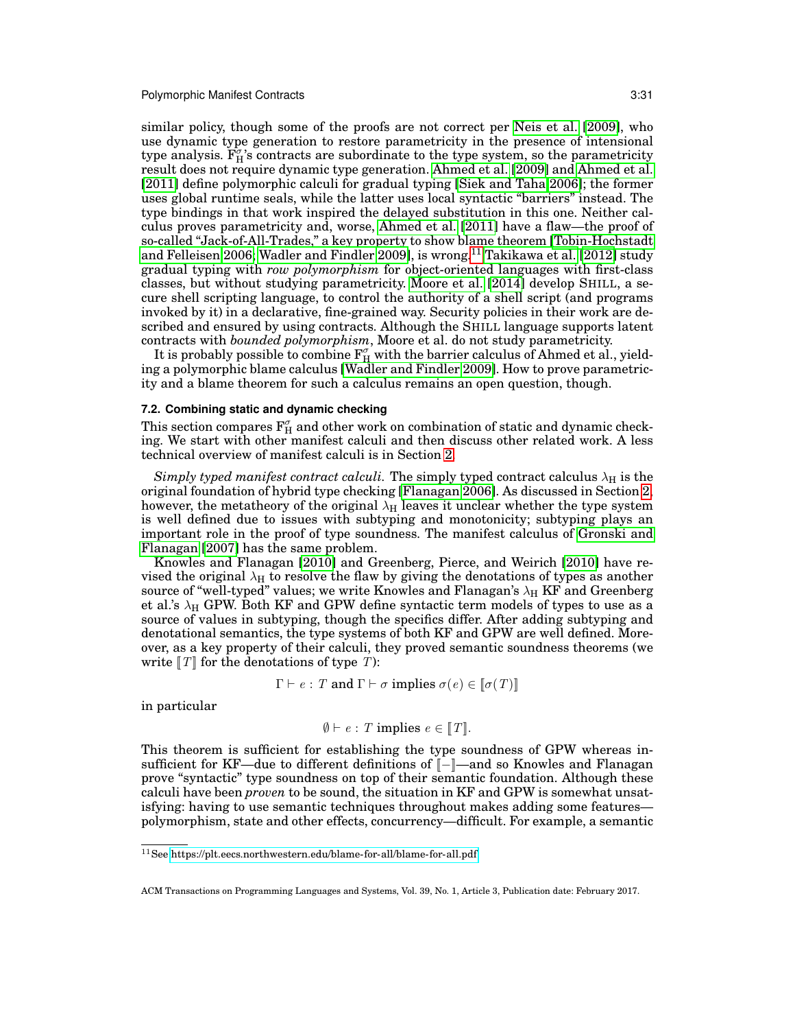similar policy, though some of the proofs are not correct per [Neis et al.](#page-35-10) [\[2009\]](#page-35-10), who use dynamic type generation to restore parametricity in the presence of intensional type analysis.  $\mathbf{F}_{\mathrm{H}}^{\sigma}$ 's contracts are subordinate to the type system, so the parametricity result does not require dynamic type generation. [Ahmed et al.](#page-33-7) [\[2009\]](#page-33-7) and [Ahmed et al.](#page-33-4) [\[2011\]](#page-33-4) define polymorphic calculi for gradual typing [\[Siek and Taha 2006\]](#page-35-11); the former uses global runtime seals, while the latter uses local syntactic "barriers" instead. The type bindings in that work inspired the delayed substitution in this one. Neither calculus proves parametricity and, worse, [Ahmed et al.](#page-33-4) [\[2011\]](#page-33-4) have a flaw—the proof of so-called "Jack-of-All-Trades," a key property to show blame theorem [\[Tobin-Hochstadt](#page-35-12) [and Felleisen 2006;](#page-35-12) [Wadler and Findler 2009\]](#page-35-3), is wrong.<sup>[11](#page-30-1)</sup> [Takikawa et al.](#page-35-13) [\[2012\]](#page-35-13) study gradual typing with *row polymorphism* for object-oriented languages with first-class classes, but without studying parametricity. [Moore et al.](#page-35-14) [\[2014\]](#page-35-14) develop SHILL, a secure shell scripting language, to control the authority of a shell script (and programs invoked by it) in a declarative, fine-grained way. Security policies in their work are described and ensured by using contracts. Although the SHILL language supports latent contracts with *bounded polymorphism*, Moore et al. do not study parametricity.

It is probably possible to combine  $\mathrm{F}^\sigma_\mathrm{H}$  with the barrier calculus of Ahmed et al., yielding a polymorphic blame calculus [\[Wadler and Findler 2009\]](#page-35-3). How to prove parametricity and a blame theorem for such a calculus remains an open question, though.

### <span id="page-30-0"></span>**7.2. Combining static and dynamic checking**

This section compares  $\mathrm{F}_{\mathrm{H}}^{\sigma}$  and other work on combination of static and dynamic checking. We start with other manifest calculi and then discuss other related work. A less technical overview of manifest calculi is in Section [2.](#page-4-0)

*Simply typed manifest contract calculi*. The simply typed contract calculus  $\lambda_H$  is the original foundation of hybrid type checking [\[Flanagan 2006\]](#page-34-6). As discussed in Section [2,](#page-4-0) however, the metatheory of the original  $\lambda_H$  leaves it unclear whether the type system is well defined due to issues with subtyping and monotonicity; subtyping plays an important role in the proof of type soundness. The manifest calculus of [Gronski and](#page-34-12) [Flanagan](#page-34-12) [\[2007\]](#page-34-12) has the same problem.

Knowles and Flanagan [\[2010\]](#page-34-7) and Greenberg, Pierce, and Weirich [\[2010\]](#page-34-2) have revised the original  $\lambda_H$  to resolve the flaw by giving the denotations of types as another source of "well-typed" values; we write Knowles and Flanagan's  $\lambda_H$  KF and Greenberg et al.'s  $\lambda_H$  GPW. Both KF and GPW define syntactic term models of types to use as a source of values in subtyping, though the specifics differ. After adding subtyping and denotational semantics, the type systems of both KF and GPW are well defined. Moreover, as a key property of their calculi, they proved semantic soundness theorems (we write  $T$  for the denotations of type T):

$$
\Gamma \vdash e : T
$$
 and  $\Gamma \vdash \sigma$  implies  $\sigma(e) \in [\![\sigma(T)]\!]$ 

in particular

$$
\emptyset \vdash e : T \text{ implies } e \in [T].
$$

This theorem is sufficient for establishing the type soundness of GPW whereas insufficient for KF—due to different definitions of  $\llbracket - \rrbracket$ —and so Knowles and Flanagan prove "syntactic" type soundness on top of their semantic foundation. Although these calculi have been *proven* to be sound, the situation in KF and GPW is somewhat unsatisfying: having to use semantic techniques throughout makes adding some features polymorphism, state and other effects, concurrency—difficult. For example, a semantic

<span id="page-30-1"></span><sup>11</sup>See<https://plt.eecs.northwestern.edu/blame-for-all/blame-for-all.pdf>

ACM Transactions on Programming Languages and Systems, Vol. 39, No. 1, Article 3, Publication date: February 2017.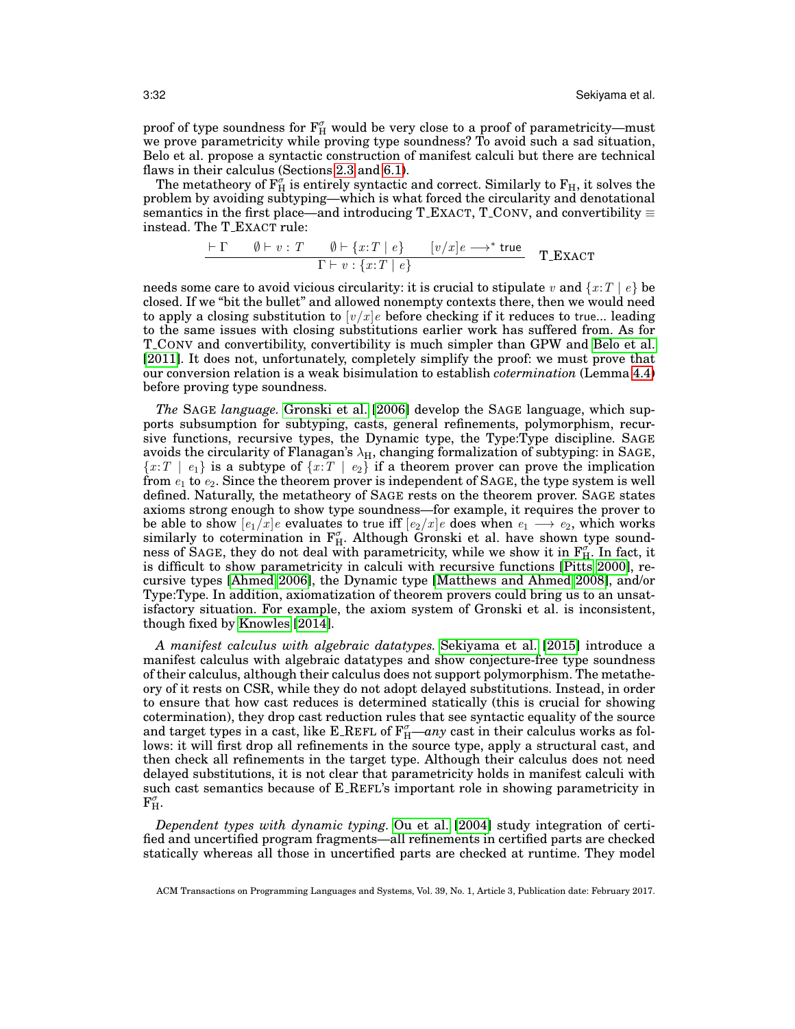proof of type soundness for  $\mathrm{F}_{\mathrm{H}}^{\sigma}$  would be very close to a proof of parametricity—must we prove parametricity while proving type soundness? To avoid such a sad situation, Belo et al. propose a syntactic construction of manifest calculi but there are technical flaws in their calculus (Sections [2.3](#page-8-0) and [6.1\)](#page-26-3).

The metatheory of  $\mathrm{F}_{\mathrm{H}}^{\sigma}$  is entirely syntactic and correct. Similarly to  $\mathrm{F}_{\mathrm{H}},$  it solves the problem by avoiding subtyping—which is what forced the circularity and denotational semantics in the first place—and introducing T\_EXACT, T\_CONV, and convertibility  $\equiv$ instead. The T EXACT rule:

$$
\frac{\vdash \Gamma \qquad \emptyset \vdash v : T \qquad \emptyset \vdash \{x : T \mid e\} \qquad [v/x]e \longrightarrow^* \text{true}}{\Gamma \vdash v : \{x : T \mid e\}} \qquad \textbf{T\_EXAMPLE}
$$

needs some care to avoid vicious circularity: it is crucial to stipulate v and  $\{x:T \mid e\}$  be closed. If we "bit the bullet" and allowed nonempty contexts there, then we would need to apply a closing substitution to  $[v/x]_e$  before checking if it reduces to true... leading to the same issues with closing substitutions earlier work has suffered from. As for T CONV and convertibility, convertibility is much simpler than GPW and [Belo et al.](#page-33-0) [\[2011\]](#page-33-0). It does not, unfortunately, completely simplify the proof: we must prove that our conversion relation is a weak bisimulation to establish *cotermination* (Lemma [4.4\)](#page-20-2) before proving type soundness.

*The* SAGE *language.* [Gronski et al.](#page-34-4) [\[2006\]](#page-34-4) develop the SAGE language, which supports subsumption for subtyping, casts, general refinements, polymorphism, recursive functions, recursive types, the Dynamic type, the Type:Type discipline. SAGE avoids the circularity of Flanagan's  $\lambda_H$ , changing formalization of subtyping: in SAGE,  ${x:T | e_1}$  is a subtype of  ${x:T | e_2}$  if a theorem prover can prove the implication from  $e_1$  to  $e_2$ . Since the theorem prover is independent of SAGE, the type system is well defined. Naturally, the metatheory of SAGE rests on the theorem prover. SAGE states axioms strong enough to show type soundness—for example, it requires the prover to be able to show  $[e_1/x]e$  evaluates to true iff  $[e_2/x]e$  does when  $e_1 \longrightarrow e_2$ , which works similarly to cotermination in  $F_{H}^{\sigma}$ . Although Gronski et al. have shown type soundness of SAGE, they do not deal with parametricity, while we show it in  $F_{H}^{\sigma}$ . In fact, it is difficult to show parametricity in calculi with recursive functions [\[Pitts 2000\]](#page-35-7), recursive types [\[Ahmed 2006\]](#page-33-8), the Dynamic type [\[Matthews and Ahmed 2008\]](#page-35-1), and/or Type:Type. In addition, axiomatization of theorem provers could bring us to an unsatisfactory situation. For example, the axiom system of Gronski et al. is inconsistent, though fixed by [Knowles](#page-34-15) [\[2014\]](#page-34-15).

*A manifest calculus with algebraic datatypes.* [Sekiyama et al.](#page-35-4) [\[2015\]](#page-35-4) introduce a manifest calculus with algebraic datatypes and show conjecture-free type soundness of their calculus, although their calculus does not support polymorphism. The metatheory of it rests on CSR, while they do not adopt delayed substitutions. Instead, in order to ensure that how cast reduces is determined statically (this is crucial for showing cotermination), they drop cast reduction rules that see syntactic equality of the source and target types in a cast, like E\_REFL of  $F_H^{\sigma}$ —*any* cast in their calculus works as follows: it will first drop all refinements in the source type, apply a structural cast, and then check all refinements in the target type. Although their calculus does not need delayed substitutions, it is not clear that parametricity holds in manifest calculi with such cast semantics because of E REFL's important role in showing parametricity in  $\mathrm{F}_{\mathrm{H}}^{\sigma}.$ 

*Dependent types with dynamic typing.* [Ou et al.](#page-35-2) [\[2004\]](#page-35-2) study integration of certified and uncertified program fragments—all refinements in certified parts are checked statically whereas all those in uncertified parts are checked at runtime. They model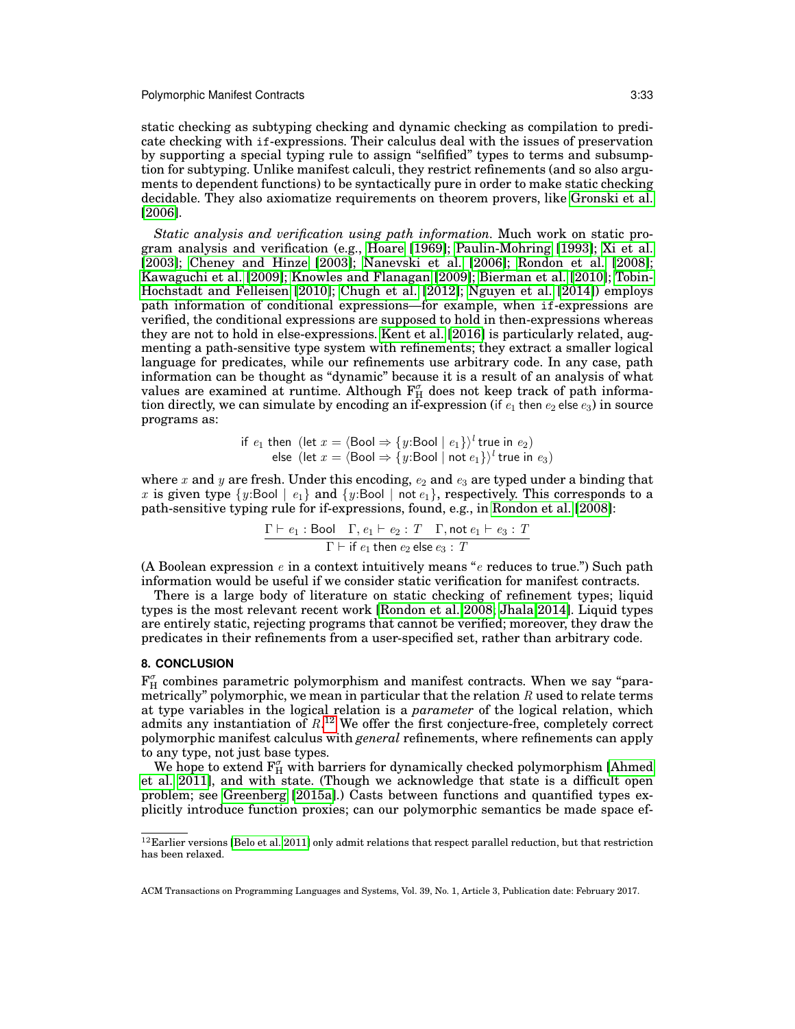static checking as subtyping checking and dynamic checking as compilation to predicate checking with if-expressions. Their calculus deal with the issues of preservation by supporting a special typing rule to assign "selfified" types to terms and subsumption for subtyping. Unlike manifest calculi, they restrict refinements (and so also arguments to dependent functions) to be syntactically pure in order to make static checking decidable. They also axiomatize requirements on theorem provers, like [Gronski et al.](#page-34-4) [\[2006\]](#page-34-4).

*Static analysis and verification using path information.* Much work on static program analysis and verification (e.g., [Hoare](#page-34-16) [\[1969\]](#page-34-16); [Paulin-Mohring](#page-35-15) [\[1993\]](#page-35-15); [Xi et al.](#page-36-3) [\[2003\]](#page-36-3); [Cheney and Hinze](#page-33-9) [\[2003\]](#page-33-9); [Nanevski et al.](#page-35-16) [\[2006\]](#page-35-16); [Rondon et al.](#page-35-17) [\[2008\]](#page-35-17); [Kawaguchi et al.](#page-34-17) [\[2009\]](#page-34-17); [Knowles and Flanagan](#page-34-18) [\[2009\]](#page-34-18); [Bierman et al.](#page-33-10) [\[2010\]](#page-33-10); [Tobin-](#page-35-18)[Hochstadt and Felleisen](#page-35-18) [\[2010\]](#page-35-18); [Chugh et al.](#page-33-11) [\[2012\]](#page-33-11); [Nguyen et al.](#page-35-19) [\[2014\]](#page-35-19)) employs path information of conditional expressions—for example, when if-expressions are verified, the conditional expressions are supposed to hold in then-expressions whereas they are not to hold in else-expressions. [Kent et al.](#page-34-19) [\[2016\]](#page-34-19) is particularly related, augmenting a path-sensitive type system with refinements; they extract a smaller logical language for predicates, while our refinements use arbitrary code. In any case, path information can be thought as "dynamic" because it is a result of an analysis of what values are examined at runtime. Although  $F_{H}^{\sigma}$  does not keep track of path information directly, we can simulate by encoding an if-expression (if  $e_1$  then  $e_2$  else  $e_3$ ) in source programs as:

if 
$$
e_1
$$
 then (let  $x = \langle \text{Bool} \Rightarrow \{y:\text{Bool} \mid e_1\} \rangle^l$  true in  $e_2$ )  
else (let  $x = \langle \text{Bool} \Rightarrow \{y:\text{Bool} \mid \text{not } e_1\} \rangle^l$  true in  $e_3$ )

where x and y are fresh. Under this encoding,  $e_2$  and  $e_3$  are typed under a binding that x is given type  $\{y:$  Bool  $\mid e_1\}$  and  $\{y:$  Bool  $\mid$  not  $e_1\}$ , respectively. This corresponds to a path-sensitive typing rule for if-expressions, found, e.g., in [Rondon et al.](#page-35-17) [\[2008\]](#page-35-17):

$$
\frac{\Gamma \vdash e_1 : \text{Bool} \quad \Gamma, e_1 \vdash e_2 : T \quad \Gamma, \text{not } e_1 \vdash e_3 : T}{\Gamma \vdash \text{if } e_1 \text{ then } e_2 \text{ else } e_3 : T}
$$

(A Boolean expression  $e$  in a context intuitively means " $e$  reduces to true.") Such path information would be useful if we consider static verification for manifest contracts.

There is a large body of literature on static checking of refinement types; liquid types is the most relevant recent work [\[Rondon et al. 2008;](#page-35-17) [Jhala 2014\]](#page-34-20). Liquid types are entirely static, rejecting programs that cannot be verified; moreover, they draw the predicates in their refinements from a user-specified set, rather than arbitrary code.

## <span id="page-32-0"></span>**8. CONCLUSION**

 $\mathbf{F}_{\mathrm{H}}^{\sigma}$  combines parametric polymorphism and manifest contracts. When we say "parametrically" polymorphic, we mean in particular that the relation  $R$  used to relate terms at type variables in the logical relation is a *parameter* of the logical relation, which admits any instantiation of  $R^{12}$  $R^{12}$  $R^{12}$  We offer the first conjecture-free, completely correct polymorphic manifest calculus with *general* refinements, where refinements can apply to any type, not just base types.

We hope to extend  $F_H^{\sigma}$  with barriers for dynamically checked polymorphism [\[Ahmed](#page-33-4) [et al. 2011\]](#page-33-4), and with state. (Though we acknowledge that state is a difficult open problem; see [Greenberg](#page-34-21) [\[2015a\]](#page-34-21).) Casts between functions and quantified types explicitly introduce function proxies; can our polymorphic semantics be made space ef-

<span id="page-32-1"></span> $^{12}$  Earlier versions [\[Belo et al. 2011\]](#page-33-0) only admit relations that respect parallel reduction, but that restriction has been relaxed.

ACM Transactions on Programming Languages and Systems, Vol. 39, No. 1, Article 3, Publication date: February 2017.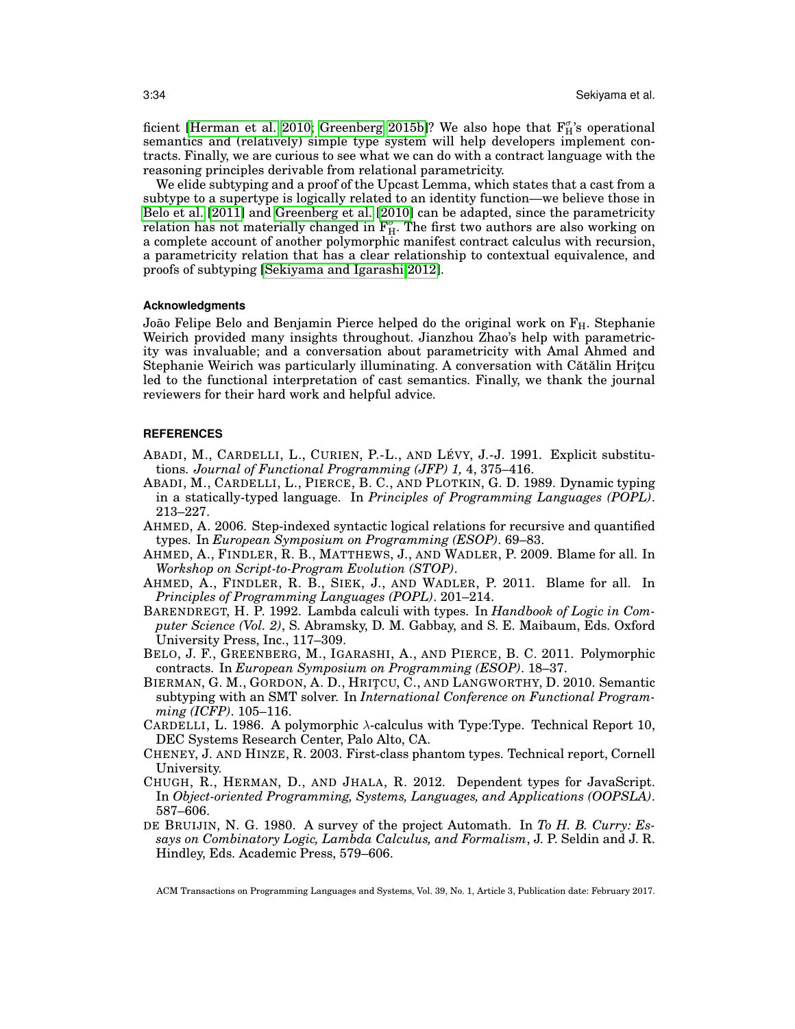ficient [\[Herman et al. 2010;](#page-34-22) [Greenberg 2015b\]](#page-34-23)? We also hope that  $F^{\sigma}_{H}$ 's operational semantics and (relatively) simple type system will help developers implement contracts. Finally, we are curious to see what we can do with a contract language with the reasoning principles derivable from relational parametricity.

We elide subtyping and a proof of the Upcast Lemma, which states that a cast from a subtype to a supertype is logically related to an identity function—we believe those in [Belo et al.](#page-33-0) [\[2011\]](#page-33-0) and [Greenberg et al.](#page-34-2) [\[2010\]](#page-34-2) can be adapted, since the parametricity relation has not materially changed in  $\mathbf{F}_{\rm H}^{\sigma}$ . The first two authors are also working on a complete account of another polymorphic manifest contract calculus with recursion, a parametricity relation that has a clear relationship to contextual equivalence, and proofs of subtyping [\[Sekiyama and Igarashi 2012\]](#page-35-20).

#### **Acknowledgments**

João Felipe Belo and Benjamin Pierce helped do the original work on  $F_H$ . Stephanie Weirich provided many insights throughout. Jianzhou Zhao's help with parametricity was invaluable; and a conversation about parametricity with Amal Ahmed and Stephanie Weirich was particularly illuminating. A conversation with Cătălin Hritçu led to the functional interpretation of cast semantics. Finally, we thank the journal reviewers for their hard work and helpful advice.

#### **REFERENCES**

- <span id="page-33-3"></span>ABADI, M., CARDELLI, L., CURIEN, P.-L., AND LÉVY, J.-J. 1991. Explicit substitutions. *Journal of Functional Programming (JFP) 1,* 4, 375–416.
- <span id="page-33-1"></span>ABADI, M., CARDELLI, L., PIERCE, B. C., AND PLOTKIN, G. D. 1989. Dynamic typing in a statically-typed language. In *Principles of Programming Languages (POPL)*. 213–227.
- <span id="page-33-8"></span>AHMED, A. 2006. Step-indexed syntactic logical relations for recursive and quantified types. In *European Symposium on Programming (ESOP)*. 69–83.
- <span id="page-33-7"></span>AHMED, A., FINDLER, R. B., MATTHEWS, J., AND WADLER, P. 2009. Blame for all. In *Workshop on Script-to-Program Evolution (STOP)*.
- <span id="page-33-4"></span>AHMED, A., FINDLER, R. B., SIEK, J., AND WADLER, P. 2011. Blame for all. In *Principles of Programming Languages (POPL)*. 201–214.
- <span id="page-33-6"></span>BARENDREGT, H. P. 1992. Lambda calculi with types. In *Handbook of Logic in Computer Science (Vol. 2)*, S. Abramsky, D. M. Gabbay, and S. E. Maibaum, Eds. Oxford University Press, Inc., 117–309.
- <span id="page-33-0"></span>BELO, J. F., GREENBERG, M., IGARASHI, A., AND PIERCE, B. C. 2011. Polymorphic contracts. In *European Symposium on Programming (ESOP)*. 18–37.
- <span id="page-33-10"></span>BIERMAN, G. M., GORDON, A. D., HRITCU, C., AND LANGWORTHY, D. 2010. Semantic subtyping with an SMT solver. In *International Conference on Functional Programming (ICFP)*. 105–116.
- <span id="page-33-2"></span>CARDELLI, L. 1986. A polymorphic λ-calculus with Type:Type. Technical Report 10, DEC Systems Research Center, Palo Alto, CA.
- <span id="page-33-9"></span>CHENEY, J. AND HINZE, R. 2003. First-class phantom types. Technical report, Cornell University.
- <span id="page-33-11"></span>CHUGH, R., HERMAN, D., AND JHALA, R. 2012. Dependent types for JavaScript. In *Object-oriented Programming, Systems, Languages, and Applications (OOPSLA)*. 587–606.
- <span id="page-33-5"></span>DE BRUIJIN, N. G. 1980. A survey of the project Automath. In *To H. B. Curry: Essays on Combinatory Logic, Lambda Calculus, and Formalism*, J. P. Seldin and J. R. Hindley, Eds. Academic Press, 579–606.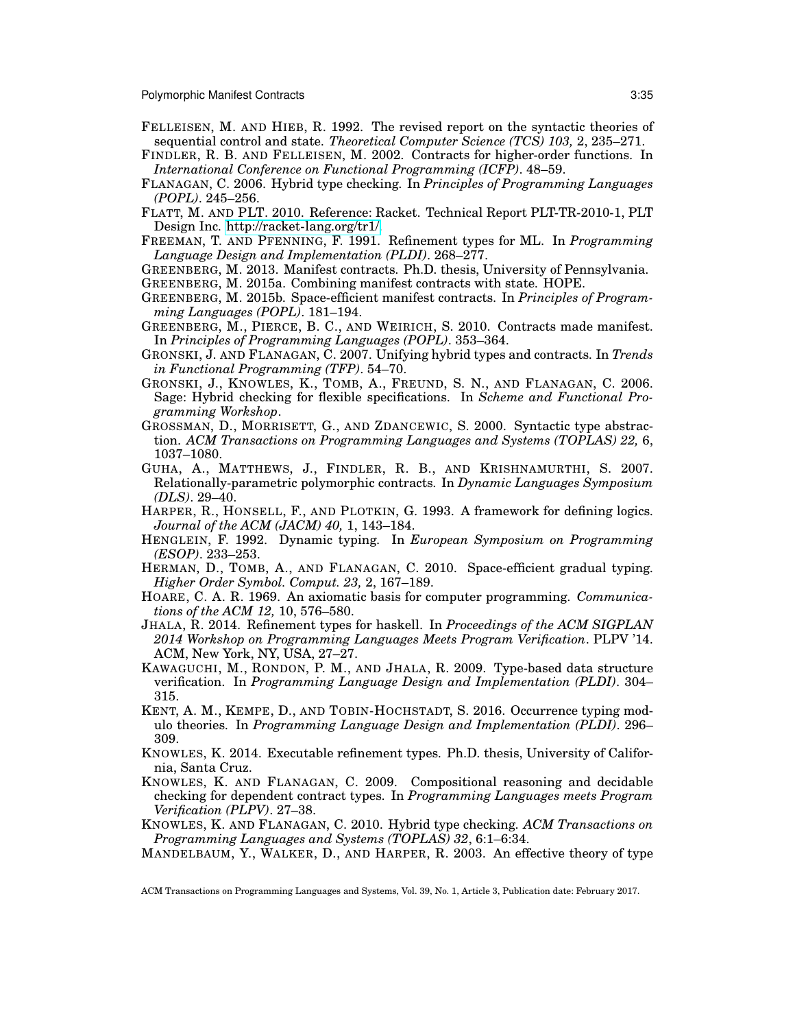- <span id="page-34-13"></span>FELLEISEN, M. AND HIEB, R. 1992. The revised report on the syntactic theories of sequential control and state. *Theoretical Computer Science (TCS) 103,* 2, 235–271.
- <span id="page-34-0"></span>FINDLER, R. B. AND FELLEISEN, M. 2002. Contracts for higher-order functions. In *International Conference on Functional Programming (ICFP)*. 48–59.
- <span id="page-34-6"></span>FLANAGAN, C. 2006. Hybrid type checking. In *Principles of Programming Languages (POPL)*. 245–256.
- <span id="page-34-3"></span>FLATT, M. AND PLT. 2010. Reference: Racket. Technical Report PLT-TR-2010-1, PLT Design Inc. [http://racket-lang.org/tr1/.](http://racket-lang.org/tr1/)
- <span id="page-34-9"></span>FREEMAN, T. AND PFENNING, F. 1991. Refinement types for ML. In *Programming Language Design and Implementation (PLDI)*. 268–277.
- <span id="page-34-21"></span><span id="page-34-1"></span>GREENBERG, M. 2013. Manifest contracts. Ph.D. thesis, University of Pennsylvania. GREENBERG, M. 2015a. Combining manifest contracts with state. HOPE.
- <span id="page-34-23"></span>GREENBERG, M. 2015b. Space-efficient manifest contracts. In *Principles of Program-*
- <span id="page-34-2"></span>*ming Languages (POPL)*. 181–194. GREENBERG, M., PIERCE, B. C., AND WEIRICH, S. 2010. Contracts made manifest. In *Principles of Programming Languages (POPL)*. 353–364.
- <span id="page-34-12"></span>GRONSKI, J. AND FLANAGAN, C. 2007. Unifying hybrid types and contracts. In *Trends in Functional Programming (TFP)*. 54–70.
- <span id="page-34-4"></span>GRONSKI, J., KNOWLES, K., TOMB, A., FREUND, S. N., AND FLANAGAN, C. 2006. Sage: Hybrid checking for flexible specifications. In *Scheme and Functional Programming Workshop*.
- <span id="page-34-8"></span>GROSSMAN, D., MORRISETT, G., AND ZDANCEWIC, S. 2000. Syntactic type abstraction. *ACM Transactions on Programming Languages and Systems (TOPLAS) 22,* 6, 1037–1080.
- <span id="page-34-14"></span>GUHA, A., MATTHEWS, J., FINDLER, R. B., AND KRISHNAMURTHI, S. 2007. Relationally-parametric polymorphic contracts. In *Dynamic Languages Symposium (DLS)*. 29–40.
- <span id="page-34-11"></span>HARPER, R., HONSELL, F., AND PLOTKIN, G. 1993. A framework for defining logics. *Journal of the ACM (JACM) 40,* 1, 143–184.
- <span id="page-34-5"></span>HENGLEIN, F. 1992. Dynamic typing. In *European Symposium on Programming (ESOP)*. 233–253.
- <span id="page-34-22"></span>HERMAN, D., TOMB, A., AND FLANAGAN, C. 2010. Space-efficient gradual typing. *Higher Order Symbol. Comput. 23,* 2, 167–189.
- <span id="page-34-16"></span>HOARE, C. A. R. 1969. An axiomatic basis for computer programming. *Communications of the ACM 12,* 10, 576–580.
- <span id="page-34-20"></span>JHALA, R. 2014. Refinement types for haskell. In *Proceedings of the ACM SIGPLAN 2014 Workshop on Programming Languages Meets Program Verification*. PLPV '14. ACM, New York, NY, USA, 27–27.
- <span id="page-34-17"></span>KAWAGUCHI, M., RONDON, P. M., AND JHALA, R. 2009. Type-based data structure verification. In *Programming Language Design and Implementation (PLDI)*. 304– 315.
- <span id="page-34-19"></span>KENT, A. M., KEMPE, D., AND TOBIN-HOCHSTADT, S. 2016. Occurrence typing modulo theories. In *Programming Language Design and Implementation (PLDI)*. 296– 309.
- <span id="page-34-15"></span>KNOWLES, K. 2014. Executable refinement types. Ph.D. thesis, University of California, Santa Cruz.
- <span id="page-34-18"></span>KNOWLES, K. AND FLANAGAN, C. 2009. Compositional reasoning and decidable checking for dependent contract types. In *Programming Languages meets Program Verification (PLPV)*. 27–38.
- <span id="page-34-7"></span>KNOWLES, K. AND FLANAGAN, C. 2010. Hybrid type checking. *ACM Transactions on Programming Languages and Systems (TOPLAS) 32*, 6:1–6:34.
- <span id="page-34-10"></span>MANDELBAUM, Y., WALKER, D., AND HARPER, R. 2003. An effective theory of type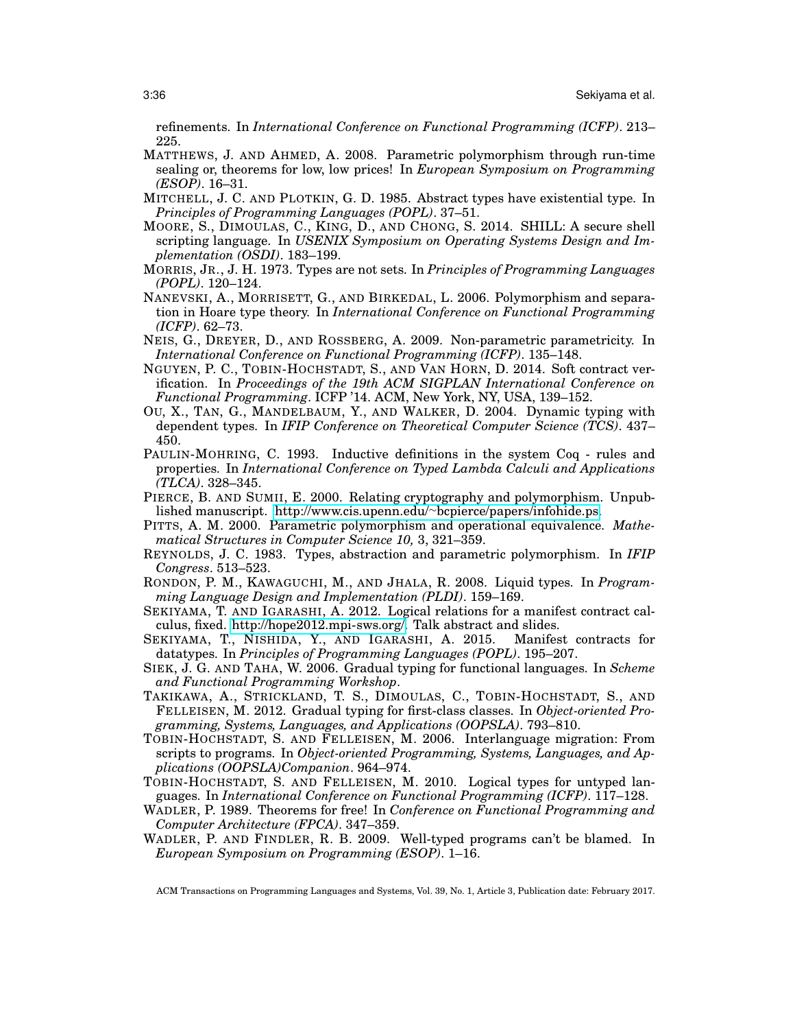refinements. In *International Conference on Functional Programming (ICFP)*. 213– 225.

- <span id="page-35-1"></span>MATTHEWS, J. AND AHMED, A. 2008. Parametric polymorphism through run-time sealing or, theorems for low, low prices! In *European Symposium on Programming (ESOP)*. 16–31.
- <span id="page-35-0"></span>MITCHELL, J. C. AND PLOTKIN, G. D. 1985. Abstract types have existential type. In *Principles of Programming Languages (POPL)*. 37–51.
- <span id="page-35-14"></span>MOORE, S., DIMOULAS, C., KING, D., AND CHONG, S. 2014. SHILL: A secure shell scripting language. In *USENIX Symposium on Operating Systems Design and Implementation (OSDI)*. 183–199.
- <span id="page-35-8"></span>MORRIS, JR., J. H. 1973. Types are not sets. In *Principles of Programming Languages (POPL)*. 120–124.
- <span id="page-35-16"></span>NANEVSKI, A., MORRISETT, G., AND BIRKEDAL, L. 2006. Polymorphism and separation in Hoare type theory. In *International Conference on Functional Programming (ICFP)*. 62–73.
- <span id="page-35-10"></span>NEIS, G., DREYER, D., AND ROSSBERG, A. 2009. Non-parametric parametricity. In *International Conference on Functional Programming (ICFP)*. 135–148.
- <span id="page-35-19"></span>NGUYEN, P. C., TOBIN-HOCHSTADT, S., AND VAN HORN, D. 2014. Soft contract verification. In *Proceedings of the 19th ACM SIGPLAN International Conference on Functional Programming*. ICFP '14. ACM, New York, NY, USA, 139–152.
- <span id="page-35-2"></span>OU, X., TAN, G., MANDELBAUM, Y., AND WALKER, D. 2004. Dynamic typing with dependent types. In *IFIP Conference on Theoretical Computer Science (TCS)*. 437– 450.
- <span id="page-35-15"></span>PAULIN-MOHRING, C. 1993. Inductive definitions in the system Coq - rules and properties. In *International Conference on Typed Lambda Calculi and Applications (TLCA)*. 328–345.
- <span id="page-35-9"></span>PIERCE, B. AND SUMII, E. 2000. Relating cryptography and polymorphism. Unpublished manuscript. http://www.cis.upenn.edu/∼[bcpierce/papers/infohide.ps.](http://www.cis.upenn.edu/~bcpierce/papers/infohide.ps)
- <span id="page-35-7"></span>PITTS, A. M. 2000. Parametric polymorphism and operational equivalence. *Mathematical Structures in Computer Science 10,* 3, 321–359.
- <span id="page-35-5"></span>REYNOLDS, J. C. 1983. Types, abstraction and parametric polymorphism. In *IFIP Congress*. 513–523.
- <span id="page-35-17"></span>RONDON, P. M., KAWAGUCHI, M., AND JHALA, R. 2008. Liquid types. In *Programming Language Design and Implementation (PLDI)*. 159–169.
- <span id="page-35-20"></span>SEKIYAMA, T. AND IGARASHI, A. 2012. Logical relations for a manifest contract calculus, fixed. [http://hope2012.mpi-sws.org/.](http://hope2012.mpi-sws.org/) Talk abstract and slides.
- <span id="page-35-4"></span>SEKIYAMA, T., NISHIDA, Y., AND IGARASHI, A. 2015. Manifest contracts for datatypes. In *Principles of Programming Languages (POPL)*. 195–207.
- <span id="page-35-11"></span>SIEK, J. G. AND TAHA, W. 2006. Gradual typing for functional languages. In *Scheme and Functional Programming Workshop*.
- <span id="page-35-13"></span>TAKIKAWA, A., STRICKLAND, T. S., DIMOULAS, C., TOBIN-HOCHSTADT, S., AND FELLEISEN, M. 2012. Gradual typing for first-class classes. In *Object-oriented Programming, Systems, Languages, and Applications (OOPSLA)*. 793–810.
- <span id="page-35-12"></span>TOBIN-HOCHSTADT, S. AND FELLEISEN, M. 2006. Interlanguage migration: From scripts to programs. In *Object-oriented Programming, Systems, Languages, and Applications (OOPSLA)Companion*. 964–974.
- <span id="page-35-18"></span>TOBIN-HOCHSTADT, S. AND FELLEISEN, M. 2010. Logical types for untyped languages. In *International Conference on Functional Programming (ICFP)*. 117–128.
- <span id="page-35-6"></span>WADLER, P. 1989. Theorems for free! In *Conference on Functional Programming and Computer Architecture (FPCA)*. 347–359.
- <span id="page-35-3"></span>WADLER, P. AND FINDLER, R. B. 2009. Well-typed programs can't be blamed. In *European Symposium on Programming (ESOP)*. 1–16.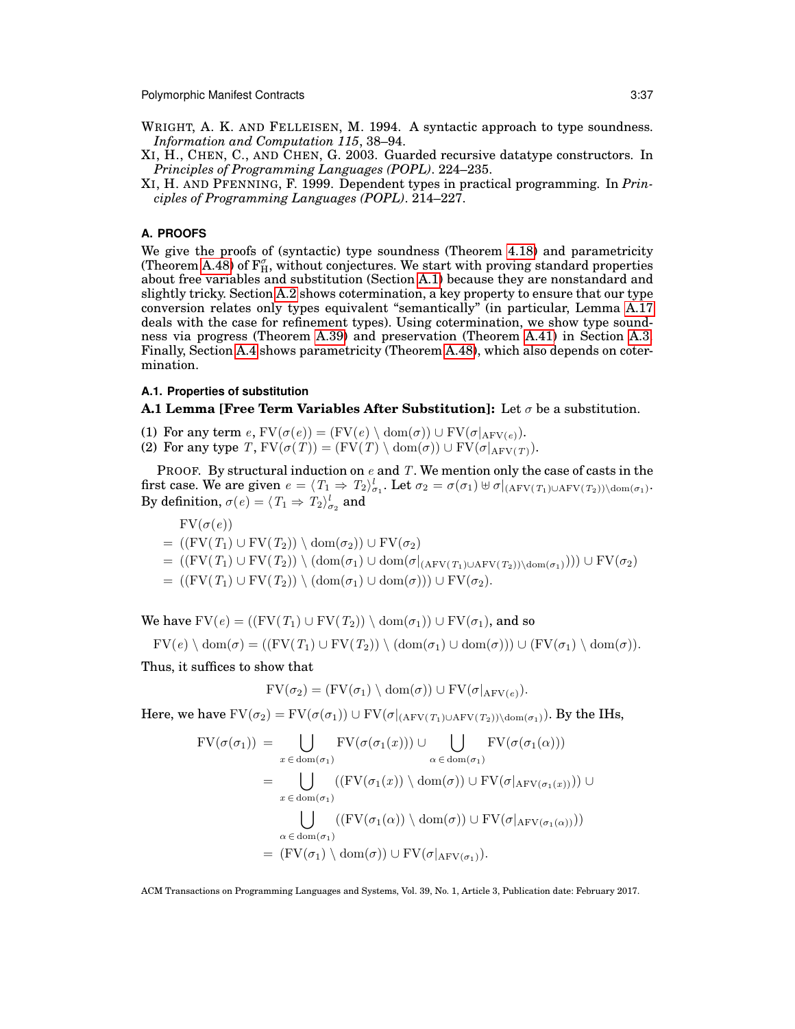- <span id="page-36-2"></span>WRIGHT, A. K. AND FELLEISEN, M. 1994. A syntactic approach to type soundness. *Information and Computation 115*, 38–94.
- <span id="page-36-3"></span>XI, H., CHEN, C., AND CHEN, G. 2003. Guarded recursive datatype constructors. In *Principles of Programming Languages (POPL)*. 224–235.
- <span id="page-36-0"></span>XI, H. AND PFENNING, F. 1999. Dependent types in practical programming. In *Principles of Programming Languages (POPL)*. 214–227.

## <span id="page-36-1"></span>**A. PROOFS**

We give the proofs of (syntactic) type soundness (Theorem [4.18\)](#page-22-1) and parametricity (Theorem [A.48\)](#page-55-1) of  $F_{H}^{\sigma}$ , without conjectures. We start with proving standard properties about free variables and substitution (Section [A.1\)](#page-36-4) because they are nonstandard and slightly tricky. Section [A.2](#page-38-0) shows cotermination, a key property to ensure that our type conversion relates only types equivalent "semantically" (in particular, Lemma [A.17](#page-42-1) deals with the case for refinement types). Using cotermination, we show type soundness via progress (Theorem [A.39\)](#page-46-0) and preservation (Theorem [A.41\)](#page-48-0) in Section [A.3.](#page-42-3) Finally, Section [A.4](#page-53-2) shows parametricity (Theorem [A.48\)](#page-55-1), which also depends on cotermination.

## <span id="page-36-4"></span>**A.1. Properties of substitution**

<span id="page-36-5"></span>**A.1 Lemma [Free Term Variables After Substitution]:** Let  $\sigma$  be a substitution.

- (1) For any term  $e$ ,  $\text{FV}(\sigma(e)) = (\text{FV}(e) \setminus \text{dom}(\sigma)) \cup \text{FV}(\sigma|_{\text{AFV}(e)})$ .
- (2) For any type T,  $FV(\sigma(T)) = (FV(T) \setminus \text{dom}(\sigma)) \cup FV(\sigma|_{AFV(T)})$ .

PROOF. By structural induction on  $e$  and T. We mention only the case of casts in the first case. We are given  $e = \langle T_1 \Rightarrow T_2 \rangle_{\sigma_1}^l$ . Let  $\sigma_2 = \sigma(\sigma_1) \uplus \sigma|_{\text{AFV}(T_1) \cup \text{AFV}(T_2)) \setminus \text{dom}(\sigma_1)}$ . By definition,  $\sigma(e) = \langle T_1 \Rightarrow T_2 \rangle^l_{\sigma_2}$  and

 $FV(\sigma(e))$  $= ((FV(T_1) \cup FV(T_2)) \setminus dom(\sigma_2)) \cup FV(\sigma_2)$  $= ((FV(T_1) \cup FV(T_2)) \setminus (dom(\sigma_1) \cup dom(\sigma|_{(AFV(T_1) \cup AFV(T_2))\setminus dom(\sigma_1)}))) \cup FV(\sigma_2)$  $= ((FV(T_1) \cup FV(T_2)) \setminus (dom(\sigma_1) \cup dom(\sigma))) \cup FV(\sigma_2).$ 

We have  $FV(e) = ((FV(T_1) \cup FV(T_2)) \setminus dom(\sigma_1)) \cup FV(\sigma_1)$ , and so

$$
FV(e) \setminus \text{dom}(\sigma) = ((FV(T_1) \cup FV(T_2)) \setminus (\text{dom}(\sigma_1) \cup \text{dom}(\sigma))) \cup (FV(\sigma_1) \setminus \text{dom}(\sigma)).
$$

Thus, it suffices to show that

$$
FV(\sigma_2) = (FV(\sigma_1) \setminus \mathrm{dom}(\sigma)) \cup FV(\sigma|_{\mathrm{AFV}(e)}).
$$

Here, we have  $FV(\sigma_2) = FV(\sigma(\sigma_1)) \cup FV(\sigma|_{(AFV(T_1) \cup AFV(T_2))\setminus dom(\sigma_1)})$ . By the IHs,

$$
FV(\sigma(\sigma_1)) = \bigcup_{x \in \text{dom}(\sigma_1)} FV(\sigma(\sigma_1(x))) \cup \bigcup_{\alpha \in \text{dom}(\sigma_1)} FV(\sigma(\sigma_1(\alpha)))
$$
  
\n
$$
= \bigcup_{x \in \text{dom}(\sigma_1)} ((FV(\sigma_1(x)) \setminus \text{dom}(\sigma)) \cup FV(\sigma|_{\text{AFV}(\sigma_1(x))})) \cup
$$
  
\n
$$
\bigcup_{\alpha \in \text{dom}(\sigma_1)} ((FV(\sigma_1(\alpha)) \setminus \text{dom}(\sigma)) \cup FV(\sigma|_{\text{AFV}(\sigma_1(\alpha))}))
$$
  
\n
$$
= (FV(\sigma_1) \setminus \text{dom}(\sigma)) \cup FV(\sigma|_{\text{AFV}(\sigma_1)}).
$$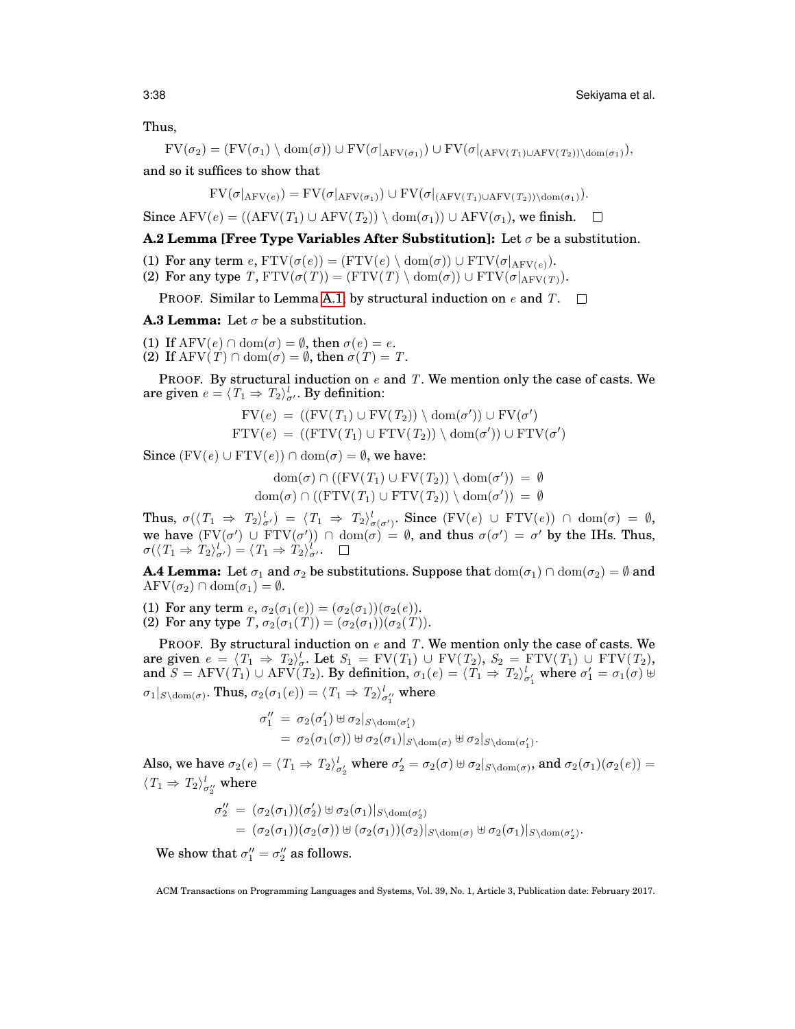#### 3:38 Sekiyama et al.

Thus,

$$
FV(\sigma_2) = (FV(\sigma_1) \setminus \text{dom}(\sigma)) \cup FV(\sigma|_{\text{AFV}(\sigma_1)}) \cup FV(\sigma|_{\text{AFV}(T_1) \cup \text{AFV}(T_2)) \setminus \text{dom}(\sigma_1)},
$$

and so it suffices to show that

$$
FV(\sigma|_{AFV(e)}) = FV(\sigma|_{AFV(\sigma_1)}) \cup FV(\sigma|_{(AFV(T_1) \cup AFV(T_2))\setminus \text{dom}(\sigma_1)}).
$$

Since AFV(e) =  $((AFV(T_1) \cup AFV(T_2)) \setminus dom(\sigma_1)) \cup AFV(\sigma_1)$ , we finish.  $\square$ 

### **A.2 Lemma [Free Type Variables After Substitution]:** Let  $\sigma$  be a substitution.

- (1) For any term  $e$ ,  $FTV(\sigma(e)) = (FTV(e) \setminus \text{dom}(\sigma)) \cup FTV(\sigma|_{AFV(e)})$ .
- (2) For any type T,  $FTV(\sigma(T)) = (FTV(T) \setminus dom(\sigma)) \cup FTV(\sigma|_{AFV(T)})$ .

PROOF. Similar to Lemma [A.1;](#page-36-5) by structural induction on  $e$  and  $T$ .  $\square$ 

<span id="page-37-0"></span>**A.3 Lemma:** Let  $\sigma$  be a substitution.

(1) If  $AFV(e) \cap dom(\sigma) = \emptyset$ , then  $\sigma(e) = e$ . (2) If  $\text{AFV}(T) \cap \text{dom}(\sigma) = \emptyset$ , then  $\sigma(T) = T$ .

PROOF. By structural induction on  $e$  and T. We mention only the case of casts. We are given  $e = \langle T_1 \Rightarrow T_2 \rangle^l_{\sigma'}$ . By definition:

$$
FV(e) = ((FV(T_1) \cup FV(T_2)) \setminus dom(\sigma')) \cup FV(\sigma')
$$
  
FTV(e) = ((FTV(T\_1) \cup FTV(T\_2)) \setminus dom(\sigma')) \cup FTV(\sigma')

Since  $(FV(e) \cup FTV(e)) \cap \text{dom}(\sigma) = \emptyset$ , we have:

 $dom(\sigma) \cap ((FV(T_1) \cup FV(T_2)) \setminus dom(\sigma')) = \emptyset$  $dom(\sigma) \cap ((FTV(T_1) \cup FTV(T_2)) \setminus dom(\sigma')) = \emptyset$ 

Thus,  $\sigma(\langle T_1 \Rightarrow T_2 \rangle^l_{\sigma'}) = \langle T_1 \Rightarrow T_2 \rangle^l_{\sigma(\sigma')}$ . Since  $(FV(e) \cup FTV(e)) \cap \text{dom}(\sigma) = \emptyset$ , we have  $(FV(\sigma') \cup FTV(\sigma')) \cap \text{dom}(\sigma) = \emptyset$ , and thus  $\sigma(\sigma') = \sigma'$  by the IHs. Thus,  $\sigma(\langle T_1 \Rightarrow \hat{T}_2 \rangle^l_{\sigma'}) = \langle T_1 \Rightarrow \hat{T}_2 \rangle^l_{\sigma'}.$ 

<span id="page-37-1"></span>**A.4 Lemma:** Let  $\sigma_1$  and  $\sigma_2$  be substitutions. Suppose that  $dom(\sigma_1) \cap dom(\sigma_2) = \emptyset$  and  $\text{AFV}(\sigma_2) \cap \text{dom}(\sigma_1) = \emptyset.$ 

(1) For any term  $e, \sigma_2(\sigma_1(e)) = (\sigma_2(\sigma_1))(\sigma_2(e)).$ (2) For any type  $T, \sigma_2(\sigma_1(T)) = (\sigma_2(\sigma_1))(\sigma_2(T)).$ 

PROOF. By structural induction on  $e$  and  $T$ . We mention only the case of casts. We are given  $e = \langle T_1 \Rightarrow T_2 \rangle_{\sigma}^l$ . Let  $S_1 = FV(T_1) \cup FV(T_2)$ ,  $S_2 = FTV(T_1) \cup FTV(T_2)$ , and  $S = \text{AFV}(T_1) \cup \text{AFV}(T_2)$ . By definition,  $\sigma_1(e) = \langle T_1 \Rightarrow T_2 \rangle_{\sigma'_1}^l$  where  $\sigma'_1 = \sigma_1(\sigma) \uplus$  $\sigma_1|_{S\setminus \text{dom}(\sigma)}$ . Thus,  $\sigma_2(\sigma_1(e)) = \langle T_1 \Rightarrow T_2 \rangle^l_{\sigma''_1}$  where

$$
\sigma_1'' = \sigma_2(\sigma_1') \oplus \sigma_2|_{S \setminus \text{dom}(\sigma_1')}
$$
  
=  $\sigma_2(\sigma_1(\sigma)) \oplus \sigma_2(\sigma_1)|_{S \setminus \text{dom}(\sigma)}$   $\oplus \sigma_2|_{S \setminus \text{dom}(\sigma_1')}.$ 

Also, we have  $\sigma_2(e) = \langle T_1 \Rightarrow T_2 \rangle^l_{\sigma'_2}$  where  $\sigma'_2 = \sigma_2(\sigma) \uplus \sigma_2|_{S \setminus \text{dom}(\sigma)}$ , and  $\sigma_2(\sigma_1)(\sigma_2(e)) =$  $\langle T_1 \Rightarrow T_2 \rangle^l_{\sigma''_2}$  where

$$
\sigma_2'' = (\sigma_2(\sigma_1))(\sigma_2') \uplus \sigma_2(\sigma_1)|_{S \setminus \text{dom}(\sigma_2')}
$$
  
=  $(\sigma_2(\sigma_1))(\sigma_2(\sigma)) \uplus (\sigma_2(\sigma_1))(\sigma_2)|_{S \setminus \text{dom}(\sigma)} \uplus \sigma_2(\sigma_1)|_{S \setminus \text{dom}(\sigma_2')}.$ 

We show that  $\sigma''_1 = \sigma''_2$  as follows.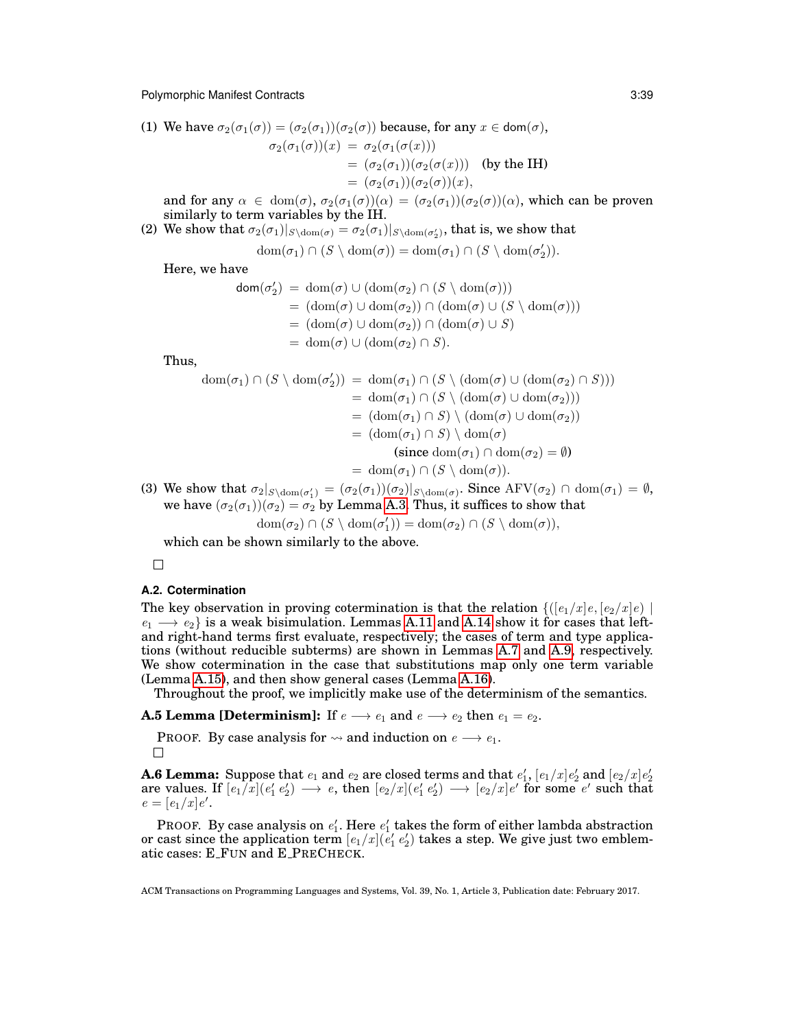(1) We have  $\sigma_2(\sigma_1(\sigma)) = (\sigma_2(\sigma_1))(\sigma_2(\sigma))$  because, for any  $x \in \text{dom}(\sigma)$ ,

$$
\sigma_2(\sigma_1(\sigma))(x) = \sigma_2(\sigma_1(\sigma(x)))
$$
  
=  $(\sigma_2(\sigma_1))(\sigma_2(\sigma(x)))$  (by the IH)  
=  $(\sigma_2(\sigma_1))(\sigma_2(\sigma))(x)$ ,

and for any  $\alpha \in \text{dom}(\sigma)$ ,  $\sigma_2(\sigma_1(\sigma))(\alpha) = (\sigma_2(\sigma_1))(\sigma_2(\sigma))(\alpha)$ , which can be proven similarly to term variables by the IH.

(2) We show that  $\sigma_2(\sigma_1)|_{S\setminus \mathrm{dom}(\sigma)} = \sigma_2(\sigma_1)|_{S\setminus \mathrm{dom}(\sigma'_2)},$  that is, we show that

 $dom(\sigma_1) \cap (S \setminus dom(\sigma)) = dom(\sigma_1) \cap (S \setminus dom(\sigma'_2)).$ 

Here, we have

$$
dom(\sigma'_2) = dom(\sigma) \cup (dom(\sigma_2) \cap (S \setminus dom(\sigma)))
$$
  
= (dom(\sigma) \cup dom(\sigma\_2)) \cap (dom(\sigma) \cup (S \setminus dom(\sigma)))  
= (dom(\sigma) \cup dom(\sigma\_2)) \cap (dom(\sigma) \cup S)  
= dom(\sigma) \cup (dom(\sigma\_2) \cap S).

Thus,

$$
\text{dom}(\sigma_1) \cap (S \setminus \text{dom}(\sigma'_2)) = \text{dom}(\sigma_1) \cap (S \setminus (\text{dom}(\sigma) \cup (\text{dom}(\sigma_2) \cap S)))
$$
\n
$$
= \text{dom}(\sigma_1) \cap (S \setminus (\text{dom}(\sigma) \cup \text{dom}(\sigma_2)))
$$
\n
$$
= (\text{dom}(\sigma_1) \cap S) \setminus (\text{dom}(\sigma) \cup \text{dom}(\sigma_2))
$$
\n
$$
= (\text{dom}(\sigma_1) \cap S) \setminus \text{dom}(\sigma)
$$
\n
$$
\text{(since } \text{dom}(\sigma_1) \cap (\text{dom}(\sigma_2)) = \emptyset
$$
\n
$$
= \text{dom}(\sigma_1) \cap (S \setminus \text{dom}(\sigma)).
$$

(3) We show that  $\sigma_2|_{S\setminus \text{dom}(\sigma'_1)} = (\sigma_2(\sigma_1))(\sigma_2)|_{S\setminus \text{dom}(\sigma)}$ . Since  $\text{AFV}(\sigma_2) \cap \text{dom}(\sigma_1) = \emptyset$ , we have  $(\sigma_2(\sigma_1))(\sigma_2) = \sigma_2$  by Lemma [A.3.](#page-37-0) Thus, it suffices to show that

$$
\mathrm{dom}(\sigma_2) \cap (S \setminus \mathrm{dom}(\sigma'_1)) = \mathrm{dom}(\sigma_2) \cap (S \setminus \mathrm{dom}(\sigma)),
$$

which can be shown similarly to the above.

 $\Box$ 

#### <span id="page-38-0"></span>**A.2. Cotermination**

The key observation in proving cotermination is that the relation  $\{([e_1/x]e, [e_2/x]e) |$  $e_1 \longrightarrow e_2$  is a weak bisimulation. Lemmas [A.11](#page-40-0) and [A.14](#page-41-0) show it for cases that leftand right-hand terms first evaluate, respectively; the cases of term and type applications (without reducible subterms) are shown in Lemmas [A.7](#page-39-0) and [A.9,](#page-40-1) respectively. We show cotermination in the case that substitutions map only one term variable (Lemma [A.15\)](#page-41-1), and then show general cases (Lemma [A.16\)](#page-42-0).

Throughout the proof, we implicitly make use of the determinism of the semantics.

**A.5 Lemma [Determinism]:** If  $e \rightarrow e_1$  and  $e \rightarrow e_2$  then  $e_1 = e_2$ .

PROOF. By case analysis for  $\rightsquigarrow$  and induction on  $e \rightarrow e_1$ .  $\Box$ 

<span id="page-38-1"></span>**A.6 Lemma:** Suppose that  $e_1$  and  $e_2$  are closed terms and that  $e'_1$ ,  $[e_1/x]e'_2$  and  $[e_2/x]e'_2$ are values. If  $[e_1/x](e'_1e'_2) \longrightarrow e$ , then  $[e_2/x](e'_1e'_2) \longrightarrow [e_2/x]e'$  for some  $e'$  such that  $e = [e_1/x]e'.$ 

PROOF. By case analysis on  $e'_1$ . Here  $e'_1$  takes the form of either lambda abstraction or cast since the application term  $[e_1/x] (e'_1\,e'_2)$  takes a step. We give just two emblematic cases: E FUN and E PRECHECK.

ACM Transactions on Programming Languages and Systems, Vol. 39, No. 1, Article 3, Publication date: February 2017.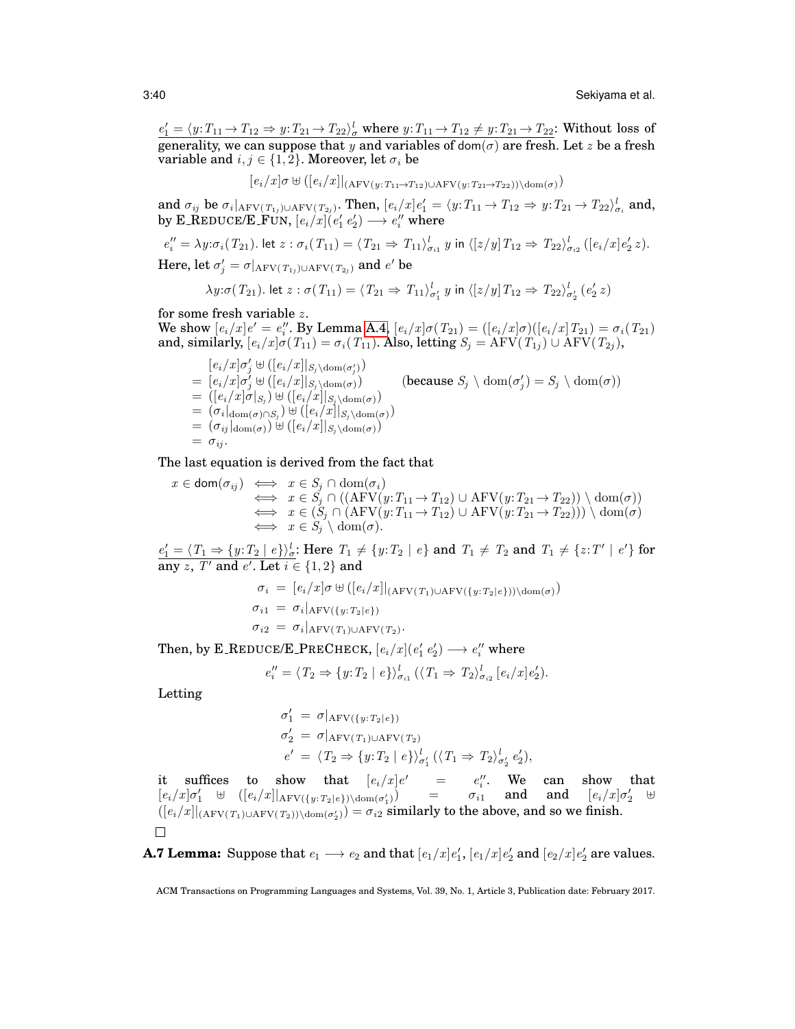$e'_1 = \langle y: T_{11} \to T_{12} \Rightarrow y: T_{21} \to T_{22} \rangle^l_{\sigma}$  where  $y: T_{11} \to T_{12} \neq y: T_{21} \to T_{22}$ : Without loss of generality, we can suppose that y and variables of dom( $\sigma$ ) are fresh. Let z be a fresh variable and  $i, j \in \{1, 2\}$ . Moreover, let  $\sigma_i$  be

$$
[e_i/x]\sigma \uplus ([e_i/x]|_{(A\text{FV}(y:T_{11}\rightarrow T_{12})\cup A\text{FV}(y:T_{21}\rightarrow T_{22}))\setminus \text{dom}(\sigma))
$$

and  $\sigma_{ij}$  be  $\sigma_i|_{\rm AFV(T_{1j})\cup \rm AFV(T_{2j})}$ . Then,  $[e_i/x]e'_1=\langle y:T_{11} \rightarrow T_{12} \Rightarrow y:T_{21} \rightarrow T_{22}\rangle^l_{\sigma_i}$  and, by E\_REDUCE/E\_FUN,  $[e_i/x](e'_1\ e'_2)\longrightarrow e''_i$  where

$$
e_i'' = \lambda y \cdot \sigma_i(T_{21}).
$$
 let  $z : \sigma_i(T_{11}) = \langle T_{21} \Rightarrow T_{11} \rangle_{\sigma_{i1}}^l y$  in  $\langle [z/y] T_{12} \Rightarrow T_{22} \rangle_{\sigma_{i2}}^l ([e_i/x] e_2' z).$ 

Here, let  $\sigma'_j = \sigma|_{\rm AFV(T_{1j})\cup \rm AFV(T_{2j})}$  and  $e'$  be

$$
\lambda y : \sigma(T_{21}). \text{ let } z : \sigma(T_{11}) = \langle T_{21} \Rightarrow T_{11} \rangle_{\sigma'_1}^l \ y \text{ in } \langle [z/y] T_{12} \Rightarrow T_{22} \rangle_{\sigma'_2}^l \ (e'_2 z)
$$

for some fresh variable  $z$ .

We show  $[e_i/x]e' = e''_i$ . By Lemma [A.4,](#page-37-1)  $[e_i/x]\sigma(T_{21}) = ([e_i/x]\sigma)([e_i/x]T_{21}) = \sigma_i(T_{21})$ and, similarly,  $[e_i/x]\sigma(T_{11}) = \sigma_i(T_{11})$ . Also, letting  $S_j = \text{AFV}(T_{1j}) \cup \text{AFV}(T_{2j}),$ 

 $[e_i/x] \sigma'_j \uplus ([e_i/x]|_{S_j \setminus \text{dom}(\sigma'_j)})$  $\bar{e}_i = [e_i/x] \sigma'_j \uplus ([e_i/x]|_{S_j \setminus \text{dom}(\sigma)})$  (because  $S_j \setminus \text{dom}(\sigma)$  $S_j$   $\sigma_j$   $\lambda$  dom $(\sigma_j)$  $= ([e_i/x]\sigma|_{S_j}) \cup ([e_i/x]|_{S_j \setminus \mathrm{dom}(\sigma)})$  $= (\sigma_i|_{\text{dom}(\sigma) \cap S_j}) \uplus ([e_i/x]|_{S_j \setminus \text{dom}(\sigma)})$  $= (\sigma_{ij}|_{dom(\sigma)}) \cup ([e_i/x]|_{S_j \setminus dom(\sigma)})$  $= \sigma_{ij}$ .

The last equation is derived from the fact that

$$
x \in \text{dom}(\sigma_{ij}) \iff x \in S_j \cap \text{dom}(\sigma_i)
$$
  
\n
$$
\iff x \in S_j \cap ((\text{AFV}(y: T_{11} \to T_{12}) \cup \text{AFV}(y: T_{21} \to T_{22})) \setminus \text{dom}(\sigma))
$$
  
\n
$$
\iff x \in (S_j \cap (\text{AFV}(y: T_{11} \to T_{12}) \cup \text{AFV}(y: T_{21} \to T_{22}))) \setminus \text{dom}(\sigma)
$$
  
\n
$$
\iff x \in S_j \setminus \text{dom}(\sigma).
$$

 $e'_1 = \langle T_1 \Rightarrow \{y: T_2 \mid e\} \rangle_e^l$ : Here  $T_1 \neq \{y: T_2 \mid e\}$  and  $T_1 \neq T_2$  and  $T_1 \neq \{z: T' \mid e'\}$  for  $\overline{\operatorname{any}\, z, \, T'}$  and  $e'.$  Let  $i\in\{1,2\}$  and

$$
\sigma_i = [e_i/x] \sigma \boxplus ([e_i/x]|_{(A \text{FV}(T_1) \cup A \text{FV}(\{y: T_2 | e\})) \setminus \text{dom}(\sigma))
$$
  
\n
$$
\sigma_{i1} = \sigma_i |_{A \text{FV}(\{y: T_2 | e\})}
$$
  
\n
$$
\sigma_{i2} = \sigma_i |_{A \text{FV}(T_1) \cup A \text{FV}(T_2)}.
$$

Then, by E\_REDUCE/E\_PRECHECK,  $[e_i/x](e'_1 e'_2) \longrightarrow e''_i$  where

$$
e_i'' = \langle T_2 \Rightarrow \{y: T_2 \mid e\} \rangle_{\sigma_{i1}}^l (\langle T_1 \Rightarrow T_2 \rangle_{\sigma_{i2}}^l [e_i/x] e_2').
$$

Letting

$$
\sigma'_1 = \sigma|_{\text{AFV}(\{y: T_2 | e\})}
$$
  
\n
$$
\sigma'_2 = \sigma|_{\text{AFV}(T_1) \cup \text{AFV}(T_2)}
$$
  
\n
$$
e' = \langle T_2 \Rightarrow \{y: T_2 | e\} \rangle_{\sigma'_1}^l (\langle T_1 \Rightarrow T_2 \rangle_{\sigma'_2}^l e'_2),
$$

it suffices to show that  $[e_i/x]e' = e''_i$ . We can show that  $[e_i/x]\sigma'_1$   $\uplus$   $([e_i/x]]_{\rm AFV(\lbrace y:T_2|e\rbrace)\setminus \mathrm{dom}(\sigma'_1)})$  =  $\sigma_{i1}$  and and  $[e_i/x]\sigma'_2$   $\uplus$  $([e_i/x]|_{(AFV(T_1) \cup AFV(T_2)) \setminus \text{dom}(\sigma'_2)}) = \sigma_{i2}$  similarly to the above, and so we finish.  $\Box$ 

<span id="page-39-0"></span>**A.7 Lemma:** Suppose that  $e_1 \longrightarrow e_2$  and that  $[e_1/x]e'_1$ ,  $[e_1/x]e'_2$  and  $[e_2/x]e'_2$  are values.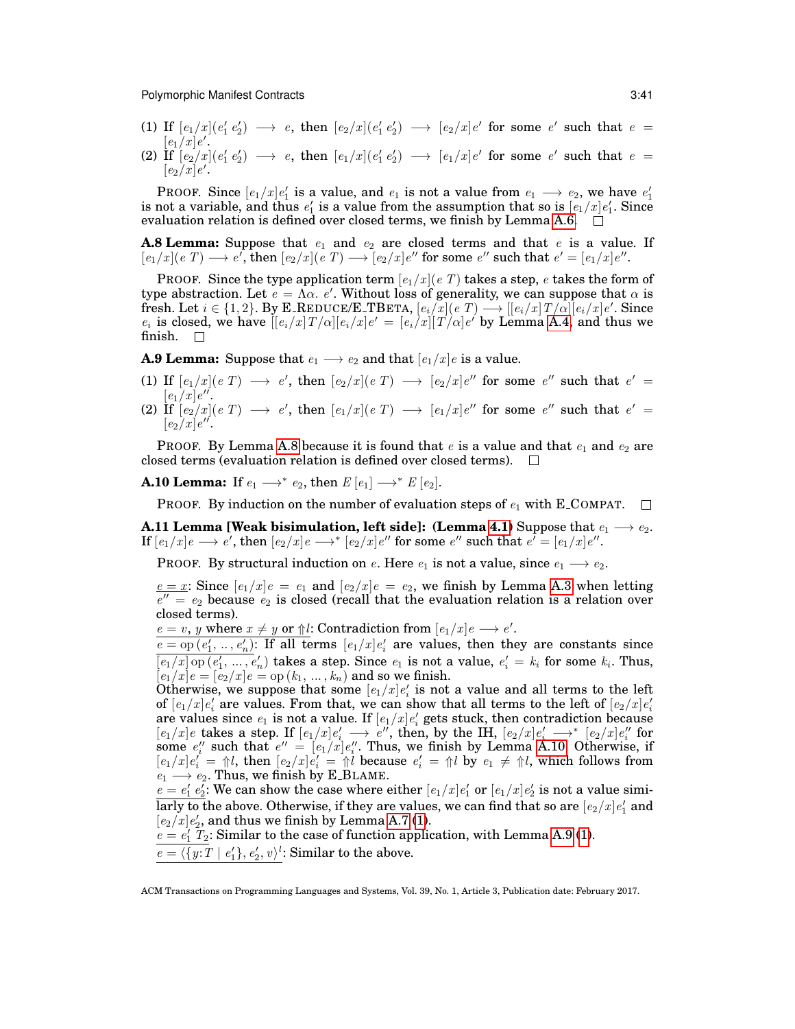- <span id="page-40-4"></span>(1) If  $[e_1/x](e'_1e'_2) \longrightarrow e$ , then  $[e_2/x](e'_1e'_2) \longrightarrow [e_2/x]e'$  for some e' such that  $e =$  $\left[ e_{1}/x\right] e^{\prime}.$
- <span id="page-40-6"></span>(2) If  $[e_2/x](e'_1e'_2) \longrightarrow e$ , then  $[e_1/x](e'_1e'_2) \longrightarrow [e_1/x]e'$  for some  $e'$  such that  $e =$  $\left[ e_{2}/x\right] e^{\prime }.$

**PROOF.** Since  $[e_1/x]e'_1$  is a value, and  $e_1$  is not a value from  $e_1 \longrightarrow e_2$ , we have  $e'_1$ is not a variable, and thus  $e'_1$  is a value from the assumption that so is  $[e_1/x]e'_1$ . Since evaluation relation is defined over closed terms, we finish by Lemma [A.6.](#page-38-1)  $\Box$ 

<span id="page-40-2"></span>**A.8 Lemma:** Suppose that  $e_1$  and  $e_2$  are closed terms and that  $e_1$  is a value. If  $[e_1/x](e\ T) \longrightarrow e',$  then  $[e_2/x](e\ T) \longrightarrow [e_2/x]e''$  for some  $e''$  such that  $e' = [e_1/x]e''.$ 

PROOF. Since the type application term  $[e_1/x](e)$  takes a step, e takes the form of type abstraction. Let  $e = \Lambda \alpha$ . e'. Without loss of generality, we can suppose that  $\alpha$  is  ${\rm fresh. \: Let} \: i \in \{1,2\}. \: {\rm By \: \bf E\_REDUCE/E\_TBERTA}, \: [e_i/\overline{x}] (e \: T) \longrightarrow [[e_i/x] \: T/\alpha] \overline{[e_i/x]} e'. \: {\rm Since}$  $e_i$  is closed, we have  $[[e_i/x]T/\alpha][e_i/x]e' = [e_i/x][T/\alpha]e'$  by Lemma [A.4,](#page-37-1) and thus we finish.  $\square$ 

<span id="page-40-1"></span>**A.9 Lemma:** Suppose that  $e_1 \longrightarrow e_2$  and that  $[e_1/x]e$  is a value.

- <span id="page-40-5"></span>(1) If  $[e_1/x](e\ T) \longrightarrow e'$ , then  $[e_2/x](e\ T) \longrightarrow [e_2/x]e''$  for some  $e''$  such that  $e' =$  $\left[e_{1}\right]x\right]e^{\prime\prime}.$
- <span id="page-40-7"></span>(2) If  $[e_2/x](e\;T) \;\longrightarrow\; e',$  then  $[e_1/x](e\;T) \;\longrightarrow\; [e_1/x]e''$  for some  $e''$  such that  $e' =$  $[e_2/x]e''$ .

PROOF. By Lemma [A.8](#page-40-2) because it is found that e is a value and that  $e_1$  and  $e_2$  are closed terms (evaluation relation is defined over closed terms).  $\Box$ 

<span id="page-40-3"></span>**A.10 Lemma:** If  $e_1 \longrightarrow^* e_2$ , then  $E[e_1] \longrightarrow^* E[e_2]$ .

PROOF. By induction on the number of evaluation steps of  $e_1$  with E\_COMPAT.  $\Box$ 

<span id="page-40-0"></span>**A.11 Lemma [Weak bisimulation, left side]: (Lemma [4.1\)](#page-20-3) Suppose that**  $e_1 \longrightarrow e_2$ **.**  ${\rm If}\ [e_1/x]e \longrightarrow e', {\rm then}\ [e_2/x]e \longrightarrow^{*} [e_2/x]e'' \text{ for some } e'' \text{ such that } e^{ \vec \ell}=[e_1/x]e''.$ 

PROOF. By structural induction on e. Here  $e_1$  is not a value, since  $e_1 \longrightarrow e_2$ .

 $e = x$ : Since  $[e_1/x]e = e_1$  and  $[e_2/x]e = e_2$ , we finish by Lemma [A.3](#page-37-0) when letting  $\overline{e''} = e_2$  because  $e_2$  is closed (recall that the evaluation relation is a relation over closed terms).

 $e = v$ , y where  $x \neq y$  or  $\Uparrow l$ : Contradiction from  $[e_1/x]e \longrightarrow e'$ .

 $e = op(e'_1, ..., e'_n)$ : If all terms  $[e_1/x]e'_i$  are values, then they are constants since  $\overline{[e_1/x] \operatorname{op}(e'_1, \ldots, e'_n)}$  takes a step. Since  $e_1$  is not a value,  $e'_i = k_i$  for some  $k_i$ . Thus,  $[e_1/x]e = [e_2/x]e =$  op  $(k_1, ..., k_n)$  and so we finish.

Otherwise, we suppose that some  $[e_1/x]e'_i$  is not a value and all terms to the left of  $[e_1/x]e'_i$  are values. From that, we can show that all terms to the left of  $[e_2/x]e'_i$ or  $[e_1/x]e_i$  are values. From that, we can show that an terms to the fert of  $[e_2/x]e_i$  are values since  $e_1$  is not a value. If  $[e_1/x]e_i$  gets stuck, then contradiction because  $[e_1/x]$ e takes a step. If  $[e_1/x]e'_i \longrightarrow e''$ , then, by the IH,  $[e_2/x]e'_i \longrightarrow^* [e_2/x]e''_i$  for some  $e''_i$  such that  $e'' = [e_1/x]e''_i$ . Thus, we finish by Lemma [A.10.](#page-40-3) Otherwise, if  $[e_1/x]e'_i = \text{if } l$ , then  $[e_2/x]e'_i = \text{if } l$  because  $e'_i = \text{if } l$  by  $e_1 \neq \text{if } l$ , which follows from  $e_1 \longrightarrow e_2$ . Thus, we finish by E\_BLAME.

 $e = e'_1 e'_2$ : We can show the case where either  $[e_1/x]e'_1$  or  $[e_1/x]e'_2$  is not a value simi- $\overline{\rm{larly}}$  to the above. Otherwise, if they are values, we can find that so are  $[e_2/x]e'_1$  and  $[e_2/x]e'_2$ , and thus we finish by Lemma [A.7](#page-39-0) [\(1\)](#page-40-4).

 $e = e'_1$   $T_2$ : Similar to the case of function application, with Lemma [A.9](#page-40-1) [\(1\)](#page-40-5).

 $e = \langle \{y:T \mid e_1'\}, e_2', v\rangle^l$ : Similar to the above.

ACM Transactions on Programming Languages and Systems, Vol. 39, No. 1, Article 3, Publication date: February 2017.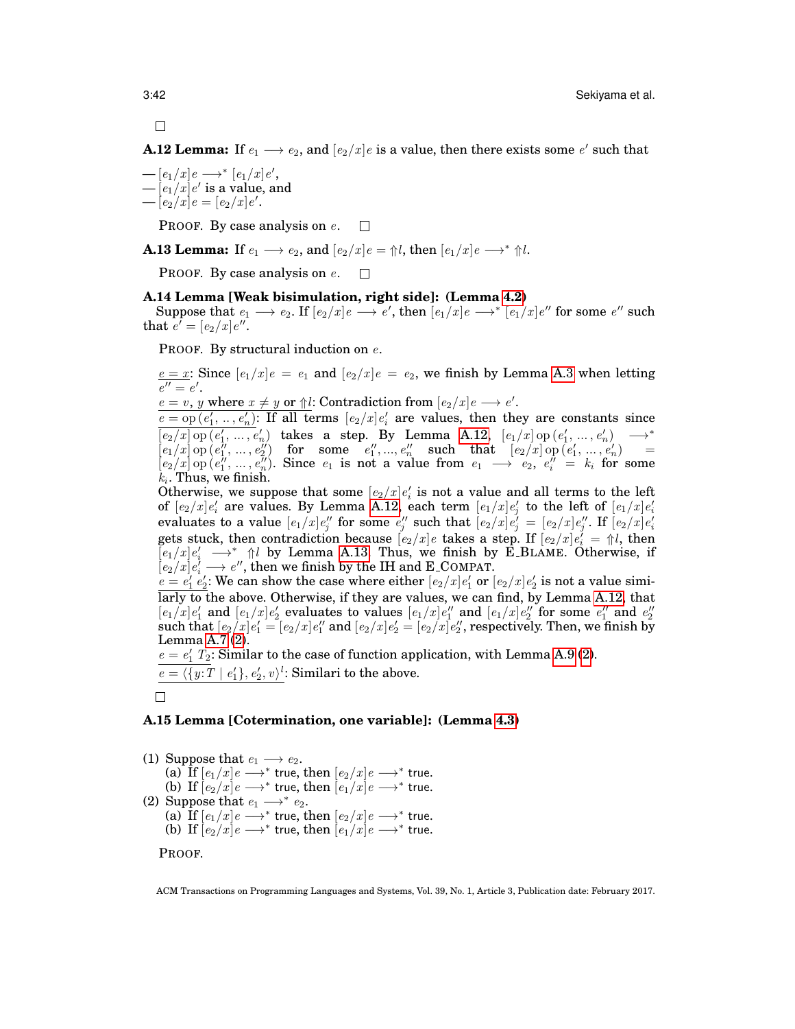$\Box$ 

<span id="page-41-2"></span>**A.12 Lemma:** If  $e_1 \longrightarrow e_2$ , and  $[e_2/x]e$  is a value, then there exists some  $e'$  such that

 $-[e_1/x]e \rightarrow^* [e_1/x]e',$  $-\left[e_{1}/x\right]$ e' is a value, and  $-[e_2/x]e = [e_2/x]e'.$ 

> PROOF. By case analysis on e.  $\Box$

<span id="page-41-3"></span>**A.13 Lemma:** If  $e_1 \longrightarrow e_2$ , and  $[e_2/x]e = \frac{\uparrow}{\downarrow}i$ , then  $[e_1/x]e \longrightarrow^* \frac{\uparrow}{\downarrow}i$ .

PROOF. By case analysis on e.  $\Box$ 

#### <span id="page-41-0"></span>**A.14 Lemma [Weak bisimulation, right side]: (Lemma [4.2\)](#page-20-4)**

Suppose that  $e_1 \longrightarrow e_2$ . If  $[e_2/x]e \longrightarrow e'$ , then  $[e_1/x]e \longrightarrow^*[e_1/x]e''$  for some  $e''$  such that  $e' = [e_2/x]e''$ .

PROOF. By structural induction on e.

 $e = x$ : Since  $[e_1/x]e = e_1$  and  $[e_2/x]e = e_2$ , we finish by Lemma [A.3](#page-37-0) when letting  $e''=e'$ .

 $e = v$ , y where  $x \neq y$  or  $\Uparrow l$ : Contradiction from  $[e_2/x]e \longrightarrow e'$ .

 $e = op(e'_1, ..., e'_n)$ : If all terms  $[e_2/x]e'_i$  are values, then they are constants since  $\overline{[e_2/x]}\operatorname{op}(e'_1,\ldots,e'_n)$  takes a step. By Lemma [A.12,](#page-41-2)  $[e_1/x]\operatorname{op}(e'_1,\ldots,e'_n) \longrightarrow^*$  $\big[e_1/x\big]\,{\rm op}\, \big(e_1^{\,\prime\prime},\, ...\,,\, e_2^{\,\prime\prime}\big) \quad\text{for}\quad\text{some}\quad e_1^{\,\prime\prime}, ...,\, e_n^{\,\prime\prime} \quad\text{such}\quad\text{that}\quad [e_2/x]\,{\rm op}\, (e_1^{\,\prime},\, ...\,,\, e_n^{\,\prime\prime}) \qquad\!=\;$  $\left[e_2/x\right]$  op  $\left(e_1'',\ldots,e_n''\right)$ . Since  $e_1$  is not a value from  $e_1 \longrightarrow e_2, e_i'' = k_i$  for some  $k_i$ . Thus, we finish.

Otherwise, we suppose that some  $[e_2/x]e'_i$  is not a value and all terms to the left of  $[e_2/x]e'_i$  are values. By Lemma [A.12,](#page-41-2) each term  $[e_1/x]e'_j$  to the left of  $[e_1/x]e'_i$ evaluates to a value  $[e_1/x]e''_j$  for some  $e''_j$  such that  $[e_2/x]e''_j = [e_2/x]e''_j$ . If  $[e_2/x]e'_i$ gets stuck, then contradiction because  $[e_2/x]e$  takes a step. If  $[e_2/x]e_i = \frac{\triangleleft}{e}e_i$  then  $\overline{[e_1/x]}\,e'_i \longrightarrow^* \Uparrow l$  by Lemma [A.13.](#page-41-3) Thus, we finish by E\_BLAME. Otherwise, if  $\left[e_2/x\right]e_i' \longrightarrow e'',$  then we finish by the IH and E\_COMPAT.

 $e = e'_1 e'_2$ : We can show the case where either  $[e_2/x]e'_1$  or  $[e_2/x]e'_2$  is not a value similarly to the above. Otherwise, if they are values, we can find, by Lemma [A.12,](#page-41-2) that  $[e_1/x]e'_1$  and  $[e_1/x]e'_2$  evaluates to values  $[e_1/x]e''_1$  and  $[e_1/x]e''_2$  for some  $e''_1$  and  $e''_2$  $\text{such that}\ [e_2/x]e_1'=[e_2/x]e_1''\text{ and }[e_2/x]e_2'=[e_2/x]e_2'',\text{respectively. Then, we finish by}$ Lemma [A.7](#page-39-0) [\(2\)](#page-40-6).

 $e = e'_1$   $T_2$ : Similar to the case of function application, with Lemma [A.9](#page-40-1) [\(2\)](#page-40-7).  $e = \langle \{y:T \mid e_1'\}, e_2', v \rangle^l$ : Similari to the above.

 $\Box$ 

## <span id="page-41-1"></span>**A.15 Lemma [Cotermination, one variable]: (Lemma [4.3\)](#page-20-5)**

(1) Suppose that  $e_1 \longrightarrow e_2$ . (a)  $\overline{\mathrm{If}}\,[e_1/x]e \longrightarrow^*$  true, then  $[e_2/x]e \longrightarrow^*$  true. (b) If  $[e_2/x]e \longrightarrow^*$  true, then  $[e_1/x]e \longrightarrow^*$  true. (2) Suppose that  $e_1 \longrightarrow^* e_2$ . (a) If  $[e_1/x]e \longrightarrow^*$  true, then  $[e_2/x]e \longrightarrow^*$  true. (b) If  $[e_2/x]e \longrightarrow^*$  true, then  $[e_1/x]e \longrightarrow^*$  true.

PROOF.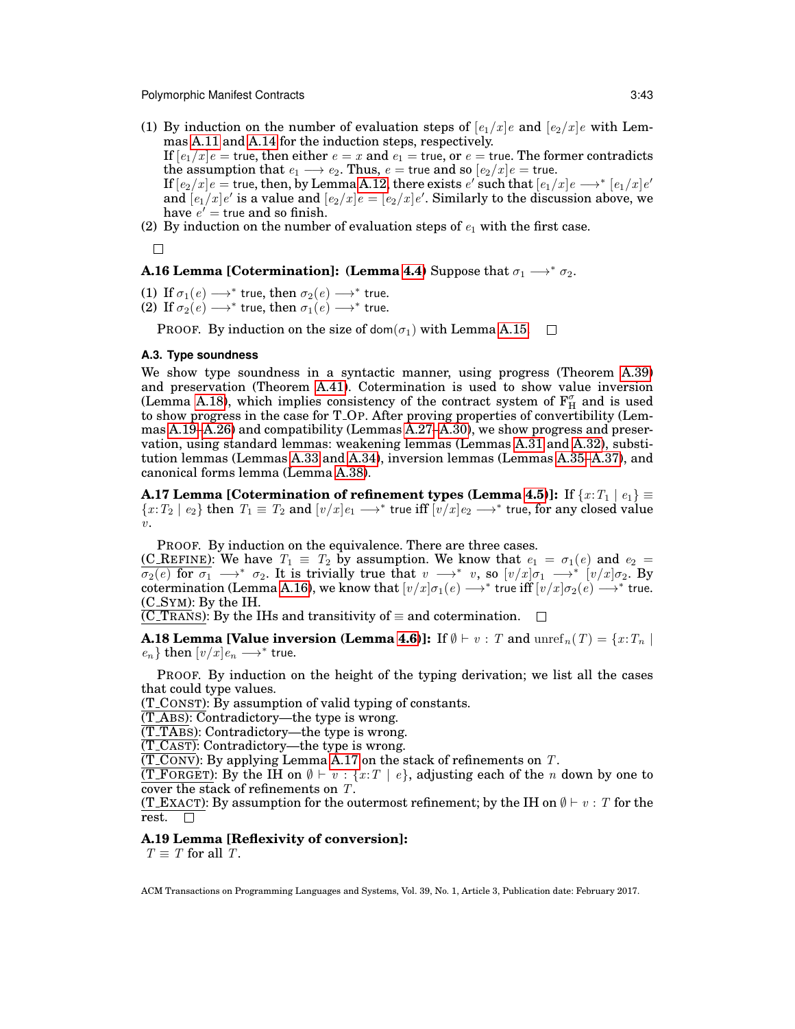(1) By induction on the number of evaluation steps of  $[e_1/x]e$  and  $[e_2/x]e$  with Lemmas [A.11](#page-40-0) and [A.14](#page-41-0) for the induction steps, respectively.

If  $[e_1/x]e$  = true, then either  $e = x$  and  $e_1 =$  true, or  $e =$  true. The former contradicts the assumption that  $e_1 \longrightarrow e_2$ . Thus,  $e =$  true and so  $[e_2/x]e =$  true.

If  $[e_2/x]e=$  true, then, by Lemma [A.12,](#page-41-2) there exists  $e'$  such that  $[e_1/x]e \longrightarrow^* [e_1/x]e'$ and  $[e_1/x]e'$  is a value and  $[e_2/x]e = [e_2/x]e'$ . Similarly to the discussion above, we have  $e'$  = true and so finish.

(2) By induction on the number of evaluation steps of  $e_1$  with the first case.

 $\Box$ 

## <span id="page-42-0"></span>**A.16 Lemma [Cotermination]: (Lemma [4.4\)](#page-20-2)** Suppose that  $\sigma_1 \longrightarrow^* \sigma_2$ .

(1) If  $\sigma_1(e) \longrightarrow^*$  true, then  $\sigma_2(e) \longrightarrow^*$  true. (2) If  $\sigma_2(e) \longrightarrow^*$  true, then  $\sigma_1(e) \longrightarrow^*$  true.

PROOF. By induction on the size of dom( $\sigma_1$ ) with Lemma [A.15.](#page-41-1)  $\Box$ 

#### <span id="page-42-3"></span>**A.3. Type soundness**

We show type soundness in a syntactic manner, using progress (Theorem [A.39\)](#page-46-0) and preservation (Theorem [A.41\)](#page-48-0). Cotermination is used to show value inversion (Lemma [A.18\)](#page-42-2), which implies consistency of the contract system of  $F_H^{\sigma}$  and is used to show progress in the case for T OP. After proving properties of convertibility (Lemmas [A.19](#page-42-4)[–A.26\)](#page-43-2) and compatibility (Lemmas [A.27](#page-43-3)[–A.30\)](#page-44-4), we show progress and preservation, using standard lemmas: weakening lemmas (Lemmas [A.31](#page-44-1) and [A.32\)](#page-44-2), substitution lemmas (Lemmas [A.33](#page-44-3) and [A.34\)](#page-45-0), inversion lemmas (Lemmas [A.35](#page-45-1)[–A.37\)](#page-45-3), and canonical forms lemma (Lemma [A.38\)](#page-45-2).

<span id="page-42-1"></span>**A.17 Lemma [Cotermination of refinement types (Lemma [4.5\)](#page-21-2)]:** If  $\{x: T_1 \mid e_1\} \equiv$  $\{x:T_2\mid e_2\}$  then  $T_1\equiv T_2$  and  $[v/x]e_1\longrightarrow^*$  true iff  $[v/x]e_2\longrightarrow^*$  true, for any closed value  $v<sub>1</sub>$ 

PROOF. By induction on the equivalence. There are three cases.

(C\_REFINE): We have  $T_1 \equiv T_2$  by assumption. We know that  $e_1 = \sigma_1(e)$  and  $e_2 =$  $\overline{\sigma_2(e)}$  for  $\overline{\sigma_1} \longrightarrow^* \sigma_2$ . It is trivially true that  $v \longrightarrow^* v$ , so  $[v/x] \sigma_1 \longrightarrow^* [v/x] \sigma_2$ . By cotermination (Lemma [A.16\)](#page-42-0), we know that  $[v/x] \sigma_1(e) \longrightarrow^*$  true iff  $[v/x] \sigma_2(e) \longrightarrow^*$  true. (C SYM): By the IH.

 $\overline{\text{ (C-Transs)}}$ : By the IHs and transitivity of  $\equiv$  and cotermination.  $\Box$ 

<span id="page-42-2"></span>**A.18 Lemma [Value inversion (Lemma [4.6\)](#page-21-0)]:** If  $\emptyset \vdash v : T$  and  $\text{unref}_n(T) = \{x : T_n \mid T_n\}$  $e_n$ } then  $[v/x]e_n \longrightarrow^*$  true.

PROOF. By induction on the height of the typing derivation; we list all the cases that could type values.

(T CONST): By assumption of valid typing of constants.

(T ABS): Contradictory—the type is wrong.

 $(T_{\rm T}$ ABS): Contradictory—the type is wrong.

 $(\overline{T\_CAST})$ : Contradictory—the type is wrong.

 $(\overline{T\_Conv})$ : By applying Lemma [A.17](#page-42-1) on the stack of refinements on T.

(T\_F<u>ORGET</u>): By the IH on  $\emptyset \vdash v : \{x : T \mid e\}$ , adjusting each of the *n* down by one to cover the stack of refinements on T.

(T\_EXACT): By assumption for the outermost refinement; by the IH on  $\emptyset \vdash v : T$  for the rest.  $\Box$ 

#### <span id="page-42-4"></span>**A.19 Lemma [Reflexivity of conversion]:**

 $T \equiv T$  for all T.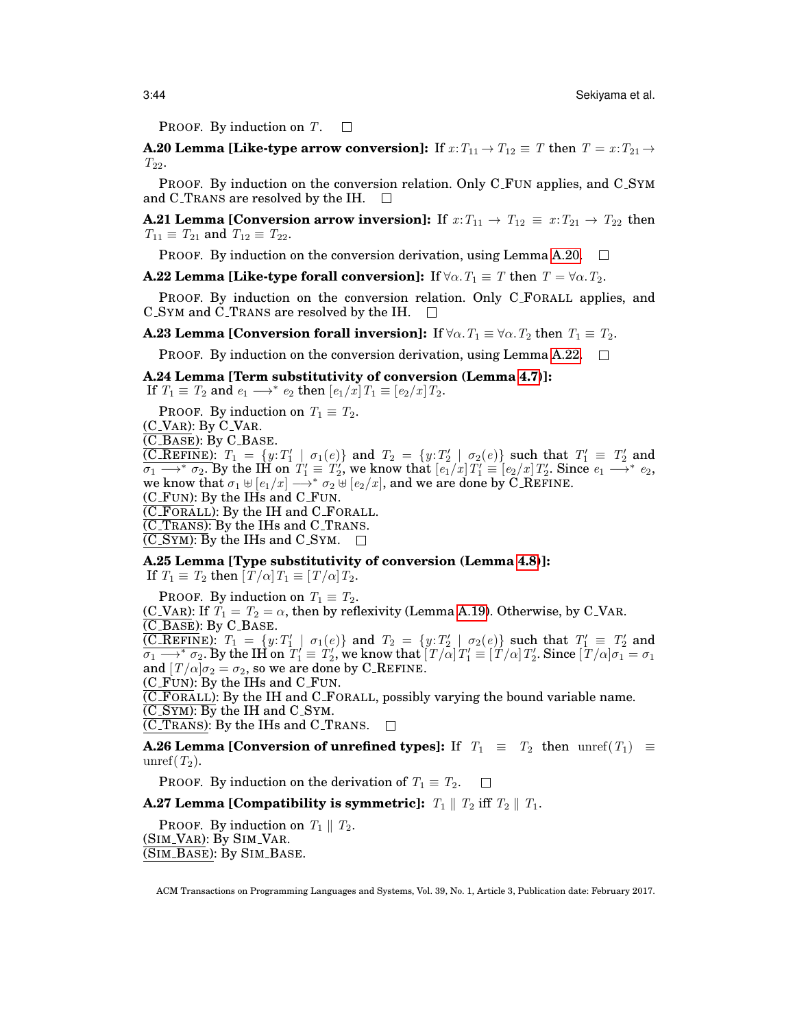PROOF. By induction on T.  $\Box$ 

<span id="page-43-4"></span>**A.20 Lemma [Like-type arrow conversion]:** If  $x: T_{11} \rightarrow T_{12} \equiv T$  then  $T = x: T_{21} \rightarrow T_{22}$  $T_{22}$ .

PROOF. By induction on the conversion relation. Only C\_FUN applies, and C\_SYM and C TRANS are resolved by the IH.  $\Box$ 

<span id="page-43-6"></span>**A.21 Lemma [Conversion arrow inversion]:** If  $x: T_{11} \rightarrow T_{12} \equiv x: T_{21} \rightarrow T_{22}$  then  $T_{11} \equiv T_{21}$  and  $T_{12} \equiv T_{22}$ .

**PROOF.** By induction on the conversion derivation, using Lemma [A.20.](#page-43-4)  $\Box$ 

<span id="page-43-5"></span>**A.22 Lemma [Like-type forall conversion]:** If  $\forall \alpha$ .  $T_1 \equiv T$  then  $T = \forall \alpha$ .  $T_2$ .

PROOF. By induction on the conversion relation. Only C FORALL applies, and C SYM and C TRANS are resolved by the IH.  $\Box$ 

<span id="page-43-7"></span>**A.23 Lemma [Conversion forall inversion]:** If  $\forall \alpha$ .  $T_1 \equiv \forall \alpha$ .  $T_2$  then  $T_1 \equiv T_2$ .

**PROOF.** By induction on the conversion derivation, using Lemma [A.22.](#page-43-5)  $\Box$ 

#### <span id="page-43-0"></span>**A.24 Lemma [Term substitutivity of conversion (Lemma [4.7\)](#page-21-1)]:**

If  $T_1 \equiv T_2$  and  $e_1 \longrightarrow^* e_2$  then  $\left[e_1/x\right]T_1 \equiv \left[e_2/x\right]T_2$ .

PROOF. By induction on  $T_1 \equiv T_2$ .

(C VAR): By C VAR.

(C BASE): By C BASE.

(C\_REFINE):  $T_1 = \{y: T'_1 \mid \sigma_1(e)\}$  and  $T_2 = \{y: T'_2 \mid \sigma_2(e)\}$  such that  $T'_1 \equiv T'_2$  and  $\overline{\sigma_1 \longrightarrow^* \sigma_2}.$  By the IH on  $T_1' \equiv T_2',$  we know that  $[e_1/x]T_1' \equiv [e_2/x]T_2'.$  Since  $e_1 \longrightarrow^* e_2,$ we know that  $\sigma_1 \uplus [e_1/x] \longrightarrow^* \sigma_2 \uplus [e_2/x]$ , and we are done by C\_REFINE.

(C FUN): By the IHs and C FUN.

(C FORALL): By the IH and C FORALL.

 $\overline{\text{(C_T RANS)}}$ : By the IHs and C\_TRANS.

 $(C_SYM)$ : By the IHs and  $C_SYM$ .  $\square$ 

<span id="page-43-1"></span>**A.25 Lemma [Type substitutivity of conversion (Lemma [4.8\)](#page-21-3)]:**

If  $T_1 \equiv T_2$  then  $[T/\alpha]T_1 \equiv [T/\alpha]T_2$ .

PROOF. By induction on  $T_1 \equiv T_2$ .

(C\_VAR): If  $T_1 = T_2 = \alpha$ , then by reflexivity (Lemma [A.19\)](#page-42-4). Otherwise, by C\_VAR. (C BASE): By C BASE.

(C\_REFINE):  $T_1 = \{y: T'_1 \mid \sigma_1(e)\}$  and  $T_2 = \{y: T'_2 \mid \sigma_2(e)\}$  such that  $T'_1 \equiv T'_2$  and  $\overline{\sigma_1 \longrightarrow^\ast \sigma_2}.$  By the IH on  $\overline{T'_1} \equiv T'_2,$  we know that  $\overline{[T/\alpha]}T'_1 \equiv \overline{[T/\alpha]}T'_2.$  Since  $\overline{[T/\alpha]}\sigma_1 = \sigma_1$ and  $[T/\alpha]\sigma_2 = \sigma_2$ , so we are done by C\_REFINE.

(C FUN): By the IHs and C FUN.

(C FORALL): By the IH and C FORALL, possibly varying the bound variable name.

 $\overline{(C_SYM)}$ : By the IH and  $C_SYM$ .

 $\overline{\text{ (C-Trans)}}$ : By the IHs and C<sub>-TRANS</sub>.  $\Box$ 

<span id="page-43-2"></span>**A.26 Lemma [Conversion of unrefined types]:** If  $T_1 \equiv T_2$  then unref( $T_1$ )  $\equiv$ unref $(T_2)$ .

PROOF. By induction on the derivation of  $T_1 \equiv T_2$ .  $\Box$ 

<span id="page-43-3"></span>**A.27 Lemma [Compatibility is symmetric]:**  $T_1 \parallel T_2$  iff  $T_2 \parallel T_1$ .

**PROOF.** By induction on  $T_1 \parallel T_2$ . (SIM\_VAR): By SIM\_VAR. (SIM BASE): By SIM BASE.

ACM Transactions on Programming Languages and Systems, Vol. 39, No. 1, Article 3, Publication date: February 2017.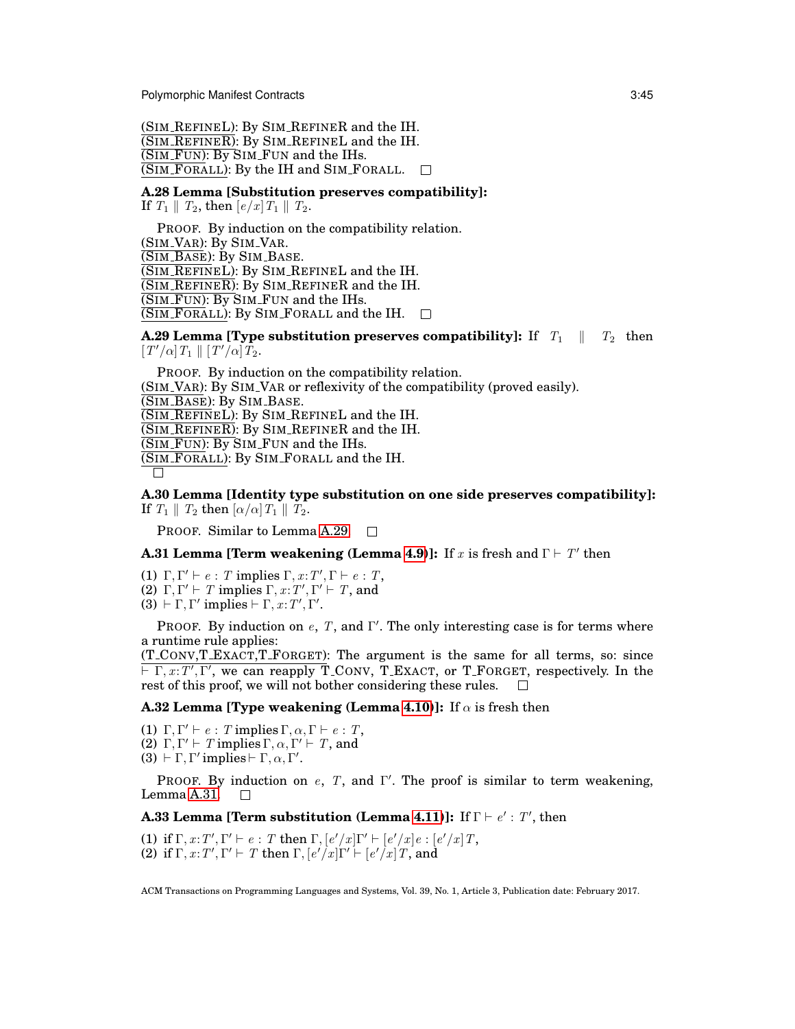(SIM REFINEL): By SIM REFINER and the IH.  $\overline{\text{(SIM\_REFINER)}}$ : By SIM\_REFINEL and the IH. (SIM FUN): By SIM FUN and the IHs.  $\overline{\text{(SIM_FORALL)}}$ : By the IH and SIM\_FORALL.  $\Box$ 

<span id="page-44-0"></span>**A.28 Lemma [Substitution preserves compatibility]:**

If  $T_1 \parallel T_2$ , then  $[e/x]T_1 \parallel T_2$ .

PROOF. By induction on the compatibility relation. (SIM\_VAR): By SIM\_VAR. (SIM BASE): By SIM BASE. (SIM REFINEL): By SIM REFINEL and the IH. (SIM REFINER): By SIM REFINER and the IH.  $\overline{\text{(SIM-FUN)}}$ : By SIM FUN and the IHs.  $\overline{\text{(SIM_FORALL)}}$ : By SIM\_FORALL and the IH.  $\square$ 

<span id="page-44-5"></span>**A.29 Lemma [Type substitution preserves compatibility]:** If  $T_1 \parallel T_2$  then  $[T'/\alpha] T_1 \parallel [T'/\alpha] T_2.$ 

PROOF. By induction on the compatibility relation. (SIM VAR): By SIM VAR or reflexivity of the compatibility (proved easily). (SIM BASE): By SIM BASE. (SIM REFINEL): By SIM REFINEL and the IH.  $\overline{\text{(SIM\_REFINER)}}$ : By SIM\_REFINER and the IH.  $\overline{\text{(SIM-FUN)}}$ : By SIM FUN and the IHs. (SIM FORALL): By SIM FORALL and the IH.  $\Box$ 

<span id="page-44-4"></span>**A.30 Lemma [Identity type substitution on one side preserves compatibility]:** If  $T_1 \parallel T_2$  then  $\left[\alpha/\alpha\right]T_1 \parallel T_2$ .

PROOF. Similar to Lemma [A.29.](#page-44-5)

# <span id="page-44-1"></span>**A.31 Lemma [Term weakening (Lemma [4.9\)](#page-21-4)]:** If x is fresh and  $\Gamma \vdash T'$  then

(1)  $\Gamma, \Gamma' \vdash e : T$  implies  $\Gamma, x : T', \Gamma \vdash e : T$ , (2)  $\Gamma, \Gamma' \vdash T$  implies  $\Gamma, x : T', \Gamma' \vdash T$ , and

(3)  $\vdash \Gamma, \Gamma'$  implies  $\vdash \Gamma, x : T', \Gamma'.$ 

PROOF. By induction on  $e$ , T, and Γ'. The only interesting case is for terms where a runtime rule applies:

(T CONV,T EXACT,T FORGET): The argument is the same for all terms, so: since  $\overline{\mathcal{F}} \Gamma, x : T', \Gamma',$  we can reapply T\_CONV, T\_EXACT, or T\_FORGET, respectively. In the rest of this proof, we will not bother considering these rules.

<span id="page-44-2"></span>**A.32 Lemma [Type weakening (Lemma [4.10\)](#page-21-5)]:** If  $\alpha$  is fresh then

(1)  $\Gamma, \Gamma' \vdash e : T$  implies  $\Gamma, \alpha, \Gamma \vdash e : T$ , (2)  $\Gamma, \Gamma' \vdash T$  implies  $\Gamma, \alpha, \Gamma' \vdash T$ , and

(3)  $\vdash \Gamma, \Gamma'$  implies  $\vdash \Gamma, \alpha, \Gamma'$ .

PROOF. By induction on  $e$ , T, and Γ'. The proof is similar to term weakening, Lemma [A.31.](#page-44-1)  $\Box$ 

# <span id="page-44-3"></span>**A.33 Lemma [Term substitution (Lemma [4.11\)](#page-21-6)]: If**  $\Gamma \vdash e' : T'$ **, then**

(1) if  $\Gamma, x: T', \Gamma' \vdash e: T$  then  $\Gamma, [e'/x] \Gamma' \vdash [e'/x] e: [e'/x] T$ , (2) if  $\Gamma, x: T', \Gamma' \vdash T$  then  $\Gamma, [e'/x]\Gamma' \vdash [e'/x]T$ , and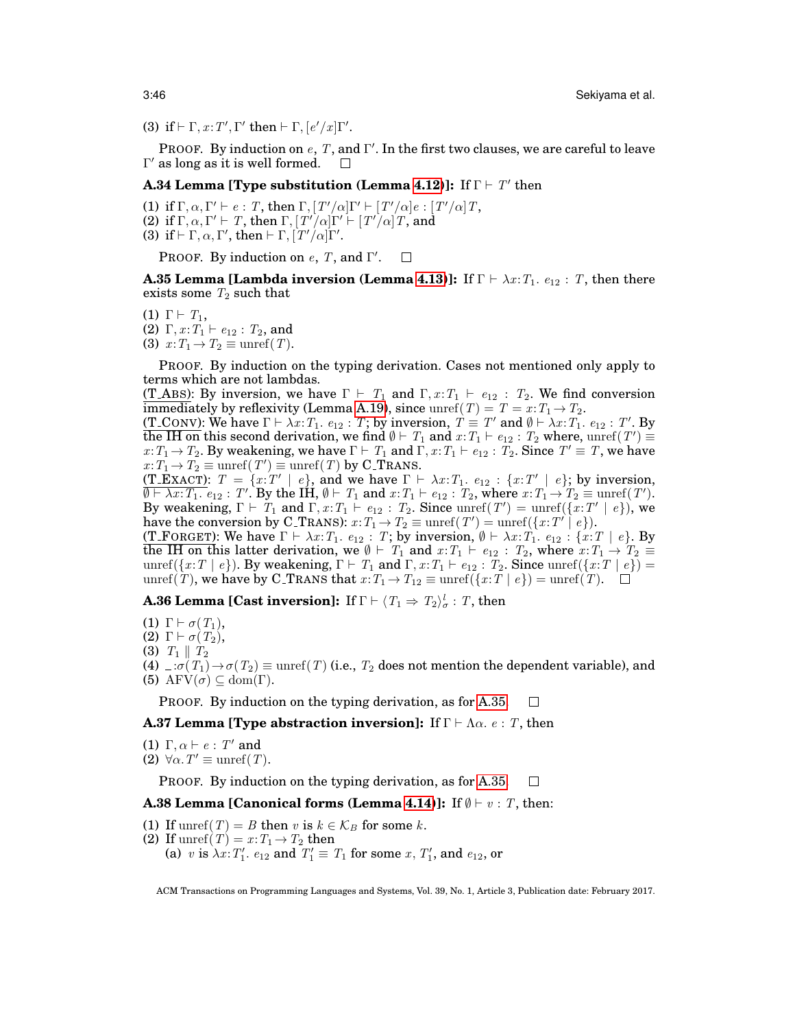(3) if  $\vdash \Gamma, x : T', \Gamma'$  then  $\vdash \Gamma, [e'/x]\Gamma'.$ 

PROOF. By induction on  $e$ ,  $T$ , and  $\Gamma'$ . In the first two clauses, we are careful to leave  $\Gamma'$  as long as it is well formed.  $\Box$ 

# <span id="page-45-0"></span>**A.34 Lemma [Type substitution (Lemma [4.12\)](#page-21-7)]:** If  $\Gamma \vdash T'$  then

- (1) if  $\Gamma, \alpha, \Gamma' \vdash e : T$ , then  $\Gamma, [T'/\alpha]\Gamma' \vdash [T'/\alpha]e : [T'/\alpha]T$ , (2) if  $\Gamma, \alpha, \Gamma' \vdash T$ , then  $\Gamma, [T'/\alpha] \Gamma' \vdash [T'/\alpha] T$ , and
- (3) if  $\vdash \Gamma, \alpha, \Gamma'$ , then  $\vdash \Gamma, \lceil T'/\alpha \rceil \Gamma'$ .

PROOF. By induction on  $e$ , T, and  $\Gamma'$ .  $\Box$ 

<span id="page-45-1"></span>**A.35 Lemma [Lambda inversion (Lemma [4.13\)](#page-21-8)]:** If  $\Gamma \vdash \lambda x : T_1$ .  $e_{12} : T$ , then there exists some  $T_2$  such that

- (1)  $\Gamma \vdash T_1$ , (2)  $\Gamma, x : T_1 \vdash e_{12} : T_2$ , and
- (3)  $x: T_1 \to T_2 \equiv$  unref(T).

PROOF. By induction on the typing derivation. Cases not mentioned only apply to terms which are not lambdas.

(T\_ABS): By inversion, we have  $\Gamma \vdash T_1$  and  $\Gamma, x : T_1 \vdash e_{12} : T_2$ . We find conversion immediately by reflexivity (Lemma [A.19\)](#page-42-4), since  $\text{unref}(T) = T = x : T_1 \to T_2$ .

(T\_CONV): We have  $\Gamma \vdash \lambda x{:}T_1.$   $e_{12}: T;$  by inversion,  $\overline{T} \equiv \overline{T}'$  and  $\emptyset \vdash \lambda x{:}T_1.$   $e_{12}: T'.$  By the IH on this second derivation, we find  $\emptyset \vdash T_1$  and  $x:T_1 \vdash e_{12} : T_2$  where,  $\text{unref}(T') \equiv$  $x:T_1 \to T_2$ . By weakening, we have  $\Gamma \vdash T_1$  and  $\Gamma, x:T_1 \vdash e_{12} : T_2$ . Since  $T' \equiv T$ , we have  $x: T_1 \to T_2 \equiv$  unref $(T') \equiv$  unref $(T)$  by C\_TRANS.

(T\_EXACT):  $T = \{x : T' \mid e\}$ , and we have  $\Gamma \vdash \lambda x : T_1$ .  $e_{12} : \{x : T' \mid e\}$ ; by inversion,  $\overline{\emptyset \vdash \lambda x : T_1 \cdot e_{12} : T'.$  By the IH,  $\emptyset \vdash T_1$  and  $x : T_1 \vdash e_{12} : T_2$ , where  $x : T_1 \rightarrow T_2 \equiv \text{unref}(T').$ By weakening,  $\Gamma \vdash T_1$  and  $\Gamma, x : T_1 \vdash e_{12} : T_2$ . Since unref $(T') = \text{unref}(\lbrace x : T' \mid e \rbrace)$ , we have the conversion by C\_TRANS):  $x: T_1 \to T_2 \equiv \text{unref}(T') = \text{unref}(\{x: T' \mid e\}).$ 

(T\_FORGET): We have  $\Gamma \vdash \lambda x : T_1$ .  $e_{12} : T_1$ ; by inversion,  $\emptyset \vdash \lambda x : T_1$ .  $e_{12} : \{x : T \mid e\}$ . By the IH on this latter derivation, we  $\emptyset \vdash T_1$  and  $x:T_1 \vdash e_{12} : T_2$ , where  $x:T_1 \rightarrow T_2 \equiv$ unref({x:T | e}). By weakening,  $\Gamma \vdash T_1$  and  $\Gamma, x : T_1 \vdash e_{12} : T_2$ . Since unref({x:T | e}) = unref(T), we have by C\_TRANS that  $x: T_1 \to T_{12} \equiv \text{unref}(\{x: T \mid e\}) = \text{unref}(T)$ .  $\Box$ 

<span id="page-45-6"></span>**A.36 Lemma [Cast inversion]:** If  $\Gamma \vdash \langle T_1 \Rightarrow T_2 \rangle^l_{\sigma} : T$ , then

(1)  $\Gamma \vdash \sigma(T_1),$ (2)  $\Gamma \vdash \sigma(T_2),$ 

- 
- (3)  $T_1 \parallel T_2$

(4)  $\pm \sigma(T_1) \rightarrow \sigma(T_2) \equiv$  unref(T) (i.e.,  $T_2$  does not mention the dependent variable), and (5)  $\text{AFV}(\sigma) \subseteq \text{dom}(\Gamma)$ .

PROOF. By induction on the typing derivation, as for [A.35.](#page-45-1)  $\Box$ 

## <span id="page-45-3"></span>**A.37 Lemma [Type abstraction inversion]:** If  $\Gamma \vdash \Lambda \alpha$ . e: T, then

(1) 
$$
\Gamma, \alpha \vdash e : T'
$$
 and

(2)  $\forall \alpha$ .  $T' \equiv \text{unref}(T)$ .

PROOF. By induction on the typing derivation, as for [A.35.](#page-45-1)  $\Box$ 

#### <span id="page-45-2"></span>**A.38 Lemma [Canonical forms (Lemma [4.14\)](#page-21-9)]:** If  $\emptyset \vdash v : T$ , then:

- <span id="page-45-4"></span>(1) If unref(T) = B then v is  $k \in \mathcal{K}_B$  for some k.
- <span id="page-45-5"></span>(2) If unref(T) =  $x: T_1 \rightarrow T_2$  then

(a) v is  $\lambda x$ :  $T_1'$ ,  $e_{12}$  and  $T_1' \equiv T_1$  for some  $x$ ,  $T_1'$ , and  $e_{12}$ , or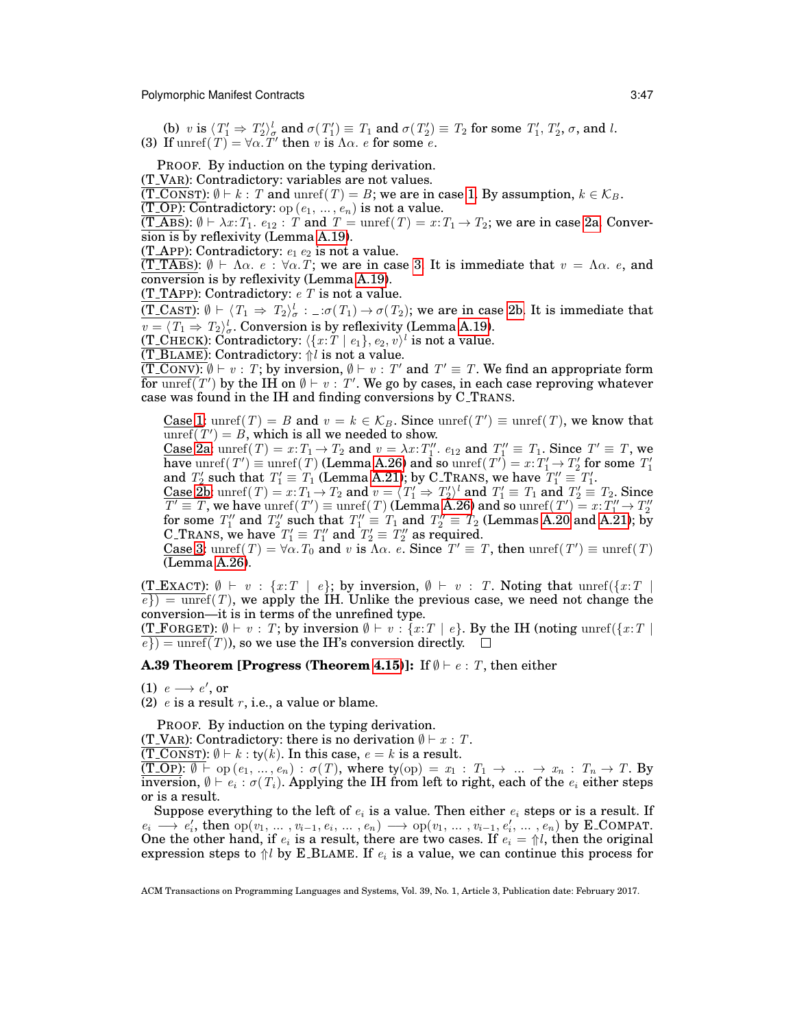<span id="page-46-2"></span><span id="page-46-1"></span>(b) v is  $\langle T_1' \Rightarrow T_2' \rangle_{\sigma}^l$  and  $\sigma(T_1') \equiv T_1$  and  $\sigma(T_2') \equiv T_2$  for some  $T_1', T_2', \sigma$ , and l. (3) If  $\text{unref}(T) = \forall \alpha \cdot T'$  then v is  $\Lambda \alpha$ . e for some e.

PROOF. By induction on the typing derivation.

(T VAR): Contradictory: variables are not values.

(T\_CONST):  $\emptyset \vdash k : T$  and unref(T) = B; we are in case [1.](#page-45-4) By assumption,  $k \in \mathcal{K}_B$ .

 $(T_\text{o}$ : Contradictory: op  $(e_1, \ldots, e_n)$  is not a value.

(T\_ABS):  $\emptyset \vdash \lambda x$ :  $T_1$ .  $e_{12}$ : T and  $T = \text{unref}(T) = x$ :  $T_1 \rightarrow T_2$ ; we are in case [2a.](#page-45-5) Conversion is by reflexivity (Lemma [A.19\)](#page-42-4).

(T\_APP): Contradictory:  $e_1 e_2$  is not a value.

(T\_TABS):  $\emptyset \vdash \Lambda \alpha$ .  $e : \forall \alpha$ . T; we are in case [3.](#page-46-1) It is immediate that  $v = \Lambda \alpha$ .  $e$ , and conversion is by reflexivity (Lemma [A.19\)](#page-42-4).

(T\_TAPP): Contradictory:  $e T$  is not a value.

 $(T_C(\text{LST}) : \emptyset \vdash \langle T_1 \Rightarrow T_2 \rangle_{\sigma}^l : \bot : \sigma(T_1) \rightarrow \sigma(T_2)$ ; we are in case [2b.](#page-46-2) It is immediate that  $v = \langle T_1 \Rightarrow T_2 \rangle^l_{\sigma}$ . Conversion is by reflexivity (Lemma [A.19\)](#page-42-4).

(T\_CHECK): Contradictory:  $\langle \{x{:}\bar{T}\mid e_1\}, e_2, v\rangle^l$  is not a value.

 $\overline{\text{(T_BlAME)}}$ : Contradictory:  $\Uparrow \overline{l}$  is not a value.

 $\overline{(T\_{\text{conv}}): \emptyset \vdash v : T; \text{ by inversion}, \emptyset \vdash v : T' \text{ and } T' \equiv T. \text{ We find an appropriate form}}$ for  $\overline{\text{tor}\, \text{unref}(T')}$  by the IH on  $\emptyset \vdash v : T'$ . We go by cases, in each case reproving whatever case was found in the IH and finding conversions by C TRANS.

<u>Case 1</u>: unref(T) = B and  $v = k \in \mathcal{K}_B$ . Since unref(T')  $\equiv$  unref(T), we know that  $\overline{\text{unref}(T')} = B$ , which is all we needed to show.

<u>Case 2a</u>: unref(T) =  $x: T_1 \to T_2$  and  $v = \lambda x: T''_1$ .  $e_{12}$  and  $T''_1 \equiv T_1$ . Since  $T' \equiv T$ , we have  $\mathrm{unref}(T')\equiv \mathrm{unref}(T)$  (Lemma [A.26\)](#page-43-2) and so  $\mathrm{unref}(T')=x$  :  $T'_1\rightarrow T'_2$  for some  $T'_1$ and  $T_2$  such that  $T_1 \equiv T_1$  (Lemma [A.21\)](#page-43-6); by C. TRANS, we have  $T_1'' \equiv T_1'$ .

and  $T_2$  such that  $T_1 = T_1$  (Lemma A.21), by C. TRANS, we have  $T_1 = T_1$ .<br>Case [2b:](#page-46-2) unref  $(T) = x: T_1 \rightarrow T_2$  and  $v = \langle T_1' \Rightarrow T_2' \rangle^T$  and  $T_1' \equiv T_1$  and  $T_2' \equiv T_2$ . Since  $T' \equiv T$ , we have  $\text{unref}(T') \equiv \text{unref}(T)$  (Lemma [A.26\)](#page-43-2) and so  $\text{unref}(T') = x: T''_1 \rightarrow T''_2$  for some  $T''_1$  and  $T''_2 \equiv T_1$  and  $T''_2 \equiv T_2$  (Lemmas [A.20](#page-43-4) and [A.21\)](#page-43-6); by C\_TRANS, we have  $T_1' \equiv T_1''$  and  $T_2' \equiv T_2''$  as required.

Case [3:](#page-46-1) unref(T) =  $\forall \alpha$ . T<sub>0</sub> and v is  $\Lambda \alpha$ . e. Since  $T' \equiv T$ , then unref(T')  $\equiv$  unref(T) (Lemma [A.26\)](#page-43-2).

(T\_EXACT):  $\emptyset \vdash v : \{x : T \mid e\}$ ; by inversion,  $\emptyset \vdash v : T$ . Noting that unref({x:T}  $e$ }) = unref(T), we apply the IH. Unlike the previous case, we need not change the conversion—it is in terms of the unrefined type.

(T\_FORGET):  $\emptyset \vdash v : T$ ; by inversion  $\emptyset \vdash v : \{x : T \mid e\}$ . By the IH (noting unref( $\{x : T \mid e\}$ )  $\overline{e}) = \text{unref}(T)$ , so we use the IH's conversion directly.  $\Box$ 

<span id="page-46-0"></span>**A.39 Theorem [Progress (Theorem [4.15\)](#page-22-2)]:** If  $\emptyset \vdash e : T$ , then either

(1)  $e \rightarrow e'$ , or

(2)  $e$  is a result r, i.e., a value or blame.

PROOF. By induction on the typing derivation.

(T\_VAR): Contradictory: there is no derivation  $\emptyset \vdash x : T$ .

 $(\overline{\text{T\_Cons}}\text{T})$ :  $\emptyset \vdash k : \text{ty}(k)$ . In this case,  $e = k$  is a result.

 $(T\_OP): \emptyset \vdash op(e_1, ..., e_n) : \sigma(T)$ , where  $ty(op) = x_1 : T_1 \rightarrow ... \rightarrow x_n : T_n \rightarrow T$ . By inversion,  $\emptyset \vdash e_i : \sigma(T_i).$  Applying the IH from left to right, each of the  $e_i$  either steps or is a result.

Suppose everything to the left of  $e_i$  is a value. Then either  $e_i$  steps or is a result. If  $e_i \longrightarrow e'_i$ , then  $\text{op}(v_1, \ldots, v_{i-1}, e_i, \ldots, e_n) \longrightarrow \text{op}(v_1, \ldots, v_{i-1}, e'_i, \ldots, e_n)$  by E\_COMPAT. One the other hand, if  $e_i$  is a result, there are two cases. If  $e_i = \frac{\partial f}{\partial t}$ , then the original expression steps to  $\mathcal{U}$  by E\_BLAME. If  $e_i$  is a value, we can continue this process for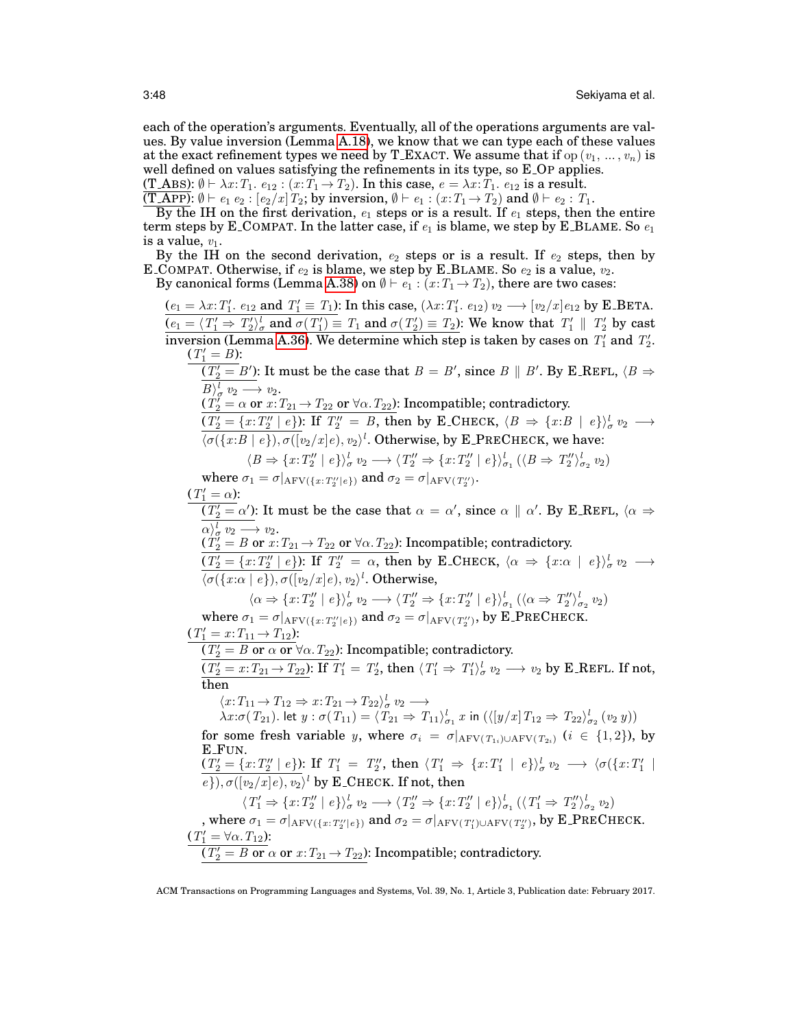each of the operation's arguments. Eventually, all of the operations arguments are values. By value inversion (Lemma [A.18\)](#page-42-2), we know that we can type each of these values at the exact refinement types we need by T\_EXACT. We assume that if op  $(v_1, ..., v_n)$  is well defined on values satisfying the refinements in its type, so E<sub>-OP</sub> applies. (T\_ABS):  $\emptyset \vdash \lambda x$ :  $T_1$ .  $e_{12}$ :  $(x: T_1 \rightarrow T_2)$ . In this case,  $e = \lambda x$ :  $T_1$ .  $e_{12}$  is a result.

(T\_APP):  $\emptyset \vdash e_1 \ e_2 : [e_2/x]T_2$ ; by inversion,  $\emptyset \vdash e_1 : (x : T_1 \rightarrow T_2)$  and  $\emptyset \vdash e_2 : T_1$ .

By the IH on the first derivation,  $e_1$  steps or is a result. If  $e_1$  steps, then the entire term steps by E\_COMPAT. In the latter case, if  $e_1$  is blame, we step by E\_BLAME. So  $e_1$ is a value,  $v_1$ .

By the IH on the second derivation,  $e_2$  steps or is a result. If  $e_2$  steps, then by E COMPAT. Otherwise, if  $e_2$  is blame, we step by E BLAME. So  $e_2$  is a value,  $v_2$ .

By canonical forms (Lemma [A.38\)](#page-45-2) on  $\emptyset \vdash e_1 : (x : T_1 \rightarrow T_2)$ , there are two cases:

 $(e_1 = \lambda x \colon T'_1$ .  $e_{12}$  and  $T'_1 \equiv T_1$ ): In this case,  $(\lambda x \colon T'_1$ .  $e_{12}) v_2 \longrightarrow [v_2/x] e_{12}$  by E\_BETA.  $(e_1 = \langle T'_1 \Rightarrow T'_2 \rangle^l_{\sigma}$  and  $\sigma(T'_1) \equiv T_1$  and  $\sigma(T'_2) \equiv T_2$ ): We know that  $T'_1 \parallel T'_2$  by cast inversion (Lemma [A.36\)](#page-45-6). We determine which step is taken by cases on  $T_1'$  and  $T_2'$ .  $(T'_1 = B)$ :  $\overline{(T'_2 = B')}$ : It must be the case that  $B = B',$  since  $B \parallel B'.$  By E\_REFL,  $\langle B \Rightarrow$  $B\rangle_{\sigma}^{l} v_2 \longrightarrow v_2.$ l  $(T_2^{\gamma} = \alpha \text{ or } x \colon T_{21} \to T_{22} \text{ or } \forall \alpha \colon T_{22})$ : Incompatible; contradictory.  $(T'_2 = \{x: T''_2 \mid e\})$ : If  $T''_2 = B$ , then by E\_CHECK,  $\langle B \Rightarrow \{x: B \mid e\} \rangle^l_{\sigma} v_2 \longrightarrow$  $\langle \sigma({x:B | e}), \sigma({y_2}/{x} | e), {v_2}\rangle^l$ . Otherwise, by E\_PRECHECK, we have:  $\langle B \Rightarrow \{x:T''_2 \mid e\}\rangle^l_{\sigma} v_2 \longrightarrow \langle T''_2 \Rightarrow \{x:T''_2 \mid e\}\rangle^l_{\sigma_1} (\langle B \Rightarrow T''_2 \rangle^l_{\sigma_2} v_2)$ where  $\sigma_1 = \sigma|_{\rm AFV(\{x:\,T_2''|e\})}$  and  $\sigma_2 = \sigma|_{\rm AFV(\,T_2'')}.$  $(T'_1 = \alpha)$ :  $\overline{(T'_2=\alpha')}$ : It must be the case that  $\alpha=\alpha',$  since  $\alpha\parallel\alpha'.$  By E\_REFL,  $\langle\alpha\Rightarrow\alpha'\rangle$  $\alpha\rangle^l_{\sigma} v_2 \longrightarrow v_2.$  $(T_{2}^{\prime}=B\ {\rm or}\ x\mathpunct{:}T_{21} \mathpunct{\rightarrow} T_{22}\ {\rm or}\ \forall \alpha\mathpunct{:}T_{22})$ : Incompatible; contradictory.  $(T_2' = \{x:T_2'' \mid e\})$ : If  $T_2'' = \alpha$ , then by E\_CHECK,  $\langle \alpha \Rightarrow \{x:\alpha \mid e\} \rangle^l_{\sigma} v_2 \longrightarrow$  $\langle \sigma(\{x:\alpha\mid e\}), \sigma([v_2/x]e), v_2\rangle^l$ . Otherwise,  $\langle \alpha \Rightarrow \{x:T''_2 \mid e\} \rangle^l_{\sigma} v_2 \longrightarrow \langle T''_2 \Rightarrow \{x:T''_2 \mid e\} \rangle^l_{\sigma_1} (\langle \alpha \Rightarrow T''_2 \rangle^l_{\sigma_2} v_2)$ where  $\sigma_1 = \sigma|_{\rm AFV(\{x:\,T''_2|\,e\})}$  and  $\sigma_2 = \sigma|_{\rm AFV(\,T''_2)},$  by E\_PRECHECK.  $(T'_1 = x: T_{11} \rightarrow T_{12})$ :  $(T_2' = B \text{ or } \alpha \text{ or } \forall \alpha$ .  $T_{22}$ ): Incompatible; contradictory.  $(T'_2 = x : T_{21} \rightarrow T_{22}) : \text{If } T'_1 = T'_2 \text{, then } \langle T'_1 \Rightarrow T'_1 \rangle^l_{\sigma} v_2 \longrightarrow v_2 \text{ by E\_REFL. If not, }$ then  $\langle x: T_{11} \to T_{12} \Rightarrow x: T_{21} \to T_{22} \rangle^l_{\sigma} v_2 \longrightarrow$  $\lambda x:\sigma(T_{21})$ . let  $y:\sigma(T_{11})=\langle T_{21} \Rightarrow T_{11}\rangle^l_{\sigma_1}x$  in  $(\langle [y/x]T_{12} \Rightarrow T_{22}\rangle^l_{\sigma_2}(v_2\ y))$ for some fresh variable y, where  $\sigma_i = \sigma|_{\text{AFV}(T_{1i}) \cup \text{AFV}(T_{2i})}$   $(i \in \{1,2\})$ , by E FUN.  $(T'_2 = \{x: T''_2 \mid e\})$ : If  $T'_1 = T''_2$ , then  $\langle T'_1 \Rightarrow \{x: T'_1 \mid e\} \rangle^l_{\sigma} v_2 \longrightarrow \langle \sigma(\{x: T'_1 \mid e\})^l_{\sigma} v_1 \rangle$  $e$ }),  $\sigma([v_2/x]e)$ ,  $v_2$ <sup>l</sup> by **E\_CHECK.** If not, then  $\langle T'_1 \Rightarrow \{x: T''_2 \mid e\} \rangle^l_{\sigma} v_2 \longrightarrow \langle T''_2 \Rightarrow \{x: T''_2 \mid e\} \rangle^l_{\sigma_1} (\langle T'_1 \Rightarrow T''_2 \rangle^l_{\sigma_2} v_2)$ , where  $\sigma_1=\sigma|_{\rm AFV(\{x:\,T_2''|e\})}$  and  $\sigma_2=\sigma|_{\rm AFV(\,T_1')\cup \rm AFV(\,T_2'')},$  by E\_PRECHECK.  $(T_1' = \forall \alpha \ldotp T_{12})$ :  $(T'_2 = B \text{ or } \alpha \text{ or } x: T_{21} \rightarrow T_{22})$ : Incompatible; contradictory.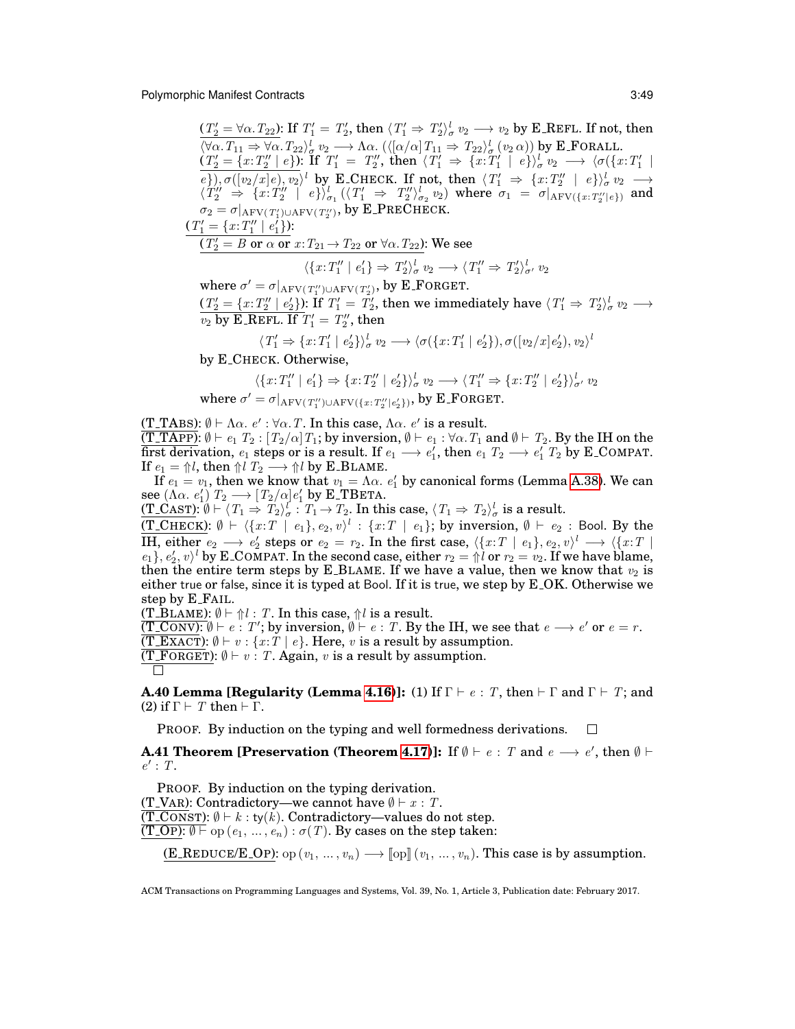$(T_2' = \forall \alpha \ldotp T_{22})$ : If  $T_1' = T_2'$ , then  $\langle T_1' \Rightarrow T_2' \rangle^l_{\sigma} v_2 \longrightarrow v_2$  by E\_REFL. If not, then  $\langle \forall \alpha \cdot T_{11} \Rightarrow \forall \alpha \cdot T_{22} \rangle_{\sigma}^{l} v_2 \longrightarrow \Lambda \alpha \cdot (\langle [\alpha/\alpha] T_{11} \Rightarrow T_{22} \rangle_{\sigma}^{l} (v_2 \alpha))$  by E\_FORALL.  $(T_2' = \{x: T_2'' \mid e\})$ : If  $T_1' = T_2''$ , then  $(T_1' \Rightarrow \{x: T_1' \mid e\})^l_{\sigma} v_2 \longrightarrow \langle \sigma(\{x: T_1' \mid e\})^l_{\sigma} v_1' \rangle$  $e$ ,  $\sigma([v_2/x]e), v_2 \rangle^l$  by E\_CHECK. If not, then  $\langle T'_1 \Rightarrow \{x : T''_2 \mid e\} \rangle^l_{\sigma} v_2 \longrightarrow$  $\langle T_2'' \Rightarrow \{x: T_2'' \mid e\} \rangle^l_{\sigma_1} (\langle T_1' \Rightarrow T_2'' \rangle^l_{\sigma_2} v_2)$  where  $\sigma_1 = \sigma|_{AFV(\{x: T_2'' \mid e\})}$  and  $\sigma_2 = \sigma|_{\rm AFV}(\mathit{T}_1') \cup \rm AFV(\mathit{T}_2'')$ , by  $\rm E\_PRECHECK.$  $(T'_1 = \{x: T''_1 \mid e'_1\})$ :  $(T'_2 = B \text{ or } \alpha \text{ or } x\! T_{21} \rightarrow T_{22} \text{ or } \forall \alpha \ldotp T_{22})$ : We see  $\langle \{x:T''_1 \mid e'_1\} \Rightarrow T'_2 \rangle^l_{\sigma} v_2 \longrightarrow \langle T''_1 \Rightarrow T'_2 \rangle^l_{\sigma'} v_2$ 

where  $\sigma' = \sigma|_{\text{AFV}(T_1'') \cup \text{AFV}(T_2')}$ , by E\_FORGET.  $(T'_2 = \{x: T''_2 \mid e'_2\})$ : If  $T'_1 = T'_2$ , then we immediately have  $\langle T'_1 \Rightarrow T'_2 \rangle^l_{\sigma} v_2 \longrightarrow$  $\overline{v_2}$  by E\_REFL. If  $T_1' = T_2''$ , then

$$
\langle T'_1 \Rightarrow \{x: T'_1 \mid e'_2\} \rangle_{\sigma}^l v_2 \longrightarrow \langle \sigma(\{x: T'_1 \mid e'_2\}), \sigma([v_2/x]e'_2), v_2 \rangle^l
$$

by E CHECK. Otherwise,

W<sub>w</sub>

$$
\langle \{x:T''_1 \mid e'_1\} \Rightarrow \{x:T''_2 \mid e'_2\}\rangle^l_{\sigma} v_2 \longrightarrow \langle T''_1 \Rightarrow \{x:T''_2 \mid e'_2\}\rangle^l_{\sigma'} v_2
$$
  
here  $\sigma' = \sigma|_{\text{AFV}(T''_1) \cup \text{AFV}(\{x:T''_2 \mid e'_2\})}$ , by E-FORGET.

(T\_TABS):  $\emptyset \vdash \Lambda \alpha$ .  $e' : \forall \alpha$ . T. In this case,  $\Lambda \alpha$ .  $e'$  is a result. (T\_TAPP):  $\emptyset \vdash e_1$   $T_2$ :  $[T_2/\alpha]T_1$ ; by inversion,  $\emptyset \vdash e_1$ :  $\forall \alpha$ .  $T_1$  and  $\emptyset \vdash T_2$ . By the IH on the first derivation,  $e_1$  steps or is a result. If  $e_1 \longrightarrow e_1'$ , then  $e_1$   $T_2 \longrightarrow e_1'$   $T_2$  by E\_COMPAT. If  $e_1 = \Uparrow l$ , then  $\Uparrow l$   $T_2 \longrightarrow \Uparrow l$  by E\_BLAME.

If  $e_1 = v_1$ , then we know that  $v_1 = \Lambda \alpha$ .  $e'_1$  by canonical forms (Lemma [A.38\)](#page-45-2). We can see  $(\Lambda \alpha. e'_1) T_2 \longrightarrow [T_2/\alpha] e'_1$  by E\_TBETA.

 $(\underline{T\_CAST})$ :  $\emptyset \vdash \langle T_1 \Rightarrow T_2 \rangle^l_{\sigma}$  :  $T_1 \rightarrow T_2$ . In this case,  $\langle T_1 \Rightarrow T_2 \rangle^l_{\sigma}$  is a result.

 $(\texttt{T\_CHECK}): \emptyset \vdash \langle \{x{:}T \; \mid \; e_1\}, e_2, v \rangle^l \, : \, \{x{:}T \; \mid \; e_1\};$  by inversion,  $\emptyset \vdash \; e_2 \, :$  Bool. By the IH, either  $e_2 \longrightarrow e'_2$  steps or  $e_2 = r_2$ . In the first case,  $\langle \{x : T \mid e_1\}, e_2, v \rangle^l \longrightarrow \langle \{x : T \mid e_2\} \rangle$  $e_1$ ,  $e'_2$ ,  $v \rangle^l$  by E\_COMPAT. In the second case, either  $r_2 = \Uparrow \overrightarrow{l}$  or  $r_2 = v_2$ . If we have blame, then the entire term steps by E\_BLAME. If we have a value, then we know that  $v_2$  is either true or false, since it is typed at Bool. If it is true, we step by E OK. Otherwise we step by E FAIL.

(T\_BLAME):  $\emptyset \vdash \Uparrow l : T$ . In this case,  $\Uparrow l$  is a result.

 $(\overline{T\_conv})$ :  $\emptyset \vdash e : T'$ ; by inversion,  $\emptyset \vdash e : T$ . By the IH, we see that  $e \longrightarrow e'$  or  $e = r$ . (T\_EXACT):  $\emptyset \vdash v : \{x : T \mid e\}$ . Here, v is a result by assumption.

(T\_FORGET):  $\emptyset \vdash v : T$ . Again, v is a result by assumption.

$$
\overline{\sqcap}
$$

<span id="page-48-1"></span>**A.40 Lemma [Regularity (Lemma [4.16\)](#page-22-5)]:** (1) If  $\Gamma \vdash e : T$ , then  $\vdash \Gamma$  and  $\Gamma \vdash T$ ; and (2) if  $\Gamma \vdash T$  then  $\vdash \Gamma$ .

PROOF. By induction on the typing and well formedness derivations.  $\Box$ 

<span id="page-48-0"></span>**A.41 Theorem [Preservation (Theorem [4.17\)](#page-22-3)]:** If  $\emptyset \vdash e : T$  and  $e \longrightarrow e'$ , then  $\emptyset \vdash$  $e': T.$ 

PROOF. By induction on the typing derivation. (T\_VAR): Contradictory—we cannot have  $\emptyset \vdash x : T$ .  $(\overline{T\_Cons}T)$ :  $\emptyset \vdash k : ty(k)$ . Contradictory—values do not step.  $\overline{(T_{-}OP): \emptyset \vdash p}$  op  $(e_1, ..., e_n): \sigma(T)$ . By cases on the step taken:

(E\_REDUCE/E\_OP): op  $(v_1, ..., v_n) \longrightarrow \llbracket$  op $\rrbracket (v_1, ..., v_n)$ . This case is by assumption.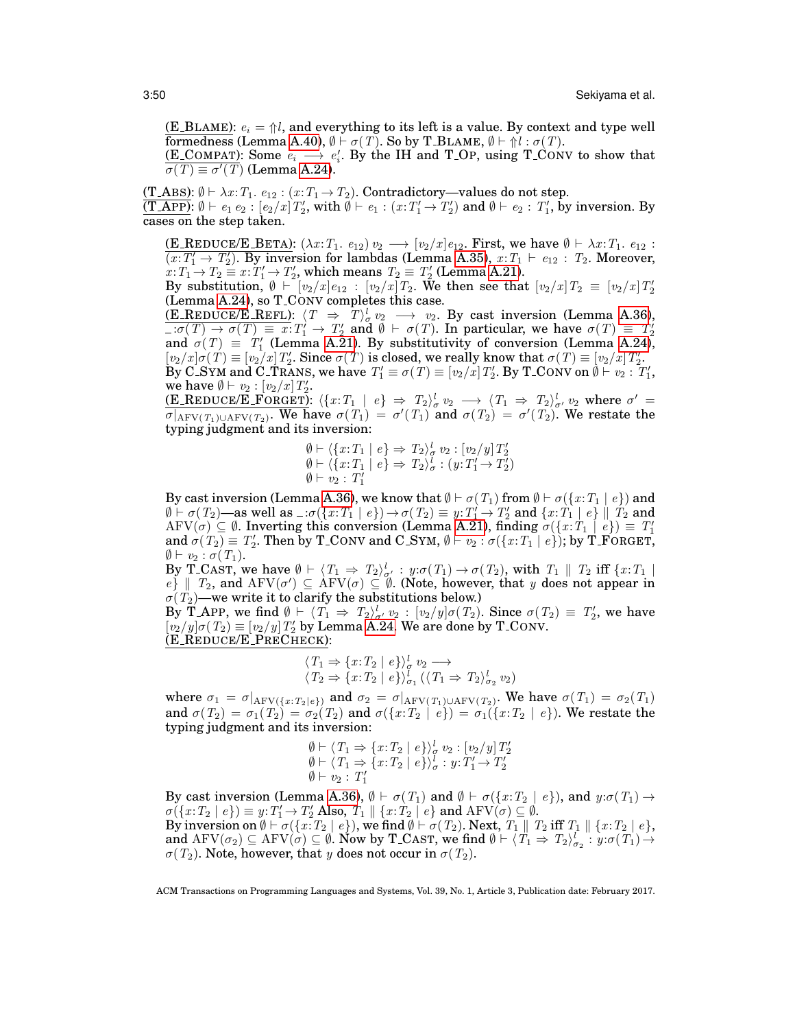(E\_BLAME):  $e_i = \frac{\Lambda}{i}$ , and everything to its left is a value. By context and type well formedness (Lemma [A.40\)](#page-48-1),  $\emptyset \vdash \sigma(T)$ . So by T\_BLAME,  $\emptyset \vdash \Uparrow l : \sigma(T)$ .

(E\_COMPAT): Some  $e_i \longrightarrow e'_i$ . By the IH and T\_OP, using T\_CONV to show that  $\overline{\sigma(T) \equiv \sigma'(T)}$  (Lemma [A.24\)](#page-43-0).

(T\_ABS):  $\emptyset \vdash \lambda x$ :  $T_1$ .  $e_{12}$ :  $(x:T_1 \rightarrow T_2)$ . Contradictory—values do not step.  $\overline{(\text{T} \text{APP})} \colon \emptyset \vdash e_1 \ e_2 : [e_2/x] \, T_2',$  with  $\emptyset \vdash e_1 : (x{:}T_1' \rightarrow T_2')$  and  $\emptyset \vdash e_2 : T_1',$  by inversion. By cases on the step taken.

(E\_REDUCE/E\_BETA):  $(\lambda x : T_1 \cdot e_{12}) v_2 \longrightarrow [v_2/x] e_{12}$ . First, we have  $\emptyset \vdash \lambda x : T_1 \cdot e_{12}$ :  $\overline{(x:T'_1 \rightarrow T'_2)}$ . By inversion for lambdas (Lemma [A.35\)](#page-45-1),  $x:T_1 \vdash e_{12}$ :  $T_2$ . Moreover,  $x: T_1 \rightarrow T_2 \equiv x: T_1' \rightarrow T_2'$ , which means  $T_2 \equiv T_2'$  (Lemma [A.21\)](#page-43-6).

By substitution,  $\emptyset \vdash [v_2/x]e_{12} : [v_2/x]T_2$ . We then see that  $[v_2/x]T_2 = [v_2/x]T_2'$ (Lemma [A.24\)](#page-43-0), so T CONV completes this case.

(E\_REDUCE/E\_REFL):  $\langle T \Rightarrow T \rangle_{\sigma}^{l} v_2 \longrightarrow v_2$ . By cast inversion (Lemma [A.36\)](#page-45-6),  $\overline{\mathcal{L}:\sigma(T) \to \sigma(T) \equiv x: T'_1 \to T'_2}$  and  $\emptyset \vdash \sigma(T)$ . In particular, we have  $\sigma(T) \equiv T'_2$  and  $\sigma(T) \equiv T'_1$  (Lemma [A.21\)](#page-43-6). By substitutivity of conversion (Lemma [A.24\)](#page-43-0),  $[v_2/x] \sigma(T) \equiv [v_2/x] T_2'$ . Since  $\sigma(T)$  is closed, we really know that  $\sigma(T) \equiv [v_2/x] T_2'$ . By C\_SYM and C\_TRANS, we have  $T_1' \equiv \sigma(T) \equiv [v_2/x] T_2'.$  By T\_CONV on  $\emptyset \vdash v_2 : T_1',$ we have  $\emptyset \vdash v_2 : [v_2/x] T'_2$ .

<u>(E\_REDUCE/E\_FORGET)</u>:  $\langle \{x : T_1 \mid e \} \Rightarrow T_2 \rangle^l_\sigma v_2 \longrightarrow \langle T_1 \Rightarrow T_2 \rangle^l_{\sigma'} v_2$  where  $\sigma' =$  $\overline{\sigma|_{\text{AFV}(T_1) \cup \text{AFV}(T_2)}}$ . We have  $\sigma(T_1) = \sigma'(T_1)$  and  $\sigma(T_2) = \sigma'(T_2)$ . We restate the typing judgment and its inversion:

$$
\emptyset \vdash \langle \{x: T_1 \mid e \} \Rightarrow T_2 \rangle_{\sigma}^l v_2 : [v_2/y] T_2'
$$
  

$$
\emptyset \vdash \langle \{x: T_1 \mid e \} \Rightarrow T_2 \rangle_{\sigma}^l : (y: T_1' \rightarrow T_2')
$$
  

$$
\emptyset \vdash v_2 : T_1'
$$

By cast inversion (Lemma [A.36\)](#page-45-6), we know that  $\emptyset \vdash \sigma(T_1)$  from  $\emptyset \vdash \sigma(\lbrace x:T_1 | e \rbrace)$  and  $\emptyset \vdash \sigma(T_2)$ —as well as  $\bot \sigma(\{x:T_1 \mid e\}) \rightarrow \sigma(T_2) \equiv y:T'_1 \rightarrow T'_2$  and  $\{x:T_1 \mid e\} \parallel T_2$  and  $\mathrm{AFV}(\sigma) \subseteq \emptyset$ . Inverting this conversion (Lemma [A.21\)](#page-43-6), finding  $\sigma(\lbrace x: T_1 \mid e \rbrace) \equiv T_1'$ and  $\sigma(T_2) \equiv T_2'$ . Then by T\_CONV and C\_SYM,  $\emptyset \vdash v_2 : \sigma(\lbrace x : T_1 \mid e \rbrace)$ ; by T\_FORGET,  $\emptyset \vdash v_2 : \sigma(T_1).$ 

By T\_CAST, we have  $\emptyset \vdash \langle T_1 \Rightarrow T_2 \rangle_{\sigma'}^l : y:\sigma(T_1) \rightarrow \sigma(T_2)$ , with  $T_1 \parallel T_2$  iff  $\{x:T_1 \mid T_2\}$ e}  $\parallel$  T<sub>2</sub>, and AFV( $\sigma$ )  $\subseteq$  AFV( $\sigma$ )  $\subseteq$  Ø. (Note, however, that y does not appear in  $\sigma(T_2)$ —we write it to clarify the substitutions below.)

By T APP, we find  $\emptyset \vdash \langle T_1 \Rightarrow T_2 \rangle_{\sigma'}^l v_2 : [v_2/y] \sigma(T_2)$ . Since  $\sigma(T_2) \equiv T_2'$ , we have  $[v_2/y]\sigma(T_2) \equiv [v_2/y]T_2'$  by Lemma [A.24.](#page-43-0) We are done by T\_CONV.

(E REDUCE/E PRECHECK):

$$
\langle T_1 \Rightarrow \{x: T_2 \mid e \} \rangle_{\sigma}^l v_2 \longrightarrow
$$
  

$$
\langle T_2 \Rightarrow \{x: T_2 \mid e \} \rangle_{\sigma_1}^l (\langle T_1 \Rightarrow T_2 \rangle_{\sigma_2}^l v_2)
$$

where  $\sigma_1 = \sigma|_{\text{AFV}(\{x: T_2 | e \})}$  and  $\sigma_2 = \sigma|_{\text{AFV}(T_1) \cup \text{AFV}(T_2)}$ . We have  $\sigma(T_1) = \sigma_2(T_1)$ and  $\sigma(T_2) = \sigma_1(T_2) = \sigma_2(T_2)$  and  $\sigma(\lbrace x : T_2 | e \rbrace) = \sigma_1(\lbrace x : T_2 | e \rbrace)$ . We restate the typing judgment and its inversion:

$$
\emptyset \vdash \langle T_1 \Rightarrow \{x: T_2 \mid e \} \rangle_{\sigma}^l v_2 : [v_2/y] T_2'
$$
  

$$
\emptyset \vdash \langle T_1 \Rightarrow \{x: T_2 \mid e \} \rangle_{\sigma}^l : y: T_1' \rightarrow T_2'
$$
  

$$
\emptyset \vdash v_2 : T_1'
$$

By cast inversion (Lemma [A.36\)](#page-45-6),  $\emptyset \vdash \sigma(T_1)$  and  $\emptyset \vdash \sigma(\lbrace x : T_2 \mid e \rbrace)$ , and  $y : \sigma(T_1) \rightarrow$  $\sigma(\lbrace x:T_2 | e \rbrace) \equiv y:T'_1 \rightarrow T'_2$  Also,  $T_1 \parallel \lbrace x:\dot{T}_2 | e \rbrace$  and  $\mathrm{AFV}(\sigma) \subseteq \emptyset$ . By inversion on  $\emptyset \vdash \sigma(\{x : T_2 \mid e\})$ , we find  $\emptyset \vdash \sigma(T_2)$ . Next,  $T_1 \parallel T_2$  iff  $T_1 \parallel \{x : T_2 \mid e\}$ , and  $AFV(\sigma_2) \subseteq AFV(\sigma) \subseteq \emptyset$ . Now by T\_CAST, we find  $\emptyset \vdash \langle T_1 \Rightarrow T_2 \rangle_{\sigma_2}^l : y:\sigma(T_1) \rightarrow$  $\sigma(T_2)$ . Note, however, that y does not occur in  $\sigma(T_2)$ .

ACM Transactions on Programming Languages and Systems, Vol. 39, No. 1, Article 3, Publication date: February 2017.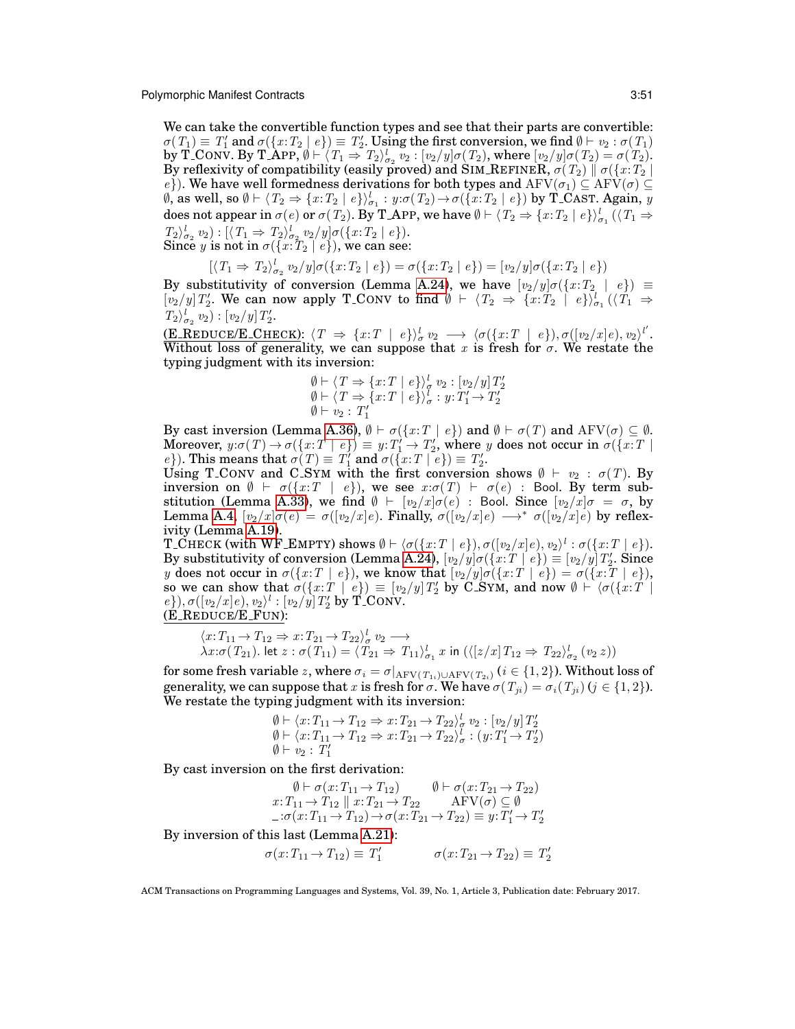We can take the convertible function types and see that their parts are convertible:  $\sigma(T_1) \equiv T_1'$  and  $\sigma(\{x:T_2 \mid e\}) \equiv T_2'.$  Using the first conversion, we find  $\emptyset \vdash v_2 : \sigma(T_1)$ by T\_CONV. By T\_APP,  $\emptyset \vdash \langle T_1 \Rightarrow T_2 \rangle_{\sigma_2}^1$   $v_2 : [v_2/y] \sigma(T_2)$ , where  $[v_2/y] \sigma(T_2) = \sigma(T_2)$ . By reflexivity of compatibility (easily proved) and SIM\_REFINER,  $\sigma(T_2) \parallel \sigma(\{x{:}T_2 \mid$ e}). We have well formedness derivations for both types and  $\mathrm{AFV}(\sigma_1) \subseteq \mathrm{AFV}(\sigma) \subseteq$  $\emptyset$ , as well, so  $\emptyset\vdash \langle T_2\Rightarrow \{x\mathpunct{:}T_2\mid e\}\rangle_{\sigma_1}^l: y\mathpunct{:}\sigma(T_2)\mathpunct{:}\sigma(\{x\mathpunct{:}T_2\mid e\})$  by T\_CAST. Again,  $y$ does not appear in  $\sigma(e)$  or  $\sigma(T_2)$ . By T\_APP, we have  $\emptyset \vdash \langle T_2 \Rightarrow \{x : T_2 \mid e \} \rangle^l_{\sigma_1} (\langle T_1 \Rightarrow$  $T_2\rangle_{\sigma_2}^l v_2 : [\langle T_1 \Rightarrow T_2\rangle_{\sigma_2}^l v_2/y] \sigma(\{x: T_2 \mid e\}).$ Since  $y$  is not in  $\sigma(\{x:\overline{T}_2\mid e\})$ , we can see:

$$
[\langle T_1 \Rightarrow T_2 \rangle_{\sigma_2}^l v_2 / y] \sigma(\{x: T_2 \mid e\}) = \sigma(\{x: T_2 \mid e\}) = [v_2/y] \sigma(\{x: T_2 \mid e\})
$$

By substitutivity of conversion (Lemma [A.24\)](#page-43-0), we have  $[v_2/y]\sigma(\lbrace x : T_2 | e \rbrace) \equiv$  $[v_2/y]T'_2$ . We can now apply T\_CONV to find  $\emptyset \vdash \langle T_2 \Rightarrow \{x : T_2 \mid e\} \rangle_{\sigma_1}^1(\langle T_1 \Rightarrow$  $T_2\rangle_{\sigma_2}^l v_2): [v_2/y] T_2'.$ 

 $(\textbf{E\_REDUCE/E\_CHECK})$ :  $\langle T \Rightarrow \{x:T \mid e\} \rangle^l_{\sigma} v_2 \longrightarrow \langle \sigma(\{x:T \mid e\}), \sigma([v_2/x]e), v_2 \rangle^{l'}.$ Without loss of generality, we can suppose that x is fresh for  $\sigma$ . We restate the typing judgment with its inversion:

$$
\emptyset \vdash \langle T \Rightarrow \{x: T \mid e\} \rangle_{\sigma}^{l} v_{2} : [v_{2}/y] T'_{2} \emptyset \vdash \langle T \Rightarrow \{x: T \mid e\} \rangle_{\sigma}^{l} : y: T'_{1} \rightarrow T'_{2} \emptyset \vdash v_{2} : T'_{1}
$$

By cast inversion (Lemma [A.36\)](#page-45-6),  $\emptyset \vdash \sigma({x : T \mid e})$  and  $\emptyset \vdash \sigma(T)$  and  $A FV(\sigma) \subseteq \emptyset$ . Moreover,  $y:\sigma(T)\to \sigma(\{x:T\mid e\})\equiv y:T_1'\to T_2'$ , where  $y$  does not occur in  $\sigma(\{x:T\mid e\})$ e}). This means that  $\sigma(T) \equiv T'_1$  and  $\sigma(\{x:T \mid e\}) \equiv T'_2$ .

Using T\_CONV and C\_SYM with the first conversion shows  $\emptyset \vdash v_2 : \sigma(T)$ . By inversion on  $\emptyset \vdash \sigma(\{x : T \mid e\}),$  we see  $x : \sigma(T) \vdash \sigma(e)$  : Bool. By term sub-stitution (Lemma [A.33\)](#page-44-3), we find  $\emptyset \vdash [v_2/x]\sigma(e)$  : Bool. Since  $[v_2/x]\sigma = \sigma$ , by Lemma [A.4,](#page-37-1)  $[v_2/x]\sigma(e) = \sigma([v_2/x]e)$ . Finally,  $\sigma([v_2/x]e) \longrightarrow^* \sigma([v_2/x]e)$  by reflexivity (Lemma [A.19\)](#page-42-4).

 $\texttt{T\_CHECK} \text{ (with WF\_EMPTY) shows } \emptyset \vdash \langle \sigma(\{x{:}T \mid e\}), \sigma([v_2/x] e), v_2 \rangle^l : \sigma(\{x{:}T \mid e\}).$ By substitutivity of conversion (Lemma [A.24\)](#page-43-0),  $[v_2/y] \sigma(\{x:T \mid e\}) \equiv [v_2/y] T_2'.$  Since y does not occur in  $\sigma({x : T \mid e})$ , we know that  $[v_2/y] \sigma({x : T \mid e}) = \sigma({x : T \mid e})$ , so we can show that  $\sigma(\{x:T \mid e\}) \equiv [v_2/y]T'_2$  by C SYM, and now  $\emptyset \vdash \langle \sigma(\{x:T \mid$  $\{e\}, \sigma([v_2/x]e), v_2\rangle^l : [v_2/y]T_2'$  by  $\check{T}$  CONV. (E REDUCE/E FUN):

$$
\langle x \colon T_{11} \to T_{12} \Rightarrow x \colon T_{21} \to T_{22} \rangle_{\sigma}^{l} v_2 \longrightarrow \lambda x \colon \sigma(T_{21}). \text{ let } z \colon \sigma(T_{11}) = \langle T_{21} \Rightarrow T_{11} \rangle_{\sigma_1}^{l} x \text{ in } (\langle [z/x] \, T_{12} \Rightarrow T_{22} \rangle_{\sigma_2}^{l} (v_2 \, z))
$$

for some fresh variable  $z$ , where  $\sigma_i = \sigma|_{\rm AFV(T_{1i})\cup \rm AFV(T_{2i})}$  ( $i\in\{1,2\}$ ). Without loss of generality, we can suppose that x is fresh for  $\sigma$ . We have  $\sigma(T_{ii}) = \sigma_i(T_{ii})$  ( $j \in \{1,2\}$ ). We restate the typing judgment with its inversion:

$$
\emptyset \vdash \langle x \colon T_{11} \to T_{12} \Rightarrow x \colon T_{21} \to T_{22} \rangle_{\sigma}^{l} v_2 : [v_2/y] T_2'
$$
  

$$
\emptyset \vdash \langle x \colon T_{11} \to T_{12} \Rightarrow x \colon T_{21} \to T_{22} \rangle_{\sigma}^{l} : (y \colon T_1' \to T_2')
$$
  

$$
\emptyset \vdash v_2 : T_1'
$$

By cast inversion on the first derivation:

$$
\emptyset \vdash \sigma(x: T_{11} \to T_{12}) \qquad \emptyset \vdash \sigma(x: T_{21} \to T_{22}) x: T_{11} \to T_{12} \parallel x: T_{21} \to T_{22} \qquad \text{AFV}(\sigma) \subseteq \emptyset \n\quad: \sigma(x: T_{11} \to T_{12}) \to \sigma(x: T_{21} \to T_{22}) \equiv y: T'_1 \to T'_2
$$

By inversion of this last (Lemma [A.21\)](#page-43-6):

$$
\sigma(x: T_{11} \to T_{12}) \equiv T'_1 \qquad \sigma(x: T_{21} \to T_{22}) \equiv T'_2
$$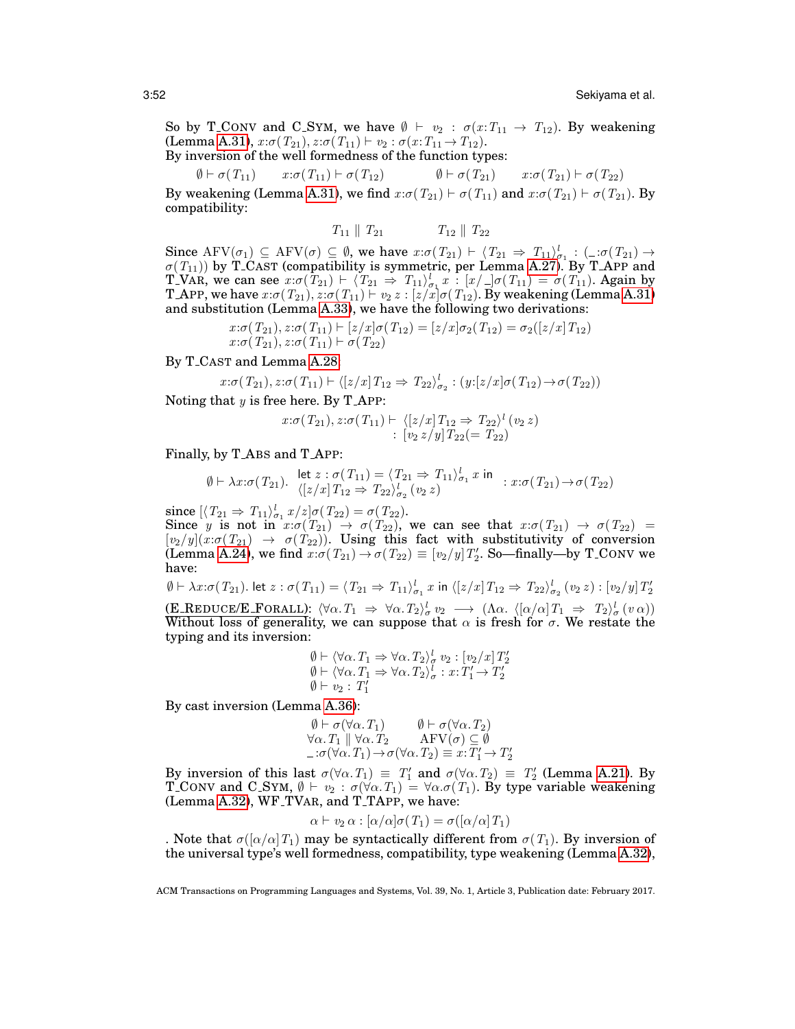So by T\_CONV and C\_SYM, we have  $\emptyset \vdash v_2 : \sigma(x:T_{11} \rightarrow T_{12})$ . By weakening (Lemma [A.31\)](#page-44-1),  $x:\sigma(T_{21}), z:\sigma(T_{11}) \vdash v_2 : \sigma(x:T_{11} \rightarrow T_{12}).$ By inversion of the well formedness of the function types:

 $\emptyset \vdash \sigma(T_{11}) \quad x{:}\sigma(T_{11}) \vdash \sigma(T_{12}) \quad \emptyset \vdash \sigma(T_{21}) \quad x{:}\sigma(T_{21}) \vdash \sigma(T_{22})$ 

By weakening (Lemma [A.31\)](#page-44-1), we find  $x : \sigma(T_{21}) \vdash \sigma(T_{11})$  and  $x : \sigma(T_{21}) \vdash \sigma(T_{21})$ . By compatibility:

$$
T_{11} \parallel T_{21} \qquad T_{12} \parallel T_{22}
$$

Since  $\text{AFV}(\sigma_1) \subseteq \text{AFV}(\sigma) \subseteq \emptyset$ , we have  $x : \sigma(T_{21}) \vdash \langle T_{21} \Rightarrow T_{11} \rangle_{\sigma_1}^l : (- : \sigma(T_{21}) \rightarrow$  $\sigma(T_{11})$ ) by T\_CAST (compatibility is symmetric, per Lemma [A.27\)](#page-43-3). By T\_APP and T VAR, we can see  $x : \sigma(T_{21}) \vdash \langle T_{21} \Rightarrow T_{11} \rangle_{\sigma_1}^l x : [x/\sqcup \sigma(T_{11}) = \sigma(T_{11})$ . Again by T\_APP, we have  $x$ : $\sigma(T_{21}), z$ : $\sigma(T_{11}) \vdash v_2\, z: [z/x] \sigma(T_{12}).$  By weakening (Lemma [A.31\)](#page-44-1) and substitution (Lemma [A.33\)](#page-44-3), we have the following two derivations:

$$
x:\sigma(T_{21}), z:\sigma(T_{11}) \vdash [z/x]\sigma(T_{12}) = [z/x]\sigma_2(T_{12}) = \sigma_2([z/x]T_{12})
$$
  

$$
x:\sigma(T_{21}), z:\sigma(T_{11}) \vdash \sigma(T_{22})
$$

By T CAST and Lemma [A.28:](#page-44-0)

$$
x \mathpunct{:}\! \sigma(T_{21}), z \mathpunct{:}\! \sigma(T_{11}) \vdash \langle [z/x] \, T_{12} \Rightarrow T_{22} \rangle_{\sigma_2}^l : (y \mathpunct{:} [z/x] \sigma(T_{12}) \rightarrow \sigma(T_{22}))
$$

Noting that  $y$  is free here. By T\_APP:

$$
x:\sigma(T_{21}),\,z:\sigma(T_{11})\vdash \langle [z/x]T_{12}\Rightarrow T_{22}\rangle^l(v_2\,z)\\ \vdots\,[v_2\,z/y]T_{22}(=T_{22})
$$

#### Finally, by T ABS and T APP:

$$
\emptyset \vdash \lambda x : \sigma(T_{21}). \quad \begin{array}{l} \mathsf{let}\ z : \sigma(T_{11}) = \langle T_{21} \Rightarrow T_{11} \rangle_{\sigma_1}^l \ x \ \mathsf{in} \\ \langle [z/x] \, T_{12} \Rightarrow T_{22} \rangle_{\sigma_2}^l \ (v_2 \ z) \end{array} \quad : \ x : \sigma(T_{21}) \to \sigma(T_{22})
$$

since  $[\langle T_{21} \Rightarrow T_{11} \rangle_{\sigma_1}^l x/z] \sigma(T_{22}) = \sigma(T_{22}).$ Since y is not in  $x:\sigma(T_{21}) \to \sigma(T_{22})$ , we can see that  $x:\sigma(T_{21}) \to \sigma(T_{22}) =$  $[v_2/y](x:\sigma(T_{21}) \rightarrow \sigma(T_{22})$ . Using this fact with substitutivity of conversion (Lemma [A.24\)](#page-43-0), we find  $x:\sigma(T_{21}) \to \sigma(T_{22}) \equiv [v_2/y] T_2'.$  So—finally—by T\_CONV we have:

 $\emptyset \vdash \lambda x{:}\sigma(T_{21}).$  let  $z:\sigma(T_{11})=\langle T_{21} \Rightarrow T_{11}\rangle^l_{\sigma_1}x$  in  $\langle [z/x] \, T_{12} \Rightarrow T_{22}\rangle^l_{\sigma_2}$   $(v_2\,z)$  :  $[v_2/y] \, T'_2$  $(\mathbf{E}\text{-}\mathbf{REDUCE}/\mathbf{E}\text{-}\mathbf{FORALL})$ :  $\langle \forall \alpha \cdot T_1 \Rightarrow \forall \alpha \cdot T_2 \rangle_{\sigma}^l v_2 \longrightarrow (\Lambda \alpha \cdot \langle [\alpha/\alpha] T_1 \Rightarrow T_2 \rangle_{\sigma}^l (v \alpha))$ Without loss of generality, we can suppose that  $\alpha$  is fresh for  $\sigma$ . We restate the typing and its inversion:

$$
\emptyset \vdash \langle \forall \alpha. T_1 \Rightarrow \forall \alpha. T_2 \rangle^l_{\sigma} v_2 : [v_2/x] T'_2 \n\emptyset \vdash \langle \forall \alpha. T_1 \Rightarrow \forall \alpha. T_2 \rangle^l_{\sigma} : x : T'_1 \rightarrow T'_2 \n\emptyset \vdash v_2 : T'_1
$$

By cast inversion (Lemma [A.36\)](#page-45-6):

$$
\varphi \vdash \sigma (\forall \alpha. T_1) \qquad \varphi \vdash \sigma (\forall \alpha. T_2) \forall \alpha. T_1 \parallel \forall \alpha. T_2 \qquad \text{AFV}(\sigma) \subseteq \varnothing \n-i\sigma (\forall \alpha. T_1) \rightarrow \sigma (\forall \alpha. T_2) \equiv x : T'_1 \rightarrow T'_2
$$

By inversion of this last  $\sigma(\forall \alpha \cdot T_1) \equiv T_1'$  and  $\sigma(\forall \alpha \cdot T_2) \equiv T_2'$  (Lemma [A.21\)](#page-43-6). By T\_CONV and C\_SYM,  $\emptyset \vdash v_2 : \sigma(\forall \alpha, T_1) = \forall \alpha. \sigma(T_1)$ . By type variable weakening  $(Lemma A.32)$  $(Lemma A.32)$ , WF<sub>-TVAR</sub>, and T<sub>-TAPP</sub>, we have:

$$
\alpha \vdash v_2 \alpha : [\alpha/\alpha] \sigma(T_1) = \sigma([\alpha/\alpha] T_1)
$$

. Note that  $\sigma([\alpha/\alpha]T_1)$  may be syntactically different from  $\sigma(T_1)$ . By inversion of the universal type's well formedness, compatibility, type weakening (Lemma [A.32\)](#page-44-2),

ACM Transactions on Programming Languages and Systems, Vol. 39, No. 1, Article 3, Publication date: February 2017.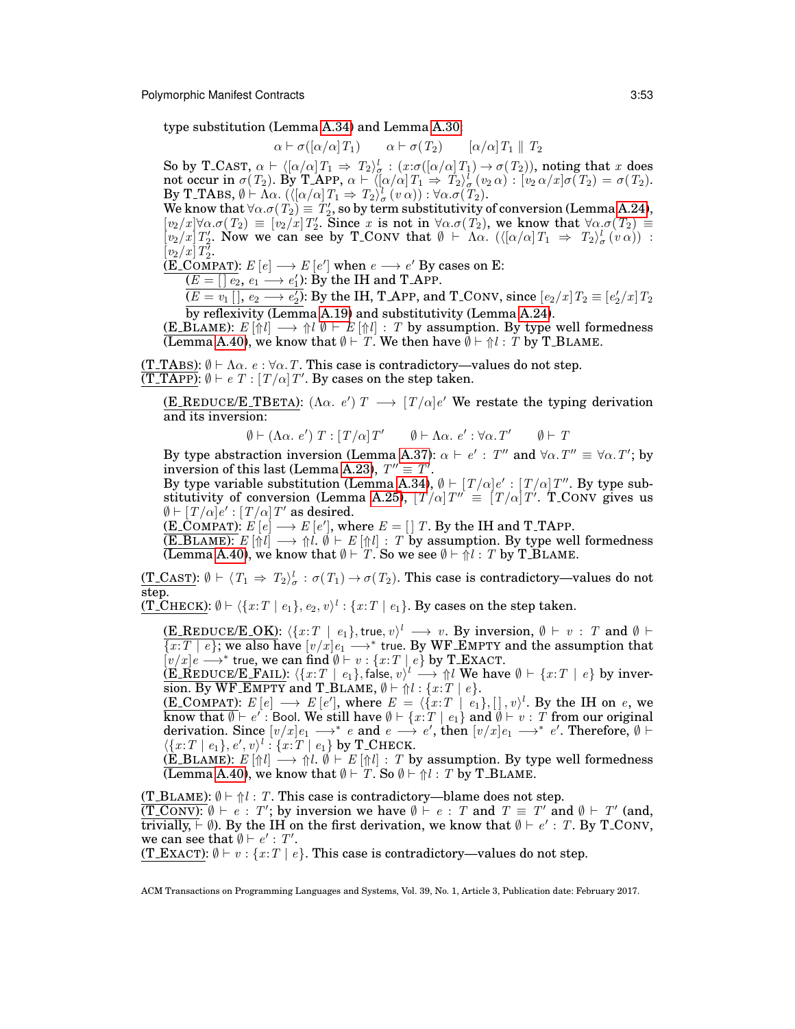type substitution (Lemma [A.34\)](#page-45-0) and Lemma [A.30:](#page-44-4)

$$
\alpha \vdash \sigma([\alpha/\alpha] T_1) \qquad \alpha \vdash \sigma(T_2) \qquad [\alpha/\alpha] T_1 \parallel T_2
$$

So by T\_CAST,  $\alpha \vdash \langle [\alpha/\alpha] T_1 \Rightarrow T_2 \rangle_{\sigma}^l : (x \cdot \sigma([\alpha/\alpha] T_1) \rightarrow \sigma(T_2)),$  noting that x does not occur in  $\sigma(T_2)$ . By T APP,  $\alpha \vdash \langle [\alpha/\alpha] T_1 \Rightarrow T_2 \rangle_{\sigma}^{l}(v_2 \alpha) : [v_2 \alpha/x] \sigma(T_2) = \sigma(T_2)$ . By T-TABS,  $\emptyset \vdash \Lambda \alpha$ .  $(\langle [\alpha/\alpha] T_1 \Rightarrow T_2 \rangle^l_{\sigma} (v \alpha)) : \forall \alpha . \sigma(T_2)$ .

We know that  $\forall \alpha \cdot \sigma(T_2) \equiv T_2'$ , so by term substitutivity of conversion (Lemma [A.24\)](#page-43-0),  $[v_2/x]\forall \alpha.\sigma(T_2) \equiv [v_2/x]T_2'.$  Since x is not in  $\forall \alpha.\sigma(T_2)$ , we know that  $\forall \alpha.\sigma(T_2) \equiv$  $[v_2/x]T'_2$ . Now we can see by T\_CONV that  $\emptyset \vdash \Lambda \alpha$ . ( $\langle [\alpha/\alpha]T_1 \Rightarrow T_2\rangle^l_{\sigma}(v \alpha)$ ) :  $\left[v_{2}/x\right]T_{2}^{\overline{\imath}}$ .

 $(E\text{-}\text{COMPATH})$ :  $E[e] \longrightarrow E[e']$  when  $e \longrightarrow e'$  By cases on E:

 $(E = [] e_2, e_1 \longrightarrow e_1$ : By the IH and T\_APP.

 $\overline{(E = v_1 \, [ \, ], \, e_2 \longrightarrow e_2')}.$  By the IH, T\_APP, and T\_CONV, since  $[e_2/x] \, T_2 \equiv [e_2'/x] \, T_2$ by reflexivity (Lemma [A.19\)](#page-42-4) and substitutivity (Lemma [A.24\)](#page-43-0).

(E\_BLAME):  $E[\hat{\uparrow} l] \longrightarrow \hat{\uparrow} l \hat{\uparrow} l + E[\hat{\uparrow} l]$  : T by assumption. By type well formedness (Lemma [A.40\)](#page-48-1), we know that  $\emptyset \vdash T$ . We then have  $\emptyset \vdash \Uparrow l : T$  by T\_BLAME.

(T\_TABS):  $\emptyset \vdash \Lambda \alpha$ .  $e : \forall \alpha$ . T. This case is contradictory—values do not step.  $\overline{(T\_TAPP)}$ :  $\emptyset \vdash e \ T : [T/\alpha] T'$ . By cases on the step taken.

(E\_REDUCE/E\_TBETA):  $(\Lambda \alpha, e') T \longrightarrow [T/\alpha]e'$  We restate the typing derivation and its inversion:

$$
\emptyset \vdash (\Lambda \alpha. e') T : [T/\alpha] T' \qquad \emptyset \vdash \Lambda \alpha. e' : \forall \alpha. T' \qquad \emptyset \vdash T
$$

By type abstraction inversion (Lemma [A.37\)](#page-45-3):  $\alpha \vdash e' : T''$  and  $\forall \alpha$ .  $T'' \equiv \forall \alpha$ .  $T'$ ; by inversion of this last (Lemma [A.23\)](#page-43-7),  $T'' \equiv T'$ .

By type variable substitution (Lemma [A.34\)](#page-45-0),  $\emptyset \vdash [T/\alpha]e' : [T/\alpha]T''$ . By type sub-stitutivity of conversion (Lemma [A.25\)](#page-43-1),  $[T/\alpha]T'' = [T/\alpha]T'$ . T\_CONV gives us  $\emptyset \vdash [T/\alpha]e' : [T/\alpha]T'$  as desired.

(E\_COMPAT):  $E[e] \longrightarrow E[e'],$  where  $E = [T]$ . By the IH and T\_TAPP.

(E\_BLAME):  $E[\Uparrow l] \longrightarrow \Uparrow l$ .  $\emptyset \vdash E[\Uparrow l] : T$  by assumption. By type well formedness (Lemma [A.40\)](#page-48-1), we know that  $\emptyset \vdash T$ . So we see  $\emptyset \vdash \neg l : T$  by T\_BLAME.

 $(T\_CAST): \emptyset \vdash \langle T_1 \Rightarrow T_2 \rangle_{\sigma}^l : \sigma(T_1) \rightarrow \sigma(T_2).$  This case is contradictory—values do not step.

(T\_CHECK):  $\emptyset \vdash \langle \{x{:}T \mid e_1\}, e_2, v \rangle^l : \{x{:}T \mid e_1\}.$  By cases on the step taken.

(E\_REDUCE/E\_OK):  $\langle \{x:T \mid e_1\}, \text{true}, v \rangle^l \longrightarrow v$ . By inversion,  $\emptyset \vdash v : T$  and  $\emptyset \vdash$  $\overline{\{x:T\mid e\}}$ ; we also have  $[v/x]e_1 \longrightarrow^*$  true. By WF EMPTY and the assumption that  $\int v/x e \longrightarrow^*$  true, we can find  $\emptyset \vdash v : \{x : T \mid e\}$  by T\_EXACT.

 $(\textbf{E\_REDUCE/E\_FAIL}): \langle \{x{:}T \, \mid \, e_1\}, \textsf{false}, v \rangle^l \longrightarrow \Uparrow l \text{ We have } \emptyset \vdash \{x{:}T \, \mid \, e\} \text{ by invert}$ sion. By WF\_EMPTY and T\_BLAME,  $\emptyset \vdash \Uparrow l : \{x : T \mid e\}.$ 

(E\_COMPAT):  $E[e] \longrightarrow E[e'],$  where  $E = \langle \{x:T \mid e_1\}, [ \, ] , v \rangle^l$ . By the IH on e, we know that  $\emptyset \vdash e'$  : Bool. We still have  $\emptyset \vdash \{x\dot{:}T\mid e_1\}$  and  $\emptyset \vdash v: T$  from our original derivation. Since  $[v/x]e_1 \longrightarrow^* e$  and  $e \longrightarrow e'$ , then  $[v/x]e_1 \longrightarrow^* e'$ . Therefore,  $\emptyset \vdash$  $\langle \{x:T \mid e_1\}, e', v \rangle^l : \{x:T \mid e_1\}$  by T\_CHECK.

 $(E_B LAME): E[\Uparrow l] \longrightarrow \Uparrow l. \ \emptyset \vdash E[\Uparrow l] : T$  by assumption. By type well formedness (Lemma [A.40\)](#page-48-1), we know that  $\emptyset \vdash T$ . So  $\emptyset \vdash \Uparrow l$  : T by T\_BLAME.

(T\_BLAME):  $\emptyset \vdash \Uparrow l$ : T. This case is contradictory—blame does not step.

 $\overline{(T\_CONV): \emptyset \vdash e : T'}$ ; by inversion we have  $\emptyset \vdash e : T$  and  $T \equiv T'$  and  $\emptyset \vdash T'$  (and, trivially,  $\vdash \emptyset$ ). By the IH on the first derivation, we know that  $\emptyset \vdash e': T$ . By T\_CONV, we can see that  $\emptyset \vdash e' : T'.$ 

(T\_EXACT):  $\emptyset \vdash v : \{x : T \mid e\}$ . This case is contradictory—values do not step.

ACM Transactions on Programming Languages and Systems, Vol. 39, No. 1, Article 3, Publication date: February 2017.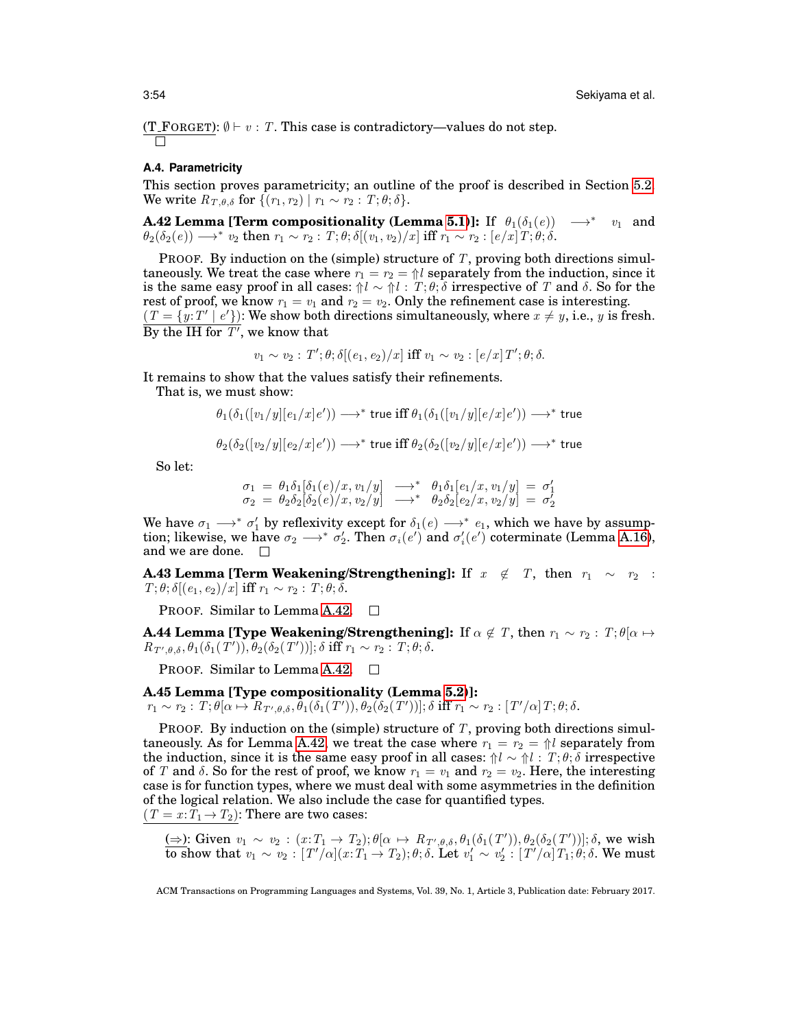(T\_FORGET):  $\emptyset \vdash v : T$ . This case is contradictory—values do not step.

#### <span id="page-53-2"></span>**A.4. Parametricity**

This section proves parametricity; an outline of the proof is described in Section [5.2.](#page-25-0) We write  $R_{T,\theta,\delta}$  for  $\{(r_1,r_2) | r_1 \sim r_2 : T; \theta; \delta\}.$ 

<span id="page-53-0"></span>**A.42 Lemma [Term compositionality (Lemma [5.1\)](#page-25-1)]:** If  $\theta_1(\delta_1(e)) \longrightarrow^* v_1$  and  $\theta_2(\delta_2(e)) \longrightarrow^* v_2 \text{ then } r_1 \sim r_2 : T; \theta; \delta[(v_1,v_2)/x] \text{ iff } r_1 \sim r_2 : [e/x] \, T; \theta; \delta.$ 

PROOF. By induction on the (simple) structure of T, proving both directions simultaneously. We treat the case where  $r_1 = r_2 = \frac{1}{10}l$  separately from the induction, since it is the same easy proof in all cases:  $\hat{\mathcal{U}} \sim \hat{\mathcal{U}}$ :  $T, \theta, \delta$  irrespective of T and  $\delta$ . So for the rest of proof, we know  $r_1 = v_1$  and  $r_2 = v_2$ . Only the refinement case is interesting.  $(T = \{y:T' | e'\})$ : We show both directions simultaneously, where  $x \neq y$ , i.e., y is fresh. By the IH for  $T'$ , we know that

$$
v_1 \sim v_2 : T'; \theta; \delta[(e_1, e_2)/x] \text{ iff } v_1 \sim v_2 : [e/x] T'; \theta; \delta.
$$

It remains to show that the values satisfy their refinements.

That is, we must show:

$$
\theta_1(\delta_1([v_1/y][e_1/x]e')) \longrightarrow^* \text{true iff } \theta_1(\delta_1([v_1/y][e/x]e')) \longrightarrow^* \text{true}
$$

$$
\theta_2(\delta_2([v_2/y][e_2/x]e')) \longrightarrow^*
$$
 true iff  $\theta_2(\delta_2([v_2/y][e/x]e')) \longrightarrow^*$  true

So let:

$$
\sigma_1 = \theta_1 \delta_1 [\delta_1(e)/x, v_1/y] \longrightarrow^* \theta_1 \delta_1 [e_1/x, v_1/y] = \sigma'_1 \n\sigma_2 = \theta_2 \delta_2 [\delta_2(e)/x, v_2/y] \longrightarrow^* \theta_2 \delta_2 [e_2/x, v_2/y] = \sigma'_2
$$

We have  $\sigma_1 \longrightarrow^* \sigma'_1$  by reflexivity except for  $\delta_1(e) \longrightarrow^* e_1$ , which we have by assumption; likewise, we have  $\sigma_2 \longrightarrow^* \sigma'_2$ . Then  $\sigma_i(e')$  and  $\sigma'_i(e')$  coterminate (Lemma [A.16\)](#page-42-0), and we are done.  $\square$ 

<span id="page-53-3"></span>**A.43 Lemma [Term Weakening/Strengthening]:** If  $x \notin T$ , then  $r_1 \sim r_2$ :  $T; \theta; \delta[(e_1, e_2)/x]$  iff  $r_1 \sim r_2 : T; \theta; \delta$ .

**PROOF.** Similar to Lemma [A.42.](#page-53-0)  $\Box$ 

**A.44 Lemma [Type Weakening/Strengthening]:** If  $\alpha \notin T$ , then  $r_1 \sim r_2$  :  $T; \theta | \alpha \mapsto$  $R_{T',\theta,\delta}, \theta_1(\delta_1(T')), \overline{\theta_2(\delta_2(T'))}]; \delta \text{ iff } r_1 \sim r_2 \text{ : } T; \theta; \delta.$ 

**PROOF.** Similar to Lemma [A.42.](#page-53-0)  $\Box$ 

# <span id="page-53-1"></span>**A.45 Lemma [Type compositionality (Lemma [5.2\)](#page-25-2)]:**

 $r_1 \sim r_2: \, T; \theta[\alpha \mapsto R_{\,T',\theta,\delta}, \bar{\theta}_1(\delta_1(T')), \theta_2(\delta_2(T'))]; \delta \text{ iff } r_1 \sim r_2: \left[\,T'/\alpha \right] T; \theta; \delta.$ 

PROOF. By induction on the (simple) structure of  $T$ , proving both directions simul-taneously. As for Lemma [A.42,](#page-53-0) we treat the case where  $r_1 = r_2 = \frac{\Lambda}{\sqrt{2}}$  separately from the induction, since it is the same easy proof in all cases:  $\hat{\mu} \sim \hat{\mu}$  :  $T$ ;  $\theta$ ;  $\delta$  irrespective of T and  $\delta$ . So for the rest of proof, we know  $r_1 = v_1$  and  $r_2 = v_2$ . Here, the interesting case is for function types, where we must deal with some asymmetries in the definition of the logical relation. We also include the case for quantified types.  $(T = x: T_1 \rightarrow T_2)$ : There are two cases:

( $\Rightarrow$ ): Given  $v_1 \sim v_2 : (x: T_1 \to T_2); \theta(\alpha \mapsto R_{T',\theta,\delta}, \theta_1(\delta_1(T')), \theta_2(\delta_2(T'))]; \delta$ , we wish  $\overline{\textbf{to}}$  show that  $v_1 \sim v_2 : [T'/α](x: T_1 → T_2); θ; δ$ . Let  $v'_1 \sim v'_2 : [T'/α]T_1; θ; δ$ . We must

ACM Transactions on Programming Languages and Systems, Vol. 39, No. 1, Article 3, Publication date: February 2017.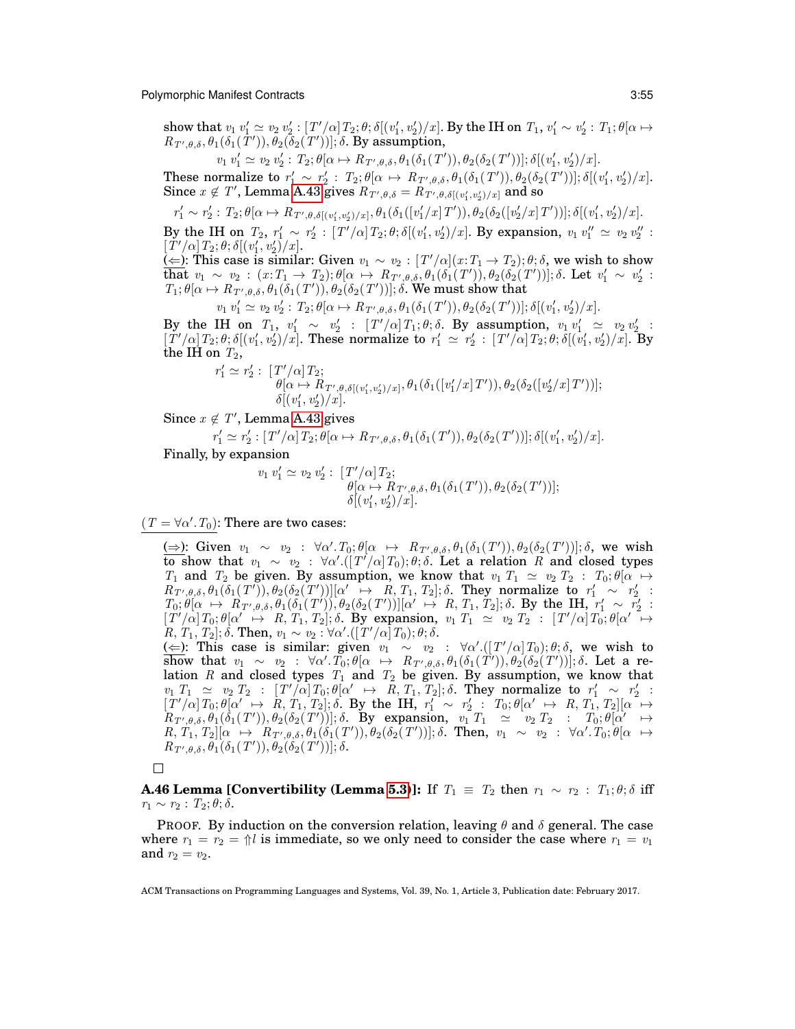show that  $v_1 v_1' \simeq v_2 v_2' : [T'/\alpha] T_2; \theta; \delta[(v_1', v_2')/x]$ . By the IH on  $T_1, v_1' \sim v_2' : T_1; \theta[\alpha \mapsto \alpha]$  $R_{T',\theta,\delta}, \theta_1(\delta_1(\tilde{T}')), \theta_2(\tilde{\delta}_2(\tilde{T}'))]; \delta$ . By assumption,

 $v_1 v_1' \simeq v_2 v_2' : T_2; \theta[\alpha \mapsto R_{T',\theta,\delta}, \theta_1(\delta_1(T')), \theta_2(\delta_2(T'))]; \delta[(v_1', v_2')/x].$ 

These normalize to  $r'_1 \sim r'_2$ :  $T_2$ ;  $\theta[\alpha \mapsto R_{T',\theta,\delta}, \theta_1(\delta_1(T')), \theta_2(\delta_2(T'))]$ ;  $\delta[(v'_1, v'_2)/x]$ . Since  $x \notin T'$ , Lemma [A.43](#page-53-3) gives  $R_{T',\theta,\delta} = R_{T',\theta,\delta[(v'_1,v'_2)/x]}$  and so

 $r'_1 \sim r'_2 : T_2; \theta[\alpha \mapsto R_{T', \theta, \delta[(v'_1, v'_2)/x]}, \theta_1(\delta_1([v'_1/x]T')), \theta_2(\delta_2([v'_2/x]T'))]; \delta[(v'_1, v'_2)/x].$ By the IH on  $T_2$ ,  $r'_1 \sim r'_2$ :  $[T'/\alpha] T_2$ ;  $\theta$ ;  $\delta[(v'_1, v'_2)/x]$ . By expansion,  $v_1 v''_1 \simeq v_2 v''_2$ :  $[\tilde{T}'/\alpha] T_2; \theta; \delta[(v'_1, v'_2)/x].$ ( $\leq$ ): This case is similar: Given  $v_1 \sim v_2 : [T'/\alpha](x: T_1 \to T_2); \theta; \delta$ , we wish to show  $\begin{array}{l} \text{that}\;\, v_1 \;\sim\; v_2 \,:\, (x\colon\! T_1 \rightarrow\, T_2); \theta[\alpha\; \mapsto\; R_{\,T',\theta,\delta}, \theta_1(\delta_1(\,T')), \theta_2(\delta_2(\,T'))]; \delta. \,\, \text{Let}\;\, v_1' \;\sim\; v_2' \,:\, \end{array}$  $T_1$ ;  $\theta[\alpha \mapsto R_{T',\theta,\delta}, \theta_1(\delta_1(T')), \theta_2(\delta_2(T'))]$ ;  $\delta$ . We must show that

 $v_1 v_1' \simeq v_2 v_2' : T_2; \theta[\alpha \mapsto R_{T',\theta,\delta}, \theta_1(\delta_1(T')), \theta_2(\delta_2(T'))]; \delta[(v_1', v_2')/x].$ 

By the IH on  $T_1$ ,  $v'_1 \sim v'_2$ :  $[T'/\alpha] T_1; \theta; \delta$ . By assumption,  $v_1 v'_1 \simeq v_2 v'_2$ :  $[T'/\alpha]T_2; \theta; \delta[(v'_1, v'_2)/x]$ . These normalize to  $r'_1 \simeq r'_2 : [T'/\alpha]T_2; \theta; \delta[(v'_1, v'_2)/x]$ . By the IH on  $T_2$ ,

$$
r'_1 \simeq r'_2: [T'/\alpha] T_2; \n\theta[\alpha \mapsto R_{T',\theta,\delta[(v'_1,v'_2)/x]}, \theta_1(\delta_1([v'_1/x]T')), \theta_2(\delta_2([v'_2/x]T'))]; \n\delta[(v'_1,v'_2)/x].
$$

Since  $x \notin T'$ , Lemma [A.43](#page-53-3) gives

 $r'_1 \simeq r'_2 : [T'/\alpha] T_2; \theta[\alpha \mapsto R_{T',\theta,\delta}, \theta_1(\delta_1(T')), \theta_2(\delta_2(T'))]; \delta[(v'_1, v'_2)/x].$ 

Finally, by expansion

$$
v_1 v_1' \simeq v_2 v_2' : [T'/\alpha] T_2; \n\theta[\alpha \mapsto R_{T',\theta,\delta}, \theta_1(\delta_1(T')), \theta_2(\delta_2(T'))]; \n\delta[(v_1', v_2')/x].
$$

 $(T = \forall \alpha'. T_0)$ : There are two cases:

(⇒): Given  $v_1 \sim v_2$  :  $\forall \alpha'. T_0; \theta[\alpha \leftrightarrow R_{T',\theta,\delta}, \theta_1(\delta_1(T')), \theta_2(\delta_2(T'))]; \delta$ , we wish  $\overline{\textbf{to}}$  show that  $v_1 \sim v_2$ :  $\forall \alpha'.([T'/\alpha]T_0); \theta; \delta$ . Let a relation R and closed types  $T_1$  and  $T_2$  be given. By assumption, we know that  $v_1$   $T_1 \simeq v_2$   $T_2$  :  $T_0$ ;  $\theta$ [ $\alpha \mapsto$  $R_{T',\theta,\delta}, \theta_1(\delta_1(T')), \theta_2(\delta_2(T'))][\alpha' \rightarrow R, T_1, T_2]; \delta$ . They normalize to  $r'_1 \sim r'_2$ :  $T_0$ ;  $\theta[\alpha \mapsto R_{T',\theta,\delta},\theta_1(\delta_1(T'))], \theta_2(\delta_2(T'))][\alpha' \mapsto R, T_1, T_2]$ ;  $\delta$ . By the IH,  $r'_1 \sim r'_2$ :  $[T'/\alpha]T_0; \theta[\alpha' \mapsto R, T_1, T_2]; \delta$ . By expansion,  $v_1 T_1 \simeq v_2 T_2 : [T'/\alpha]T_0; \theta[\alpha' \mapsto$  $[R, \, T_1, \, T_2]; \delta. \text{ Then, } v_1 \sim v_2 : \forall \alpha'. ([\,T'/\alpha]\, T_0); \theta; \delta.$ 

(  $\Leftarrow$ ): This case is similar: given  $v_1 \sim v_2$  : ∀α'.([T'/α]T<sub>0</sub>);  $\theta$ ;  $\delta$ , we wish to show that v<sup>1</sup> ∼ v<sup>2</sup> : ∀α 0 .T0; θ[α 7→ RT<sup>0</sup> ,θ,δ, θ1(δ1(T 0 )), θ2(δ2(T 0 ))]; δ. Let a relation R and closed types  $T_1$  and  $T_2$  be given. By assumption, we know that  $v_1$   $T_1 \simeq v_2$   $T_2$ :  $[T'/\alpha]$   $T_0$ ;  $\theta[\alpha' \rightarrow R, T_1, T_2]$ ;  $\delta$ . They normalize to  $r'_1 \sim r'_2$ :  $[T'/\alpha]T_0; \theta[\alpha' \rightarrow \hat{R}, T_1, T_2]; \delta$ . By the IH,  $r'_1 \sim r'_2$ :  $T_0; \theta[\alpha' \rightarrow R, T_1, T_2][\alpha \rightarrow \alpha$  $R_{T',\theta,\delta}, \theta_1(\delta_1(T')) , \theta_2(\delta_2(T'))]; \delta. \;\; \text{By \;\; expansion, \;\; } v_1^\top T_1 \;\; \simeq \;\; v_2 \; T_2 \;\; : \;\; \; T_0; \theta[\alpha' \quad \mapsto$  $R, T_1, T_2 || \alpha \mapsto \hat{R}_{T',\theta,\delta}, \theta_1(\delta_1(T')) , \theta_2(\delta_2(T'))]; \delta.$  Then,  $v_1 \sim v_2 : \forall \alpha'. T_0; \theta[\alpha \mapsto \hat{R}_{T',\theta,\delta}]$  $R_{T',\theta,\delta}, \theta_1(\delta_1(T')), \theta_2(\delta_2(T'))]; \delta.$ 

 $\Box$ 

<span id="page-54-0"></span>**A.46 Lemma [Convertibility (Lemma [5.3\)](#page-25-3)]: If**  $T_1 \equiv T_2$  **then**  $r_1 \sim r_2 : T_1; \theta; \delta$  **iff**  $r_1 \sim r_2$ :  $T_2$ ;  $\theta$ ;  $\delta$ .

PROOF. By induction on the conversion relation, leaving  $\theta$  and  $\delta$  general. The case where  $r_1 = r_2 = \frac{\Lambda}{l}$  is immediate, so we only need to consider the case where  $r_1 = v_1$ and  $r_2 = v_2$ .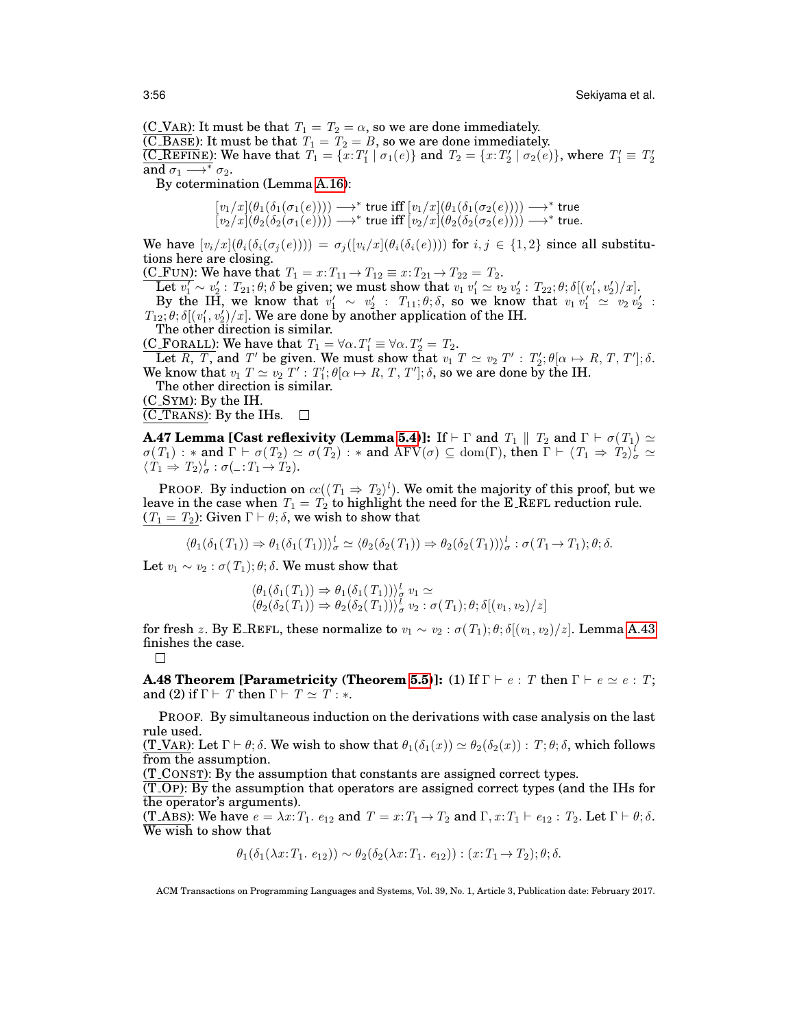(C\_VAR): It must be that  $T_1 = T_2 = \alpha$ , so we are done immediately.  $\overline{(C \cdot BASE)}$ : It must be that  $T_1 = T_2 = B$ , so we are done immediately.

(C\_REFINE): We have that  $T_1 = \{x: T'_1 \mid \sigma_1(e)\}$  and  $T_2 = \{x: T'_2 \mid \sigma_2(e)\}$ , where  $T'_1 \equiv T'_2$ and  $\sigma_1 \longrightarrow^* \sigma_2$ .

By cotermination (Lemma [A.16\)](#page-42-0):

$$
\begin{array}{l} [v_1/x](\theta_1(\delta_1(\sigma_1(e)))) \longrightarrow^* \text{ true iff } [v_1/x](\theta_1(\delta_1(\sigma_2(e)))) \longrightarrow^* \text{ true } \\ [v_2/x](\theta_2(\delta_2(\sigma_1(e)))) \longrightarrow^* \text{ true iff } [v_2/x](\theta_2(\delta_2(\sigma_2(e)))) \longrightarrow^* \text{ true.} \end{array}
$$

We have  $[v_i/x] (\theta_i(\delta_i(\sigma_i(e)))) = \sigma_i([v_i/x] (\theta_i(\delta_i(e))))$  for  $i, j \in \{1,2\}$  since all substitutions here are closing.

(C\_FUN): We have that  $T_1 = x: T_{11} \to T_{12} \equiv x: T_{21} \to T_{22} = T_2$ .

Let  $v'_1 \sim v'_2$  :  $T_{21}$ ;  $\theta$ ;  $\delta$  be given; we must show that  $v_1 v'_1 \simeq v_2 v'_2$  :  $T_{22}$ ;  $\theta$ ;  $\delta [(v'_1, v'_2)/x]$ .

By the IH, we know that  $v'_1 \sim v'_2$ :  $T_{11}$ ;  $\theta$ ;  $\delta$ , so we know that  $v_1 v'_1 \simeq v_2 v'_2$ :  $T_{12}$ ;  $\theta$ ;  $\delta[(v'_1, v'_2)/x]$ . We are done by another application of the IH.

The other direction is similar.

(C\_FORALL): We have that  $T_1 = \forall \alpha$ .  $T_1' \equiv \forall \alpha$ .  $T_2' = T_2$ .

Let R, T, and T' be given. We must show that  $v_1$   $T \simeq v_2$   $T'$  :  $T_2'; \theta[\alpha \mapsto R, T, T']$ ;  $\delta$ . We know that  $v_1$   $T \simeq v_2$   $T'$  :  $T_1'; \theta[\alpha \mapsto R, T, T']; \delta$ , so we are done by the IH.

The other direction is similar.

(C SYM): By the IH.

 $\overline{\text{ (C-Transs)}}$ : By the IHs.  $\Box$ 

<span id="page-55-0"></span>**A.47 Lemma [Cast reflexivity (Lemma [5.4\)](#page-26-4)]:** If  $\vdash \Gamma$  and  $\,_1 \parallel T_2$  and  $\Gamma \vdash \sigma(T_1) \simeq$  $\sigma(T_1) : *$  and  $\Gamma \vdash \sigma(T_2) \simeq \sigma(T_2) : *$  and  $\mathrm{AFV}(\sigma) \subseteq \mathrm{dom}(\Gamma)$ , then  $\Gamma \vdash \langle T_1 \Rightarrow T_2 \rangle_{\sigma}^l \simeq$  $\langle T_1 \Rightarrow T_2 \rangle_{\sigma}^l : \sigma( \_ : T_1 \rightarrow T_2).$ 

PROOF. By induction on  $cc(\langle T_1 \Rightarrow T_2 \rangle^l)$ . We omit the majority of this proof, but we leave in the case when  $T_1 = T_2$  to highlight the need for the E\_REFL reduction rule.  $(T_1 = T_2)$ : Given  $\Gamma \vdash \theta$ ;  $\delta$ , we wish to show that

$$
\langle \theta_1(\delta_1(T_1)) \Rightarrow \theta_1(\delta_1(T_1)) \rangle_{\sigma}^l \simeq \langle \theta_2(\delta_2(T_1)) \Rightarrow \theta_2(\delta_2(T_1)) \rangle_{\sigma}^l : \sigma(T_1 \to T_1); \theta; \delta.
$$

Let  $v_1 \sim v_2 : \sigma(T_1): \theta: \delta$ . We must show that

$$
\langle \theta_1(\delta_1(T_1)) \Rightarrow \theta_1(\delta_1(T_1)) \rangle_{\sigma}^l v_1 \simeq \langle \theta_2(\delta_2(T_1)) \Rightarrow \theta_2(\delta_2(T_1)) \rangle_{\sigma}^l v_2 : \sigma(T_1); \theta; \delta[(v_1, v_2)/z]
$$

for fresh z. By E\_REFL, these normalize to  $v_1 \sim v_2 : \sigma(T_1)$ ;  $\theta$ ;  $\delta[(v_1, v_2)/z]$ . Lemma [A.43](#page-53-3) finishes the case.

$$
\Box
$$

<span id="page-55-1"></span>**A.48 Theorem [Parametricity (Theorem [5.5\)](#page-26-1)]: (1) If**  $\Gamma \vdash e : T$  **then**  $\Gamma \vdash e \simeq e : T$ **;** and (2) if  $\Gamma \vdash T$  then  $\Gamma \vdash T \simeq T : *$ .

PROOF. By simultaneous induction on the derivations with case analysis on the last rule used.

(T\_VAR): Let  $\Gamma \vdash \theta$ ;  $\delta$ . We wish to show that  $\theta_1(\delta_1(x)) \simeq \theta_2(\delta_2(x))$ :  $T$ ;  $\theta$ ;  $\delta$ , which follows from the assumption.

(T CONST): By the assumption that constants are assigned correct types.

 $(T$ -OP): By the assumption that operators are assigned correct types (and the IHs for the operator's arguments).

(T\_ABS): We have  $e = \lambda x$ :  $T_1$ .  $e_{12}$  and  $T = x$ :  $T_1 \rightarrow T_2$  and  $\Gamma$ ,  $x$ :  $T_1 \vdash e_{12}$ :  $T_2$ . Let  $\Gamma \vdash \theta$ ;  $\delta$ . We wish to show that

$$
\theta_1(\delta_1(\lambda x: T_1, e_{12})) \sim \theta_2(\delta_2(\lambda x: T_1, e_{12})) : (x: T_1 \to T_2); \theta; \delta.
$$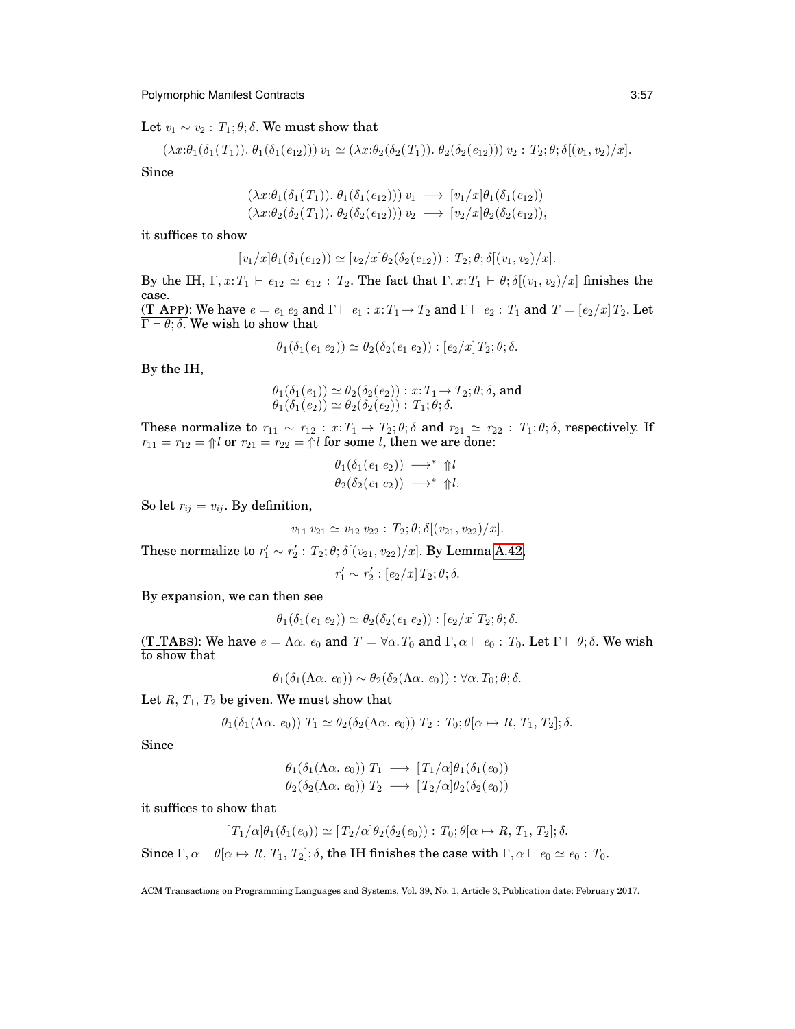Let  $v_1 \sim v_2$ :  $T_1$ ;  $\theta$ ;  $\delta$ . We must show that

$$
(\lambda x:\theta_1(\delta_1(T_1)),\,\theta_1(\delta_1(e_{12})))\,v_1 \simeq (\lambda x:\theta_2(\delta_2(T_1)),\,\theta_2(\delta_2(e_{12})))\,v_2 : T_2;\theta;\delta[(v_1,v_2)/x].
$$

Since

$$
(\lambda x:\theta_1(\delta_1(T_1)). \ \theta_1(\delta_1(e_{12}))) \ v_1 \longrightarrow [v_1/x]\theta_1(\delta_1(e_{12}))
$$
  

$$
(\lambda x:\theta_2(\delta_2(T_1)). \ \theta_2(\delta_2(e_{12}))) \ v_2 \longrightarrow [v_2/x]\theta_2(\delta_2(e_{12})),
$$

it suffices to show

$$
[v_1/x]\theta_1(\delta_1(e_{12})) \simeq [v_2/x]\theta_2(\delta_2(e_{12})) : T_2; \theta; \delta[(v_1, v_2)/x].
$$

By the IH,  $\Gamma$ ,  $x: T_1 \vdash e_{12} \simeq e_{12} : T_2$ . The fact that  $\Gamma$ ,  $x: T_1 \vdash \theta$ ;  $\delta[(v_1, v_2)/x]$  finishes the case. (T\_APP): We have  $e = e_1 e_2$  and  $\Gamma \vdash e_1 : x : T_1 \to T_2$  and  $\Gamma \vdash e_2 : T_1$  and  $T = [e_2/x]T_2$ . Let  $\Gamma \vdash \theta; \delta$ . We wish to show that

$$
\theta_1(\delta_1(e_1 e_2)) \simeq \theta_2(\delta_2(e_1 e_2)) : [e_2/x] T_2; \theta; \delta.
$$

By the IH,

$$
\theta_1(\delta_1(e_1)) \simeq \theta_2(\delta_2(e_2)) : x: T_1 \to T_2; \theta; \delta, \text{ and}
$$
  

$$
\theta_1(\delta_1(e_2)) \simeq \theta_2(\delta_2(e_2)) : T_1; \theta; \delta.
$$

These normalize to  $r_{11} \sim r_{12} : x : T_1 \to T_2; \theta; \delta$  and  $r_{21} \simeq r_{22} : T_1; \theta; \delta$ , respectively. If  $r_{11} = r_{12} = \frac{\Lambda}{l}$  or  $r_{21} = r_{22} = \frac{\Lambda}{l}$  for some *l*, then we are done:

$$
\theta_1(\delta_1(e_1 e_2)) \longrightarrow^* \Uparrow l \n\theta_2(\delta_2(e_1 e_2)) \longrightarrow^* \Uparrow l.
$$

So let  $r_{ij} = v_{ij}$ . By definition,

$$
v_{11} v_{21} \simeq v_{12} v_{22} : T_2; \theta; \delta[(v_{21}, v_{22})/x].
$$

These normalize to  $r'_1 \sim r'_2$  :  $T_2$ ;  $\theta$ ;  $\delta[(v_{21}, v_{22})/x]$ . By Lemma [A.42,](#page-53-0)

$$
r_1' \sim r_2': [e_2/x] T_2; \theta; \delta.
$$

By expansion, we can then see

$$
\theta_1(\delta_1(e_1 e_2)) \simeq \theta_2(\delta_2(e_1 e_2)) : [e_2/x] T_2; \theta; \delta.
$$

(T\_TABS): We have  $e = \Lambda \alpha$ .  $e_0$  and  $T = \forall \alpha$ .  $T_0$  and  $\Gamma, \alpha \vdash e_0 : T_0$ . Let  $\Gamma \vdash \theta; \delta$ . We wish to show that

$$
\theta_1(\delta_1(\Lambda \alpha. e_0)) \sim \theta_2(\delta_2(\Lambda \alpha. e_0)) : \forall \alpha. T_0; \theta; \delta.
$$

Let  $R$ ,  $T_1$ ,  $T_2$  be given. We must show that

$$
\theta_1(\delta_1(\Lambda \alpha. e_0)) T_1 \simeq \theta_2(\delta_2(\Lambda \alpha. e_0)) T_2 : T_0; \theta[\alpha \mapsto R, T_1, T_2]; \delta.
$$

Since

$$
\theta_1(\delta_1(\Lambda \alpha. e_0)) T_1 \longrightarrow [T_1/\alpha] \theta_1(\delta_1(e_0))
$$
  

$$
\theta_2(\delta_2(\Lambda \alpha. e_0)) T_2 \longrightarrow [T_2/\alpha] \theta_2(\delta_2(e_0))
$$

it suffices to show that

$$
[T_1/\alpha]\theta_1(\delta_1(e_0)) \simeq [T_2/\alpha]\theta_2(\delta_2(e_0)) : T_0; \theta[\alpha \mapsto R, T_1, T_2]; \delta.
$$

Since  $\Gamma, \alpha \vdash \theta[\alpha \mapsto R, T_1, T_2]; \delta$ , the IH finishes the case with  $\Gamma, \alpha \vdash e_0 \simeq e_0 : T_0$ .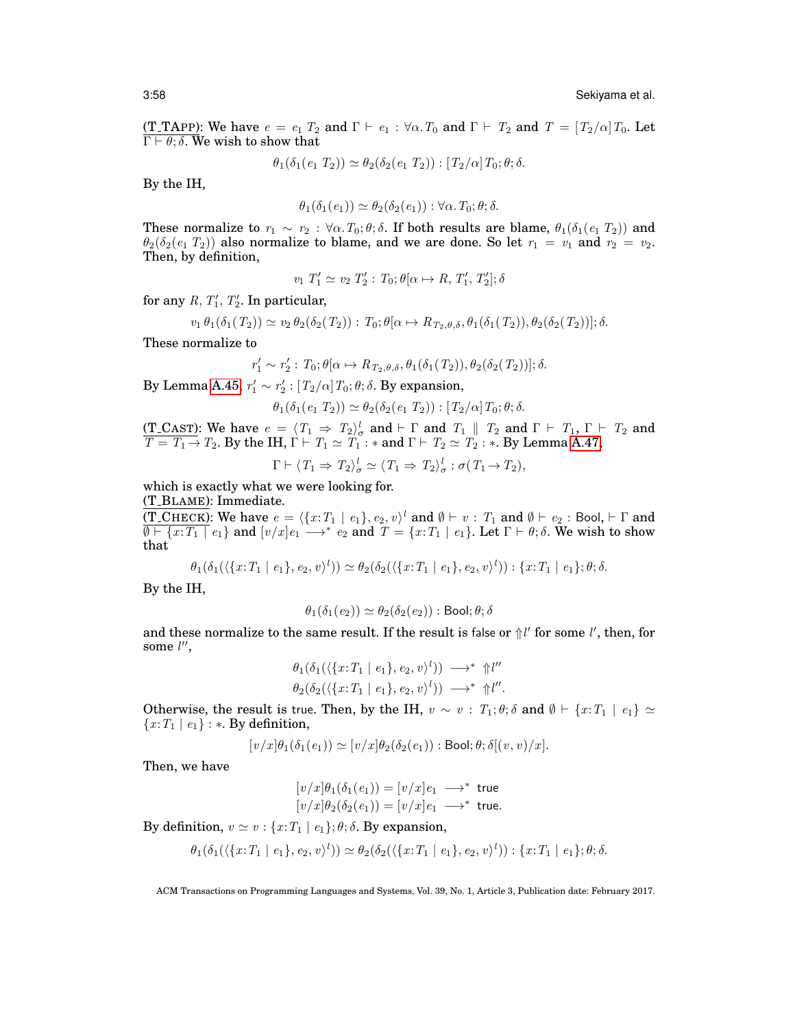(T\_TAPP): We have  $e = e_1 T_2$  and  $\Gamma \vdash e_1 : \forall \alpha$ .  $T_0$  and  $\Gamma \vdash T_2$  and  $T = [T_2/\alpha] T_0$ . Let  $\Gamma \vdash \theta$ ;  $\delta$ . We wish to show that

$$
\theta_1(\delta_1(e_1 T_2)) \simeq \theta_2(\delta_2(e_1 T_2)) : [T_2/\alpha] T_0; \theta; \delta.
$$

By the IH,

$$
\theta_1(\delta_1(e_1)) \simeq \theta_2(\delta_2(e_1)) : \forall \alpha. T_0; \theta; \delta.
$$

These normalize to  $r_1 \sim r_2$ :  $\forall \alpha$ .  $T_0$ ;  $\theta$ ;  $\delta$ . If both results are blame,  $\theta_1(\delta_1(e_1 T_2))$  and  $\theta_2(\delta_2(e_1 T_2))$  also normalize to blame, and we are done. So let  $r_1 = v_1$  and  $r_2 = v_2$ . Then, by definition,

$$
v_1 \ T_1' \simeq v_2 \ T_2' : T_0; \theta[\alpha \mapsto R, T_1', T_2']; \delta
$$

for any  $R, T'_1, T'_2$ . In particular,

$$
v_1 \theta_1(\delta_1(T_2)) \simeq v_2 \theta_2(\delta_2(T_2)) : T_0; \theta(\alpha \mapsto R_{T_2, \theta, \delta}, \theta_1(\delta_1(T_2)), \theta_2(\delta_2(T_2))]; \delta.
$$

These normalize to

$$
r'_1 \sim r'_2 : T_0; \theta[\alpha \mapsto R_{T_2, \theta, \delta}, \theta_1(\delta_1(T_2)), \theta_2(\delta_2(T_2))]; \delta.
$$

By Lemma [A.45,](#page-53-1)  $r'_1 \sim r'_2$  :  $[T_2/\alpha] T_0$ ;  $\theta$ ;  $\delta$ . By expansion,

 $\theta_1(\delta_1(e_1 T_2)) \simeq \theta_2(\delta_2(e_1 T_2)) : [T_2/\alpha] T_0; \theta; \delta.$ 

(T\_CAST): We have  $e = \langle T_1 \Rightarrow T_2 \rangle^l_{\sigma}$  and  $\vdash \Gamma$  and  $T_1 \parallel T_2$  and  $\Gamma \vdash T_1$ ,  $\Gamma \vdash T_2$  and  $T = T_1 \rightarrow T_2$ . By the IH,  $\Gamma \vdash T_1 \simeq T_1 : *$  and  $\Gamma \vdash T_2 \simeq T_2 : *$ . By Lemma [A.47,](#page-55-0)

$$
\Gamma \vdash \langle T_1 \Rightarrow T_2 \rangle_{\sigma}^l \simeq \langle T_1 \Rightarrow T_2 \rangle_{\sigma}^l : \sigma(T_1 \rightarrow T_2),
$$

which is exactly what we were looking for.

(T BLAME): Immediate.

(T\_CHECK): We have  $e = \langle \{x{:}T_1 \mid e_1\}, e_2, v \rangle^l$  and  $\emptyset \vdash v : T_1$  and  $\emptyset \vdash e_2 :$  Bool,  $\vdash \Gamma$  and  $\overline{\emptyset \vdash \{x:T_1 \mid e_1\}}$  and  $[v/x]e_1 \longrightarrow^* e_2$  and  $T = \{x:T_1 \mid e_1\}$ . Let  $\Gamma \vdash \theta; \delta$ . We wish to show that

$$
\theta_1(\delta_1(\langle \{x: T_1 \mid e_1\}, e_2, v \rangle^l)) \simeq \theta_2(\delta_2(\langle \{x: T_1 \mid e_1\}, e_2, v \rangle^l)) : \{x: T_1 \mid e_1\}; \theta; \delta.
$$

By the IH,

$$
\theta_1(\delta_1(e_2)) \simeq \theta_2(\delta_2(e_2)) : \text{Bool}; \theta; \delta
$$

and these normalize to the same result. If the result is false or  $\frac{1}{l}$  for some  $l'$ , then, for some  $l''$ ,

$$
\theta_1(\delta_1(\langle \{x: T_1 \mid e_1\}, e_2, v \rangle^l)) \longrightarrow^* \Uparrow l''
$$
  

$$
\theta_2(\delta_2(\langle \{x: T_1 \mid e_1\}, e_2, v \rangle^l)) \longrightarrow^* \Uparrow l''.
$$

Otherwise, the result is true. Then, by the IH,  $v \sim v : T_1; \theta; \delta$  and  $\emptyset \vdash \{x : T_1 \mid e_1\} \simeq$  ${x:T_1 \mid e_1}$  : \*. By definition,

$$
[v/x]\theta_1(\delta_1(e_1)) \simeq [v/x]\theta_2(\delta_2(e_1)) : \text{Bool}; \theta; \delta[(v, v)/x].
$$

Then, we have

$$
[v/x]\theta_1(\delta_1(e_1)) = [v/x]e_1 \longrightarrow^* \text{ true}
$$
  

$$
[v/x]\theta_2(\delta_2(e_1)) = [v/x]e_1 \longrightarrow^* \text{ true.}
$$

By definition,  $v \approx v : \{x : T_1 \mid e_1\}; \theta; \delta$ . By expansion,

$$
\theta_1(\delta_1(\langle \{x: T_1 \mid e_1\}, e_2, v \rangle^l)) \simeq \theta_2(\delta_2(\langle \{x: T_1 \mid e_1\}, e_2, v \rangle^l)) : \{x: T_1 \mid e_1\}; \theta; \delta.
$$